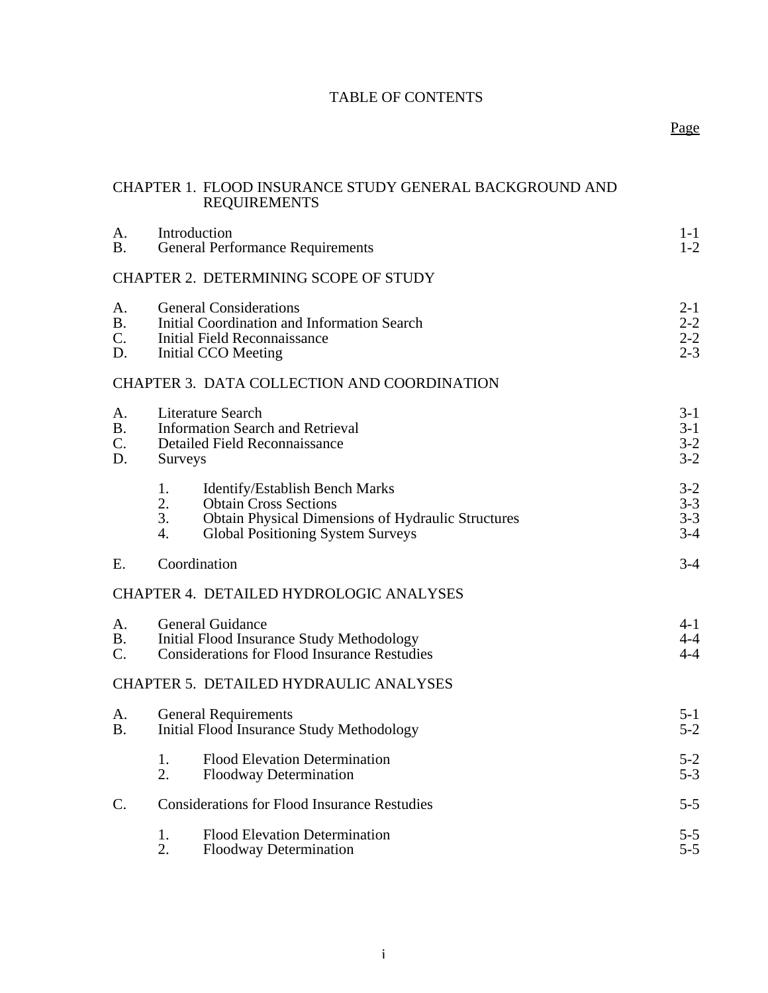## TABLE OF CONTENTS

|                                         |                                    | CHAPTER 1. FLOOD INSURANCE STUDY GENERAL BACKGROUND AND<br><b>REQUIREMENTS</b>                                                                                                 |                                          |
|-----------------------------------------|------------------------------------|--------------------------------------------------------------------------------------------------------------------------------------------------------------------------------|------------------------------------------|
| A.<br><b>B.</b>                         | Introduction                       | <b>General Performance Requirements</b>                                                                                                                                        | $1-1$<br>$1 - 2$                         |
|                                         |                                    | <b>CHAPTER 2. DETERMINING SCOPE OF STUDY</b>                                                                                                                                   |                                          |
| A.<br><b>B.</b><br>$\mathbf{C}$ .<br>D. |                                    | <b>General Considerations</b><br>Initial Coordination and Information Search<br><b>Initial Field Reconnaissance</b><br>Initial CCO Meeting                                     | $2 - 1$<br>$2 - 2$<br>$2 - 2$<br>$2 - 3$ |
|                                         |                                    | CHAPTER 3. DATA COLLECTION AND COORDINATION                                                                                                                                    |                                          |
| A.<br><b>B.</b><br>C.<br>D.             | <b>Surveys</b>                     | Literature Search<br><b>Information Search and Retrieval</b><br>Detailed Field Reconnaissance                                                                                  | $3-1$<br>$3-1$<br>$3-2$<br>$3-2$         |
|                                         | 1.<br>2.<br>3.<br>$\overline{4}$ . | <b>Identify/Establish Bench Marks</b><br><b>Obtain Cross Sections</b><br><b>Obtain Physical Dimensions of Hydraulic Structures</b><br><b>Global Positioning System Surveys</b> | $3-2$<br>$3 - 3$<br>$3 - 3$<br>$3-4$     |
| E.                                      | Coordination                       |                                                                                                                                                                                | $3 - 4$                                  |
|                                         |                                    | CHAPTER 4. DETAILED HYDROLOGIC ANALYSES                                                                                                                                        |                                          |
| A.<br><b>B.</b><br>C.                   |                                    | <b>General Guidance</b><br>Initial Flood Insurance Study Methodology<br><b>Considerations for Flood Insurance Restudies</b>                                                    | $4 - 1$<br>$4 - 4$<br>$4 - 4$            |
|                                         |                                    | <b>CHAPTER 5. DETAILED HYDRAULIC ANALYSES</b>                                                                                                                                  |                                          |
| А.<br><b>B.</b>                         |                                    | <b>General Requirements</b><br>Initial Flood Insurance Study Methodology                                                                                                       | $5 - 1$<br>$5 - 2$                       |
|                                         | 1.<br>2.                           | <b>Flood Elevation Determination</b><br>Floodway Determination                                                                                                                 | $5 - 2$<br>$5 - 3$                       |
| C.                                      |                                    | <b>Considerations for Flood Insurance Restudies</b>                                                                                                                            | $5 - 5$                                  |
|                                         | 1.<br>2.                           | <b>Flood Elevation Determination</b><br>Floodway Determination                                                                                                                 | $5 - 5$<br>$5 - 5$                       |
|                                         |                                    |                                                                                                                                                                                |                                          |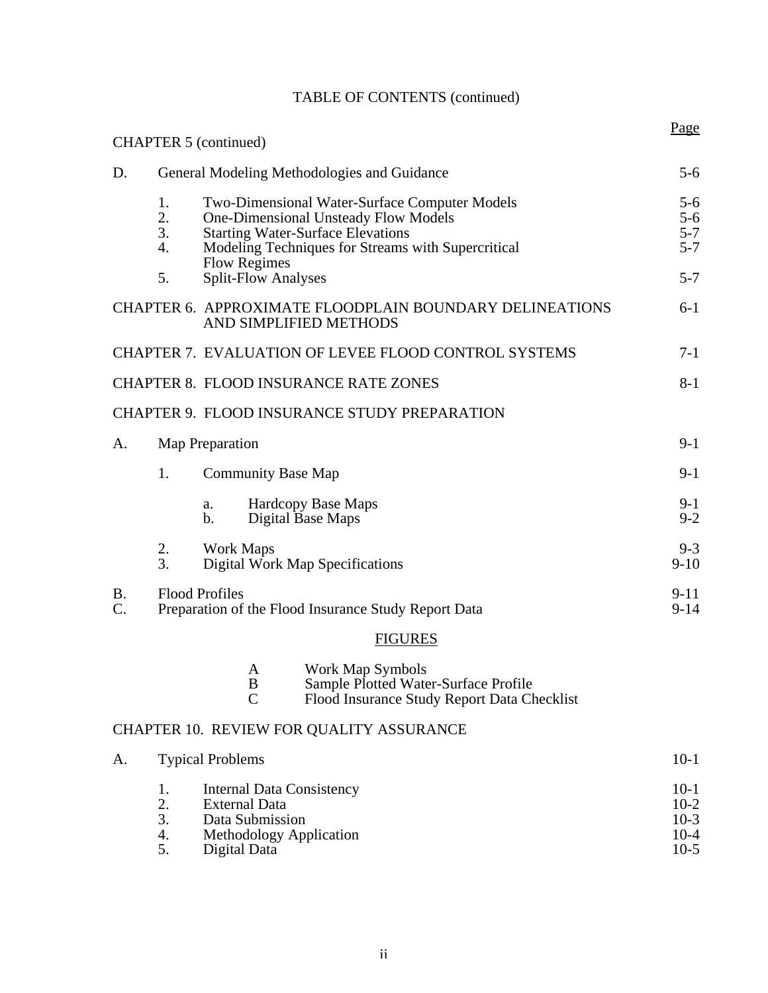## TABLE OF CONTENTS (continued)

|          | <b>CHAPTER 5 (continued)</b> |                       |                                                                                                                                                                                                                | Page                                                |
|----------|------------------------------|-----------------------|----------------------------------------------------------------------------------------------------------------------------------------------------------------------------------------------------------------|-----------------------------------------------------|
| D.       |                              |                       | General Modeling Methodologies and Guidance                                                                                                                                                                    | $5 - 6$                                             |
|          | 1.<br>2.<br>3.<br>4.<br>5.   |                       | Two-Dimensional Water-Surface Computer Models<br>One-Dimensional Unsteady Flow Models<br><b>Starting Water-Surface Elevations</b><br>Modeling Techniques for Streams with Supercritical<br><b>Flow Regimes</b> | $5 - 6$<br>$5 - 6$<br>$5 - 7$<br>$5 - 7$<br>$5 - 7$ |
|          |                              |                       | <b>Split-Flow Analyses</b><br>CHAPTER 6. APPROXIMATE FLOODPLAIN BOUNDARY DELINEATIONS<br>AND SIMPLIFIED METHODS                                                                                                | $6 - 1$                                             |
|          |                              |                       | CHAPTER 7. EVALUATION OF LEVEE FLOOD CONTROL SYSTEMS                                                                                                                                                           | $7 - 1$                                             |
|          |                              |                       | CHAPTER 8. FLOOD INSURANCE RATE ZONES                                                                                                                                                                          | $8-1$                                               |
|          |                              |                       | CHAPTER 9. FLOOD INSURANCE STUDY PREPARATION                                                                                                                                                                   |                                                     |
| A.       |                              | Map Preparation       |                                                                                                                                                                                                                | $9-1$                                               |
|          | 1.                           |                       | <b>Community Base Map</b>                                                                                                                                                                                      | $9-1$                                               |
|          |                              | a.<br>b.              | <b>Hardcopy Base Maps</b><br>Digital Base Maps                                                                                                                                                                 | $9-1$<br>$9 - 2$                                    |
|          | 2.<br>3.                     | Work Maps             | Digital Work Map Specifications                                                                                                                                                                                | $9 - 3$<br>$9-10$                                   |
| B.<br>C. |                              | <b>Flood Profiles</b> | Preparation of the Flood Insurance Study Report Data                                                                                                                                                           | $9 - 11$<br>$9 - 14$                                |
|          |                              |                       | <b>FIGURES</b>                                                                                                                                                                                                 |                                                     |
|          |                              |                       | Work Map Symbols<br>A<br>Sample Plotted Water-Surface Profile<br>B<br>$\overline{C}$<br>Flood Insurance Study Report Data Checklist                                                                            |                                                     |

# CHAPTER 10. REVIEW FOR QUALITY ASSURANCE

|    |                                  | $10-1$                                                                                        |
|----|----------------------------------|-----------------------------------------------------------------------------------------------|
|    | <b>Internal Data Consistency</b> | $10-1$                                                                                        |
|    |                                  | $10-2$                                                                                        |
|    |                                  | $10-3$                                                                                        |
| 4. |                                  | $10-4$                                                                                        |
| 5. | Digital Data                     | $10-5$                                                                                        |
|    | 2.<br>3.                         | <b>Typical Problems</b><br><b>External Data</b><br>Data Submission<br>Methodology Application |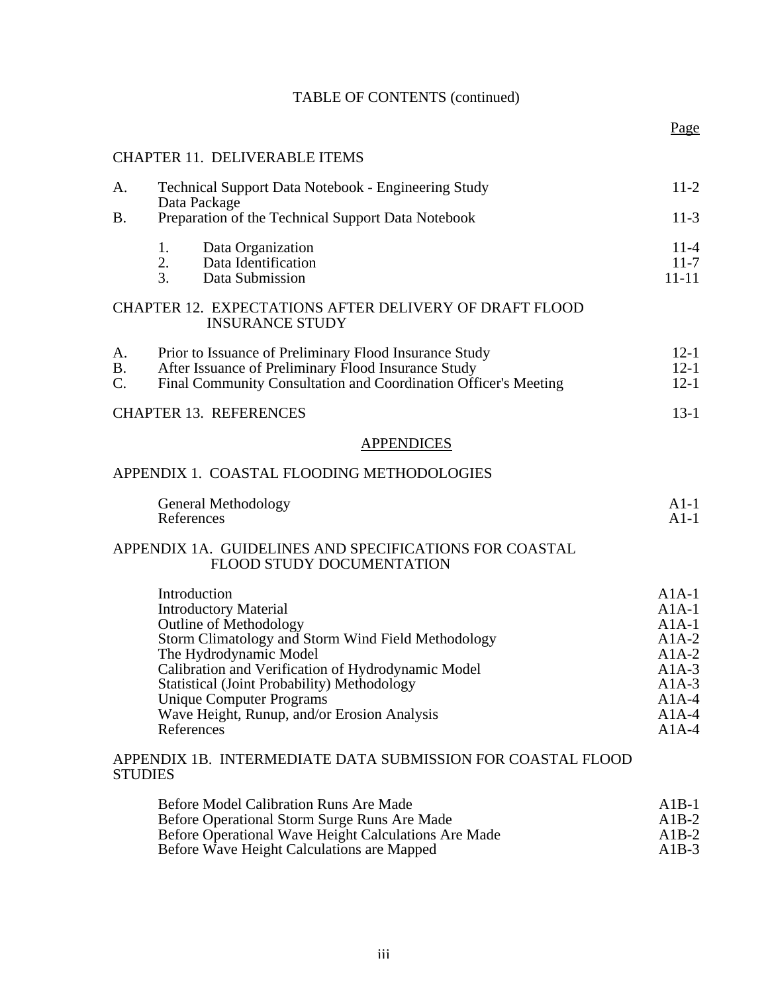#### TABLE OF CONTENTS (continued)

#### Page

#### CHAPTER 11. DELIVERABLE ITEMS

| A.                    | Technical Support Data Notebook - Engineering Study                                                                                                                                                                                                                                                                                                                | $11-2$                                                                                                     |
|-----------------------|--------------------------------------------------------------------------------------------------------------------------------------------------------------------------------------------------------------------------------------------------------------------------------------------------------------------------------------------------------------------|------------------------------------------------------------------------------------------------------------|
| B.                    | Data Package<br>Preparation of the Technical Support Data Notebook                                                                                                                                                                                                                                                                                                 | $11-3$                                                                                                     |
|                       | Data Organization<br>1.<br>2.<br>Data Identification<br>3.<br>Data Submission                                                                                                                                                                                                                                                                                      | $11 - 4$<br>$11 - 7$<br>$11 - 11$                                                                          |
|                       | CHAPTER 12. EXPECTATIONS AFTER DELIVERY OF DRAFT FLOOD<br><b>INSURANCE STUDY</b>                                                                                                                                                                                                                                                                                   |                                                                                                            |
| A.<br><b>B.</b><br>C. | Prior to Issuance of Preliminary Flood Insurance Study<br>After Issuance of Preliminary Flood Insurance Study<br>Final Community Consultation and Coordination Officer's Meeting                                                                                                                                                                                   | $12 - 1$<br>$12 - 1$<br>$12 - 1$                                                                           |
|                       | <b>CHAPTER 13. REFERENCES</b>                                                                                                                                                                                                                                                                                                                                      | $13-1$                                                                                                     |
|                       | <b>APPENDICES</b>                                                                                                                                                                                                                                                                                                                                                  |                                                                                                            |
|                       | APPENDIX 1. COASTAL FLOODING METHODOLOGIES                                                                                                                                                                                                                                                                                                                         |                                                                                                            |
|                       | General Methodology<br>References                                                                                                                                                                                                                                                                                                                                  | $A1-1$<br>$A1-1$                                                                                           |
|                       | APPENDIX 1A. GUIDELINES AND SPECIFICATIONS FOR COASTAL<br>FLOOD STUDY DOCUMENTATION                                                                                                                                                                                                                                                                                |                                                                                                            |
|                       | Introduction<br><b>Introductory Material</b><br>Outline of Methodology<br>Storm Climatology and Storm Wind Field Methodology<br>The Hydrodynamic Model<br>Calibration and Verification of Hydrodynamic Model<br><b>Statistical (Joint Probability) Methodology</b><br><b>Unique Computer Programs</b><br>Wave Height, Runup, and/or Erosion Analysis<br>References | $A1A-1$<br>$A1A-1$<br>$A1A-1$<br>$A1A-2$<br>$A1A-2$<br>$A1A-3$<br>$A1A-3$<br>$A1A-4$<br>$A1A-4$<br>$A1A-4$ |
| <b>STUDIES</b>        | APPENDIX 1B. INTERMEDIATE DATA SUBMISSION FOR COASTAL FLOOD                                                                                                                                                                                                                                                                                                        |                                                                                                            |
|                       | <b>Before Model Calibration Runs Are Made</b><br>Before Operational Storm Surge Runs Are Made                                                                                                                                                                                                                                                                      | $A1B-1$<br>$A1B-2$                                                                                         |

Before Operational Wave Height Calculations Are Made A1B-2 Before Wave Height Calculations are Mapped A1B-3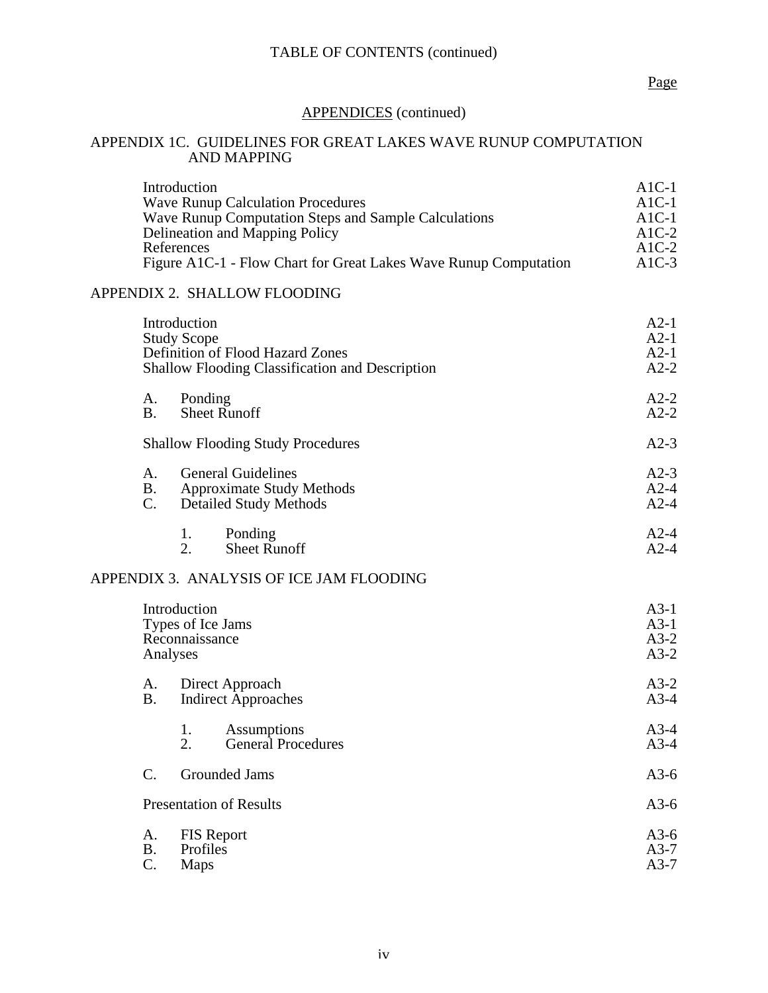#### Page

## APPENDICES (continued)

#### APPENDIX 1C. GUIDELINES FOR GREAT LAKES WAVE RUNUP COMPUTATION AND MAPPING

| $A1C-1$                                                                     |
|-----------------------------------------------------------------------------|
| $A1C-1$                                                                     |
| $A1C-1$                                                                     |
| $A1C-2$                                                                     |
| $A1C-2$                                                                     |
| $A1C-3$<br>Figure A1C-1 - Flow Chart for Great Lakes Wave Runup Computation |
|                                                                             |

## APPENDIX 2. SHALLOW FLOODING

|                 | Introduction                                           | $A2-1$ |
|-----------------|--------------------------------------------------------|--------|
|                 | <b>Study Scope</b>                                     | $A2-1$ |
|                 | Definition of Flood Hazard Zones                       | $A2-1$ |
|                 | <b>Shallow Flooding Classification and Description</b> | $A2-2$ |
| А.              | Ponding                                                | $A2-2$ |
| <b>B.</b>       | <b>Sheet Runoff</b>                                    | $A2-2$ |
|                 | <b>Shallow Flooding Study Procedures</b>               | $A2-3$ |
| Α.              | <b>General Guidelines</b>                              | $A2-3$ |
| <b>B.</b>       | <b>Approximate Study Methods</b>                       | $A2-4$ |
| $\mathcal{C}$ . | <b>Detailed Study Methods</b>                          | $A2-4$ |
|                 | Ponding<br>1.                                          | $A2-4$ |
|                 | 2.<br><b>Sheet Runoff</b>                              | $A2-4$ |

## APPENDIX 3. ANALYSIS OF ICE JAM FLOODING

|                                    | Introduction<br>Types of Ice Jams<br>Reconnaissance<br>Analyses | $A3-1$<br>$A3-1$<br>$A3-2$<br>$A3-2$ |
|------------------------------------|-----------------------------------------------------------------|--------------------------------------|
| A.<br><b>B.</b>                    | Direct Approach<br><b>Indirect Approaches</b>                   | $A3-2$<br>$A3-4$                     |
|                                    | Assumptions<br>1.<br>2.<br><b>General Procedures</b>            | $A3-4$<br>$A3-4$                     |
| $\mathcal{C}$ .                    | <b>Grounded Jams</b>                                            | $A3-6$                               |
|                                    | <b>Presentation of Results</b>                                  | $A3-6$                               |
| A.<br><b>B.</b><br>$\mathcal{C}$ . | <b>FIS</b> Report<br>Profiles<br>Maps                           | $A3-6$<br>$A3-7$<br>$A3-7$           |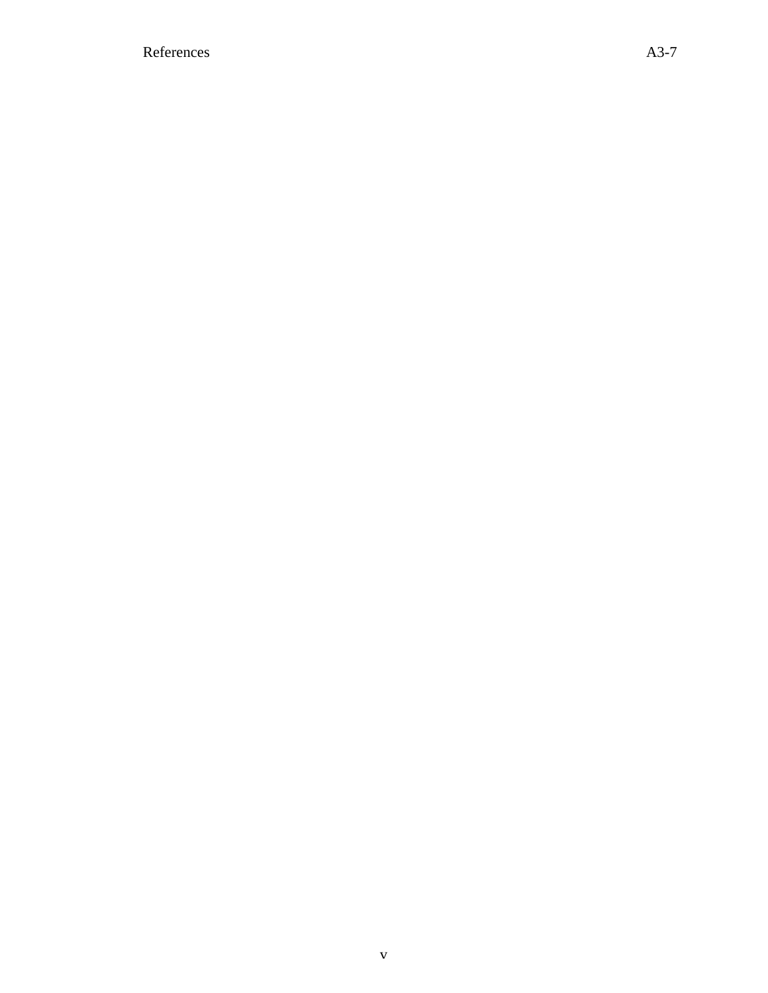## References A3-7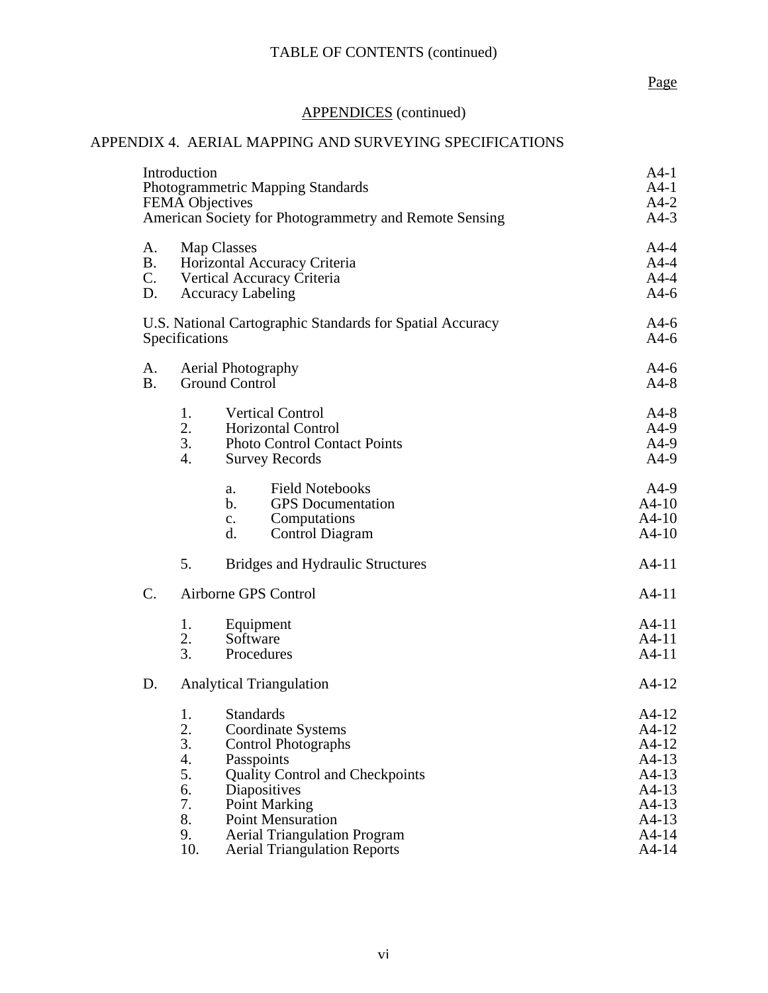## Page

## APPENDICES (continued)

## APPENDIX 4. AERIAL MAPPING AND SURVEYING SPECIFICATIONS

|                                      | Introduction<br><b>FEMA Objectives</b>             | Photogrammetric Mapping Standards<br>American Society for Photogrammetry and Remote Sensing                                                                                                                                      | A4-1<br>$A4-1$<br>$A4-2$<br>$A4-3$                                                          |
|--------------------------------------|----------------------------------------------------|----------------------------------------------------------------------------------------------------------------------------------------------------------------------------------------------------------------------------------|---------------------------------------------------------------------------------------------|
| А.<br><b>B.</b><br>$C_{\cdot}$<br>D. |                                                    | Map Classes<br>Horizontal Accuracy Criteria<br>Vertical Accuracy Criteria<br><b>Accuracy Labeling</b>                                                                                                                            | $A4-4$<br>$A4-4$<br>$A4-4$<br>$A4-6$                                                        |
|                                      | Specifications                                     | U.S. National Cartographic Standards for Spatial Accuracy                                                                                                                                                                        | $A4-6$<br>$A4-6$                                                                            |
| A.<br><b>B.</b>                      |                                                    | <b>Aerial Photography</b><br><b>Ground Control</b>                                                                                                                                                                               | $A4-6$<br>$A4-8$                                                                            |
|                                      | 1.<br>2.<br>3.<br>4.                               | <b>Vertical Control</b><br><b>Horizontal Control</b><br><b>Photo Control Contact Points</b><br><b>Survey Records</b>                                                                                                             | $A4-8$<br>$A4-9$<br>$A4-9$<br>$A4-9$                                                        |
|                                      |                                                    | <b>Field Notebooks</b><br>a.<br>$\mathbf{b}$ .<br><b>GPS</b> Documentation<br>Computations<br>c.<br>d.<br><b>Control Diagram</b>                                                                                                 | $A4-9$<br>$A4-10$<br>$A4-10$<br>$A4-10$                                                     |
|                                      | 5.                                                 | <b>Bridges and Hydraulic Structures</b>                                                                                                                                                                                          | $A4-11$                                                                                     |
| C.                                   |                                                    | Airborne GPS Control                                                                                                                                                                                                             | $A4-11$                                                                                     |
|                                      | 1.<br>2.<br>3.                                     | Equipment<br>Software<br>Procedures                                                                                                                                                                                              | $A4-11$<br>$A4-11$<br>$A4-11$                                                               |
| D.                                   |                                                    | <b>Analytical Triangulation</b>                                                                                                                                                                                                  | $A4-12$                                                                                     |
|                                      | 1.<br>2.<br>3.<br>4.<br>5.<br>6.<br>7.<br>8.<br>9. | <b>Standards</b><br>Coordinate Systems<br><b>Control Photographs</b><br>Passpoints<br><b>Quality Control and Checkpoints</b><br>Diapositives<br><b>Point Marking</b><br>Point Mensuration<br><b>Aerial Triangulation Program</b> | $A4-12$<br>A4-12<br>$A4-12$<br>$A4-13$<br>$A4-13$<br>$A4-13$<br>$A4-13$<br>$A4-13$<br>A4-14 |
|                                      | 10.                                                | <b>Aerial Triangulation Reports</b>                                                                                                                                                                                              | $A4-14$                                                                                     |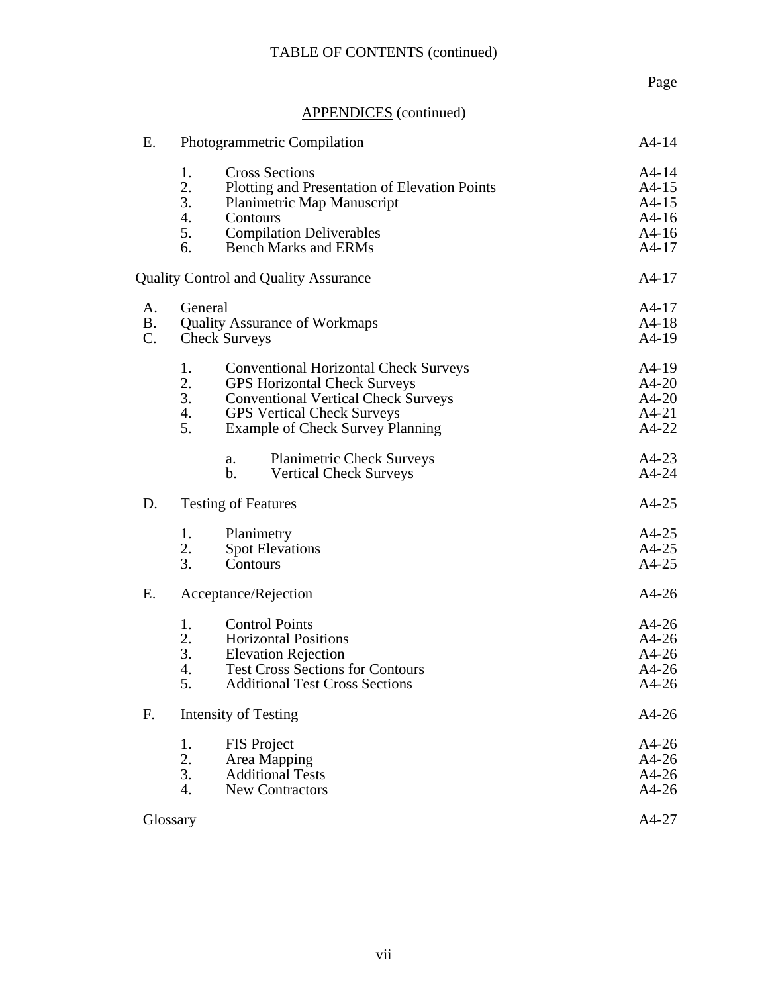# TABLE OF CONTENTS (continued)

|--|

# APPENDICES (continued)

| Ε.                                 | Photogrammetric Compilation                                                                                                                                                                                                                     | $A4-14$                                                    |
|------------------------------------|-------------------------------------------------------------------------------------------------------------------------------------------------------------------------------------------------------------------------------------------------|------------------------------------------------------------|
|                                    | 1.<br><b>Cross Sections</b><br>2.<br>Plotting and Presentation of Elevation Points<br>3.<br>Planimetric Map Manuscript<br>4.<br>Contours<br>5.<br><b>Compilation Deliverables</b><br><b>Bench Marks and ERMs</b><br>6.                          | $A4-14$<br>$A4-15$<br>$A4-15$<br>$A4-16$<br>A4-16<br>A4-17 |
|                                    | <b>Quality Control and Quality Assurance</b>                                                                                                                                                                                                    | A4-17                                                      |
| A.<br><b>B.</b><br>$\mathcal{C}$ . | General<br><b>Quality Assurance of Workmaps</b><br><b>Check Surveys</b>                                                                                                                                                                         | $A4-17$<br>$A4-18$<br>$A4-19$                              |
|                                    | 1.<br><b>Conventional Horizontal Check Surveys</b><br>2.<br><b>GPS Horizontal Check Surveys</b><br>3.<br><b>Conventional Vertical Check Surveys</b><br>4.<br><b>GPS Vertical Check Surveys</b><br>5.<br><b>Example of Check Survey Planning</b> | $A4-19$<br>$A4-20$<br>$A4-20$<br>$A4-21$<br>$A4-22$        |
|                                    | <b>Planimetric Check Surveys</b><br>a.<br>$\mathbf b$ .<br><b>Vertical Check Surveys</b>                                                                                                                                                        | $A4-23$<br>A4-24                                           |
| D.                                 | <b>Testing of Features</b>                                                                                                                                                                                                                      | $A4-25$                                                    |
|                                    | 1.<br>Planimetry<br>2.<br><b>Spot Elevations</b><br>3.<br>Contours                                                                                                                                                                              | $A4-25$<br>$A4-25$<br>$A4-25$                              |
| E.                                 | Acceptance/Rejection                                                                                                                                                                                                                            | $A4-26$                                                    |
|                                    | 1.<br><b>Control Points</b><br>2.<br><b>Horizontal Positions</b><br>3.<br><b>Elevation Rejection</b><br><b>Test Cross Sections for Contours</b><br>4.<br>5.<br><b>Additional Test Cross Sections</b>                                            | $A4-26$<br>$A4-26$<br>$A4-26$<br>$A4-26$<br>$A4-26$        |
| F.                                 | <b>Intensity of Testing</b>                                                                                                                                                                                                                     | A4-26                                                      |
|                                    | 1.<br><b>FIS</b> Project<br>2.<br>Area Mapping<br>3.<br><b>Additional Tests</b><br>4.<br><b>New Contractors</b>                                                                                                                                 | $A4-26$<br>$A4-26$<br>$A4-26$<br>A4-26                     |
|                                    | Glossary                                                                                                                                                                                                                                        | A4-27                                                      |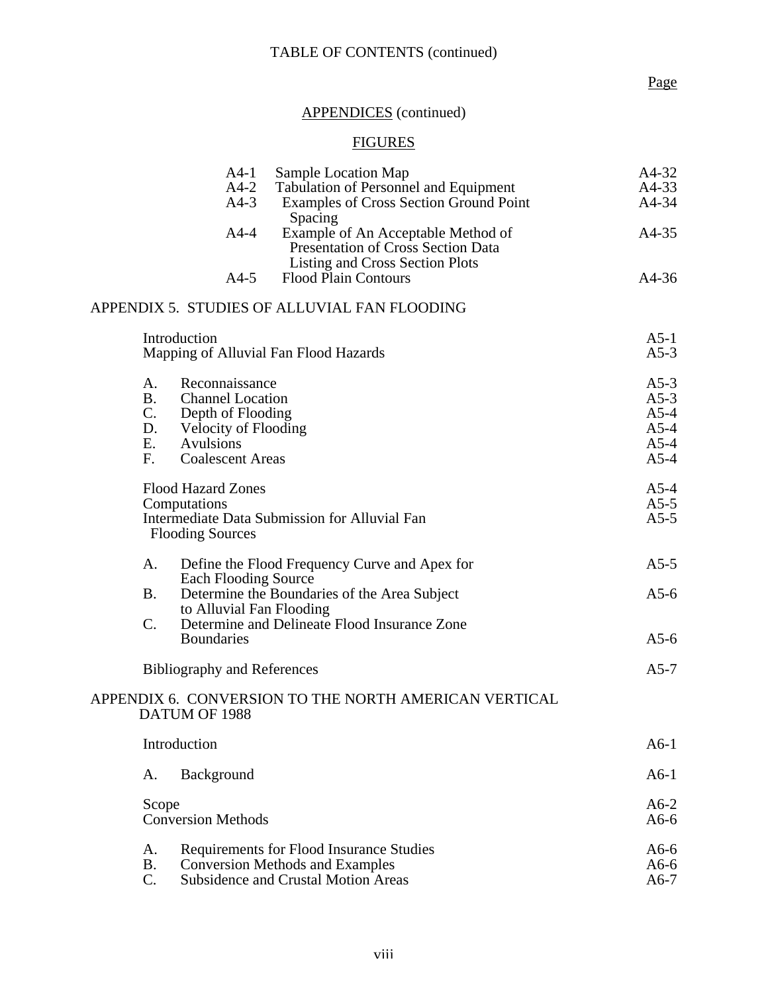Page

## APPENDICES (continued)

## **FIGURES**

|                                                              | $A4-1$<br>$A4-2$<br>$A4-3$                                                                                                            | Sample Location Map<br><b>Tabulation of Personnel and Equipment</b><br>Examples of Cross Section Ground Point      | $A4-32$<br>$A4-33$<br>A4-34                              |
|--------------------------------------------------------------|---------------------------------------------------------------------------------------------------------------------------------------|--------------------------------------------------------------------------------------------------------------------|----------------------------------------------------------|
|                                                              | Spacing<br>$A4-4$                                                                                                                     | Example of An Acceptable Method of<br>Presentation of Cross Section Data<br><b>Listing and Cross Section Plots</b> | $A4-35$                                                  |
|                                                              | $A4-5$                                                                                                                                | <b>Flood Plain Contours</b>                                                                                        | A4-36                                                    |
|                                                              | APPENDIX 5. STUDIES OF ALLUVIAL FAN FLOODING                                                                                          |                                                                                                                    |                                                          |
|                                                              | Introduction<br>Mapping of Alluvial Fan Flood Hazards                                                                                 |                                                                                                                    | $A5-1$<br>$A5-3$                                         |
| A.<br><b>B.</b><br>$C_{\cdot}$<br>D.<br>E.<br>F <sub>1</sub> | Reconnaissance<br><b>Channel Location</b><br>Depth of Flooding<br><b>Velocity of Flooding</b><br>Avulsions<br><b>Coalescent Areas</b> |                                                                                                                    | $A5-3$<br>$A5-3$<br>$A5-4$<br>$A5-4$<br>$A5-4$<br>$A5-4$ |
|                                                              | <b>Flood Hazard Zones</b><br>Computations<br>Intermediate Data Submission for Alluvial Fan<br><b>Flooding Sources</b>                 |                                                                                                                    | $A5-4$<br>$A5-5$<br>$A5-5$                               |
| A.                                                           | Define the Flood Frequency Curve and Apex for                                                                                         |                                                                                                                    | $A5-5$                                                   |
| <b>B.</b>                                                    | Each Flooding Source<br>Determine the Boundaries of the Area Subject                                                                  |                                                                                                                    | $A5-6$                                                   |
| $\mathcal{C}$ .                                              | to Alluvial Fan Flooding<br>Determine and Delineate Flood Insurance Zone<br><b>Boundaries</b>                                         |                                                                                                                    | $A5-6$                                                   |
|                                                              | <b>Bibliography and References</b>                                                                                                    |                                                                                                                    | $A5-7$                                                   |
|                                                              | DATUM OF 1988                                                                                                                         | APPENDIX 6. CONVERSION TO THE NORTH AMERICAN VERTICAL                                                              |                                                          |
|                                                              | Introduction                                                                                                                          |                                                                                                                    | $A6-1$                                                   |
| A.                                                           | Background                                                                                                                            |                                                                                                                    | $A6-1$                                                   |
| Scope                                                        | <b>Conversion Methods</b>                                                                                                             |                                                                                                                    | $A6-2$<br>A6-6                                           |
| A.<br><b>B.</b><br>$\mathcal{C}$ .                           | Requirements for Flood Insurance Studies<br><b>Conversion Methods and Examples</b><br><b>Subsidence and Crustal Motion Areas</b>      |                                                                                                                    | $A6-6$<br>A6-6<br>$A6-7$                                 |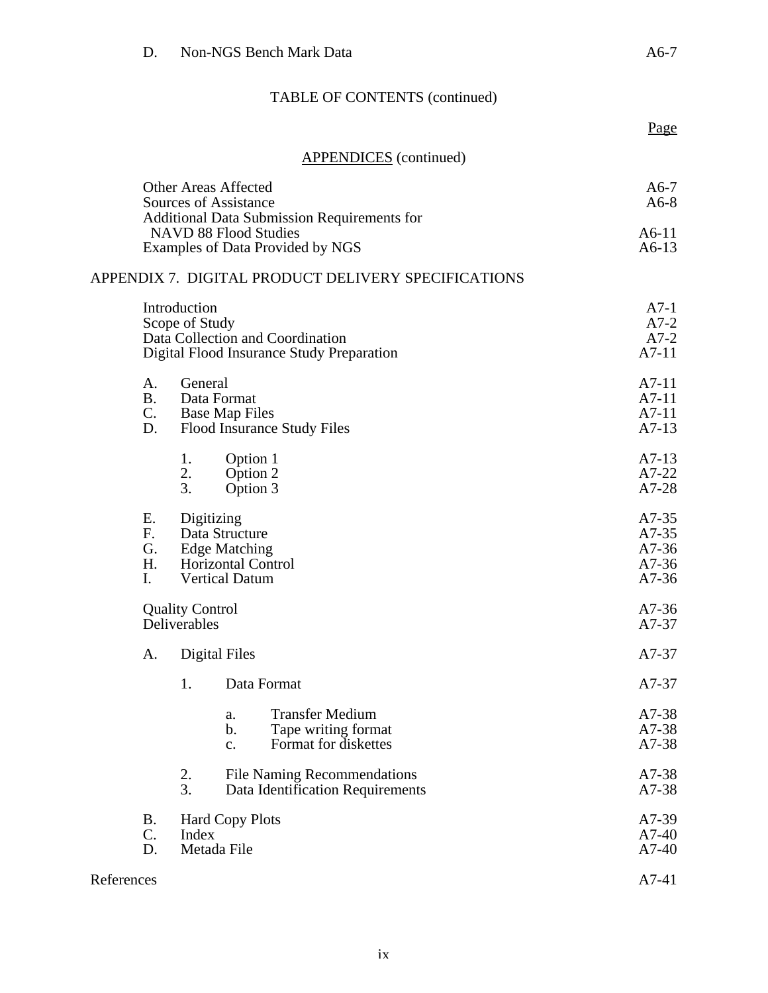## TABLE OF CONTENTS (continued)

|                                                                                                                 |                                                                                                                   | <b>APPENDICES</b> (continued)                                                                |                                             |  |
|-----------------------------------------------------------------------------------------------------------------|-------------------------------------------------------------------------------------------------------------------|----------------------------------------------------------------------------------------------|---------------------------------------------|--|
|                                                                                                                 | <b>Other Areas Affected</b><br><b>Sources of Assistance</b><br><b>Additional Data Submission Requirements for</b> |                                                                                              |                                             |  |
|                                                                                                                 | <b>NAVD 88 Flood Studies</b><br>Examples of Data Provided by NGS                                                  | $A6-11$<br>$A6-13$                                                                           |                                             |  |
|                                                                                                                 |                                                                                                                   | APPENDIX 7. DIGITAL PRODUCT DELIVERY SPECIFICATIONS                                          |                                             |  |
| Introduction<br>Scope of Study<br>Data Collection and Coordination<br>Digital Flood Insurance Study Preparation |                                                                                                                   |                                                                                              | $A7-1$<br>$A7-2$<br>$A7-2$<br>$A7-11$       |  |
| A.<br><b>B.</b><br>C.<br>D.                                                                                     | General<br>Data Format<br><b>Base Map Files</b><br>Flood Insurance Study Files                                    |                                                                                              | $A7-11$<br>$A7-11$<br>$A7-11$<br>$A7-13$    |  |
|                                                                                                                 | 1.<br>2.<br>3.                                                                                                    | Option 1<br>Option 2<br>Option 3                                                             | $A7-13$<br>A7-22<br>A7-28                   |  |
| Ε.<br>F.<br>G.<br>H.<br>$\mathbf{I}$ .                                                                          | Digitizing                                                                                                        | Data Structure<br><b>Edge Matching</b><br><b>Horizontal Control</b><br><b>Vertical Datum</b> | A7-35<br>A7-35<br>A7-36<br>$A7-36$<br>A7-36 |  |
|                                                                                                                 | <b>Quality Control</b><br>Deliverables                                                                            |                                                                                              | $A7-36$<br>A7-37                            |  |
| A.                                                                                                              | Digital Files                                                                                                     |                                                                                              | A7-37                                       |  |
|                                                                                                                 | 1.                                                                                                                | Data Format                                                                                  | A7-37                                       |  |
|                                                                                                                 |                                                                                                                   | <b>Transfer Medium</b><br>a.<br>b.<br>Tape writing format<br>Format for diskettes<br>c.      | A7-38<br>A7-38<br>A7-38                     |  |
|                                                                                                                 | 2.<br>3.                                                                                                          | <b>File Naming Recommendations</b><br>Data Identification Requirements                       | A7-38<br>A7-38                              |  |
| <b>B.</b><br>C.<br>D.                                                                                           | Index<br>Metada File                                                                                              | <b>Hard Copy Plots</b>                                                                       | A7-39<br>$A7-40$<br>$A7-40$                 |  |

| References | A7-41 |
|------------|-------|
|------------|-------|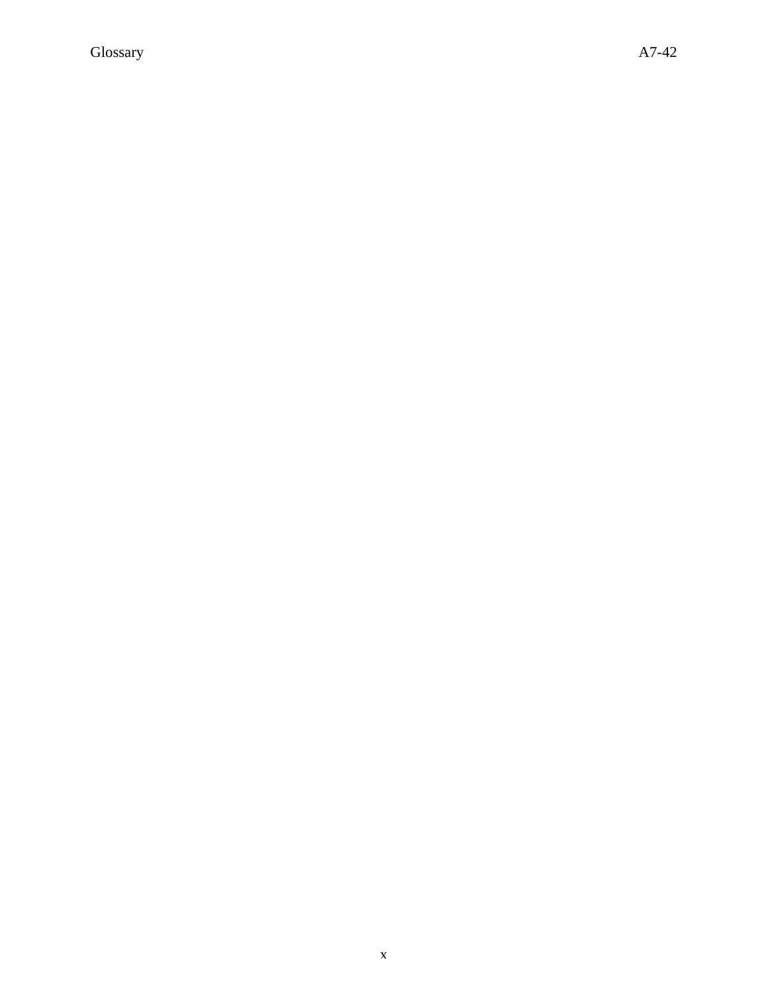Glossary **A7-42**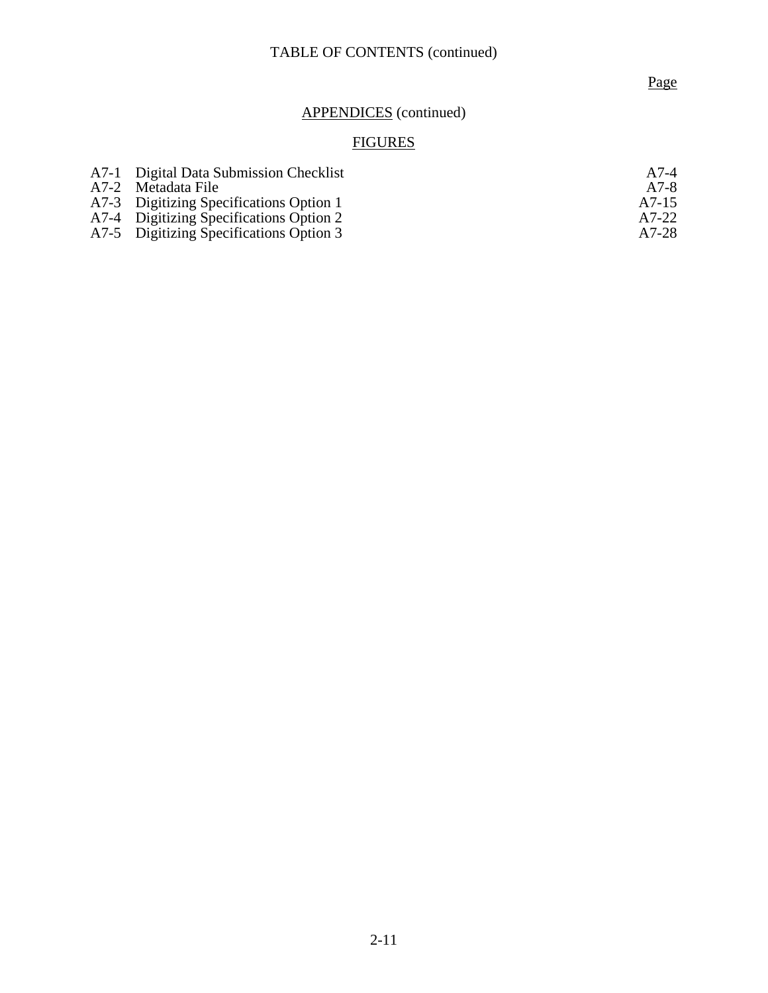## Page

## APPENDICES (continued)

## **FIGURES**

| A7-1 Digital Data Submission Checklist  | $A7-4$ |
|-----------------------------------------|--------|
| A7-2 Metadata File                      | A7-8   |
| A7-3 Digitizing Specifications Option 1 | A7-15  |
| A7-4 Digitizing Specifications Option 2 | A7-22  |
| A7-5 Digitizing Specifications Option 3 | A7-28  |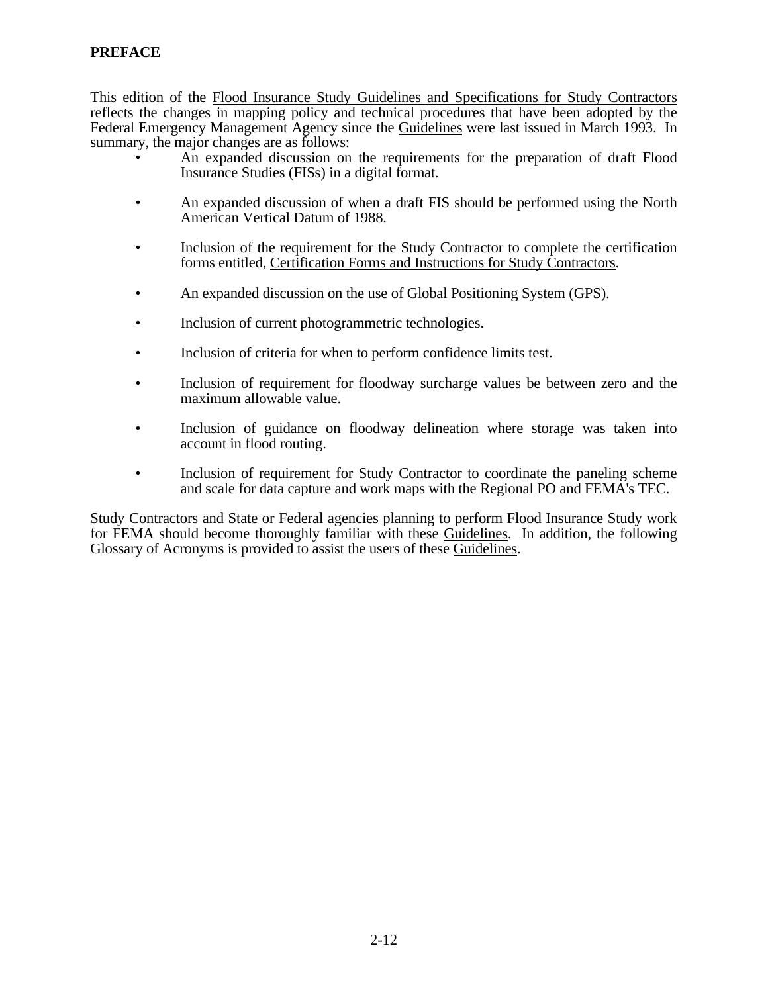## **PREFACE**

This edition of the Flood Insurance Study Guidelines and Specifications for Study Contractors reflects the changes in mapping policy and technical procedures that have been adopted by the Federal Emergency Management Agency since the Guidelines were last issued in March 1993. In summary, the major changes are as follows:

- An expanded discussion on the requirements for the preparation of draft Flood Insurance Studies (FISs) in a digital format.
- An expanded discussion of when a draft FIS should be performed using the North American Vertical Datum of 1988.
- Inclusion of the requirement for the Study Contractor to complete the certification forms entitled, Certification Forms and Instructions for Study Contractors.
- An expanded discussion on the use of Global Positioning System (GPS).
- Inclusion of current photogrammetric technologies.
- Inclusion of criteria for when to perform confidence limits test.
- Inclusion of requirement for floodway surcharge values be between zero and the maximum allowable value.
- Inclusion of guidance on floodway delineation where storage was taken into account in flood routing.
- Inclusion of requirement for Study Contractor to coordinate the paneling scheme and scale for data capture and work maps with the Regional PO and FEMA's TEC.

Study Contractors and State or Federal agencies planning to perform Flood Insurance Study work for FEMA should become thoroughly familiar with these Guidelines. In addition, the following Glossary of Acronyms is provided to assist the users of these Guidelines.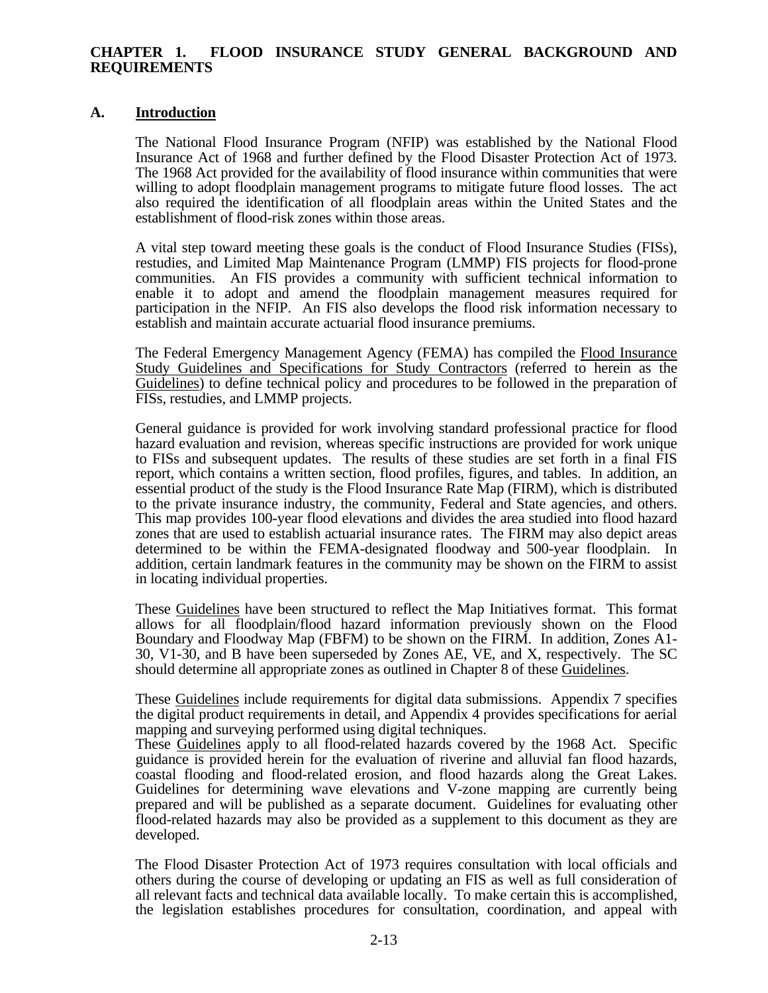#### **CHAPTER 1. FLOOD INSURANCE STUDY GENERAL BACKGROUND AND REQUIREMENTS**

#### **A. Introduction**

 The National Flood Insurance Program (NFIP) was established by the National Flood Insurance Act of 1968 and further defined by the Flood Disaster Protection Act of 1973. The 1968 Act provided for the availability of flood insurance within communities that were willing to adopt floodplain management programs to mitigate future flood losses. The act also required the identification of all floodplain areas within the United States and the establishment of flood-risk zones within those areas.

 A vital step toward meeting these goals is the conduct of Flood Insurance Studies (FISs), restudies, and Limited Map Maintenance Program (LMMP) FIS projects for flood-prone communities. An FIS provides a community with sufficient technical information to enable it to adopt and amend the floodplain management measures required for participation in the NFIP. An FIS also develops the flood risk information necessary to establish and maintain accurate actuarial flood insurance premiums.

 The Federal Emergency Management Agency (FEMA) has compiled the Flood Insurance Study Guidelines and Specifications for Study Contractors (referred to herein as the Guidelines) to define technical policy and procedures to be followed in the preparation of FISs, restudies, and LMMP projects.

 General guidance is provided for work involving standard professional practice for flood hazard evaluation and revision, whereas specific instructions are provided for work unique to FISs and subsequent updates. The results of these studies are set forth in a final FIS report, which contains a written section, flood profiles, figures, and tables. In addition, an essential product of the study is the Flood Insurance Rate Map (FIRM), which is distributed to the private insurance industry, the community, Federal and State agencies, and others. This map provides 100-year flood elevations and divides the area studied into flood hazard zones that are used to establish actuarial insurance rates. The FIRM may also depict areas determined to be within the FEMA-designated floodway and 500-year floodplain. In addition, certain landmark features in the community may be shown on the FIRM to assist in locating individual properties.

 These Guidelines have been structured to reflect the Map Initiatives format. This format allows for all floodplain/flood hazard information previously shown on the Flood Boundary and Floodway Map (FBFM) to be shown on the FIRM. In addition, Zones A1- 30, V1-30, and B have been superseded by Zones AE, VE, and X, respectively. The SC should determine all appropriate zones as outlined in Chapter 8 of these Guidelines.

 These Guidelines include requirements for digital data submissions. Appendix 7 specifies the digital product requirements in detail, and Appendix 4 provides specifications for aerial mapping and surveying performed using digital techniques.

 These Guidelines apply to all flood-related hazards covered by the 1968 Act. Specific guidance is provided herein for the evaluation of riverine and alluvial fan flood hazards, coastal flooding and flood-related erosion, and flood hazards along the Great Lakes. Guidelines for determining wave elevations and V-zone mapping are currently being prepared and will be published as a separate document. Guidelines for evaluating other flood-related hazards may also be provided as a supplement to this document as they are developed.

 The Flood Disaster Protection Act of 1973 requires consultation with local officials and others during the course of developing or updating an FIS as well as full consideration of all relevant facts and technical data available locally. To make certain this is accomplished, the legislation establishes procedures for consultation, coordination, and appeal with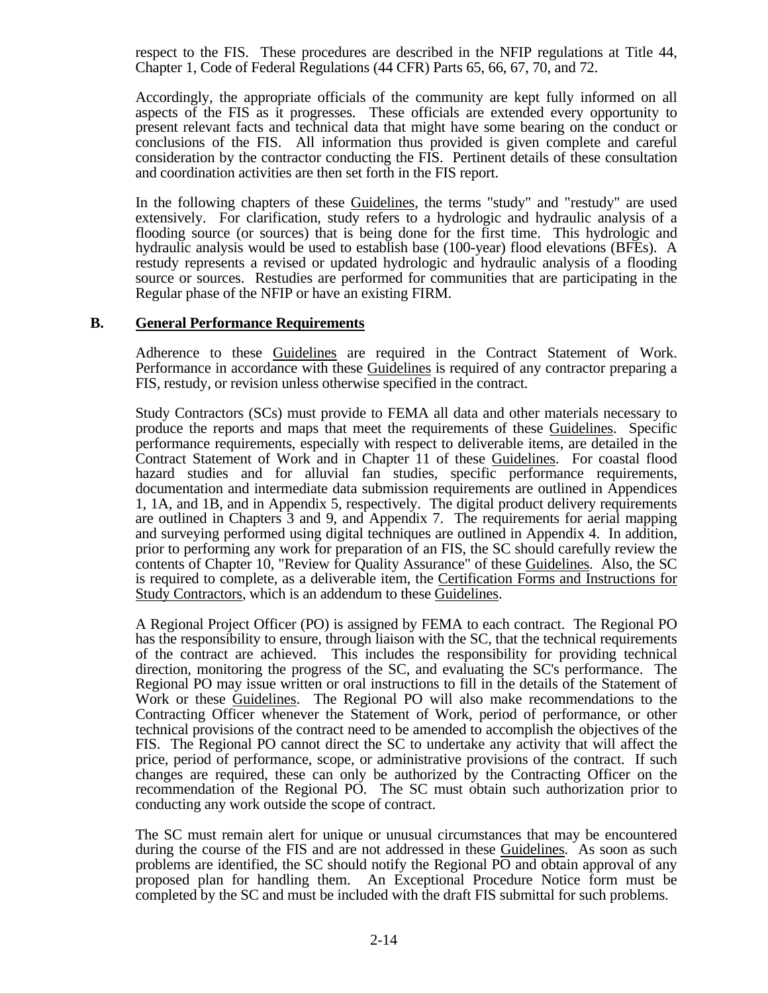respect to the FIS. These procedures are described in the NFIP regulations at Title 44, Chapter 1, Code of Federal Regulations (44 CFR) Parts 65, 66, 67, 70, and 72.

 Accordingly, the appropriate officials of the community are kept fully informed on all aspects of the FIS as it progresses. These officials are extended every opportunity to present relevant facts and technical data that might have some bearing on the conduct or conclusions of the FIS. All information thus provided is given complete and careful consideration by the contractor conducting the FIS. Pertinent details of these consultation and coordination activities are then set forth in the FIS report.

 In the following chapters of these Guidelines, the terms "study" and "restudy" are used extensively. For clarification, study refers to a hydrologic and hydraulic analysis of a flooding source (or sources) that is being done for the first time. This hydrologic and hydraulic analysis would be used to establish base (100-year) flood elevations (BFEs). A restudy represents a revised or updated hydrologic and hydraulic analysis of a flooding source or sources. Restudies are performed for communities that are participating in the Regular phase of the NFIP or have an existing FIRM.

#### **B. General Performance Requirements**

 Adherence to these Guidelines are required in the Contract Statement of Work. Performance in accordance with these Guidelines is required of any contractor preparing a FIS, restudy, or revision unless otherwise specified in the contract.

 Study Contractors (SCs) must provide to FEMA all data and other materials necessary to produce the reports and maps that meet the requirements of these Guidelines. Specific performance requirements, especially with respect to deliverable items, are detailed in the Contract Statement of Work and in Chapter 11 of these Guidelines. For coastal flood hazard studies and for alluvial fan studies, specific performance requirements, documentation and intermediate data submission requirements are outlined in Appendices 1, 1A, and 1B, and in Appendix 5, respectively. The digital product delivery requirements are outlined in Chapters 3 and 9, and Appendix 7. The requirements for aerial mapping and surveying performed using digital techniques are outlined in Appendix 4. In addition, prior to performing any work for preparation of an FIS, the SC should carefully review the contents of Chapter 10, "Review for Quality Assurance" of these Guidelines. Also, the SC is required to complete, as a deliverable item, the Certification Forms and Instructions for Study Contractors, which is an addendum to these Guidelines.

 A Regional Project Officer (PO) is assigned by FEMA to each contract. The Regional PO has the responsibility to ensure, through liaison with the SC, that the technical requirements of the contract are achieved. This includes the responsibility for providing technical direction, monitoring the progress of the SC, and evaluating the SC's performance. The Regional PO may issue written or oral instructions to fill in the details of the Statement of Work or these Guidelines. The Regional PO will also make recommendations to the Contracting Officer whenever the Statement of Work, period of performance, or other technical provisions of the contract need to be amended to accomplish the objectives of the FIS. The Regional PO cannot direct the SC to undertake any activity that will affect the price, period of performance, scope, or administrative provisions of the contract. If such changes are required, these can only be authorized by the Contracting Officer on the recommendation of the Regional PO. The SC must obtain such authorization prior to conducting any work outside the scope of contract.

 The SC must remain alert for unique or unusual circumstances that may be encountered during the course of the FIS and are not addressed in these Guidelines. As soon as such problems are identified, the SC should notify the Regional PO and obtain approval of any proposed plan for handling them. An Exceptional Procedure Notice form must be completed by the SC and must be included with the draft FIS submittal for such problems.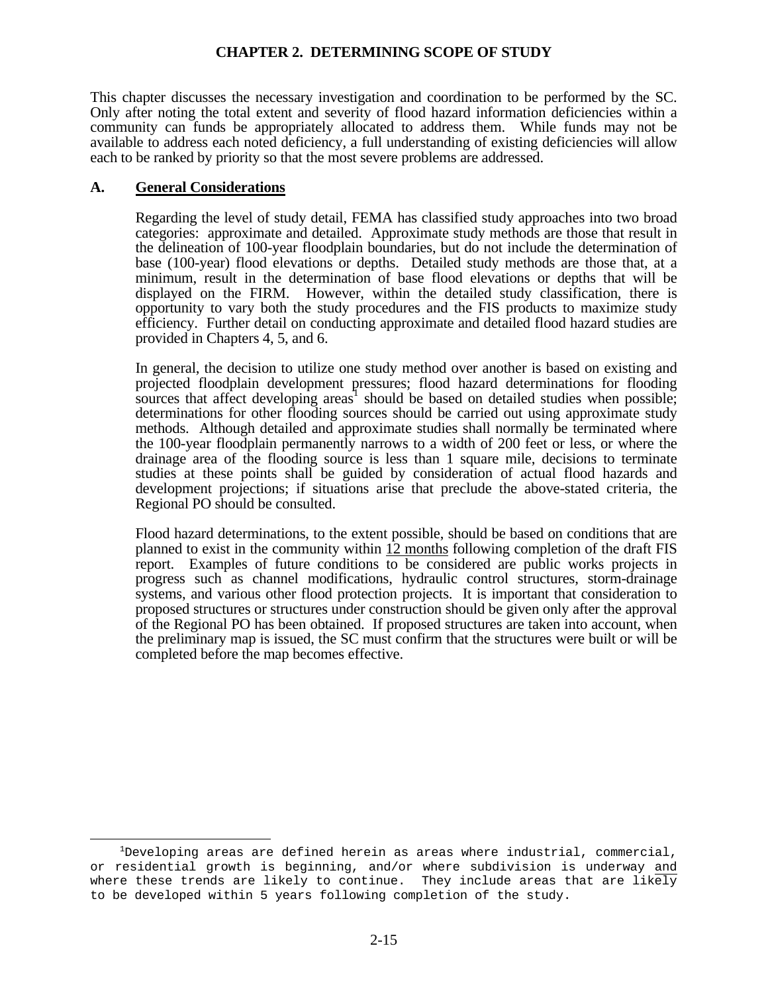#### **CHAPTER 2. DETERMINING SCOPE OF STUDY**

This chapter discusses the necessary investigation and coordination to be performed by the SC. Only after noting the total extent and severity of flood hazard information deficiencies within a community can funds be appropriately allocated to address them. While funds may not be available to address each noted deficiency, a full understanding of existing deficiencies will allow each to be ranked by priority so that the most severe problems are addressed.

#### **A. General Considerations**

 $\overline{a}$ 

 Regarding the level of study detail, FEMA has classified study approaches into two broad categories: approximate and detailed. Approximate study methods are those that result in the delineation of 100-year floodplain boundaries, but do not include the determination of base (100-year) flood elevations or depths. Detailed study methods are those that, at a minimum, result in the determination of base flood elevations or depths that will be displayed on the FIRM. However, within the detailed study classification, there is opportunity to vary both the study procedures and the FIS products to maximize study efficiency. Further detail on conducting approximate and detailed flood hazard studies are provided in Chapters 4, 5, and 6.

 In general, the decision to utilize one study method over another is based on existing and projected floodplain development pressures; flood hazard determinations for flooding sources that affect developing  $area<sup>1</sup>$  should be based on detailed studies when possible; determinations for other flooding sources should be carried out using approximate study methods. Although detailed and approximate studies shall normally be terminated where the 100-year floodplain permanently narrows to a width of 200 feet or less, or where the drainage area of the flooding source is less than 1 square mile, decisions to terminate studies at these points shall be guided by consideration of actual flood hazards and development projections; if situations arise that preclude the above-stated criteria, the Regional PO should be consulted.

 Flood hazard determinations, to the extent possible, should be based on conditions that are planned to exist in the community within 12 months following completion of the draft FIS report. Examples of future conditions to be considered are public works projects in progress such as channel modifications, hydraulic control structures, storm-drainage systems, and various other flood protection projects. It is important that consideration to proposed structures or structures under construction should be given only after the approval of the Regional PO has been obtained. If proposed structures are taken into account, when the preliminary map is issued, the SC must confirm that the structures were built or will be completed before the map becomes effective.

<sup>&</sup>lt;sup>1</sup>Developing areas are defined herein as areas where industrial, commercial, or residential growth is beginning, and/or where subdivision is underway and where these trends are likely to continue. They include areas that are likely to be developed within 5 years following completion of the study.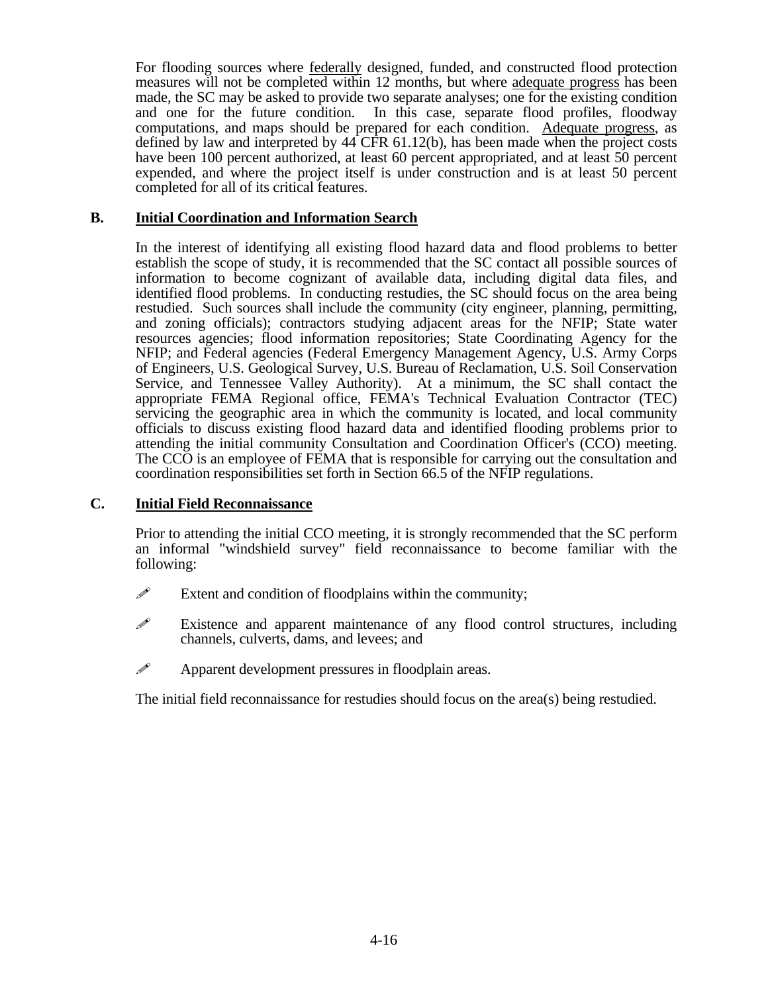For flooding sources where federally designed, funded, and constructed flood protection measures will not be completed within 12 months, but where adequate progress has been made, the SC may be asked to provide two separate analyses; one for the existing condition and one for the future condition. In this case, separate flood profiles, floodway computations, and maps should be prepared for each condition. Adequate progress, as defined by law and interpreted by 44 CFR 61.12(b), has been made when the project costs have been 100 percent authorized, at least 60 percent appropriated, and at least 50 percent expended, and where the project itself is under construction and is at least 50 percent completed for all of its critical features.

#### **B. Initial Coordination and Information Search**

 In the interest of identifying all existing flood hazard data and flood problems to better establish the scope of study, it is recommended that the SC contact all possible sources of information to become cognizant of available data, including digital data files, and identified flood problems. In conducting restudies, the SC should focus on the area being restudied. Such sources shall include the community (city engineer, planning, permitting, and zoning officials); contractors studying adjacent areas for the NFIP; State water resources agencies; flood information repositories; State Coordinating Agency for the NFIP; and Federal agencies (Federal Emergency Management Agency, U.S. Army Corps of Engineers, U.S. Geological Survey, U.S. Bureau of Reclamation, U.S. Soil Conservation Service, and Tennessee Valley Authority). At a minimum, the SC shall contact the appropriate FEMA Regional office, FEMA's Technical Evaluation Contractor (TEC) servicing the geographic area in which the community is located, and local community officials to discuss existing flood hazard data and identified flooding problems prior to attending the initial community Consultation and Coordination Officer's (CCO) meeting. The CCO is an employee of FEMA that is responsible for carrying out the consultation and coordination responsibilities set forth in Section 66.5 of the NFIP regulations.

#### **C. Initial Field Reconnaissance**

 Prior to attending the initial CCO meeting, it is strongly recommended that the SC perform an informal "windshield survey" field reconnaissance to become familiar with the following:

- $\mathscr{P}$  Extent and condition of floodplains within the community;
- $\mathscr{P}$  Existence and apparent maintenance of any flood control structures, including channels, culverts, dams, and levees; and
- $\mathscr{P}$  Apparent development pressures in floodplain areas.

The initial field reconnaissance for restudies should focus on the area(s) being restudied.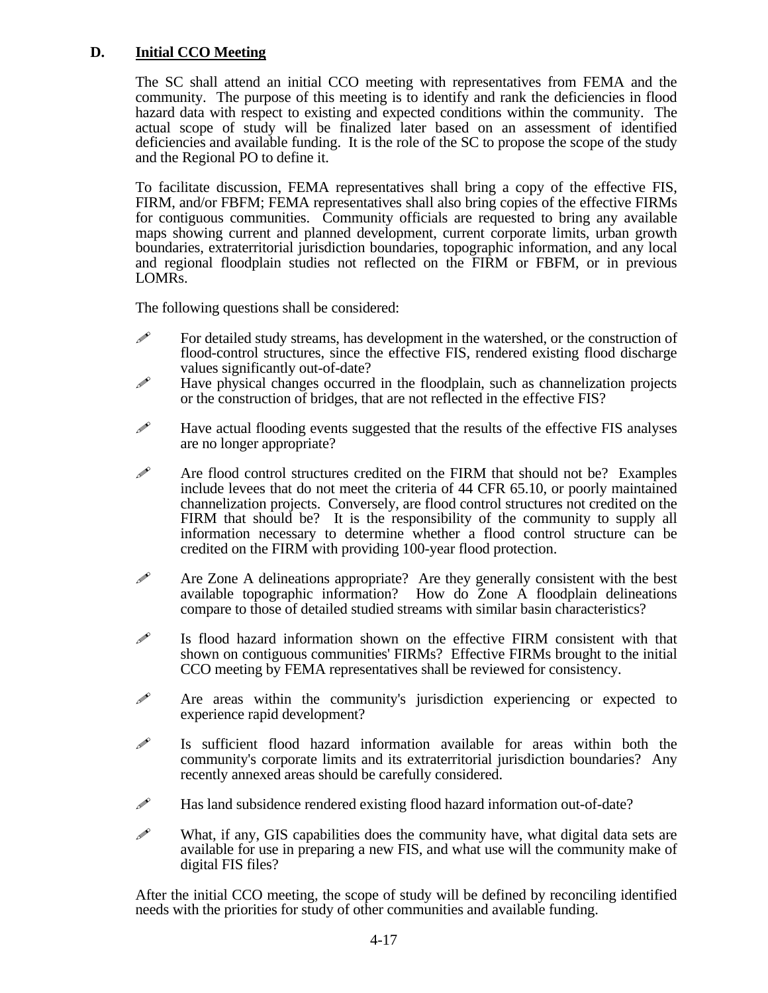#### **D. Initial CCO Meeting**

 The SC shall attend an initial CCO meeting with representatives from FEMA and the community. The purpose of this meeting is to identify and rank the deficiencies in flood hazard data with respect to existing and expected conditions within the community. The actual scope of study will be finalized later based on an assessment of identified deficiencies and available funding. It is the role of the SC to propose the scope of the study and the Regional PO to define it.

 To facilitate discussion, FEMA representatives shall bring a copy of the effective FIS, FIRM, and/or FBFM; FEMA representatives shall also bring copies of the effective FIRMs for contiguous communities. Community officials are requested to bring any available maps showing current and planned development, current corporate limits, urban growth boundaries, extraterritorial jurisdiction boundaries, topographic information, and any local and regional floodplain studies not reflected on the FIRM or FBFM, or in previous LOMRs.

The following questions shall be considered:

- $\mathscr{P}$  For detailed study streams, has development in the watershed, or the construction of flood-control structures, since the effective FIS, rendered existing flood discharge values significantly out-of-date?
- Have physical changes occurred in the floodplain, such as channelization projects or the construction of bridges, that are not reflected in the effective FIS?
- Have actual flooding events suggested that the results of the effective FIS analyses are no longer appropriate?
- $\mathscr{P}$  Are flood control structures credited on the FIRM that should not be? Examples include levees that do not meet the criteria of 44 CFR 65.10, or poorly maintained channelization projects. Conversely, are flood control structures not credited on the FIRM that should be? It is the responsibility of the community to supply all information necessary to determine whether a flood control structure can be credited on the FIRM with providing 100-year flood protection.
- $\mathscr{P}$  Are Zone A delineations appropriate? Are they generally consistent with the best available topographic information? How do Zone A floodplain delineations compare to those of detailed studied streams with similar basin characteristics?
- $\mathscr{P}$  Is flood hazard information shown on the effective FIRM consistent with that shown on contiguous communities' FIRMs? Effective FIRMs brought to the initial CCO meeting by FEMA representatives shall be reviewed for consistency.
- $\mathscr{P}$  Are areas within the community's jurisdiction experiencing or expected to experience rapid development?
- $\mathscr P$  Is sufficient flood hazard information available for areas within both the community's corporate limits and its extraterritorial jurisdiction boundaries? Any recently annexed areas should be carefully considered.
- $\mathscr{P}$  Has land subsidence rendered existing flood hazard information out-of-date?
- $\mathscr{P}$  What, if any, GIS capabilities does the community have, what digital data sets are available for use in preparing a new FIS, and what use will the community make of digital FIS files?

 After the initial CCO meeting, the scope of study will be defined by reconciling identified needs with the priorities for study of other communities and available funding.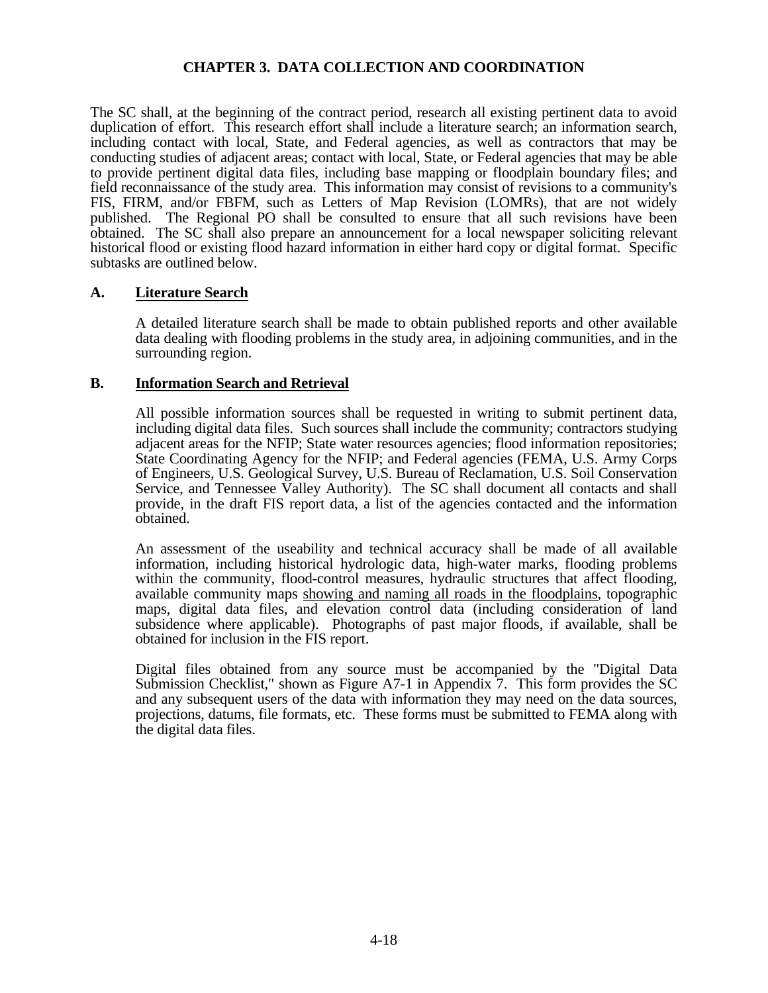#### **CHAPTER 3. DATA COLLECTION AND COORDINATION**

The SC shall, at the beginning of the contract period, research all existing pertinent data to avoid duplication of effort. This research effort shall include a literature search; an information search, including contact with local, State, and Federal agencies, as well as contractors that may be conducting studies of adjacent areas; contact with local, State, or Federal agencies that may be able to provide pertinent digital data files, including base mapping or floodplain boundary files; and field reconnaissance of the study area. This information may consist of revisions to a community's FIS, FIRM, and/or FBFM, such as Letters of Map Revision (LOMRs), that are not widely published. The Regional PO shall be consulted to ensure that all such revisions have been obtained. The SC shall also prepare an announcement for a local newspaper soliciting relevant historical flood or existing flood hazard information in either hard copy or digital format. Specific subtasks are outlined below.

#### **A. Literature Search**

 A detailed literature search shall be made to obtain published reports and other available data dealing with flooding problems in the study area, in adjoining communities, and in the surrounding region.

#### **B. Information Search and Retrieval**

 All possible information sources shall be requested in writing to submit pertinent data, including digital data files. Such sources shall include the community; contractors studying adjacent areas for the NFIP; State water resources agencies; flood information repositories; State Coordinating Agency for the NFIP; and Federal agencies (FEMA, U.S. Army Corps of Engineers, U.S. Geological Survey, U.S. Bureau of Reclamation, U.S. Soil Conservation Service, and Tennessee Valley Authority). The SC shall document all contacts and shall provide, in the draft FIS report data, a list of the agencies contacted and the information obtained.

 An assessment of the useability and technical accuracy shall be made of all available information, including historical hydrologic data, high-water marks, flooding problems within the community, flood-control measures, hydraulic structures that affect flooding, available community maps showing and naming all roads in the floodplains, topographic maps, digital data files, and elevation control data (including consideration of land subsidence where applicable). Photographs of past major floods, if available, shall be obtained for inclusion in the FIS report.

 Digital files obtained from any source must be accompanied by the "Digital Data Submission Checklist," shown as Figure A7-1 in Appendix 7. This form provides the SC and any subsequent users of the data with information they may need on the data sources, projections, datums, file formats, etc. These forms must be submitted to FEMA along with the digital data files.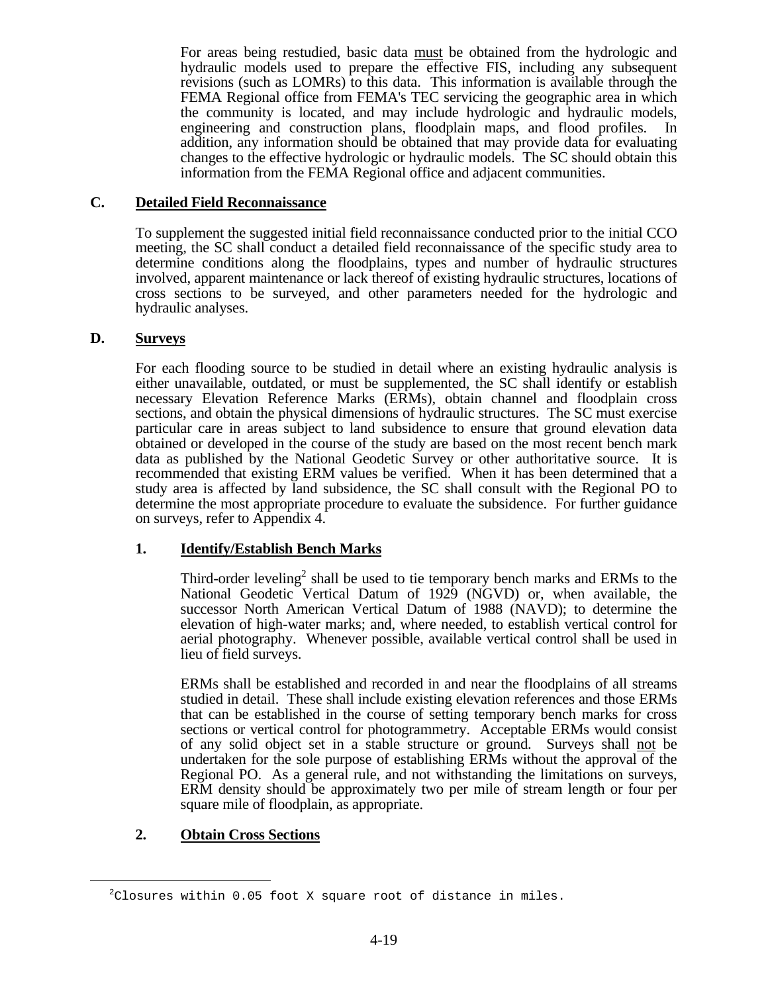For areas being restudied, basic data must be obtained from the hydrologic and hydraulic models used to prepare the effective FIS, including any subsequent revisions (such as LOMRs) to this data. This information is available through the FEMA Regional office from FEMA's TEC servicing the geographic area in which the community is located, and may include hydrologic and hydraulic models, engineering and construction plans, floodplain maps, and flood profiles. In addition, any information should be obtained that may provide data for evaluating changes to the effective hydrologic or hydraulic models. The SC should obtain this information from the FEMA Regional office and adjacent communities.

#### **C. Detailed Field Reconnaissance**

 To supplement the suggested initial field reconnaissance conducted prior to the initial CCO meeting, the SC shall conduct a detailed field reconnaissance of the specific study area to determine conditions along the floodplains, types and number of hydraulic structures involved, apparent maintenance or lack thereof of existing hydraulic structures, locations of cross sections to be surveyed, and other parameters needed for the hydrologic and hydraulic analyses.

#### **D. Surveys**

 For each flooding source to be studied in detail where an existing hydraulic analysis is either unavailable, outdated, or must be supplemented, the SC shall identify or establish necessary Elevation Reference Marks (ERMs), obtain channel and floodplain cross sections, and obtain the physical dimensions of hydraulic structures. The SC must exercise particular care in areas subject to land subsidence to ensure that ground elevation data obtained or developed in the course of the study are based on the most recent bench mark data as published by the National Geodetic Survey or other authoritative source. It is recommended that existing ERM values be verified. When it has been determined that a study area is affected by land subsidence, the SC shall consult with the Regional PO to determine the most appropriate procedure to evaluate the subsidence. For further guidance on surveys, refer to Appendix 4.

#### **1. Identify/Establish Bench Marks**

Third-order leveling<sup>2</sup> shall be used to tie temporary bench marks and ERMs to the National Geodetic Vertical Datum of 1929 (NGVD) or, when available, the successor North American Vertical Datum of 1988 (NAVD); to determine the elevation of high-water marks; and, where needed, to establish vertical control for aerial photography. Whenever possible, available vertical control shall be used in lieu of field surveys.

> ERMs shall be established and recorded in and near the floodplains of all streams studied in detail. These shall include existing elevation references and those ERMs that can be established in the course of setting temporary bench marks for cross sections or vertical control for photogrammetry. Acceptable ERMs would consist of any solid object set in a stable structure or ground. Surveys shall not be undertaken for the sole purpose of establishing ERMs without the approval of the Regional PO. As a general rule, and not withstanding the limitations on surveys, ERM density should be approximately two per mile of stream length or four per square mile of floodplain, as appropriate.

#### **2. Obtain Cross Sections**

 $\overline{a}$ 

 $2$ Closures within 0.05 foot X square root of distance in miles.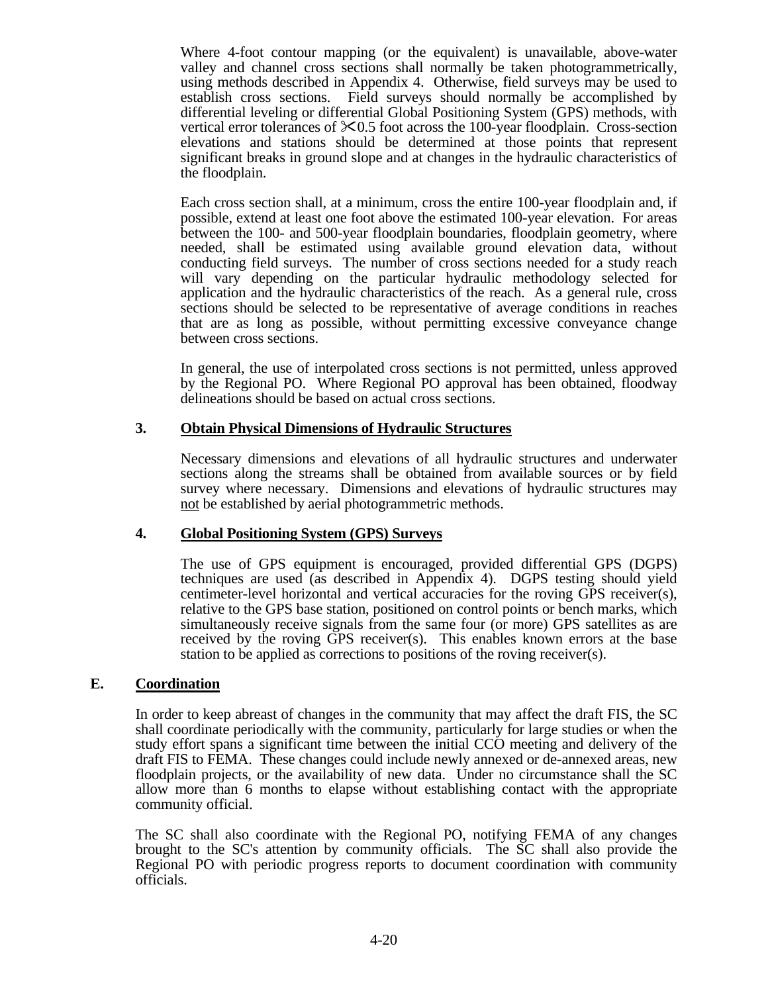Where 4-foot contour mapping (or the equivalent) is unavailable, above-water valley and channel cross sections shall normally be taken photogrammetrically, using methods described in Appendix 4. Otherwise, field surveys may be used to establish cross sections. Field surveys should normally be accomplished by differential leveling or differential Global Positioning System (GPS) methods, with vertical error tolerances of  $\ge 0.5$  foot across the 100-year floodplain. Cross-section elevations and stations should be determined at those points that represent significant breaks in ground slope and at changes in the hydraulic characteristics of the floodplain.

 Each cross section shall, at a minimum, cross the entire 100-year floodplain and, if possible, extend at least one foot above the estimated 100-year elevation. For areas between the 100- and 500-year floodplain boundaries, floodplain geometry, where needed, shall be estimated using available ground elevation data, without conducting field surveys. The number of cross sections needed for a study reach will vary depending on the particular hydraulic methodology selected for application and the hydraulic characteristics of the reach. As a general rule, cross sections should be selected to be representative of average conditions in reaches that are as long as possible, without permitting excessive conveyance change between cross sections.

 In general, the use of interpolated cross sections is not permitted, unless approved by the Regional PO. Where Regional PO approval has been obtained, floodway delineations should be based on actual cross sections.

#### **3. Obtain Physical Dimensions of Hydraulic Structures**

 Necessary dimensions and elevations of all hydraulic structures and underwater sections along the streams shall be obtained from available sources or by field survey where necessary. Dimensions and elevations of hydraulic structures may not be established by aerial photogrammetric methods.

#### **4. Global Positioning System (GPS) Surveys**

 The use of GPS equipment is encouraged, provided differential GPS (DGPS) techniques are used (as described in Appendix 4). DGPS testing should yield centimeter-level horizontal and vertical accuracies for the roving GPS receiver(s), relative to the GPS base station, positioned on control points or bench marks, which simultaneously receive signals from the same four (or more) GPS satellites as are received by the roving GPS receiver(s). This enables known errors at the base station to be applied as corrections to positions of the roving receiver(s).

#### **E. Coordination**

 In order to keep abreast of changes in the community that may affect the draft FIS, the SC shall coordinate periodically with the community, particularly for large studies or when the study effort spans a significant time between the initial CCO meeting and delivery of the draft FIS to FEMA. These changes could include newly annexed or de-annexed areas, new floodplain projects, or the availability of new data. Under no circumstance shall the SC allow more than 6 months to elapse without establishing contact with the appropriate community official.

 The SC shall also coordinate with the Regional PO, notifying FEMA of any changes brought to the SC's attention by community officials. The SC shall also provide the Regional PO with periodic progress reports to document coordination with community officials.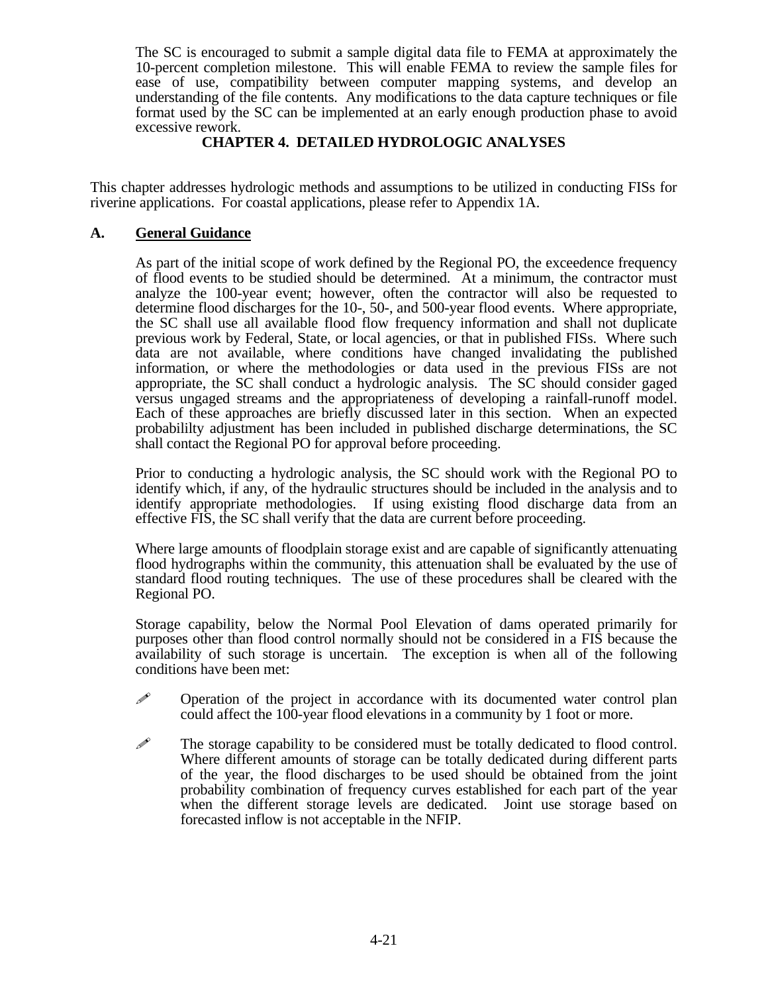The SC is encouraged to submit a sample digital data file to FEMA at approximately the 10-percent completion milestone. This will enable FEMA to review the sample files for ease of use, compatibility between computer mapping systems, and develop an understanding of the file contents. Any modifications to the data capture techniques or file format used by the SC can be implemented at an early enough production phase to avoid excessive rework.

#### **CHAPTER 4. DETAILED HYDROLOGIC ANALYSES**

This chapter addresses hydrologic methods and assumptions to be utilized in conducting FISs for riverine applications. For coastal applications, please refer to Appendix 1A.

#### **A. General Guidance**

 As part of the initial scope of work defined by the Regional PO, the exceedence frequency of flood events to be studied should be determined. At a minimum, the contractor must analyze the 100-year event; however, often the contractor will also be requested to determine flood discharges for the 10-, 50-, and 500-year flood events. Where appropriate, the SC shall use all available flood flow frequency information and shall not duplicate previous work by Federal, State, or local agencies, or that in published FISs. Where such data are not available, where conditions have changed invalidating the published information, or where the methodologies or data used in the previous FISs are not appropriate, the SC shall conduct a hydrologic analysis. The SC should consider gaged versus ungaged streams and the appropriateness of developing a rainfall-runoff model. Each of these approaches are briefly discussed later in this section. When an expected probabililty adjustment has been included in published discharge determinations, the SC shall contact the Regional PO for approval before proceeding.

 Prior to conducting a hydrologic analysis, the SC should work with the Regional PO to identify which, if any, of the hydraulic structures should be included in the analysis and to identify appropriate methodologies. If using existing flood discharge data from an effective FIS, the SC shall verify that the data are current before proceeding.

 Where large amounts of floodplain storage exist and are capable of significantly attenuating flood hydrographs within the community, this attenuation shall be evaluated by the use of standard flood routing techniques. The use of these procedures shall be cleared with the Regional PO.

 Storage capability, below the Normal Pool Elevation of dams operated primarily for purposes other than flood control normally should not be considered in a FIS because the availability of such storage is uncertain. The exception is when all of the following conditions have been met:

- $\mathscr{P}$  Operation of the project in accordance with its documented water control plan could affect the 100-year flood elevations in a community by 1 foot or more.
- $\mathscr{P}$  The storage capability to be considered must be totally dedicated to flood control. Where different amounts of storage can be totally dedicated during different parts of the year, the flood discharges to be used should be obtained from the joint probability combination of frequency curves established for each part of the year when the different storage levels are dedicated. Joint use storage based on forecasted inflow is not acceptable in the NFIP.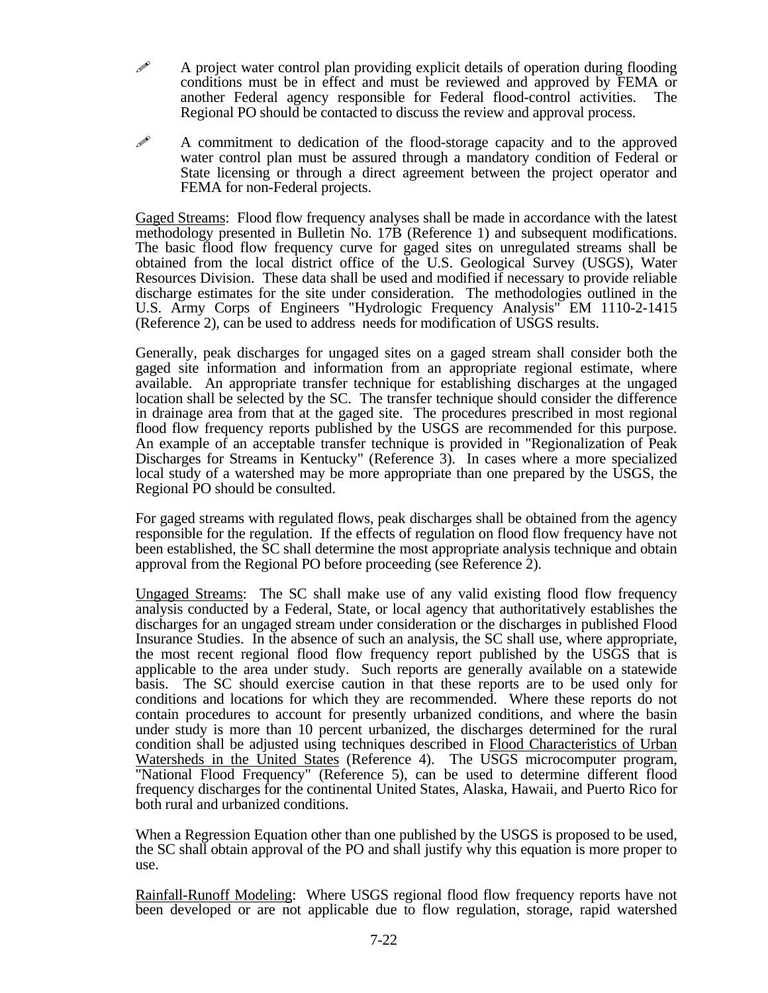- A project water control plan providing explicit details of operation during flooding conditions must be in effect and must be reviewed and approved by FEMA or another Federal agency responsible for Federal flood-control activities. The Regional PO should be contacted to discuss the review and approval process.
- A commitment to dedication of the flood-storage capacity and to the approved water control plan must be assured through a mandatory condition of Federal or State licensing or through a direct agreement between the project operator and FEMA for non-Federal projects.

 Gaged Streams: Flood flow frequency analyses shall be made in accordance with the latest methodology presented in Bulletin No. 17B (Reference 1) and subsequent modifications. The basic flood flow frequency curve for gaged sites on unregulated streams shall be obtained from the local district office of the U.S. Geological Survey (USGS), Water Resources Division. These data shall be used and modified if necessary to provide reliable discharge estimates for the site under consideration. The methodologies outlined in the U.S. Army Corps of Engineers "Hydrologic Frequency Analysis" EM 1110-2-1415 (Reference 2), can be used to address needs for modification of USGS results.

 Generally, peak discharges for ungaged sites on a gaged stream shall consider both the gaged site information and information from an appropriate regional estimate, where available. An appropriate transfer technique for establishing discharges at the ungaged location shall be selected by the SC. The transfer technique should consider the difference in drainage area from that at the gaged site. The procedures prescribed in most regional flood flow frequency reports published by the USGS are recommended for this purpose. An example of an acceptable transfer technique is provided in "Regionalization of Peak Discharges for Streams in Kentucky" (Reference 3). In cases where a more specialized local study of a watershed may be more appropriate than one prepared by the USGS, the Regional PO should be consulted.

 For gaged streams with regulated flows, peak discharges shall be obtained from the agency responsible for the regulation. If the effects of regulation on flood flow frequency have not been established, the SC shall determine the most appropriate analysis technique and obtain approval from the Regional PO before proceeding (see Reference 2).

 Ungaged Streams: The SC shall make use of any valid existing flood flow frequency analysis conducted by a Federal, State, or local agency that authoritatively establishes the discharges for an ungaged stream under consideration or the discharges in published Flood Insurance Studies. In the absence of such an analysis, the SC shall use, where appropriate, the most recent regional flood flow frequency report published by the USGS that is applicable to the area under study. Such reports are generally available on a statewide basis. The SC should exercise caution in that these reports are to be used only for conditions and locations for which they are recommended. Where these reports do not contain procedures to account for presently urbanized conditions, and where the basin under study is more than 10 percent urbanized, the discharges determined for the rural condition shall be adjusted using techniques described in Flood Characteristics of Urban Watersheds in the United States (Reference 4). The USGS microcomputer program, "National Flood Frequency" (Reference 5), can be used to determine different flood frequency discharges for the continental United States, Alaska, Hawaii, and Puerto Rico for both rural and urbanized conditions.

When a Regression Equation other than one published by the USGS is proposed to be used, the SC shall obtain approval of the PO and shall justify why this equation is more proper to use.

 Rainfall-Runoff Modeling: Where USGS regional flood flow frequency reports have not been developed or are not applicable due to flow regulation, storage, rapid watershed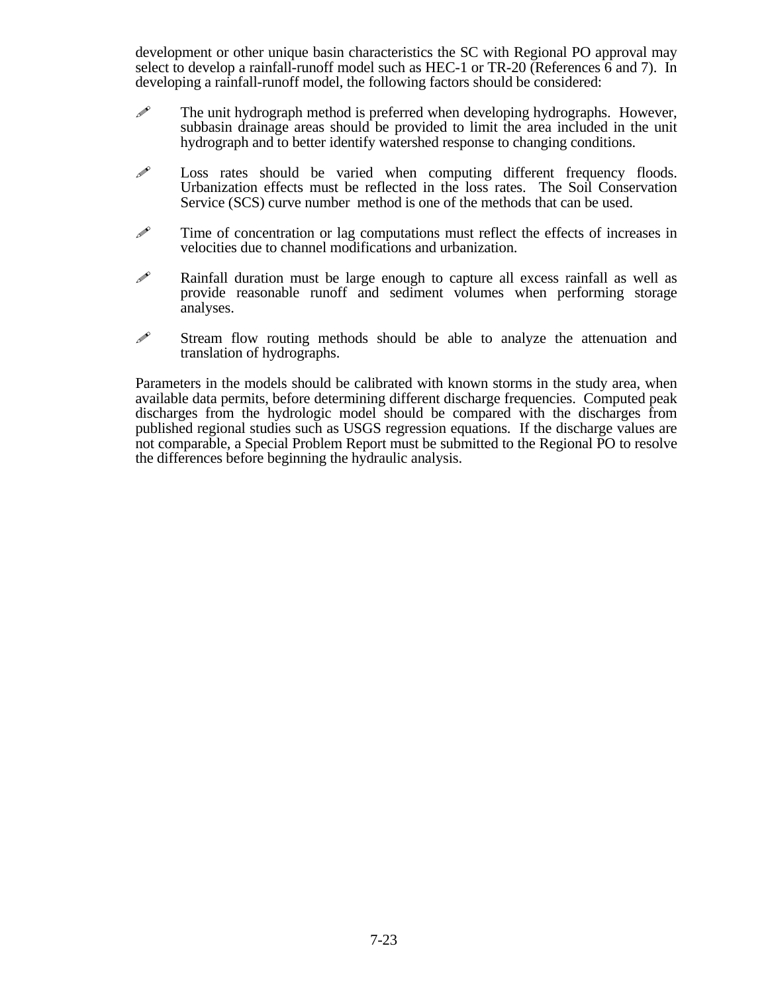development or other unique basin characteristics the SC with Regional PO approval may select to develop a rainfall-runoff model such as HEC-1 or TR-20 (References 6 and 7). In developing a rainfall-runoff model, the following factors should be considered:

- $\mathscr{P}$  The unit hydrograph method is preferred when developing hydrographs. However, subbasin drainage areas should be provided to limit the area included in the unit hydrograph and to better identify watershed response to changing conditions.
- $\mathscr{P}$  Loss rates should be varied when computing different frequency floods. Urbanization effects must be reflected in the loss rates. The Soil Conservation Service (SCS) curve number method is one of the methods that can be used.
- $\mathscr{I}$  Time of concentration or lag computations must reflect the effects of increases in velocities due to channel modifications and urbanization.
- $\mathscr{P}$  Rainfall duration must be large enough to capture all excess rainfall as well as provide reasonable runoff and sediment volumes when performing storage analyses.
- $\mathscr S$  Stream flow routing methods should be able to analyze the attenuation and translation of hydrographs.

 Parameters in the models should be calibrated with known storms in the study area, when available data permits, before determining different discharge frequencies. Computed peak discharges from the hydrologic model should be compared with the discharges from published regional studies such as USGS regression equations. If the discharge values are not comparable, a Special Problem Report must be submitted to the Regional PO to resolve the differences before beginning the hydraulic analysis.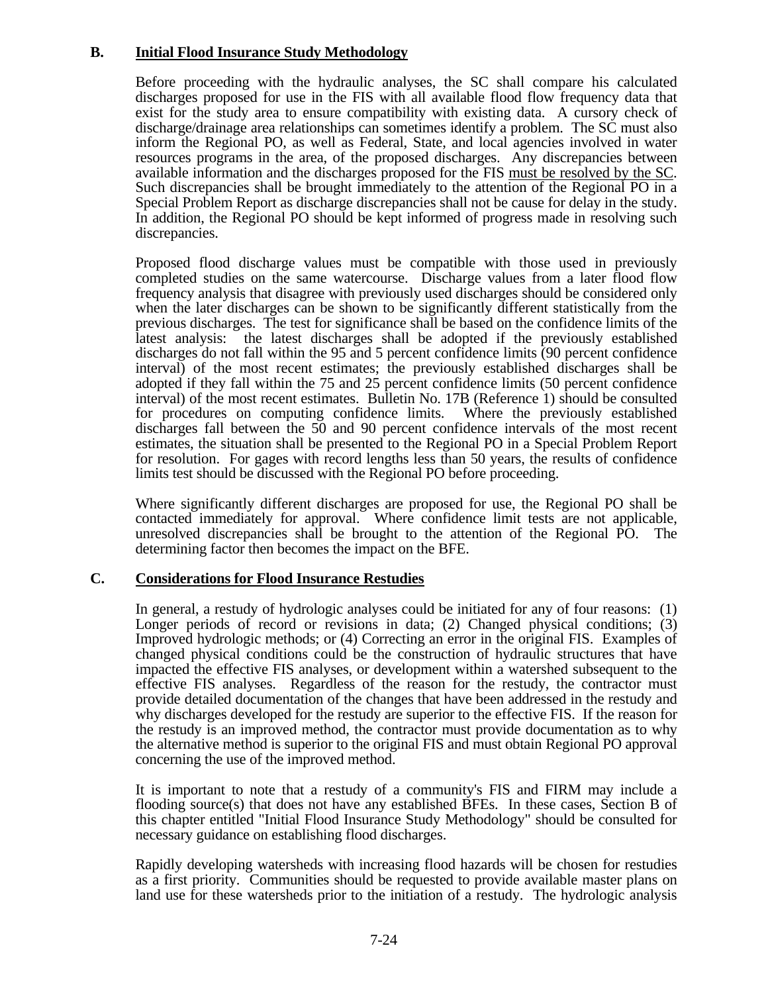#### **B. Initial Flood Insurance Study Methodology**

 Before proceeding with the hydraulic analyses, the SC shall compare his calculated discharges proposed for use in the FIS with all available flood flow frequency data that exist for the study area to ensure compatibility with existing data. A cursory check of discharge/drainage area relationships can sometimes identify a problem. The SC must also inform the Regional PO, as well as Federal, State, and local agencies involved in water resources programs in the area, of the proposed discharges. Any discrepancies between available information and the discharges proposed for the FIS must be resolved by the SC. Such discrepancies shall be brought immediately to the attention of the Regional PO in a Special Problem Report as discharge discrepancies shall not be cause for delay in the study. In addition, the Regional PO should be kept informed of progress made in resolving such discrepancies.

 Proposed flood discharge values must be compatible with those used in previously completed studies on the same watercourse. Discharge values from a later flood flow frequency analysis that disagree with previously used discharges should be considered only when the later discharges can be shown to be significantly different statistically from the previous discharges. The test for significance shall be based on the confidence limits of the latest analysis: the latest discharges shall be adopted if the previously established discharges do not fall within the 95 and 5 percent confidence limits (90 percent confidence interval) of the most recent estimates; the previously established discharges shall be adopted if they fall within the 75 and 25 percent confidence limits (50 percent confidence interval) of the most recent estimates. Bulletin No. 17B (Reference 1) should be consulted for procedures on computing confidence limits. Where the previously established discharges fall between the 50 and 90 percent confidence intervals of the most recent estimates, the situation shall be presented to the Regional PO in a Special Problem Report for resolution. For gages with record lengths less than 50 years, the results of confidence limits test should be discussed with the Regional PO before proceeding.

 Where significantly different discharges are proposed for use, the Regional PO shall be contacted immediately for approval. Where confidence limit tests are not applicable, unresolved discrepancies shall be brought to the attention of the Regional PO. The determining factor then becomes the impact on the BFE.

#### **C. Considerations for Flood Insurance Restudies**

 In general, a restudy of hydrologic analyses could be initiated for any of four reasons: (1) Longer periods of record or revisions in data; (2) Changed physical conditions; (3) Improved hydrologic methods; or (4) Correcting an error in the original FIS. Examples of changed physical conditions could be the construction of hydraulic structures that have impacted the effective FIS analyses, or development within a watershed subsequent to the effective FIS analyses. Regardless of the reason for the restudy, the contractor must provide detailed documentation of the changes that have been addressed in the restudy and why discharges developed for the restudy are superior to the effective FIS. If the reason for the restudy is an improved method, the contractor must provide documentation as to why the alternative method is superior to the original FIS and must obtain Regional PO approval concerning the use of the improved method.

 It is important to note that a restudy of a community's FIS and FIRM may include a flooding source(s) that does not have any established BFEs. In these cases, Section B of this chapter entitled "Initial Flood Insurance Study Methodology" should be consulted for necessary guidance on establishing flood discharges.

 Rapidly developing watersheds with increasing flood hazards will be chosen for restudies as a first priority. Communities should be requested to provide available master plans on land use for these watersheds prior to the initiation of a restudy. The hydrologic analysis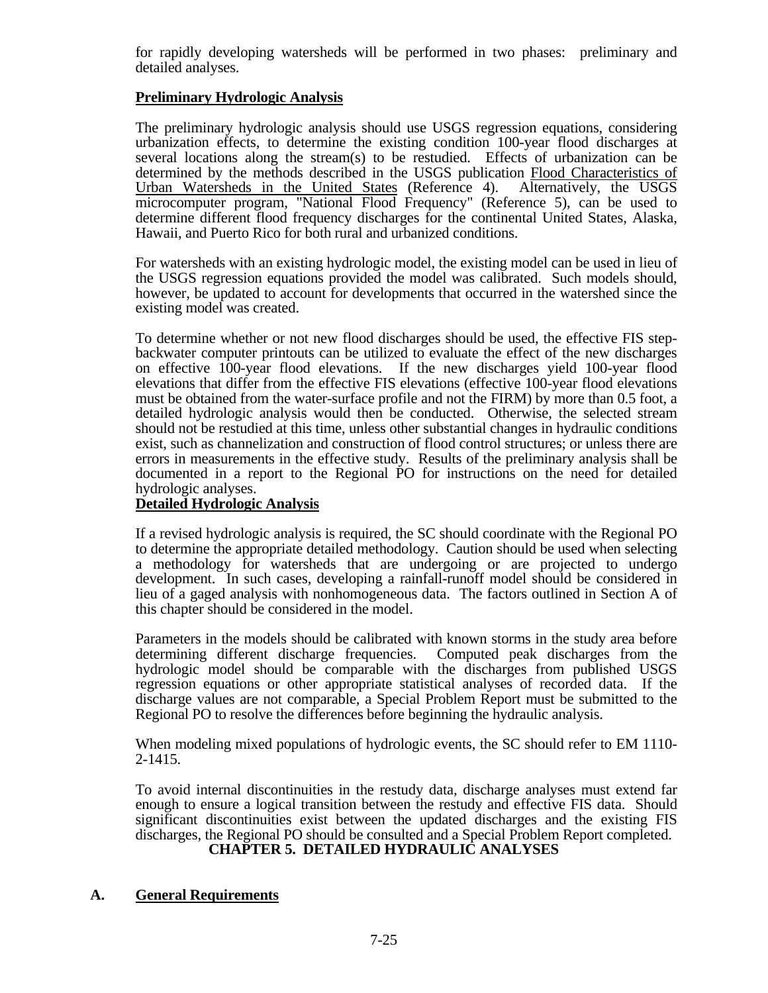for rapidly developing watersheds will be performed in two phases: preliminary and detailed analyses.

#### **Preliminary Hydrologic Analysis**

 The preliminary hydrologic analysis should use USGS regression equations, considering urbanization effects, to determine the existing condition 100-year flood discharges at several locations along the stream(s) to be restudied. Effects of urbanization can be determined by the methods described in the USGS publication Flood Characteristics of Urban Watersheds in the United States (Reference 4). Alternatively, the USGS microcomputer program, "National Flood Frequency" (Reference 5), can be used to determine different flood frequency discharges for the continental United States, Alaska, Hawaii, and Puerto Rico for both rural and urbanized conditions.

 For watersheds with an existing hydrologic model, the existing model can be used in lieu of the USGS regression equations provided the model was calibrated. Such models should, however, be updated to account for developments that occurred in the watershed since the existing model was created.

 To determine whether or not new flood discharges should be used, the effective FIS stepbackwater computer printouts can be utilized to evaluate the effect of the new discharges on effective 100-year flood elevations. If the new discharges yield 100-year flood elevations that differ from the effective FIS elevations (effective 100-year flood elevations must be obtained from the water-surface profile and not the FIRM) by more than 0.5 foot, a detailed hydrologic analysis would then be conducted. Otherwise, the selected stream should not be restudied at this time, unless other substantial changes in hydraulic conditions exist, such as channelization and construction of flood control structures; or unless there are errors in measurements in the effective study. Results of the preliminary analysis shall be documented in a report to the Regional PO for instructions on the need for detailed hydrologic analyses.

### **Detailed Hydrologic Analysis**

 If a revised hydrologic analysis is required, the SC should coordinate with the Regional PO to determine the appropriate detailed methodology. Caution should be used when selecting a methodology for watersheds that are undergoing or are projected to undergo development. In such cases, developing a rainfall-runoff model should be considered in lieu of a gaged analysis with nonhomogeneous data. The factors outlined in Section A of this chapter should be considered in the model.

 Parameters in the models should be calibrated with known storms in the study area before determining different discharge frequencies. Computed peak discharges from the hydrologic model should be comparable with the discharges from published USGS regression equations or other appropriate statistical analyses of recorded data. If the discharge values are not comparable, a Special Problem Report must be submitted to the Regional PO to resolve the differences before beginning the hydraulic analysis.

 When modeling mixed populations of hydrologic events, the SC should refer to EM 1110- 2-1415.

 To avoid internal discontinuities in the restudy data, discharge analyses must extend far enough to ensure a logical transition between the restudy and effective FIS data. Should significant discontinuities exist between the updated discharges and the existing FIS discharges, the Regional PO should be consulted and a Special Problem Report completed.

# **CHAPTER 5. DETAILED HYDRAULIC ANALYSES**

#### **A. General Requirements**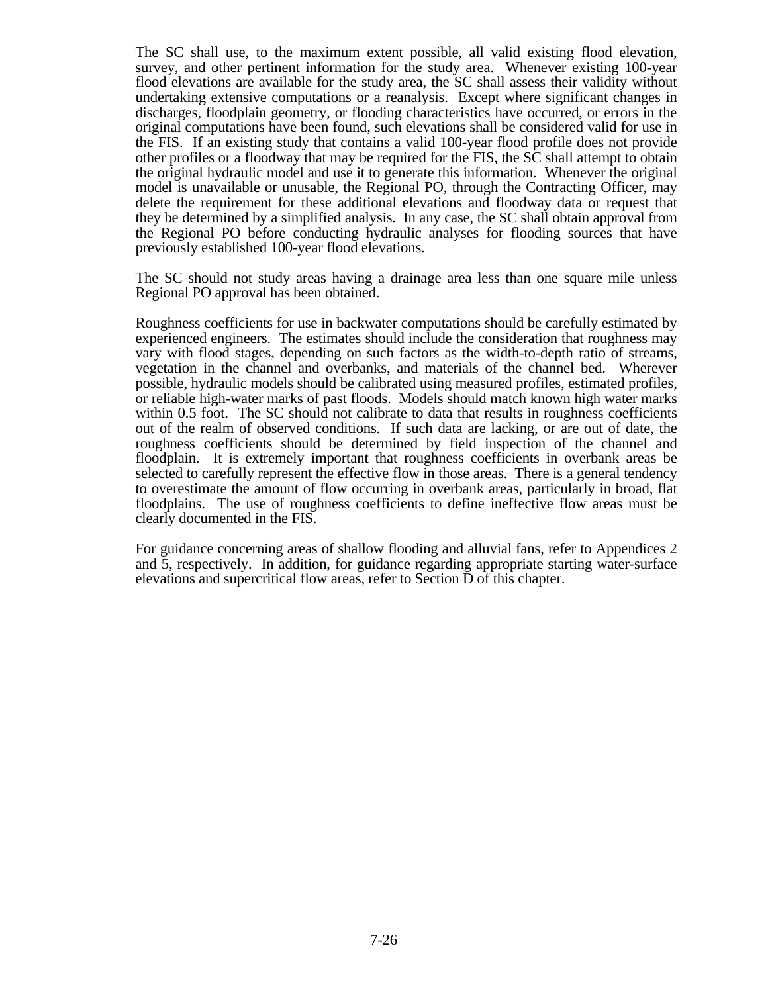The SC shall use, to the maximum extent possible, all valid existing flood elevation, survey, and other pertinent information for the study area. Whenever existing 100-year flood elevations are available for the study area, the SC shall assess their validity without undertaking extensive computations or a reanalysis. Except where significant changes in discharges, floodplain geometry, or flooding characteristics have occurred, or errors in the original computations have been found, such elevations shall be considered valid for use in the FIS. If an existing study that contains a valid 100-year flood profile does not provide other profiles or a floodway that may be required for the FIS, the SC shall attempt to obtain the original hydraulic model and use it to generate this information. Whenever the original model is unavailable or unusable, the Regional PO, through the Contracting Officer, may delete the requirement for these additional elevations and floodway data or request that they be determined by a simplified analysis. In any case, the SC shall obtain approval from the Regional PO before conducting hydraulic analyses for flooding sources that have previously established 100-year flood elevations.

 The SC should not study areas having a drainage area less than one square mile unless Regional PO approval has been obtained.

 Roughness coefficients for use in backwater computations should be carefully estimated by experienced engineers. The estimates should include the consideration that roughness may vary with flood stages, depending on such factors as the width-to-depth ratio of streams, vegetation in the channel and overbanks, and materials of the channel bed. Wherever possible, hydraulic models should be calibrated using measured profiles, estimated profiles, or reliable high-water marks of past floods. Models should match known high water marks within 0.5 foot. The SC should not calibrate to data that results in roughness coefficients out of the realm of observed conditions. If such data are lacking, or are out of date, the roughness coefficients should be determined by field inspection of the channel and floodplain. It is extremely important that roughness coefficients in overbank areas be selected to carefully represent the effective flow in those areas. There is a general tendency to overestimate the amount of flow occurring in overbank areas, particularly in broad, flat floodplains. The use of roughness coefficients to define ineffective flow areas must be clearly documented in the FIS.

 For guidance concerning areas of shallow flooding and alluvial fans, refer to Appendices 2 and 5, respectively. In addition, for guidance regarding appropriate starting water-surface elevations and supercritical flow areas, refer to Section D of this chapter.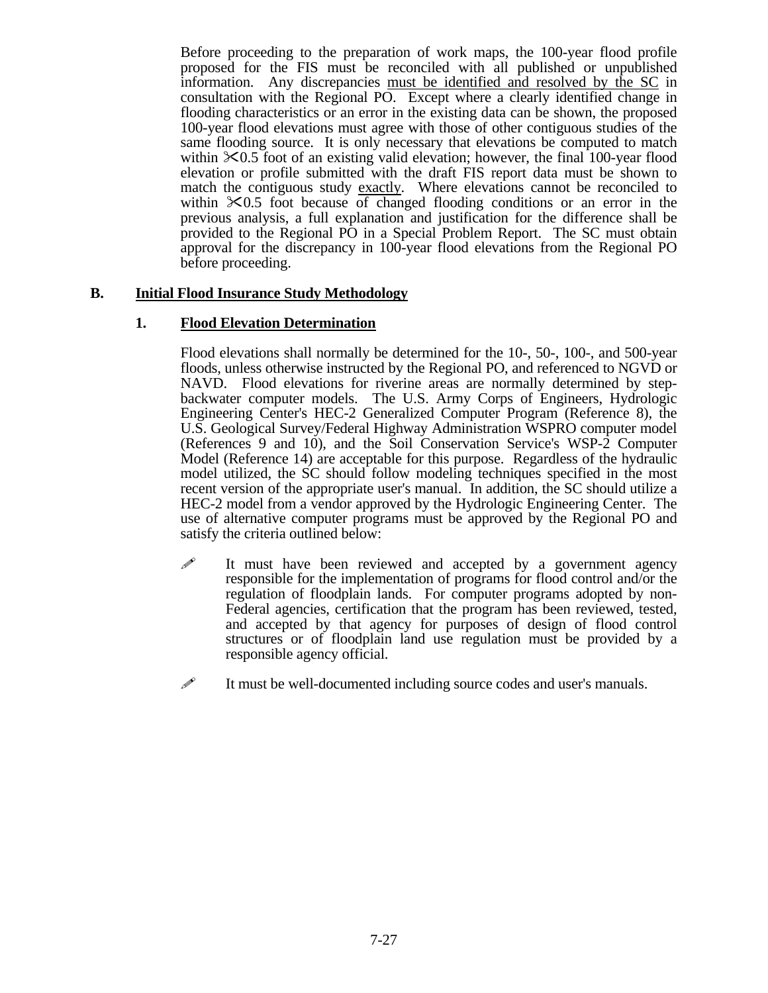Before proceeding to the preparation of work maps, the 100-year flood profile proposed for the FIS must be reconciled with all published or unpublished information. Any discrepancies must be identified and resolved by the SC in consultation with the Regional PO. Except where a clearly identified change in flooding characteristics or an error in the existing data can be shown, the proposed 100-year flood elevations must agree with those of other contiguous studies of the same flooding source. It is only necessary that elevations be computed to match within  $\ge 0.5$  foot of an existing valid elevation; however, the final 100-year flood elevation or profile submitted with the draft FIS report data must be shown to match the contiguous study exactly. Where elevations cannot be reconciled to within  $\ge 0.5$  foot because of changed flooding conditions or an error in the previous analysis, a full explanation and justification for the difference shall be provided to the Regional PO in a Special Problem Report. The SC must obtain approval for the discrepancy in 100-year flood elevations from the Regional PO before proceeding.

#### **B. Initial Flood Insurance Study Methodology**

#### **1. Flood Elevation Determination**

 Flood elevations shall normally be determined for the 10-, 50-, 100-, and 500-year floods, unless otherwise instructed by the Regional PO, and referenced to NGVD or NAVD. Flood elevations for riverine areas are normally determined by stepbackwater computer models. The U.S. Army Corps of Engineers, Hydrologic Engineering Center's HEC-2 Generalized Computer Program (Reference 8), the U.S. Geological Survey/Federal Highway Administration WSPRO computer model (References 9 and 10), and the Soil Conservation Service's WSP-2 Computer Model (Reference 14) are acceptable for this purpose. Regardless of the hydraulic model utilized, the SC should follow modeling techniques specified in the most recent version of the appropriate user's manual. In addition, the SC should utilize a HEC-2 model from a vendor approved by the Hydrologic Engineering Center. The use of alternative computer programs must be approved by the Regional PO and satisfy the criteria outlined below:

- $\mathscr{I}$  It must have been reviewed and accepted by a government agency responsible for the implementation of programs for flood control and/or the regulation of floodplain lands. For computer programs adopted by non-Federal agencies, certification that the program has been reviewed, tested, and accepted by that agency for purposes of design of flood control structures or of floodplain land use regulation must be provided by a responsible agency official.
- $\mathscr{P}$  It must be well-documented including source codes and user's manuals.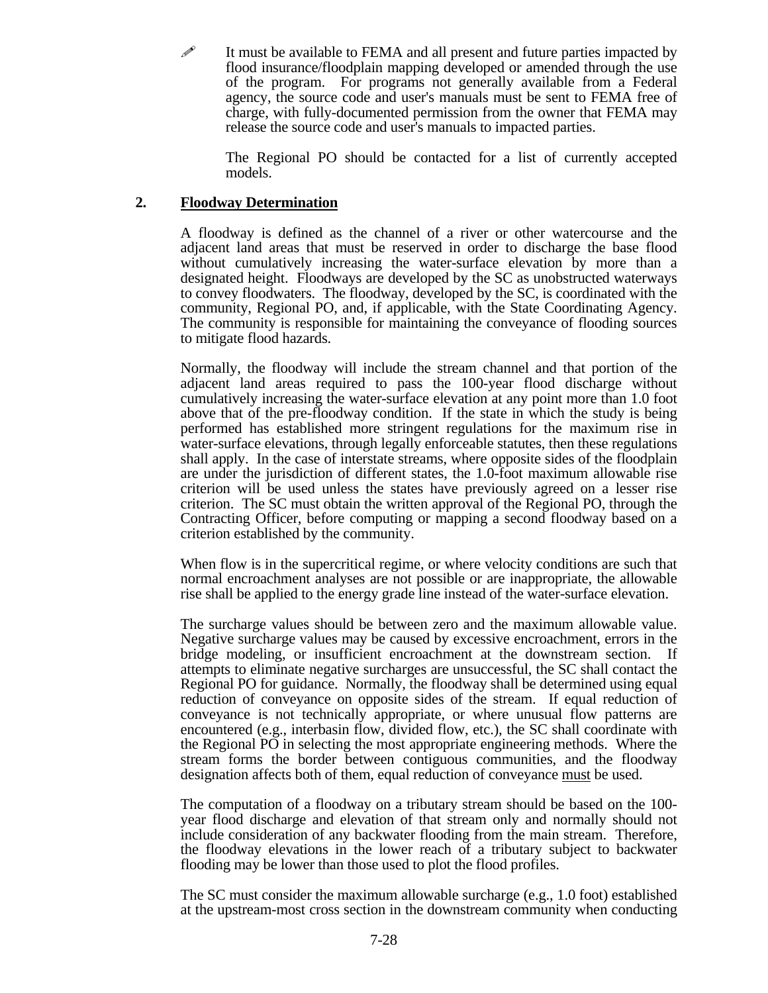It must be available to FEMA and all present and future parties impacted by flood insurance/floodplain mapping developed or amended through the use of the program. For programs not generally available from a Federal agency, the source code and user's manuals must be sent to FEMA free of charge, with fully-documented permission from the owner that FEMA may release the source code and user's manuals to impacted parties.

 The Regional PO should be contacted for a list of currently accepted models.

#### **2. Floodway Determination**

 A floodway is defined as the channel of a river or other watercourse and the adjacent land areas that must be reserved in order to discharge the base flood without cumulatively increasing the water-surface elevation by more than a designated height. Floodways are developed by the SC as unobstructed waterways to convey floodwaters. The floodway, developed by the SC, is coordinated with the community, Regional PO, and, if applicable, with the State Coordinating Agency. The community is responsible for maintaining the conveyance of flooding sources to mitigate flood hazards.

 Normally, the floodway will include the stream channel and that portion of the adjacent land areas required to pass the 100-year flood discharge without cumulatively increasing the water-surface elevation at any point more than 1.0 foot above that of the pre-floodway condition. If the state in which the study is being performed has established more stringent regulations for the maximum rise in water-surface elevations, through legally enforceable statutes, then these regulations shall apply. In the case of interstate streams, where opposite sides of the floodplain are under the jurisdiction of different states, the 1.0-foot maximum allowable rise criterion will be used unless the states have previously agreed on a lesser rise criterion. The SC must obtain the written approval of the Regional PO, through the Contracting Officer, before computing or mapping a second floodway based on a criterion established by the community.

 When flow is in the supercritical regime, or where velocity conditions are such that normal encroachment analyses are not possible or are inappropriate, the allowable rise shall be applied to the energy grade line instead of the water-surface elevation.

 The surcharge values should be between zero and the maximum allowable value. Negative surcharge values may be caused by excessive encroachment, errors in the bridge modeling, or insufficient encroachment at the downstream section. If attempts to eliminate negative surcharges are unsuccessful, the SC shall contact the Regional PO for guidance. Normally, the floodway shall be determined using equal reduction of conveyance on opposite sides of the stream. If equal reduction of conveyance is not technically appropriate, or where unusual flow patterns are encountered (e.g., interbasin flow, divided flow, etc.), the SC shall coordinate with the Regional PO in selecting the most appropriate engineering methods. Where the stream forms the border between contiguous communities, and the floodway designation affects both of them, equal reduction of conveyance must be used.

 The computation of a floodway on a tributary stream should be based on the 100 year flood discharge and elevation of that stream only and normally should not include consideration of any backwater flooding from the main stream. Therefore, the floodway elevations in the lower reach of a tributary subject to backwater flooding may be lower than those used to plot the flood profiles.

 The SC must consider the maximum allowable surcharge (e.g., 1.0 foot) established at the upstream-most cross section in the downstream community when conducting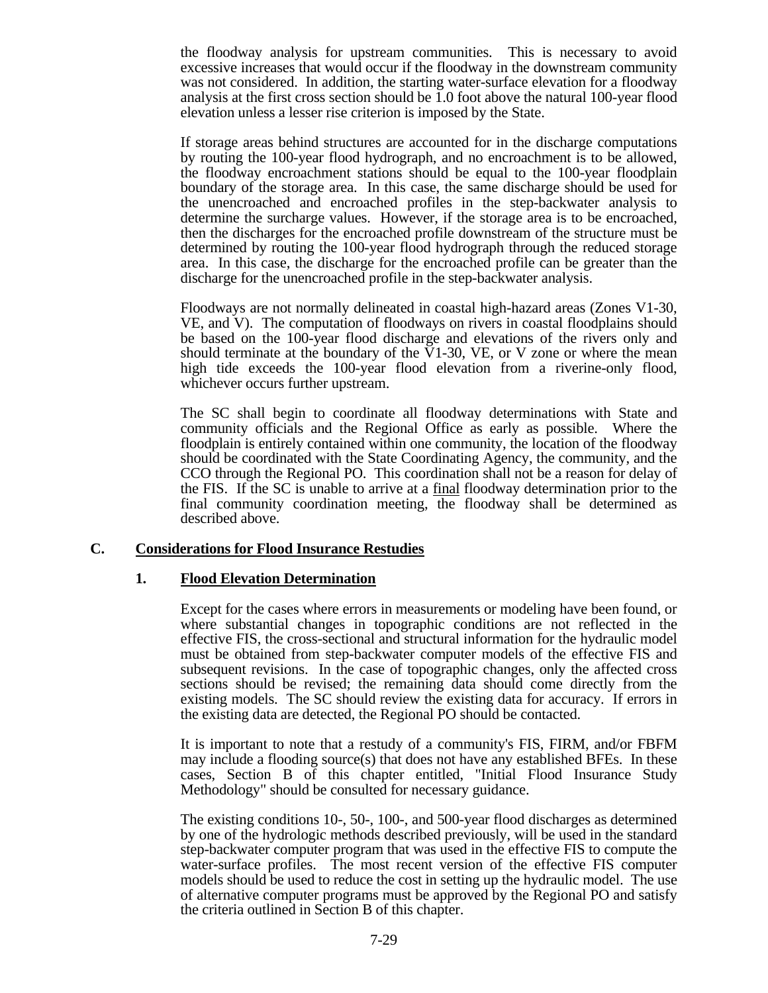the floodway analysis for upstream communities. This is necessary to avoid excessive increases that would occur if the floodway in the downstream community was not considered. In addition, the starting water-surface elevation for a floodway analysis at the first cross section should be 1.0 foot above the natural 100-year flood elevation unless a lesser rise criterion is imposed by the State.

 If storage areas behind structures are accounted for in the discharge computations by routing the 100-year flood hydrograph, and no encroachment is to be allowed, the floodway encroachment stations should be equal to the 100-year floodplain boundary of the storage area. In this case, the same discharge should be used for the unencroached and encroached profiles in the step-backwater analysis to determine the surcharge values. However, if the storage area is to be encroached, then the discharges for the encroached profile downstream of the structure must be determined by routing the 100-year flood hydrograph through the reduced storage area. In this case, the discharge for the encroached profile can be greater than the discharge for the unencroached profile in the step-backwater analysis.

 Floodways are not normally delineated in coastal high-hazard areas (Zones V1-30, VE, and V). The computation of floodways on rivers in coastal floodplains should be based on the 100-year flood discharge and elevations of the rivers only and should terminate at the boundary of the V1-30, VE, or V zone or where the mean high tide exceeds the 100-year flood elevation from a riverine-only flood, whichever occurs further upstream.

 The SC shall begin to coordinate all floodway determinations with State and community officials and the Regional Office as early as possible. Where the floodplain is entirely contained within one community, the location of the floodway should be coordinated with the State Coordinating Agency, the community, and the CCO through the Regional PO. This coordination shall not be a reason for delay of the FIS. If the SC is unable to arrive at a final floodway determination prior to the final community coordination meeting, the floodway shall be determined as described above.

#### **C. Considerations for Flood Insurance Restudies**

#### **1. Flood Elevation Determination**

 Except for the cases where errors in measurements or modeling have been found, or where substantial changes in topographic conditions are not reflected in the effective FIS, the cross-sectional and structural information for the hydraulic model must be obtained from step-backwater computer models of the effective FIS and subsequent revisions. In the case of topographic changes, only the affected cross sections should be revised; the remaining data should come directly from the existing models. The SC should review the existing data for accuracy. If errors in the existing data are detected, the Regional PO should be contacted.

 It is important to note that a restudy of a community's FIS, FIRM, and/or FBFM may include a flooding source(s) that does not have any established BFEs. In these cases, Section B of this chapter entitled, "Initial Flood Insurance Study Methodology" should be consulted for necessary guidance.

 The existing conditions 10-, 50-, 100-, and 500-year flood discharges as determined by one of the hydrologic methods described previously, will be used in the standard step-backwater computer program that was used in the effective FIS to compute the water-surface profiles. The most recent version of the effective FIS computer models should be used to reduce the cost in setting up the hydraulic model. The use of alternative computer programs must be approved by the Regional PO and satisfy the criteria outlined in Section B of this chapter.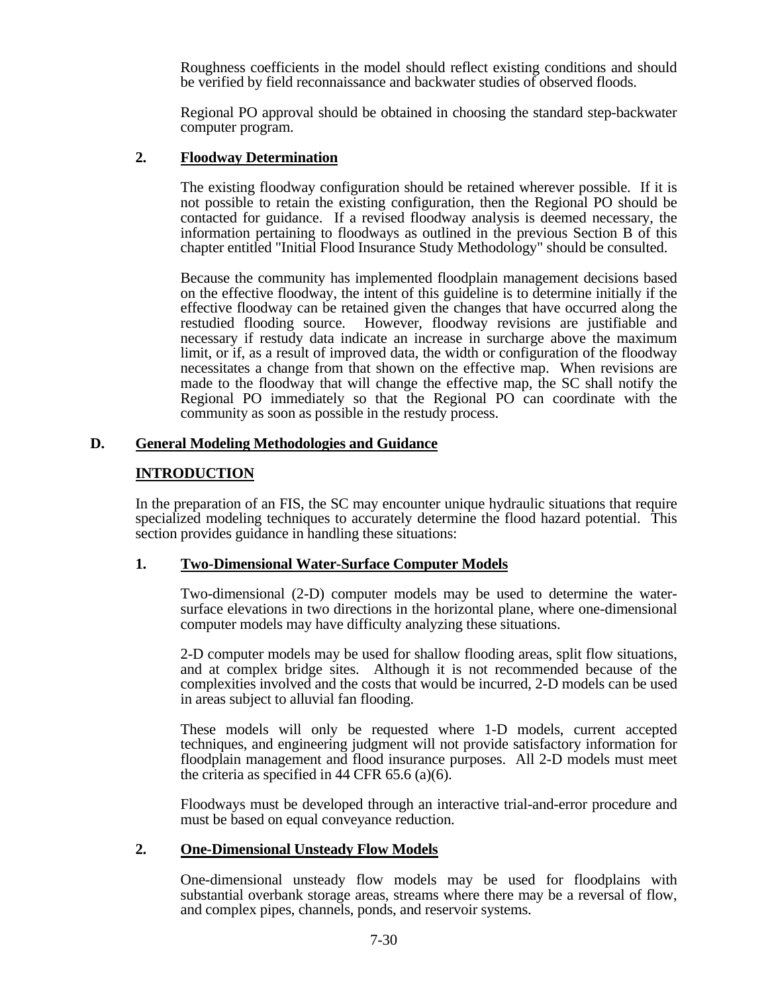Roughness coefficients in the model should reflect existing conditions and should be verified by field reconnaissance and backwater studies of observed floods.

 Regional PO approval should be obtained in choosing the standard step-backwater computer program.

#### **2. Floodway Determination**

 The existing floodway configuration should be retained wherever possible. If it is not possible to retain the existing configuration, then the Regional PO should be contacted for guidance. If a revised floodway analysis is deemed necessary, the information pertaining to floodways as outlined in the previous Section B of this chapter entitled "Initial Flood Insurance Study Methodology" should be consulted.

 Because the community has implemented floodplain management decisions based on the effective floodway, the intent of this guideline is to determine initially if the effective floodway can be retained given the changes that have occurred along the restudied flooding source. However, floodway revisions are justifiable and necessary if restudy data indicate an increase in surcharge above the maximum limit, or if, as a result of improved data, the width or configuration of the floodway necessitates a change from that shown on the effective map. When revisions are made to the floodway that will change the effective map, the SC shall notify the Regional PO immediately so that the Regional PO can coordinate with the community as soon as possible in the restudy process.

#### **D. General Modeling Methodologies and Guidance**

#### **INTRODUCTION**

 In the preparation of an FIS, the SC may encounter unique hydraulic situations that require specialized modeling techniques to accurately determine the flood hazard potential. This section provides guidance in handling these situations:

#### **1. Two-Dimensional Water-Surface Computer Models**

 Two-dimensional (2-D) computer models may be used to determine the watersurface elevations in two directions in the horizontal plane, where one-dimensional computer models may have difficulty analyzing these situations.

 2-D computer models may be used for shallow flooding areas, split flow situations, and at complex bridge sites. Although it is not recommended because of the complexities involved and the costs that would be incurred, 2-D models can be used in areas subject to alluvial fan flooding.

 These models will only be requested where 1-D models, current accepted techniques, and engineering judgment will not provide satisfactory information for floodplain management and flood insurance purposes. All 2-D models must meet the criteria as specified in 44 CFR 65.6 (a)(6).

 Floodways must be developed through an interactive trial-and-error procedure and must be based on equal conveyance reduction.

#### **2. One-Dimensional Unsteady Flow Models**

 One-dimensional unsteady flow models may be used for floodplains with substantial overbank storage areas, streams where there may be a reversal of flow, and complex pipes, channels, ponds, and reservoir systems.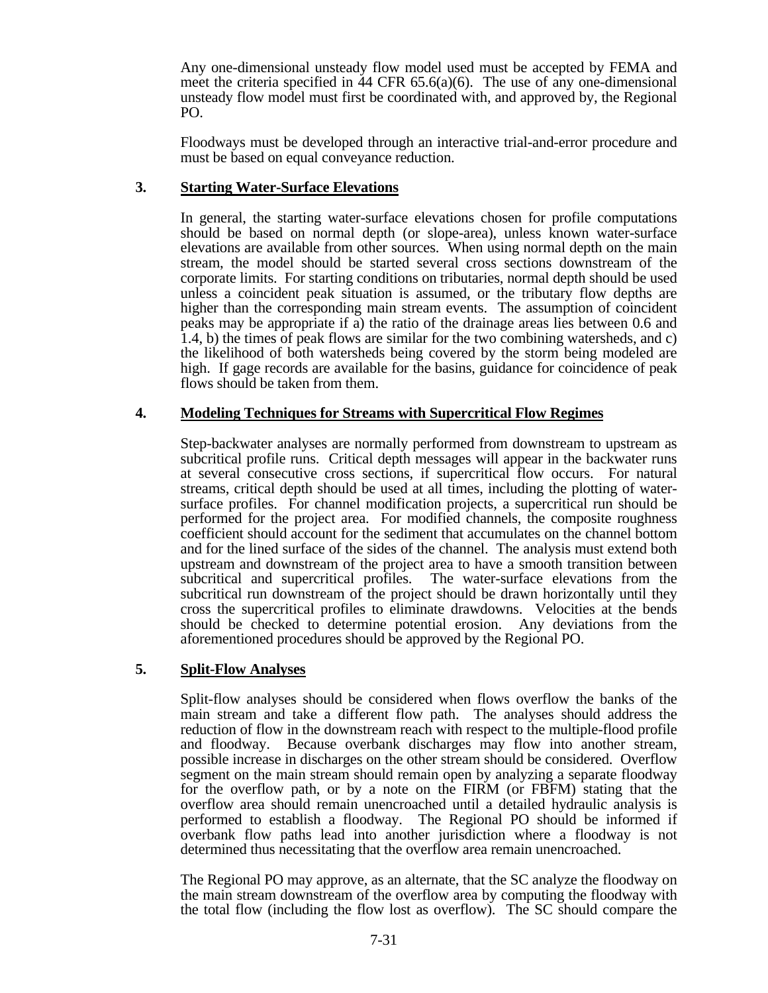Any one-dimensional unsteady flow model used must be accepted by FEMA and meet the criteria specified in 44 CFR  $65.6(a)(6)$ . The use of any one-dimensional unsteady flow model must first be coordinated with, and approved by, the Regional PO.

 Floodways must be developed through an interactive trial-and-error procedure and must be based on equal conveyance reduction.

#### **3. Starting Water-Surface Elevations**

 In general, the starting water-surface elevations chosen for profile computations should be based on normal depth (or slope-area), unless known water-surface elevations are available from other sources. When using normal depth on the main stream, the model should be started several cross sections downstream of the corporate limits. For starting conditions on tributaries, normal depth should be used unless a coincident peak situation is assumed, or the tributary flow depths are higher than the corresponding main stream events. The assumption of coincident peaks may be appropriate if a) the ratio of the drainage areas lies between 0.6 and 1.4, b) the times of peak flows are similar for the two combining watersheds, and c) the likelihood of both watersheds being covered by the storm being modeled are high. If gage records are available for the basins, guidance for coincidence of peak flows should be taken from them.

#### **4. Modeling Techniques for Streams with Supercritical Flow Regimes**

 Step-backwater analyses are normally performed from downstream to upstream as subcritical profile runs. Critical depth messages will appear in the backwater runs at several consecutive cross sections, if supercritical flow occurs. For natural streams, critical depth should be used at all times, including the plotting of watersurface profiles. For channel modification projects, a supercritical run should be performed for the project area. For modified channels, the composite roughness coefficient should account for the sediment that accumulates on the channel bottom and for the lined surface of the sides of the channel. The analysis must extend both upstream and downstream of the project area to have a smooth transition between subcritical and supercritical profiles. The water-surface elevations from the subcritical run downstream of the project should be drawn horizontally until they cross the supercritical profiles to eliminate drawdowns. Velocities at the bends should be checked to determine potential erosion. Any deviations from the aforementioned procedures should be approved by the Regional PO.

#### **5. Split-Flow Analyses**

 Split-flow analyses should be considered when flows overflow the banks of the main stream and take a different flow path. The analyses should address the reduction of flow in the downstream reach with respect to the multiple-flood profile and floodway. Because overbank discharges may flow into another stream, possible increase in discharges on the other stream should be considered. Overflow segment on the main stream should remain open by analyzing a separate floodway for the overflow path, or by a note on the FIRM (or FBFM) stating that the overflow area should remain unencroached until a detailed hydraulic analysis is performed to establish a floodway. The Regional PO should be informed if overbank flow paths lead into another jurisdiction where a floodway is not determined thus necessitating that the overflow area remain unencroached.

 The Regional PO may approve, as an alternate, that the SC analyze the floodway on the main stream downstream of the overflow area by computing the floodway with the total flow (including the flow lost as overflow). The SC should compare the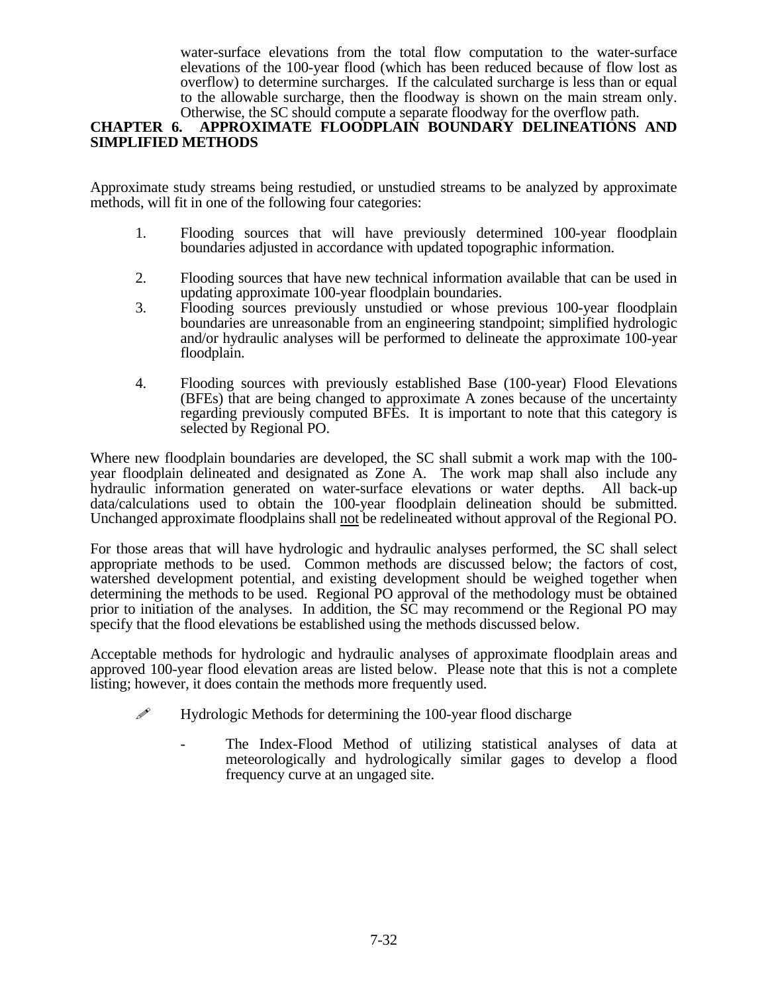water-surface elevations from the total flow computation to the water-surface elevations of the 100-year flood (which has been reduced because of flow lost as overflow) to determine surcharges. If the calculated surcharge is less than or equal to the allowable surcharge, then the floodway is shown on the main stream only. Otherwise, the SC should compute a separate floodway for the overflow path.

#### **CHAPTER 6. APPROXIMATE FLOODPLAIN BOUNDARY DELINEATIONS AND SIMPLIFIED METHODS**

Approximate study streams being restudied, or unstudied streams to be analyzed by approximate methods, will fit in one of the following four categories:

- 1. Flooding sources that will have previously determined 100-year floodplain boundaries adjusted in accordance with updated topographic information.
- 2. Flooding sources that have new technical information available that can be used in updating approximate 100-year floodplain boundaries.
- 3. Flooding sources previously unstudied or whose previous 100-year floodplain boundaries are unreasonable from an engineering standpoint; simplified hydrologic and/or hydraulic analyses will be performed to delineate the approximate 100-year floodplain.
- 4. Flooding sources with previously established Base (100-year) Flood Elevations (BFEs) that are being changed to approximate A zones because of the uncertainty regarding previously computed BFEs. It is important to note that this category is selected by Regional PO.

Where new floodplain boundaries are developed, the SC shall submit a work map with the 100 year floodplain delineated and designated as Zone A. The work map shall also include any hydraulic information generated on water-surface elevations or water depths. All back-up data/calculations used to obtain the 100-year floodplain delineation should be submitted. Unchanged approximate floodplains shall not be redelineated without approval of the Regional PO.

For those areas that will have hydrologic and hydraulic analyses performed, the SC shall select appropriate methods to be used. Common methods are discussed below; the factors of cost, watershed development potential, and existing development should be weighed together when determining the methods to be used. Regional PO approval of the methodology must be obtained prior to initiation of the analyses. In addition, the SC may recommend or the Regional PO may specify that the flood elevations be established using the methods discussed below.

Acceptable methods for hydrologic and hydraulic analyses of approximate floodplain areas and approved 100-year flood elevation areas are listed below. Please note that this is not a complete listing; however, it does contain the methods more frequently used.

- $\mathscr{P}$  Hydrologic Methods for determining the 100-year flood discharge
	- The Index-Flood Method of utilizing statistical analyses of data at meteorologically and hydrologically similar gages to develop a flood frequency curve at an ungaged site.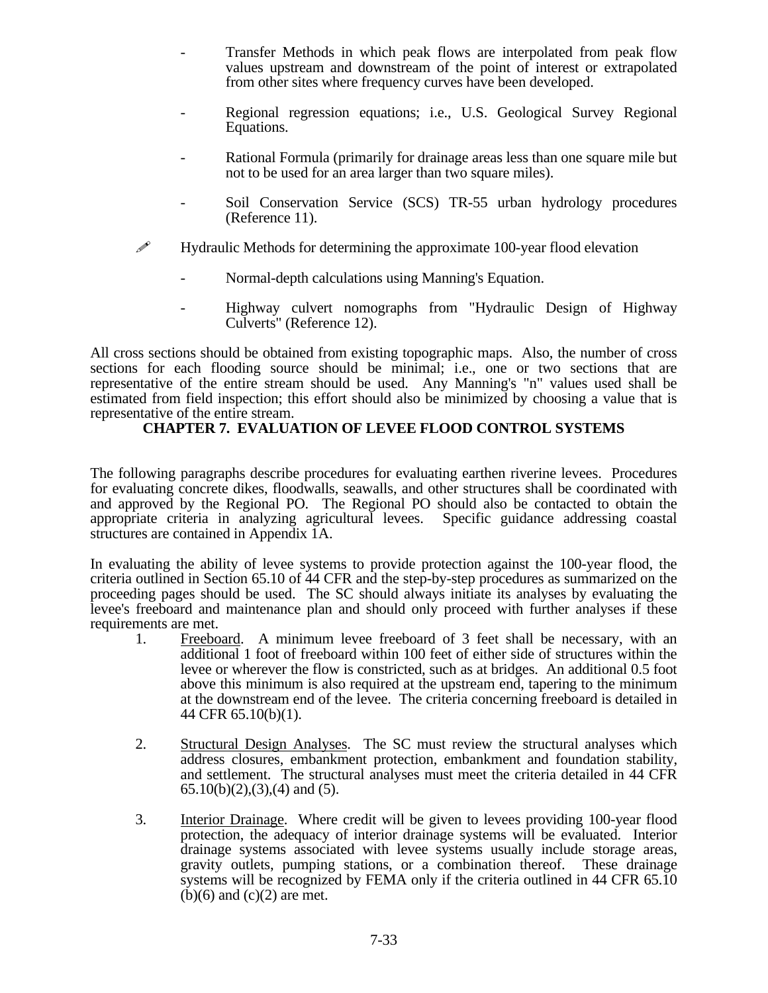- Transfer Methods in which peak flows are interpolated from peak flow values upstream and downstream of the point of interest or extrapolated from other sites where frequency curves have been developed.
- Regional regression equations; i.e., U.S. Geological Survey Regional Equations.
- Rational Formula (primarily for drainage areas less than one square mile but not to be used for an area larger than two square miles).
- Soil Conservation Service (SCS) TR-55 urban hydrology procedures (Reference 11).
- $\mathscr{P}$  Hydraulic Methods for determining the approximate 100-year flood elevation
	- Normal-depth calculations using Manning's Equation.
	- Highway culvert nomographs from "Hydraulic Design of Highway Culverts" (Reference 12).

All cross sections should be obtained from existing topographic maps. Also, the number of cross sections for each flooding source should be minimal; i.e., one or two sections that are representative of the entire stream should be used. Any Manning's "n" values used shall be estimated from field inspection; this effort should also be minimized by choosing a value that is representative of the entire stream.

#### **CHAPTER 7. EVALUATION OF LEVEE FLOOD CONTROL SYSTEMS**

The following paragraphs describe procedures for evaluating earthen riverine levees. Procedures for evaluating concrete dikes, floodwalls, seawalls, and other structures shall be coordinated with and approved by the Regional PO. The Regional PO should also be contacted to obtain the appropriate criteria in analyzing agricultural levees. Specific guidance addressing coastal structures are contained in Appendix 1A.

In evaluating the ability of levee systems to provide protection against the 100-year flood, the criteria outlined in Section 65.10 of 44 CFR and the step-by-step procedures as summarized on the proceeding pages should be used. The SC should always initiate its analyses by evaluating the levee's freeboard and maintenance plan and should only proceed with further analyses if these requirements are met.

- 1. Freeboard. A minimum levee freeboard of 3 feet shall be necessary, with an additional 1 foot of freeboard within 100 feet of either side of structures within the levee or wherever the flow is constricted, such as at bridges. An additional 0.5 foot above this minimum is also required at the upstream end, tapering to the minimum at the downstream end of the levee. The criteria concerning freeboard is detailed in 44 CFR 65.10(b)(1).
- 2. Structural Design Analyses. The SC must review the structural analyses which address closures, embankment protection, embankment and foundation stability, and settlement. The structural analyses must meet the criteria detailed in 44 CFR  $65.10(b)(2),(3),(4)$  and  $(5)$ .
- 3. Interior Drainage. Where credit will be given to levees providing 100-year flood protection, the adequacy of interior drainage systems will be evaluated. Interior drainage systems associated with levee systems usually include storage areas, gravity outlets, pumping stations, or a combination thereof. These drainage systems will be recognized by FEMA only if the criteria outlined in 44 CFR 65.10  $(b)(6)$  and  $(c)(2)$  are met.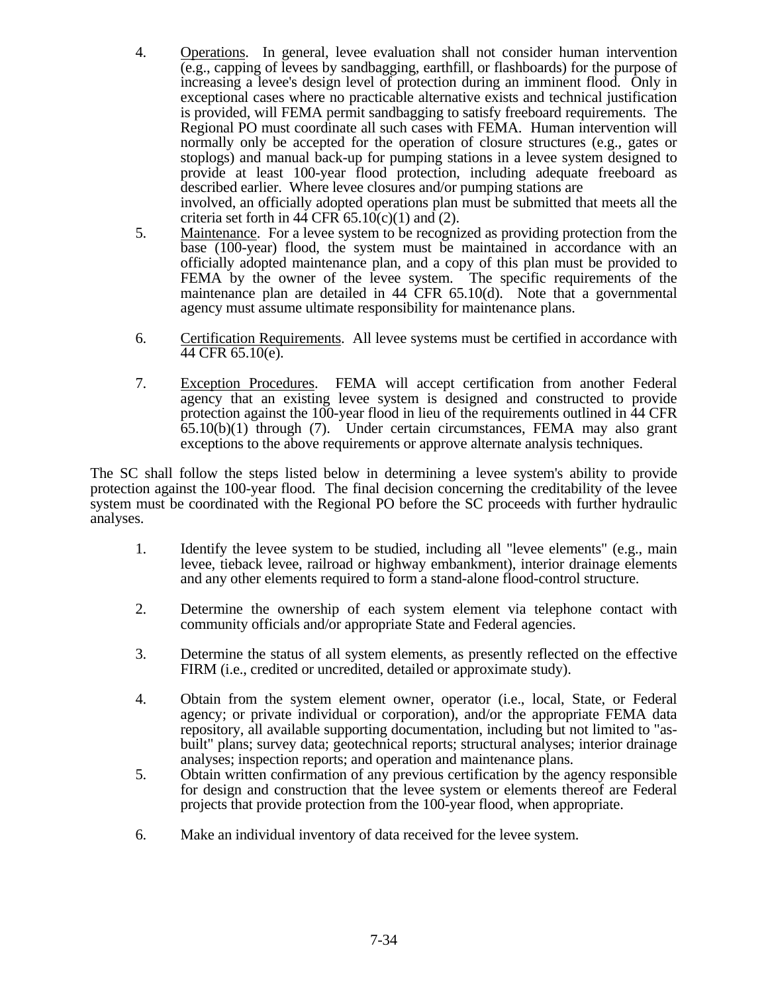4. Operations. In general, levee evaluation shall not consider human intervention (e.g., capping of levees by sandbagging, earthfill, or flashboards) for the purpose of increasing a levee's design level of protection during an imminent flood. Only in exceptional cases where no practicable alternative exists and technical justification is provided, will FEMA permit sandbagging to satisfy freeboard requirements. The Regional PO must coordinate all such cases with FEMA. Human intervention will normally only be accepted for the operation of closure structures (e.g., gates or stoplogs) and manual back-up for pumping stations in a levee system designed to provide at least 100-year flood protection, including adequate freeboard as described earlier. Where levee closures and/or pumping stations are

 involved, an officially adopted operations plan must be submitted that meets all the criteria set forth in 44 CFR  $65.10(c)(1)$  and (2).

- 5. Maintenance. For a levee system to be recognized as providing protection from the base (100-year) flood, the system must be maintained in accordance with an officially adopted maintenance plan, and a copy of this plan must be provided to FEMA by the owner of the levee system. The specific requirements of the maintenance plan are detailed in 44 CFR 65.10(d). Note that a governmental agency must assume ultimate responsibility for maintenance plans.
- 6. Certification Requirements. All levee systems must be certified in accordance with 44 CFR 65.10(e).
- 7. Exception Procedures. FEMA will accept certification from another Federal agency that an existing levee system is designed and constructed to provide protection against the 100-year flood in lieu of the requirements outlined in 44 CFR 65.10(b)(1) through (7). Under certain circumstances, FEMA may also grant exceptions to the above requirements or approve alternate analysis techniques.

The SC shall follow the steps listed below in determining a levee system's ability to provide protection against the 100-year flood. The final decision concerning the creditability of the levee system must be coordinated with the Regional PO before the SC proceeds with further hydraulic analyses.

- 1. Identify the levee system to be studied, including all "levee elements" (e.g., main levee, tieback levee, railroad or highway embankment), interior drainage elements and any other elements required to form a stand-alone flood-control structure.
- 2. Determine the ownership of each system element via telephone contact with community officials and/or appropriate State and Federal agencies.
- 3. Determine the status of all system elements, as presently reflected on the effective FIRM (i.e., credited or uncredited, detailed or approximate study).
- 4. Obtain from the system element owner, operator (i.e., local, State, or Federal agency; or private individual or corporation), and/or the appropriate FEMA data repository, all available supporting documentation, including but not limited to "asbuilt" plans; survey data; geotechnical reports; structural analyses; interior drainage analyses; inspection reports; and operation and maintenance plans.
- 5. Obtain written confirmation of any previous certification by the agency responsible for design and construction that the levee system or elements thereof are Federal projects that provide protection from the 100-year flood, when appropriate.
- 6. Make an individual inventory of data received for the levee system.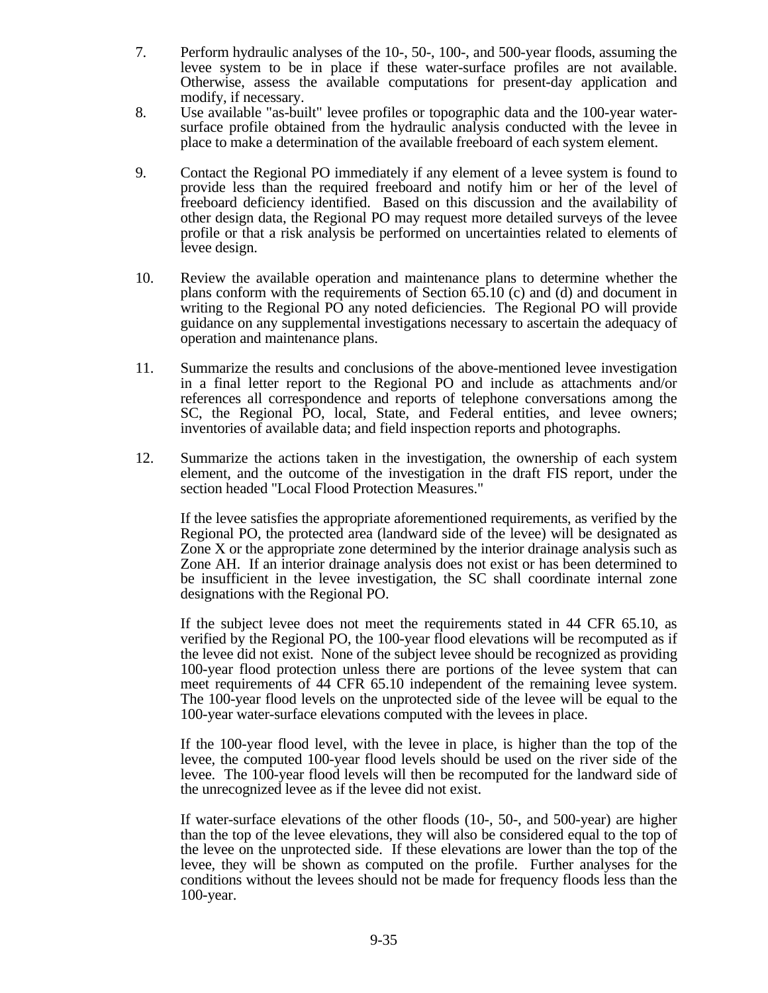- 7. Perform hydraulic analyses of the 10-, 50-, 100-, and 500-year floods, assuming the levee system to be in place if these water-surface profiles are not available. Otherwise, assess the available computations for present-day application and modify, if necessary.
- 8. Use available "as-built" levee profiles or topographic data and the 100-year watersurface profile obtained from the hydraulic analysis conducted with the levee in place to make a determination of the available freeboard of each system element.
- 9. Contact the Regional PO immediately if any element of a levee system is found to provide less than the required freeboard and notify him or her of the level of freeboard deficiency identified. Based on this discussion and the availability of other design data, the Regional PO may request more detailed surveys of the levee profile or that a risk analysis be performed on uncertainties related to elements of levee design.
- 10. Review the available operation and maintenance plans to determine whether the plans conform with the requirements of Section 65.10 (c) and (d) and document in writing to the Regional PO any noted deficiencies. The Regional PO will provide guidance on any supplemental investigations necessary to ascertain the adequacy of operation and maintenance plans.
- 11. Summarize the results and conclusions of the above-mentioned levee investigation in a final letter report to the Regional PO and include as attachments and/or references all correspondence and reports of telephone conversations among the SC, the Regional PO, local, State, and Federal entities, and levee owners; inventories of available data; and field inspection reports and photographs.
- 12. Summarize the actions taken in the investigation, the ownership of each system element, and the outcome of the investigation in the draft FIS report, under the section headed "Local Flood Protection Measures."

 If the levee satisfies the appropriate aforementioned requirements, as verified by the Regional PO, the protected area (landward side of the levee) will be designated as Zone X or the appropriate zone determined by the interior drainage analysis such as Zone AH. If an interior drainage analysis does not exist or has been determined to be insufficient in the levee investigation, the SC shall coordinate internal zone designations with the Regional PO.

 If the subject levee does not meet the requirements stated in 44 CFR 65.10, as verified by the Regional PO, the 100-year flood elevations will be recomputed as if the levee did not exist. None of the subject levee should be recognized as providing 100-year flood protection unless there are portions of the levee system that can meet requirements of 44 CFR 65.10 independent of the remaining levee system. The 100-year flood levels on the unprotected side of the levee will be equal to the 100-year water-surface elevations computed with the levees in place.

 If the 100-year flood level, with the levee in place, is higher than the top of the levee, the computed 100-year flood levels should be used on the river side of the levee. The 100-year flood levels will then be recomputed for the landward side of the unrecognized levee as if the levee did not exist.

 If water-surface elevations of the other floods (10-, 50-, and 500-year) are higher than the top of the levee elevations, they will also be considered equal to the top of the levee on the unprotected side. If these elevations are lower than the top of the levee, they will be shown as computed on the profile. Further analyses for the conditions without the levees should not be made for frequency floods less than the 100-year.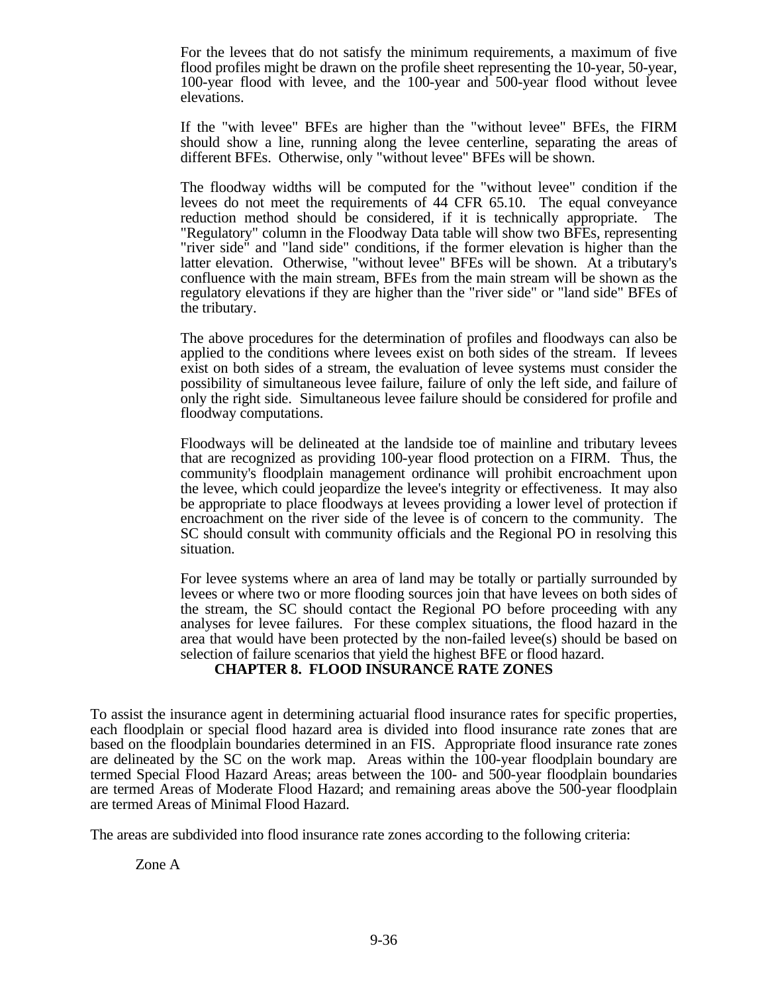For the levees that do not satisfy the minimum requirements, a maximum of five flood profiles might be drawn on the profile sheet representing the 10-year, 50-year, 100-year flood with levee, and the 100-year and 500-year flood without levee elevations.

 If the "with levee" BFEs are higher than the "without levee" BFEs, the FIRM should show a line, running along the levee centerline, separating the areas of different BFEs. Otherwise, only "without levee" BFEs will be shown.

 The floodway widths will be computed for the "without levee" condition if the levees do not meet the requirements of 44 CFR 65.10. The equal conveyance reduction method should be considered, if it is technically appropriate. The "Regulatory" column in the Floodway Data table will show two BFEs, representing "river side" and "land side" conditions, if the former elevation is higher than the latter elevation. Otherwise, "without levee" BFEs will be shown. At a tributary's confluence with the main stream, BFEs from the main stream will be shown as the regulatory elevations if they are higher than the "river side" or "land side" BFEs of the tributary.

 The above procedures for the determination of profiles and floodways can also be applied to the conditions where levees exist on both sides of the stream. If levees exist on both sides of a stream, the evaluation of levee systems must consider the possibility of simultaneous levee failure, failure of only the left side, and failure of only the right side. Simultaneous levee failure should be considered for profile and floodway computations.

 Floodways will be delineated at the landside toe of mainline and tributary levees that are recognized as providing 100-year flood protection on a FIRM. Thus, the community's floodplain management ordinance will prohibit encroachment upon the levee, which could jeopardize the levee's integrity or effectiveness. It may also be appropriate to place floodways at levees providing a lower level of protection if encroachment on the river side of the levee is of concern to the community. The SC should consult with community officials and the Regional PO in resolving this situation.

 For levee systems where an area of land may be totally or partially surrounded by levees or where two or more flooding sources join that have levees on both sides of the stream, the SC should contact the Regional PO before proceeding with any analyses for levee failures. For these complex situations, the flood hazard in the area that would have been protected by the non-failed levee(s) should be based on selection of failure scenarios that yield the highest BFE or flood hazard.

#### **CHAPTER 8. FLOOD INSURANCE RATE ZONES**

To assist the insurance agent in determining actuarial flood insurance rates for specific properties, each floodplain or special flood hazard area is divided into flood insurance rate zones that are based on the floodplain boundaries determined in an FIS. Appropriate flood insurance rate zones are delineated by the SC on the work map. Areas within the 100-year floodplain boundary are termed Special Flood Hazard Areas; areas between the 100- and 500-year floodplain boundaries are termed Areas of Moderate Flood Hazard; and remaining areas above the 500-year floodplain are termed Areas of Minimal Flood Hazard.

The areas are subdivided into flood insurance rate zones according to the following criteria:

Zone A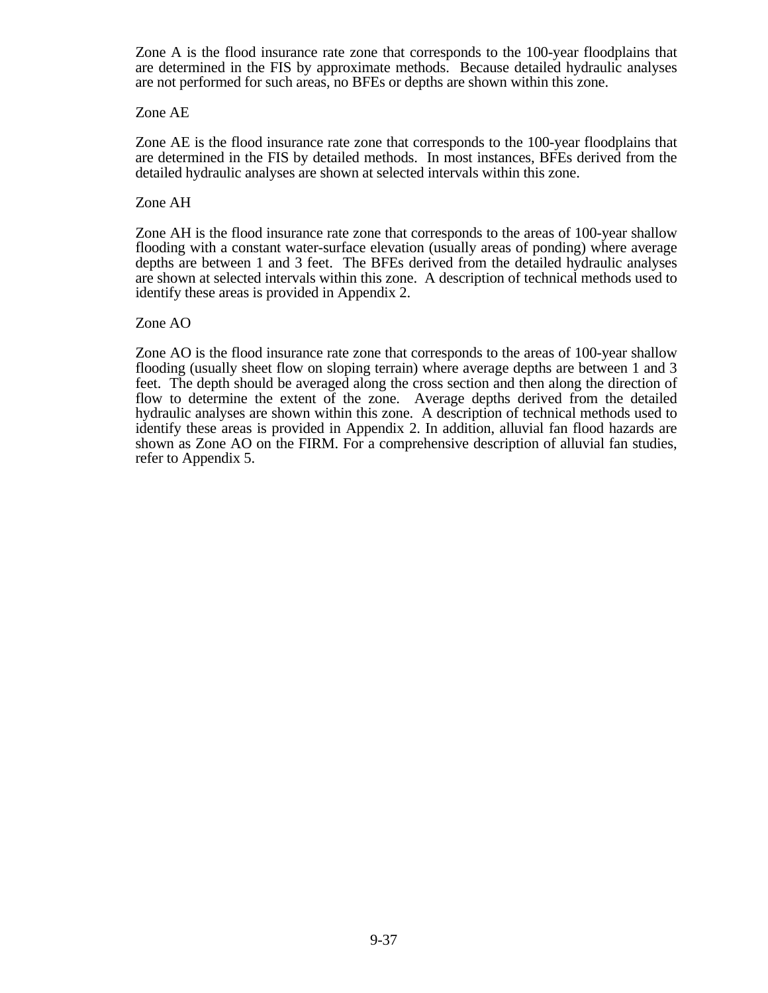Zone A is the flood insurance rate zone that corresponds to the 100-year floodplains that are determined in the FIS by approximate methods. Because detailed hydraulic analyses are not performed for such areas, no BFEs or depths are shown within this zone.

## Zone AE

 Zone AE is the flood insurance rate zone that corresponds to the 100-year floodplains that are determined in the FIS by detailed methods. In most instances, BFEs derived from the detailed hydraulic analyses are shown at selected intervals within this zone.

# Zone AH

 Zone AH is the flood insurance rate zone that corresponds to the areas of 100-year shallow flooding with a constant water-surface elevation (usually areas of ponding) where average depths are between 1 and 3 feet. The BFEs derived from the detailed hydraulic analyses are shown at selected intervals within this zone. A description of technical methods used to identify these areas is provided in Appendix 2.

# Zone AO

Zone AO is the flood insurance rate zone that corresponds to the areas of 100-year shallow flooding (usually sheet flow on sloping terrain) where average depths are between 1 and 3 feet. The depth should be averaged along the cross section and then along the direction of flow to determine the extent of the zone. Average depths derived from the detailed hydraulic analyses are shown within this zone. A description of technical methods used to identify these areas is provided in Appendix 2. In addition, alluvial fan flood hazards are shown as Zone AO on the FIRM. For a comprehensive description of alluvial fan studies, refer to Appendix 5.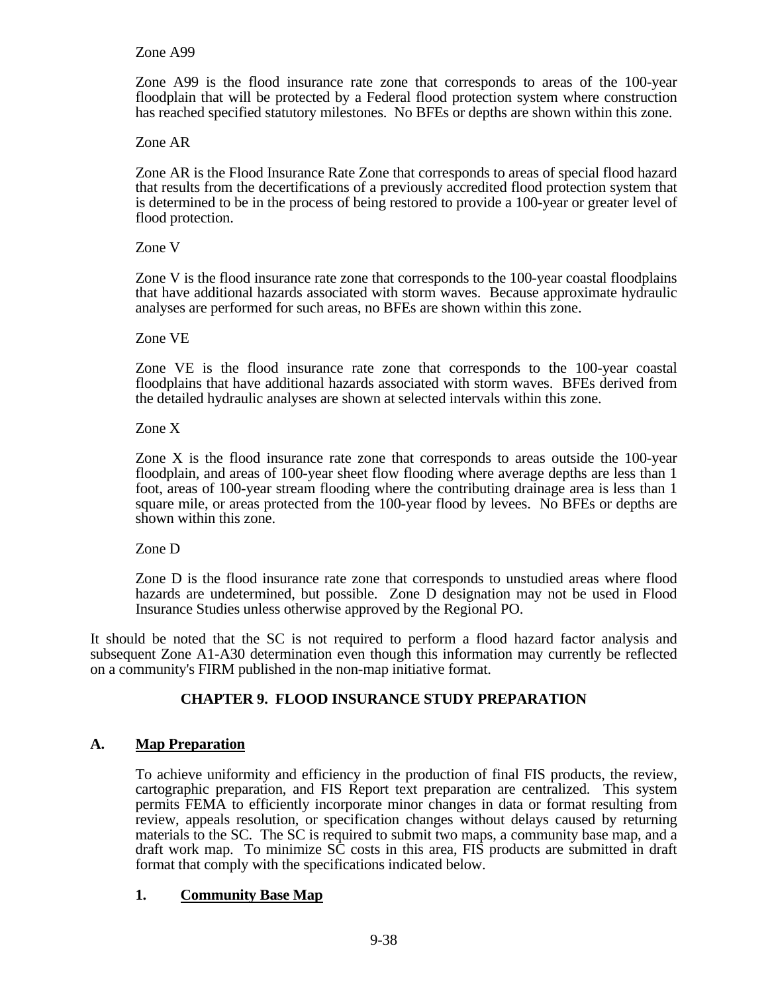# Zone A99

 Zone A99 is the flood insurance rate zone that corresponds to areas of the 100-year floodplain that will be protected by a Federal flood protection system where construction has reached specified statutory milestones. No BFEs or depths are shown within this zone.

# Zone AR

 Zone AR is the Flood Insurance Rate Zone that corresponds to areas of special flood hazard that results from the decertifications of a previously accredited flood protection system that is determined to be in the process of being restored to provide a 100-year or greater level of flood protection.

## Zone V

 Zone V is the flood insurance rate zone that corresponds to the 100-year coastal floodplains that have additional hazards associated with storm waves. Because approximate hydraulic analyses are performed for such areas, no BFEs are shown within this zone.

# Zone VE

 Zone VE is the flood insurance rate zone that corresponds to the 100-year coastal floodplains that have additional hazards associated with storm waves. BFEs derived from the detailed hydraulic analyses are shown at selected intervals within this zone.

# Zone X

 Zone X is the flood insurance rate zone that corresponds to areas outside the 100-year floodplain, and areas of 100-year sheet flow flooding where average depths are less than 1 foot, areas of 100-year stream flooding where the contributing drainage area is less than 1 square mile, or areas protected from the 100-year flood by levees. No BFEs or depths are shown within this zone.

Zone D

 Zone D is the flood insurance rate zone that corresponds to unstudied areas where flood hazards are undetermined, but possible. Zone D designation may not be used in Flood Insurance Studies unless otherwise approved by the Regional PO.

It should be noted that the SC is not required to perform a flood hazard factor analysis and subsequent Zone A1-A30 determination even though this information may currently be reflected on a community's FIRM published in the non-map initiative format.

# **CHAPTER 9. FLOOD INSURANCE STUDY PREPARATION**

# **A. Map Preparation**

 To achieve uniformity and efficiency in the production of final FIS products, the review, cartographic preparation, and FIS Report text preparation are centralized. This system permits FEMA to efficiently incorporate minor changes in data or format resulting from review, appeals resolution, or specification changes without delays caused by returning materials to the SC. The SC is required to submit two maps, a community base map, and a draft work map. To minimize SC costs in this area, FIS products are submitted in draft format that comply with the specifications indicated below.

# **1. Community Base Map**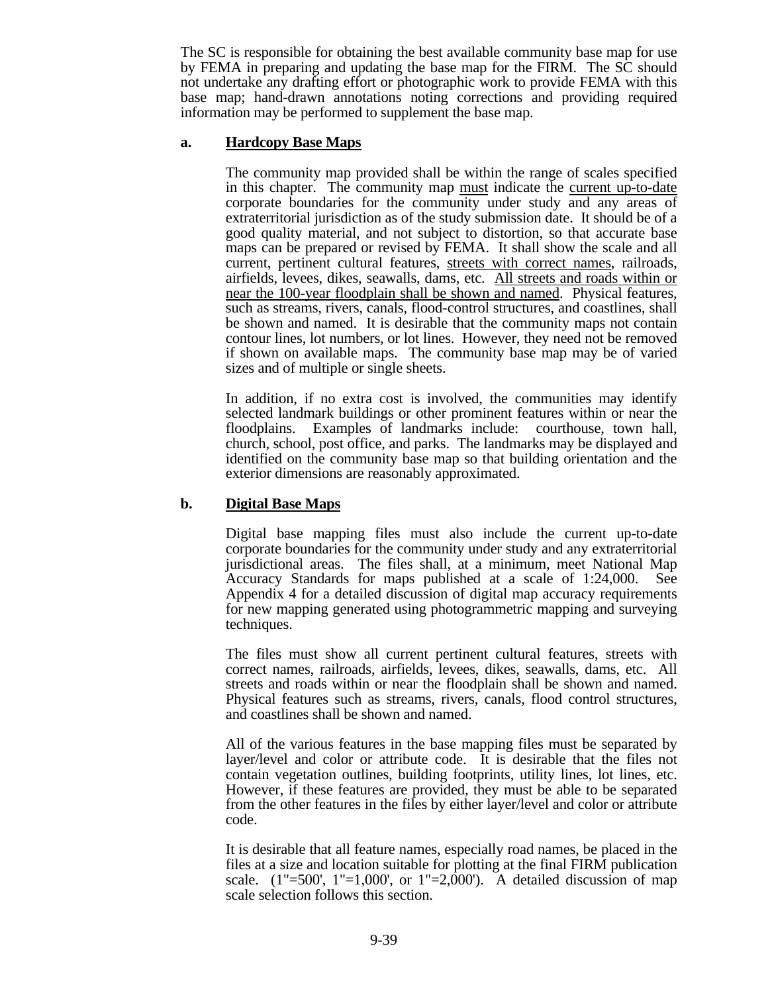The SC is responsible for obtaining the best available community base map for use by FEMA in preparing and updating the base map for the FIRM. The SC should not undertake any drafting effort or photographic work to provide FEMA with this base map; hand-drawn annotations noting corrections and providing required information may be performed to supplement the base map.

## **a. Hardcopy Base Maps**

 The community map provided shall be within the range of scales specified in this chapter. The community map must indicate the current up-to-date corporate boundaries for the community under study and any areas of extraterritorial jurisdiction as of the study submission date. It should be of a good quality material, and not subject to distortion, so that accurate base maps can be prepared or revised by FEMA. It shall show the scale and all current, pertinent cultural features, streets with correct names, railroads, airfields, levees, dikes, seawalls, dams, etc. All streets and roads within or near the 100-year floodplain shall be shown and named. Physical features, such as streams, rivers, canals, flood-control structures, and coastlines, shall be shown and named. It is desirable that the community maps not contain contour lines, lot numbers, or lot lines. However, they need not be removed if shown on available maps. The community base map may be of varied sizes and of multiple or single sheets.

 In addition, if no extra cost is involved, the communities may identify selected landmark buildings or other prominent features within or near the floodplains. Examples of landmarks include: courthouse, town hall, church, school, post office, and parks. The landmarks may be displayed and identified on the community base map so that building orientation and the exterior dimensions are reasonably approximated.

# **b. Digital Base Maps**

 Digital base mapping files must also include the current up-to-date corporate boundaries for the community under study and any extraterritorial jurisdictional areas. The files shall, at a minimum, meet National Map Accuracy Standards for maps published at a scale of 1:24,000. See Appendix 4 for a detailed discussion of digital map accuracy requirements for new mapping generated using photogrammetric mapping and surveying techniques.

 The files must show all current pertinent cultural features, streets with correct names, railroads, airfields, levees, dikes, seawalls, dams, etc. All streets and roads within or near the floodplain shall be shown and named. Physical features such as streams, rivers, canals, flood control structures, and coastlines shall be shown and named.

 All of the various features in the base mapping files must be separated by layer/level and color or attribute code. It is desirable that the files not contain vegetation outlines, building footprints, utility lines, lot lines, etc. However, if these features are provided, they must be able to be separated from the other features in the files by either layer/level and color or attribute code.

 It is desirable that all feature names, especially road names, be placed in the files at a size and location suitable for plotting at the final FIRM publication scale.  $(1"=500', 1"=1,000',$  or  $1"=2,000'$ ). A detailed discussion of map scale selection follows this section.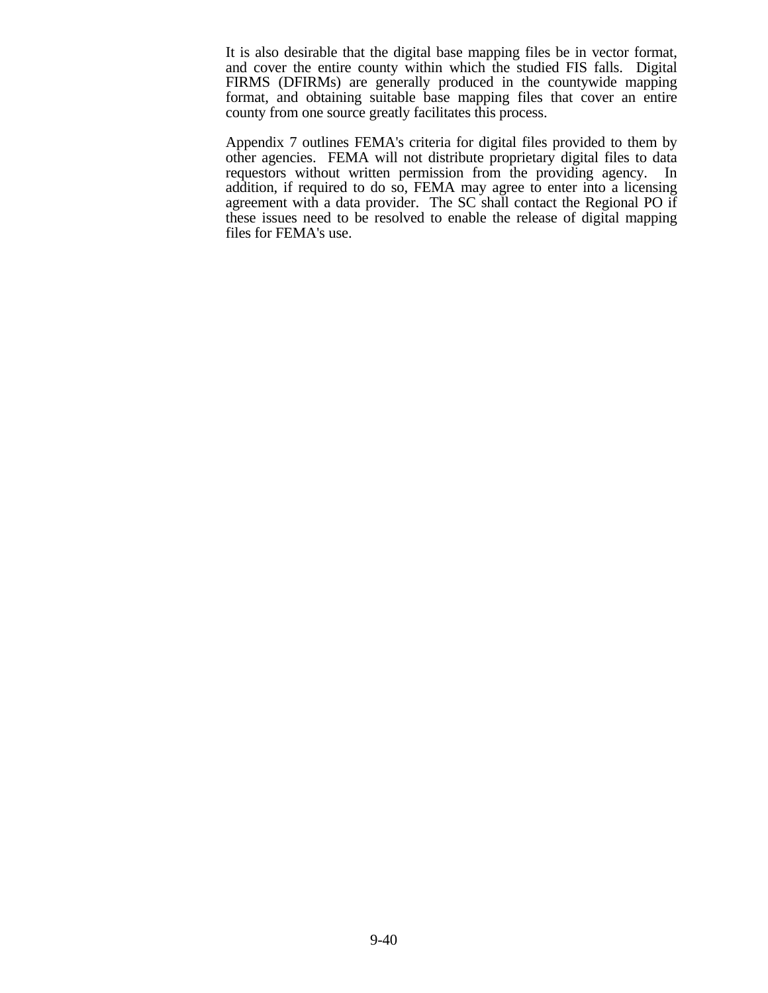It is also desirable that the digital base mapping files be in vector format, and cover the entire county within which the studied FIS falls. Digital FIRMS (DFIRMs) are generally produced in the countywide mapping format, and obtaining suitable base mapping files that cover an entire county from one source greatly facilitates this process.

 Appendix 7 outlines FEMA's criteria for digital files provided to them by other agencies. FEMA will not distribute proprietary digital files to data requestors without written permission from the providing agency. In addition, if required to do so, FEMA may agree to enter into a licensing agreement with a data provider. The SC shall contact the Regional PO if these issues need to be resolved to enable the release of digital mapping files for FEMA's use.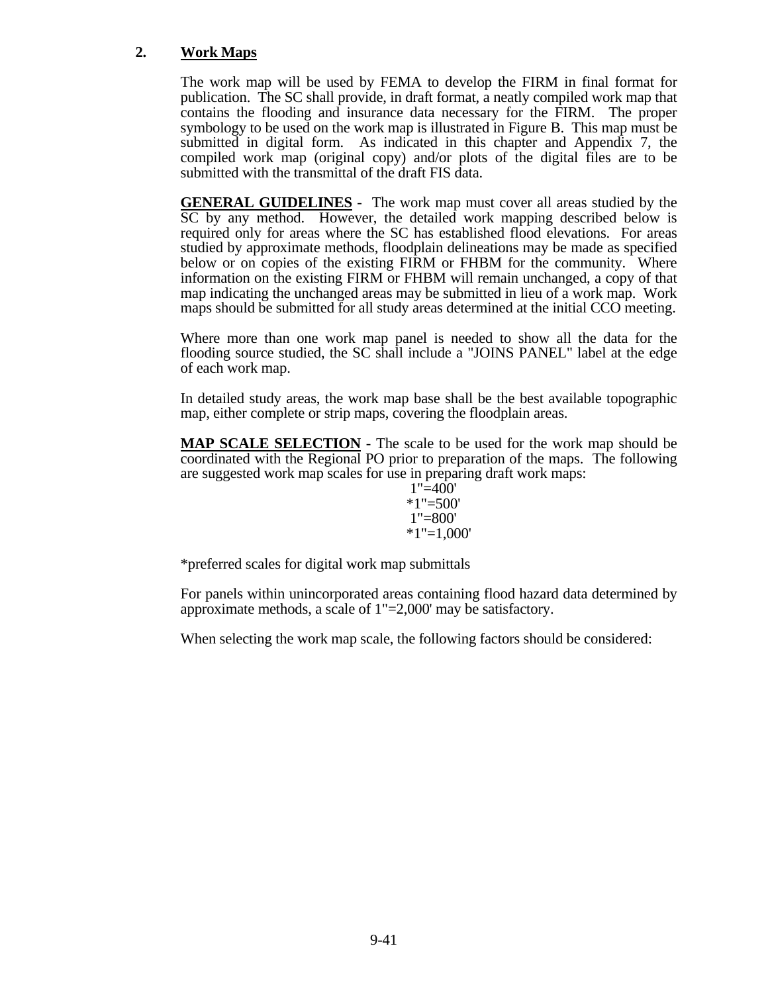# **2. Work Maps**

 The work map will be used by FEMA to develop the FIRM in final format for publication. The SC shall provide, in draft format, a neatly compiled work map that contains the flooding and insurance data necessary for the FIRM. The proper symbology to be used on the work map is illustrated in Figure B. This map must be submitted in digital form. As indicated in this chapter and Appendix 7, the compiled work map (original copy) and/or plots of the digital files are to be submitted with the transmittal of the draft FIS data.

 **GENERAL GUIDELINES** - The work map must cover all areas studied by the SC by any method. However, the detailed work mapping described below is required only for areas where the SC has established flood elevations. For areas studied by approximate methods, floodplain delineations may be made as specified below or on copies of the existing FIRM or FHBM for the community. Where information on the existing FIRM or FHBM will remain unchanged, a copy of that map indicating the unchanged areas may be submitted in lieu of a work map. Work maps should be submitted for all study areas determined at the initial CCO meeting.

 Where more than one work map panel is needed to show all the data for the flooding source studied, the SC shall include a "JOINS PANEL" label at the edge of each work map.

 In detailed study areas, the work map base shall be the best available topographic map, either complete or strip maps, covering the floodplain areas.

 **MAP SCALE SELECTION** - The scale to be used for the work map should be coordinated with the Regional PO prior to preparation of the maps. The following are suggested work map scales for use in preparing draft work maps:

$$
1"=\overline{400}'\n*1"=\overline{500}'\n1"=\overline{800}'\n*1"=\overline{1,000}'
$$

\*preferred scales for digital work map submittals

 For panels within unincorporated areas containing flood hazard data determined by approximate methods, a scale of 1"=2,000' may be satisfactory.

When selecting the work map scale, the following factors should be considered: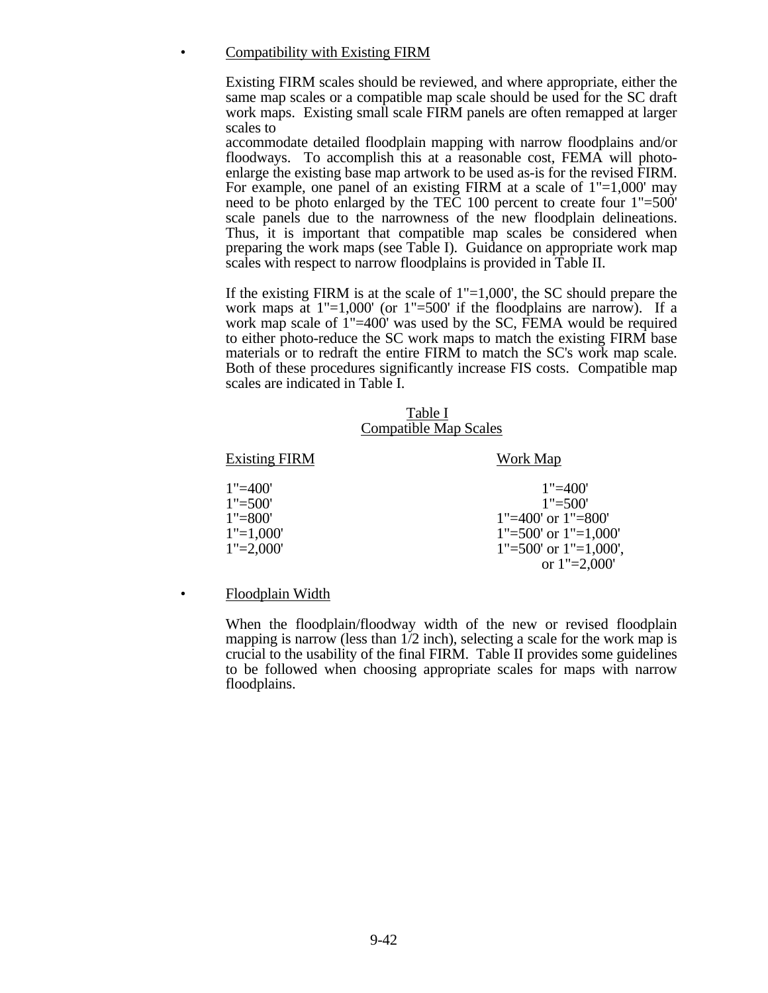# • Compatibility with Existing FIRM

 Existing FIRM scales should be reviewed, and where appropriate, either the same map scales or a compatible map scale should be used for the SC draft work maps. Existing small scale FIRM panels are often remapped at larger scales to

 accommodate detailed floodplain mapping with narrow floodplains and/or floodways. To accomplish this at a reasonable cost, FEMA will photoenlarge the existing base map artwork to be used as-is for the revised FIRM. For example, one panel of an existing FIRM at a scale of  $1"=1,000'$  may need to be photo enlarged by the TEC 100 percent to create four 1"=500' scale panels due to the narrowness of the new floodplain delineations. Thus, it is important that compatible map scales be considered when preparing the work maps (see Table I). Guidance on appropriate work map scales with respect to narrow floodplains is provided in Table II.

If the existing FIRM is at the scale of  $1" = 1,000'$ , the SC should prepare the work maps at  $1"=1,000'$  (or  $1"=500'$  if the floodplains are narrow). If a work map scale of 1"=400' was used by the SC, FEMA would be required to either photo-reduce the SC work maps to match the existing FIRM base materials or to redraft the entire FIRM to match the SC's work map scale. Both of these procedures significantly increase FIS costs. Compatible map scales are indicated in Table I.

#### **Table I** Compatible Map Scales

Existing FIRM Work Map

- $1"=\!\!400'$   $1"=\!\!400'$  $1" = 500'$   $1" = 500'$  1"=800' 1"=400' or 1"=800'  $1"=1,000'$   $1"=500'$  or  $1"=1,000'$  $1" = 2,000'$   $1" = 500'$  or  $1" = 1,000'$ , or 1"=2,000'
	- Floodplain Width

 When the floodplain/floodway width of the new or revised floodplain mapping is narrow (less than 1/2 inch), selecting a scale for the work map is crucial to the usability of the final FIRM. Table II provides some guidelines to be followed when choosing appropriate scales for maps with narrow floodplains.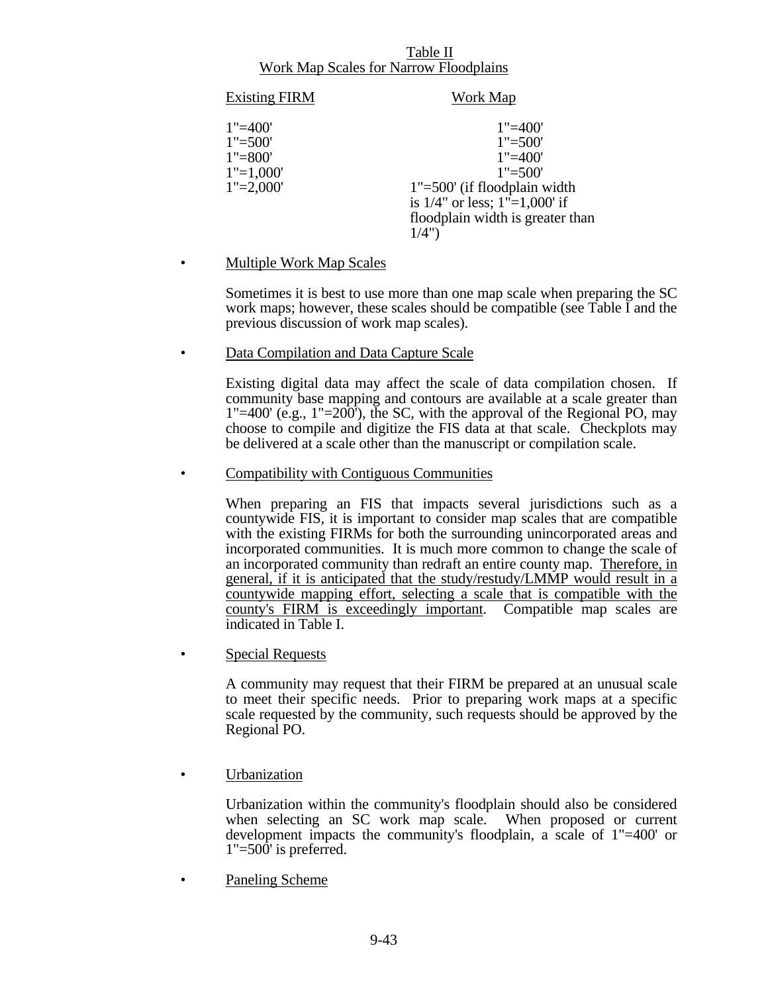#### Table II Work Map Scales for Narrow Floodplains

| <b>Existing FIRM</b>                                                        | Work Map                                                                                                                                                                        |
|-----------------------------------------------------------------------------|---------------------------------------------------------------------------------------------------------------------------------------------------------------------------------|
| $1" = 400'$<br>$1" = 500'$<br>$1" = 800'$<br>$1" = 1,000'$<br>$1" = 2,000'$ | $1" = 400'$<br>$1" = 500'$<br>$1" = 400'$<br>$1" = 500'$<br>$1" = 500'$ (if floodplain width<br>is $1/4$ " or less; $1$ "=1,000' if<br>floodplain width is greater than<br>1/4" |

# • Multiple Work Map Scales

 Sometimes it is best to use more than one map scale when preparing the SC work maps; however, these scales should be compatible (see Table I and the previous discussion of work map scales).

• Data Compilation and Data Capture Scale

 Existing digital data may affect the scale of data compilation chosen. If community base mapping and contours are available at a scale greater than 1"=400' (e.g., 1"=200'), the SC, with the approval of the Regional PO, may choose to compile and digitize the FIS data at that scale. Checkplots may be delivered at a scale other than the manuscript or compilation scale.

• Compatibility with Contiguous Communities

 When preparing an FIS that impacts several jurisdictions such as a countywide FIS, it is important to consider map scales that are compatible with the existing FIRMs for both the surrounding unincorporated areas and incorporated communities. It is much more common to change the scale of an incorporated community than redraft an entire county map. Therefore, in general, if it is anticipated that the study/restudy/LMMP would result in a countywide mapping effort, selecting a scale that is compatible with the county's FIRM is exceedingly important. Compatible map scales are indicated in Table I.

**Special Requests** 

 A community may request that their FIRM be prepared at an unusual scale to meet their specific needs. Prior to preparing work maps at a specific scale requested by the community, such requests should be approved by the Regional PO.

**Urbanization** 

 Urbanization within the community's floodplain should also be considered when selecting an SC work map scale. When proposed or current development impacts the community's floodplain, a scale of 1"=400' or 1"=500' is preferred.

Paneling Scheme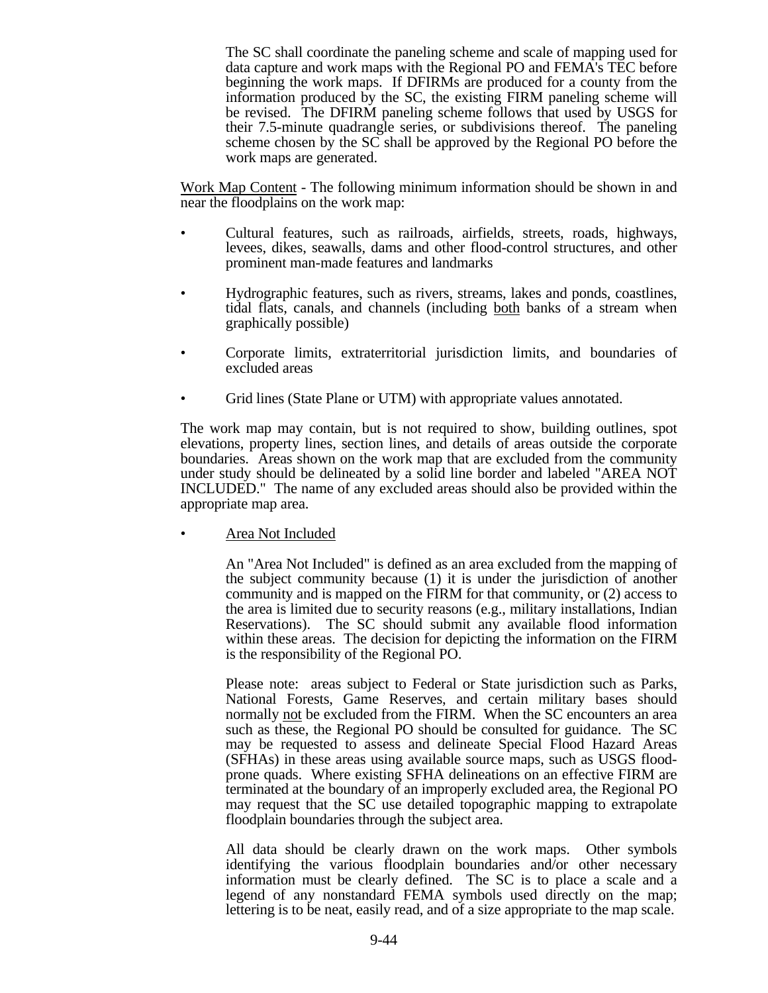The SC shall coordinate the paneling scheme and scale of mapping used for data capture and work maps with the Regional PO and FEMA's TEC before beginning the work maps. If DFIRMs are produced for a county from the information produced by the SC, the existing FIRM paneling scheme will be revised. The DFIRM paneling scheme follows that used by USGS for their 7.5-minute quadrangle series, or subdivisions thereof. The paneling scheme chosen by the SC shall be approved by the Regional PO before the work maps are generated.

 Work Map Content - The following minimum information should be shown in and near the floodplains on the work map:

- Cultural features, such as railroads, airfields, streets, roads, highways, levees, dikes, seawalls, dams and other flood-control structures, and other prominent man-made features and landmarks
- Hydrographic features, such as rivers, streams, lakes and ponds, coastlines, tidal flats, canals, and channels (including both banks of a stream when graphically possible)
- Corporate limits, extraterritorial jurisdiction limits, and boundaries of excluded areas
- Grid lines (State Plane or UTM) with appropriate values annotated.

 The work map may contain, but is not required to show, building outlines, spot elevations, property lines, section lines, and details of areas outside the corporate boundaries. Areas shown on the work map that are excluded from the community under study should be delineated by a solid line border and labeled "AREA NOT INCLUDED." The name of any excluded areas should also be provided within the appropriate map area.

• Area Not Included

 An "Area Not Included" is defined as an area excluded from the mapping of the subject community because (1) it is under the jurisdiction of another community and is mapped on the FIRM for that community, or (2) access to the area is limited due to security reasons (e.g., military installations, Indian Reservations). The SC should submit any available flood information within these areas. The decision for depicting the information on the FIRM is the responsibility of the Regional PO.

 Please note: areas subject to Federal or State jurisdiction such as Parks, National Forests, Game Reserves, and certain military bases should normally not be excluded from the FIRM. When the SC encounters an area such as these, the Regional PO should be consulted for guidance. The SC may be requested to assess and delineate Special Flood Hazard Areas (SFHAs) in these areas using available source maps, such as USGS floodprone quads. Where existing SFHA delineations on an effective FIRM are terminated at the boundary of an improperly excluded area, the Regional PO may request that the SC use detailed topographic mapping to extrapolate floodplain boundaries through the subject area.

 All data should be clearly drawn on the work maps. Other symbols identifying the various floodplain boundaries and/or other necessary information must be clearly defined. The SC is to place a scale and a legend of any nonstandard FEMA symbols used directly on the map; lettering is to be neat, easily read, and of a size appropriate to the map scale.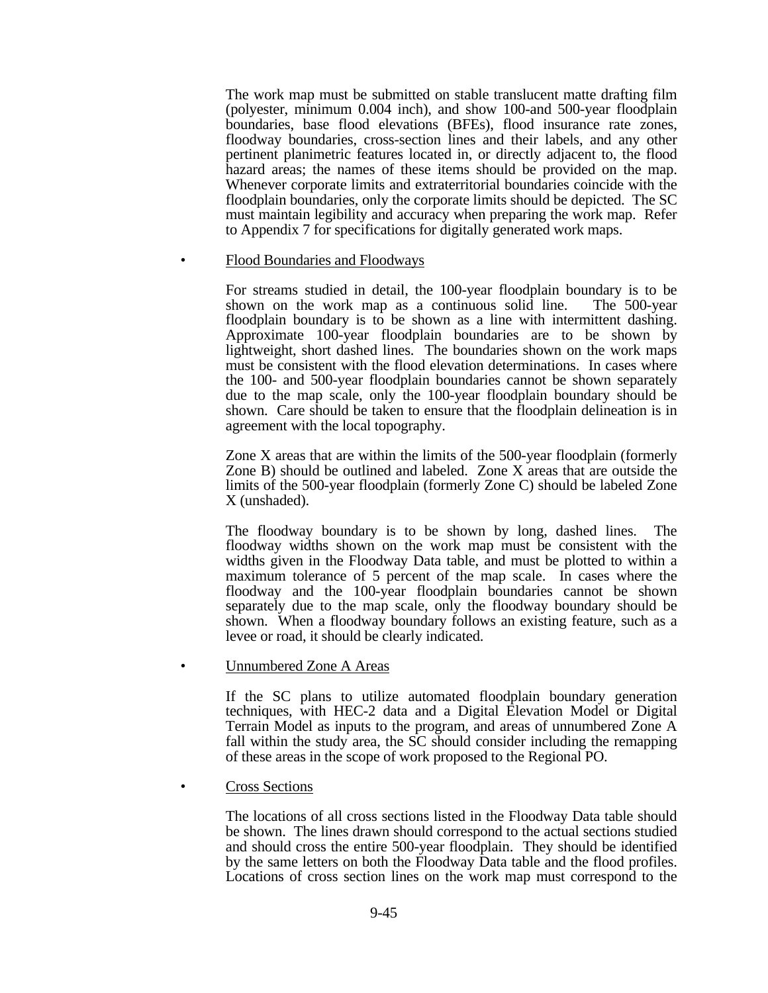The work map must be submitted on stable translucent matte drafting film (polyester, minimum 0.004 inch), and show 100-and 500-year floodplain boundaries, base flood elevations (BFEs), flood insurance rate zones, floodway boundaries, cross-section lines and their labels, and any other pertinent planimetric features located in, or directly adjacent to, the flood hazard areas; the names of these items should be provided on the map. Whenever corporate limits and extraterritorial boundaries coincide with the floodplain boundaries, only the corporate limits should be depicted. The SC must maintain legibility and accuracy when preparing the work map. Refer to Appendix 7 for specifications for digitally generated work maps.

#### • Flood Boundaries and Floodways

 For streams studied in detail, the 100-year floodplain boundary is to be shown on the work map as a continuous solid line. The 500-year floodplain boundary is to be shown as a line with intermittent dashing. Approximate 100-year floodplain boundaries are to be shown by lightweight, short dashed lines. The boundaries shown on the work maps must be consistent with the flood elevation determinations. In cases where the 100- and 500-year floodplain boundaries cannot be shown separately due to the map scale, only the 100-year floodplain boundary should be shown. Care should be taken to ensure that the floodplain delineation is in agreement with the local topography.

 Zone X areas that are within the limits of the 500-year floodplain (formerly Zone B) should be outlined and labeled. Zone X areas that are outside the limits of the 500-year floodplain (formerly Zone C) should be labeled Zone X (unshaded).

 The floodway boundary is to be shown by long, dashed lines. The floodway widths shown on the work map must be consistent with the widths given in the Floodway Data table, and must be plotted to within a maximum tolerance of 5 percent of the map scale. In cases where the floodway and the 100-year floodplain boundaries cannot be shown separately due to the map scale, only the floodway boundary should be shown. When a floodway boundary follows an existing feature, such as a levee or road, it should be clearly indicated.

Unnumbered Zone A Areas

 If the SC plans to utilize automated floodplain boundary generation techniques, with HEC-2 data and a Digital Elevation Model or Digital Terrain Model as inputs to the program, and areas of unnumbered Zone A fall within the study area, the SC should consider including the remapping of these areas in the scope of work proposed to the Regional PO.

• Cross Sections

 The locations of all cross sections listed in the Floodway Data table should be shown. The lines drawn should correspond to the actual sections studied and should cross the entire 500-year floodplain. They should be identified by the same letters on both the Floodway Data table and the flood profiles. Locations of cross section lines on the work map must correspond to the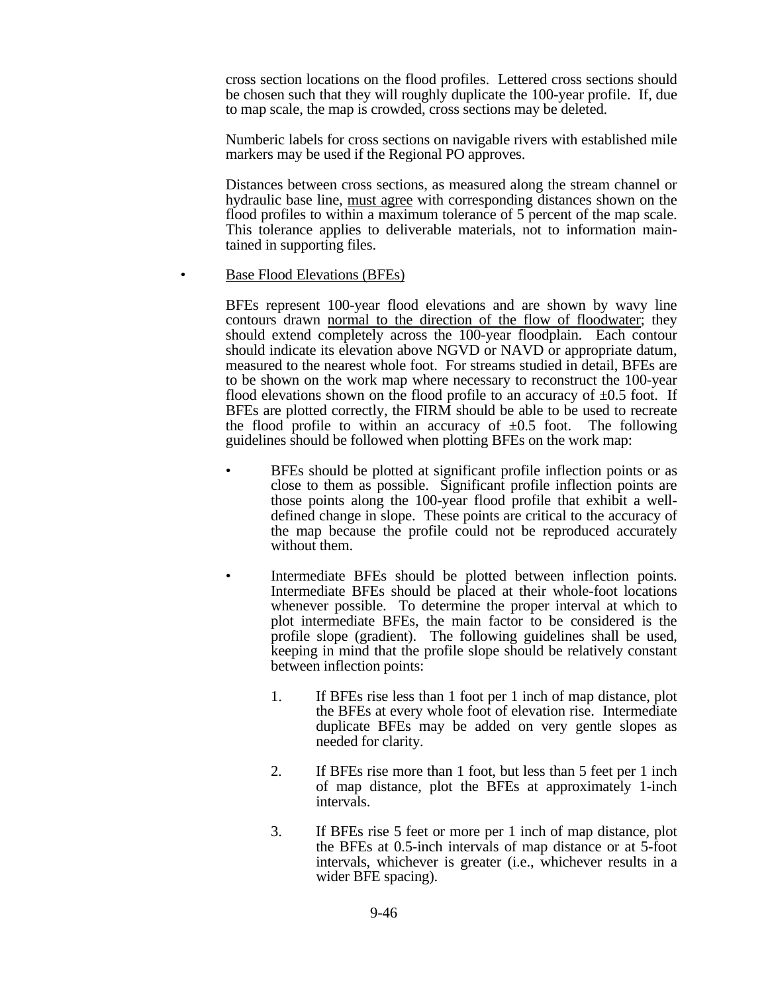cross section locations on the flood profiles. Lettered cross sections should be chosen such that they will roughly duplicate the 100-year profile. If, due to map scale, the map is crowded, cross sections may be deleted.

 Numberic labels for cross sections on navigable rivers with established mile markers may be used if the Regional PO approves.

 Distances between cross sections, as measured along the stream channel or hydraulic base line, must agree with corresponding distances shown on the flood profiles to within a maximum tolerance of 5 percent of the map scale. This tolerance applies to deliverable materials, not to information maintained in supporting files.

• Base Flood Elevations (BFEs)

 BFEs represent 100-year flood elevations and are shown by wavy line contours drawn normal to the direction of the flow of floodwater; they should extend completely across the 100-year floodplain. Each contour should indicate its elevation above NGVD or NAVD or appropriate datum, measured to the nearest whole foot. For streams studied in detail, BFEs are to be shown on the work map where necessary to reconstruct the 100-year flood elevations shown on the flood profile to an accuracy of  $\pm 0.5$  foot. If BFEs are plotted correctly, the FIRM should be able to be used to recreate the flood profile to within an accuracy of  $\pm 0.5$  foot. The following guidelines should be followed when plotting BFEs on the work map:

- BFEs should be plotted at significant profile inflection points or as close to them as possible. Significant profile inflection points are those points along the 100-year flood profile that exhibit a welldefined change in slope. These points are critical to the accuracy of the map because the profile could not be reproduced accurately without them.
- Intermediate BFEs should be plotted between inflection points. Intermediate BFEs should be placed at their whole-foot locations whenever possible. To determine the proper interval at which to plot intermediate BFEs, the main factor to be considered is the profile slope (gradient). The following guidelines shall be used, keeping in mind that the profile slope should be relatively constant between inflection points:
	- 1. If BFEs rise less than 1 foot per 1 inch of map distance, plot the BFEs at every whole foot of elevation rise. Intermediate duplicate BFEs may be added on very gentle slopes as needed for clarity.
	- 2. If BFEs rise more than 1 foot, but less than 5 feet per 1 inch of map distance, plot the BFEs at approximately 1-inch intervals.
	- 3. If BFEs rise 5 feet or more per 1 inch of map distance, plot the BFEs at 0.5-inch intervals of map distance or at 5-foot intervals, whichever is greater (i.e., whichever results in a wider BFE spacing).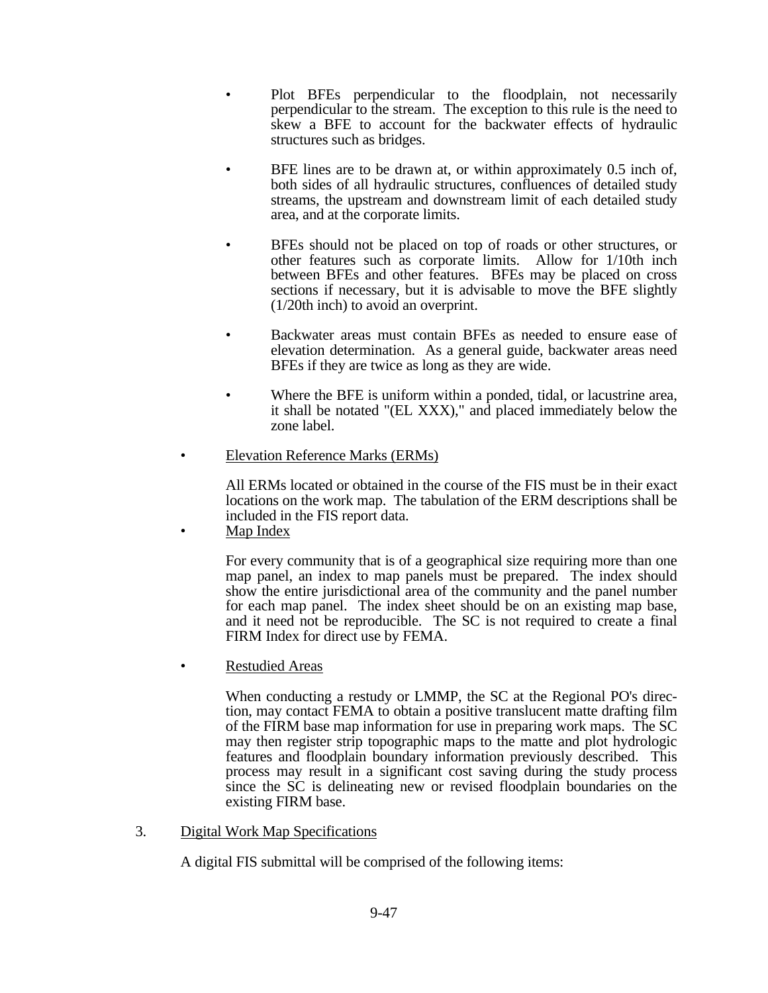- Plot BFEs perpendicular to the floodplain, not necessarily perpendicular to the stream. The exception to this rule is the need to skew a BFE to account for the backwater effects of hydraulic structures such as bridges.
- BFE lines are to be drawn at, or within approximately 0.5 inch of, both sides of all hydraulic structures, confluences of detailed study streams, the upstream and downstream limit of each detailed study area, and at the corporate limits.
- BFEs should not be placed on top of roads or other structures, or other features such as corporate limits. Allow for 1/10th inch between BFEs and other features. BFEs may be placed on cross sections if necessary, but it is advisable to move the BFE slightly (1/20th inch) to avoid an overprint.
- Backwater areas must contain BFEs as needed to ensure ease of elevation determination. As a general guide, backwater areas need BFEs if they are twice as long as they are wide.
- Where the BFE is uniform within a ponded, tidal, or lacustrine area, it shall be notated "(EL XXX)," and placed immediately below the zone label.
- Elevation Reference Marks (ERMs)

 All ERMs located or obtained in the course of the FIS must be in their exact locations on the work map. The tabulation of the ERM descriptions shall be included in the FIS report data.

Map Index

 For every community that is of a geographical size requiring more than one map panel, an index to map panels must be prepared. The index should show the entire jurisdictional area of the community and the panel number for each map panel. The index sheet should be on an existing map base, and it need not be reproducible. The SC is not required to create a final FIRM Index for direct use by FEMA.

Restudied Areas

 When conducting a restudy or LMMP, the SC at the Regional PO's direction, may contact FEMA to obtain a positive translucent matte drafting film of the FIRM base map information for use in preparing work maps. The SC may then register strip topographic maps to the matte and plot hydrologic features and floodplain boundary information previously described. This process may result in a significant cost saving during the study process since the SC is delineating new or revised floodplain boundaries on the existing FIRM base.

3. Digital Work Map Specifications

A digital FIS submittal will be comprised of the following items: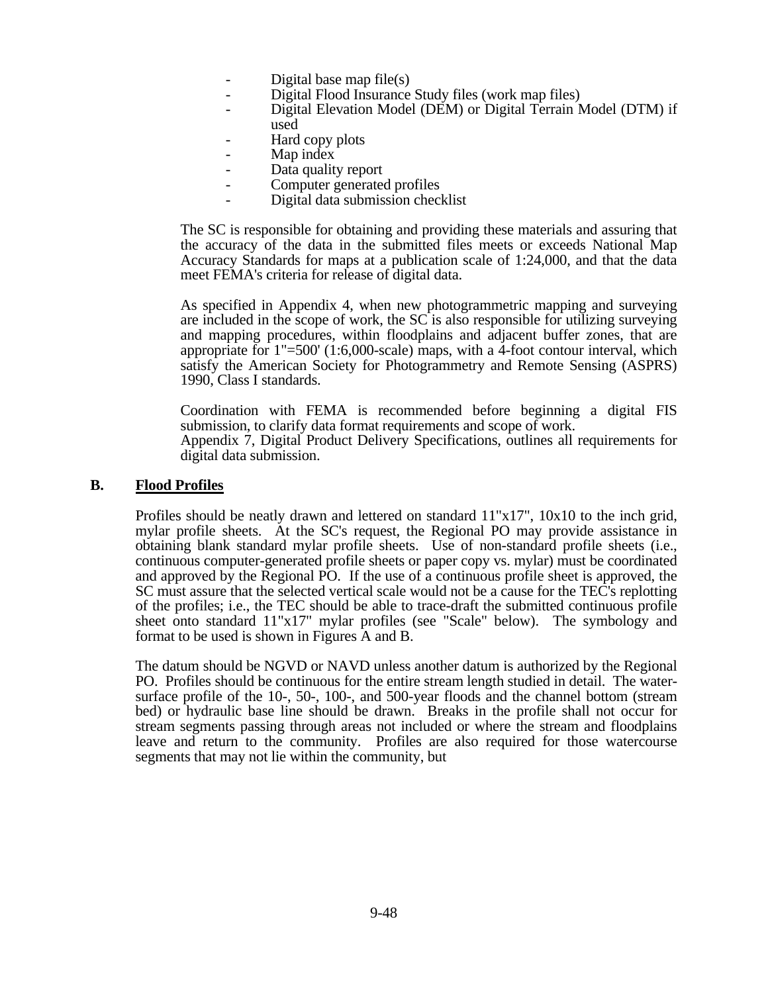- Digital base map file $(s)$
- Digital Flood Insurance Study files (work map files)
- Digital Elevation Model (DEM) or Digital Terrain Model (DTM) if used
- Hard copy plots
- Map index
- Data quality report
- Computer generated profiles
- Digital data submission checklist

 The SC is responsible for obtaining and providing these materials and assuring that the accuracy of the data in the submitted files meets or exceeds National Map Accuracy Standards for maps at a publication scale of 1:24,000, and that the data meet FEMA's criteria for release of digital data.

 As specified in Appendix 4, when new photogrammetric mapping and surveying are included in the scope of work, the SC is also responsible for utilizing surveying and mapping procedures, within floodplains and adjacent buffer zones, that are appropriate for 1"=500' (1:6,000-scale) maps, with a 4-foot contour interval, which satisfy the American Society for Photogrammetry and Remote Sensing (ASPRS) 1990, Class I standards.

 Coordination with FEMA is recommended before beginning a digital FIS submission, to clarify data format requirements and scope of work.

 Appendix 7, Digital Product Delivery Specifications, outlines all requirements for digital data submission.

# **B. Flood Profiles**

 Profiles should be neatly drawn and lettered on standard 11"x17", 10x10 to the inch grid, mylar profile sheets. At the SC's request, the Regional PO may provide assistance in obtaining blank standard mylar profile sheets. Use of non-standard profile sheets (i.e., continuous computer-generated profile sheets or paper copy vs. mylar) must be coordinated and approved by the Regional PO. If the use of a continuous profile sheet is approved, the SC must assure that the selected vertical scale would not be a cause for the TEC's replotting of the profiles; i.e., the TEC should be able to trace-draft the submitted continuous profile sheet onto standard 11"x17" mylar profiles (see "Scale" below). The symbology and format to be used is shown in Figures A and B.

 The datum should be NGVD or NAVD unless another datum is authorized by the Regional PO. Profiles should be continuous for the entire stream length studied in detail. The watersurface profile of the 10-, 50-, 100-, and 500-year floods and the channel bottom (stream bed) or hydraulic base line should be drawn. Breaks in the profile shall not occur for stream segments passing through areas not included or where the stream and floodplains leave and return to the community. Profiles are also required for those watercourse segments that may not lie within the community, but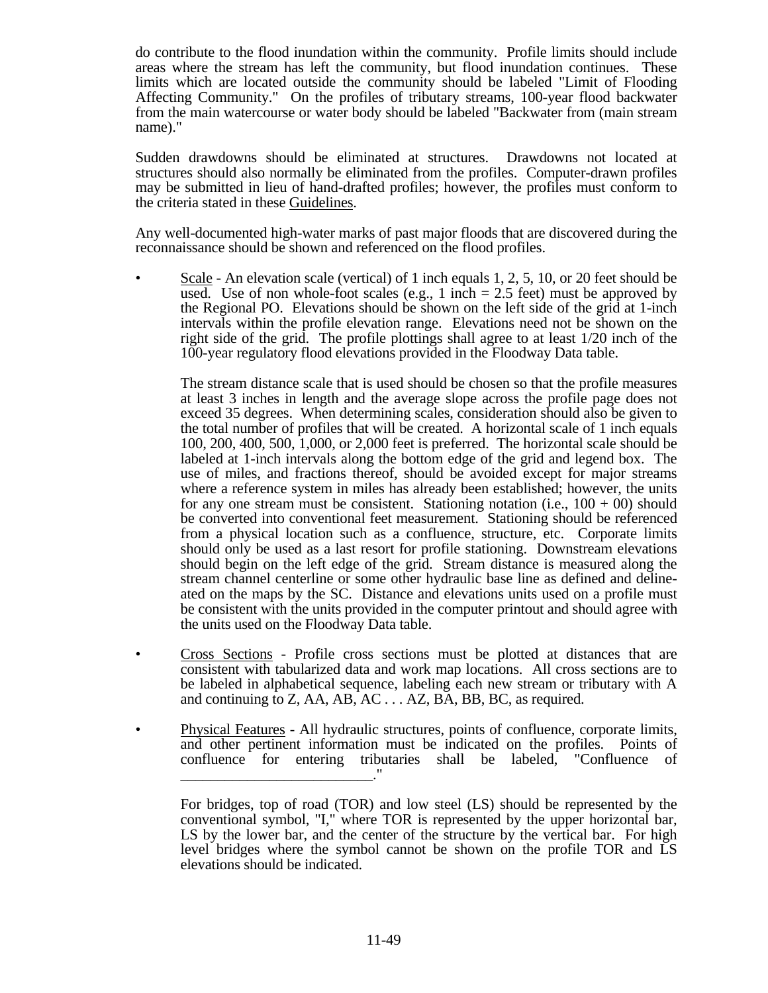do contribute to the flood inundation within the community. Profile limits should include areas where the stream has left the community, but flood inundation continues. These limits which are located outside the community should be labeled "Limit of Flooding Affecting Community." On the profiles of tributary streams, 100-year flood backwater from the main watercourse or water body should be labeled "Backwater from (main stream name)."

 Sudden drawdowns should be eliminated at structures. Drawdowns not located at structures should also normally be eliminated from the profiles. Computer-drawn profiles may be submitted in lieu of hand-drafted profiles; however, the profiles must conform to the criteria stated in these Guidelines.

 Any well-documented high-water marks of past major floods that are discovered during the reconnaissance should be shown and referenced on the flood profiles.

 • Scale - An elevation scale (vertical) of 1 inch equals 1, 2, 5, 10, or 20 feet should be used. Use of non whole-foot scales (e.g., 1 inch  $= 2.5$  feet) must be approved by the Regional PO. Elevations should be shown on the left side of the grid at 1-inch intervals within the profile elevation range. Elevations need not be shown on the right side of the grid. The profile plottings shall agree to at least 1/20 inch of the 100-year regulatory flood elevations provided in the Floodway Data table.

 The stream distance scale that is used should be chosen so that the profile measures at least 3 inches in length and the average slope across the profile page does not exceed 35 degrees. When determining scales, consideration should also be given to the total number of profiles that will be created. A horizontal scale of 1 inch equals 100, 200, 400, 500, 1,000, or 2,000 feet is preferred. The horizontal scale should be labeled at 1-inch intervals along the bottom edge of the grid and legend box. The use of miles, and fractions thereof, should be avoided except for major streams where a reference system in miles has already been established; however, the units for any one stream must be consistent. Stationing notation (i.e.,  $100 + 00$ ) should be converted into conventional feet measurement. Stationing should be referenced from a physical location such as a confluence, structure, etc. Corporate limits should only be used as a last resort for profile stationing. Downstream elevations should begin on the left edge of the grid. Stream distance is measured along the stream channel centerline or some other hydraulic base line as defined and delineated on the maps by the SC. Distance and elevations units used on a profile must be consistent with the units provided in the computer printout and should agree with the units used on the Floodway Data table.

- Cross Sections Profile cross sections must be plotted at distances that are consistent with tabularized data and work map locations. All cross sections are to be labeled in alphabetical sequence, labeling each new stream or tributary with A and continuing to Z, AA, AB, AC . . . AZ, BA, BB, BC, as required.
- Physical Features All hydraulic structures, points of confluence, corporate limits, and other pertinent information must be indicated on the profiles. Points of confluence for entering tributaries shall be labeled, "Confluence of \_\_\_\_\_\_\_\_\_\_\_\_\_\_\_\_\_\_\_\_\_\_\_\_\_\_."

For bridges, top of road (TOR) and low steel (LS) should be represented by the conventional symbol, "I," where TOR is represented by the upper horizontal bar, LS by the lower bar, and the center of the structure by the vertical bar. For high level bridges where the symbol cannot be shown on the profile TOR and LS elevations should be indicated.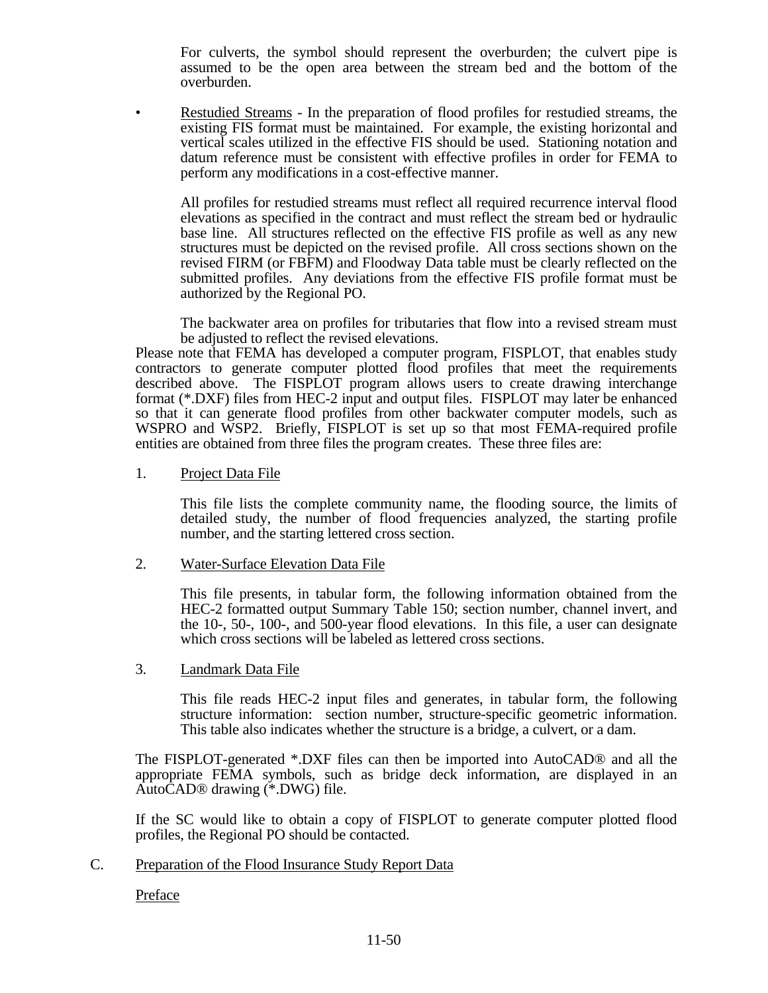For culverts, the symbol should represent the overburden; the culvert pipe is assumed to be the open area between the stream bed and the bottom of the overburden.

 • Restudied Streams - In the preparation of flood profiles for restudied streams, the existing FIS format must be maintained. For example, the existing horizontal and vertical scales utilized in the effective FIS should be used. Stationing notation and datum reference must be consistent with effective profiles in order for FEMA to perform any modifications in a cost-effective manner.

 All profiles for restudied streams must reflect all required recurrence interval flood elevations as specified in the contract and must reflect the stream bed or hydraulic base line. All structures reflected on the effective FIS profile as well as any new structures must be depicted on the revised profile. All cross sections shown on the revised FIRM (or FBFM) and Floodway Data table must be clearly reflected on the submitted profiles. Any deviations from the effective FIS profile format must be authorized by the Regional PO.

 The backwater area on profiles for tributaries that flow into a revised stream must be adjusted to reflect the revised elevations.

 Please note that FEMA has developed a computer program, FISPLOT, that enables study contractors to generate computer plotted flood profiles that meet the requirements described above. The FISPLOT program allows users to create drawing interchange format (\*.DXF) files from HEC-2 input and output files. FISPLOT may later be enhanced so that it can generate flood profiles from other backwater computer models, such as WSPRO and WSP2. Briefly, FISPLOT is set up so that most FEMA-required profile entities are obtained from three files the program creates. These three files are:

1. Project Data File

 This file lists the complete community name, the flooding source, the limits of detailed study, the number of flood frequencies analyzed, the starting profile number, and the starting lettered cross section.

2. Water-Surface Elevation Data File

 This file presents, in tabular form, the following information obtained from the HEC-2 formatted output Summary Table 150; section number, channel invert, and the 10-, 50-, 100-, and 500-year flood elevations. In this file, a user can designate which cross sections will be labeled as lettered cross sections.

3. Landmark Data File

 This file reads HEC-2 input files and generates, in tabular form, the following structure information: section number, structure-specific geometric information. This table also indicates whether the structure is a bridge, a culvert, or a dam.

 The FISPLOT-generated \*.DXF files can then be imported into AutoCAD® and all the appropriate FEMA symbols, such as bridge deck information, are displayed in an AutoCAD® drawing (\*.DWG) file.

 If the SC would like to obtain a copy of FISPLOT to generate computer plotted flood profiles, the Regional PO should be contacted.

C. Preparation of the Flood Insurance Study Report Data

**Preface**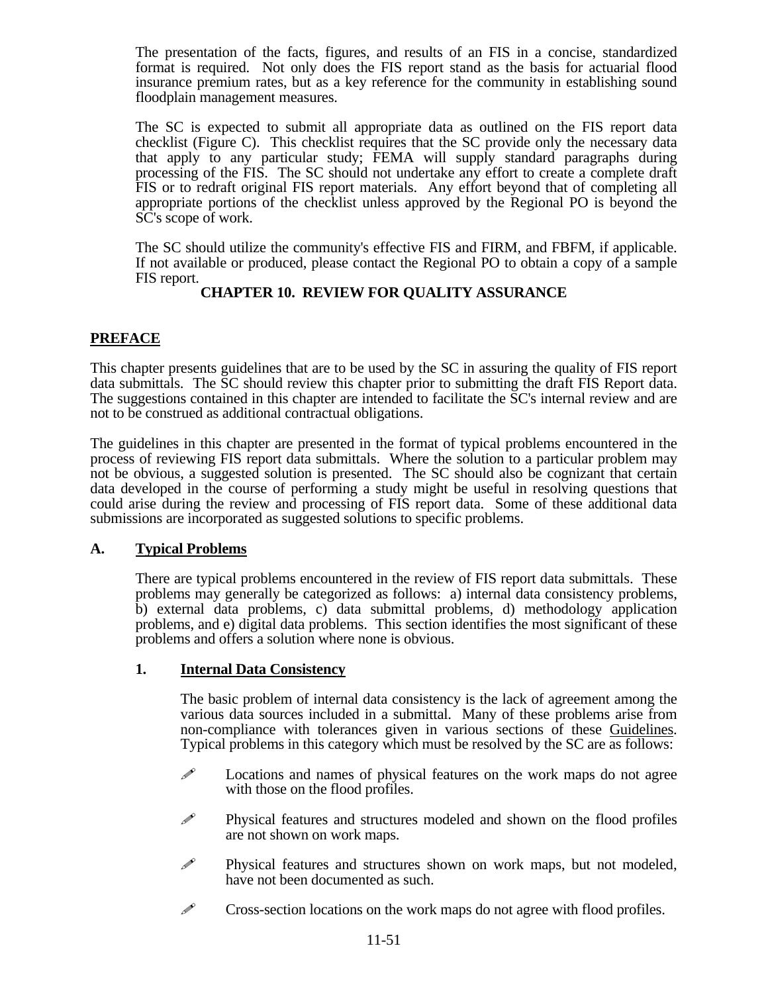The presentation of the facts, figures, and results of an FIS in a concise, standardized format is required. Not only does the FIS report stand as the basis for actuarial flood insurance premium rates, but as a key reference for the community in establishing sound floodplain management measures.

 The SC is expected to submit all appropriate data as outlined on the FIS report data checklist (Figure C). This checklist requires that the SC provide only the necessary data that apply to any particular study; FEMA will supply standard paragraphs during processing of the FIS. The SC should not undertake any effort to create a complete draft FIS or to redraft original FIS report materials. Any effort beyond that of completing all appropriate portions of the checklist unless approved by the Regional PO is beyond the SC's scope of work.

 The SC should utilize the community's effective FIS and FIRM, and FBFM, if applicable. If not available or produced, please contact the Regional PO to obtain a copy of a sample FIS report.

# **CHAPTER 10. REVIEW FOR QUALITY ASSURANCE**

# **PREFACE**

This chapter presents guidelines that are to be used by the SC in assuring the quality of FIS report data submittals. The SC should review this chapter prior to submitting the draft FIS Report data. The suggestions contained in this chapter are intended to facilitate the SC's internal review and are not to be construed as additional contractual obligations.

The guidelines in this chapter are presented in the format of typical problems encountered in the process of reviewing FIS report data submittals. Where the solution to a particular problem may not be obvious, a suggested solution is presented. The SC should also be cognizant that certain data developed in the course of performing a study might be useful in resolving questions that could arise during the review and processing of FIS report data. Some of these additional data submissions are incorporated as suggested solutions to specific problems.

# **A. Typical Problems**

 There are typical problems encountered in the review of FIS report data submittals. These problems may generally be categorized as follows: a) internal data consistency problems, b) external data problems, c) data submittal problems, d) methodology application problems, and e) digital data problems. This section identifies the most significant of these problems and offers a solution where none is obvious.

# **1. Internal Data Consistency**

 The basic problem of internal data consistency is the lack of agreement among the various data sources included in a submittal. Many of these problems arise from non-compliance with tolerances given in various sections of these Guidelines. Typical problems in this category which must be resolved by the SC are as follows:

- **Example 3** Locations and names of physical features on the work maps do not agree with those on the flood profiles.
- Physical features and structures modeled and shown on the flood profiles are not shown on work maps.
- Physical features and structures shown on work maps, but not modeled, have not been documented as such.
- $\mathscr{P}$  Cross-section locations on the work maps do not agree with flood profiles.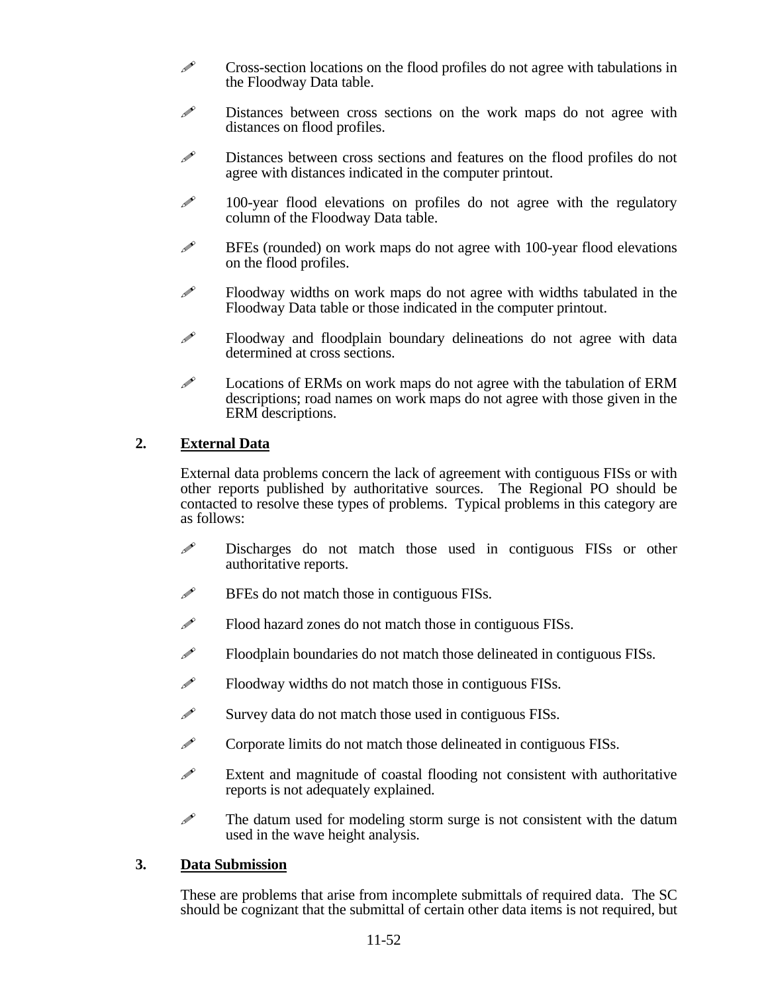- $\mathscr{S}$  Cross-section locations on the flood profiles do not agree with tabulations in the Floodway Data table.
- Distances between cross sections on the work maps do not agree with distances on flood profiles.
- Distances between cross sections and features on the flood profiles do not agree with distances indicated in the computer printout.
- 100-year flood elevations on profiles do not agree with the regulatory column of the Floodway Data table.
- BFEs (rounded) on work maps do not agree with 100-year flood elevations on the flood profiles.
- Floodway widths on work maps do not agree with widths tabulated in the Floodway Data table or those indicated in the computer printout.
- Floodway and floodplain boundary delineations do not agree with data determined at cross sections.
- $\mathscr{P}$  Locations of ERMs on work maps do not agree with the tabulation of ERM descriptions; road names on work maps do not agree with those given in the ERM descriptions.

# **2. External Data**

 External data problems concern the lack of agreement with contiguous FISs or with other reports published by authoritative sources. The Regional PO should be contacted to resolve these types of problems. Typical problems in this category are as follows:

- Discharges do not match those used in contiguous FISs or other authoritative reports.
- $\mathscr{P}$  BFEs do not match those in contiguous FISs.
- $\mathscr{P}$  Flood hazard zones do not match those in contiguous FISs.
- $\mathscr{P}$  Floodplain boundaries do not match those delineated in contiguous FISs.
- $\mathscr{P}$  Floodway widths do not match those in contiguous FISs.
- $\mathscr{S}$  Survey data do not match those used in contiguous FISs.
- $\mathscr{P}$  Corporate limits do not match those delineated in contiguous FISs.
- Extent and magnitude of coastal flooding not consistent with authoritative reports is not adequately explained.
- $\mathscr{P}$  The datum used for modeling storm surge is not consistent with the datum used in the wave height analysis.

# **3. Data Submission**

 These are problems that arise from incomplete submittals of required data. The SC should be cognizant that the submittal of certain other data items is not required, but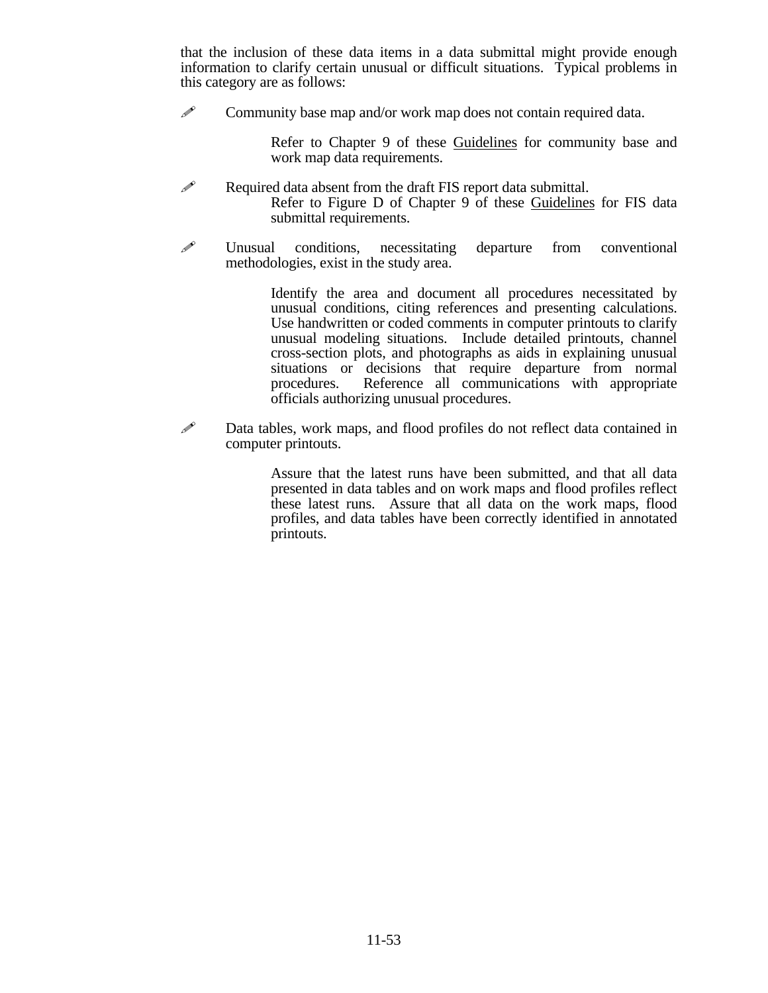that the inclusion of these data items in a data submittal might provide enough information to clarify certain unusual or difficult situations. Typical problems in this category are as follows:

 $\mathscr{P}$  Community base map and/or work map does not contain required data.

 Refer to Chapter 9 of these Guidelines for community base and work map data requirements.

- $\mathscr{P}$  Required data absent from the draft FIS report data submittal. Refer to Figure D of Chapter 9 of these Guidelines for FIS data submittal requirements.
- $\mathscr{P}$  Unusual conditions, necessitating departure from conventional methodologies, exist in the study area.

 Identify the area and document all procedures necessitated by unusual conditions, citing references and presenting calculations. Use handwritten or coded comments in computer printouts to clarify unusual modeling situations. Include detailed printouts, channel cross-section plots, and photographs as aids in explaining unusual situations or decisions that require departure from normal procedures. Reference all communications with appropriate officials authorizing unusual procedures.

 $\mathscr{P}$  Data tables, work maps, and flood profiles do not reflect data contained in computer printouts.

> Assure that the latest runs have been submitted, and that all data presented in data tables and on work maps and flood profiles reflect these latest runs. Assure that all data on the work maps, flood profiles, and data tables have been correctly identified in annotated printouts.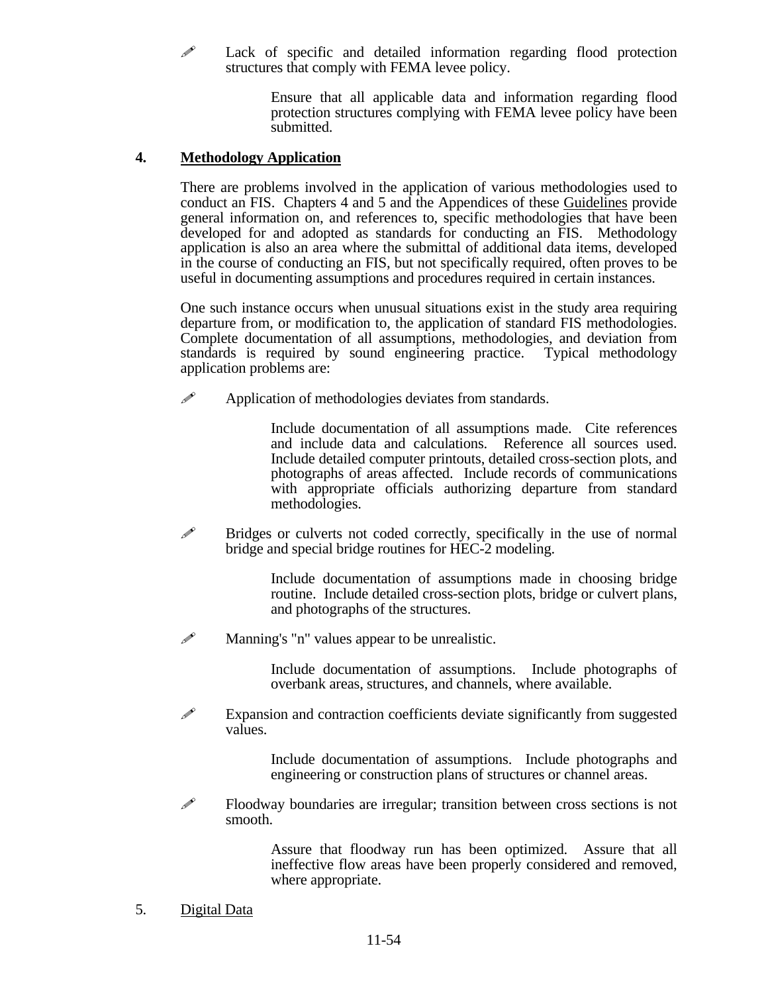Lack of specific and detailed information regarding flood protection structures that comply with FEMA levee policy.

> Ensure that all applicable data and information regarding flood protection structures complying with FEMA levee policy have been submitted.

# **4. Methodology Application**

 There are problems involved in the application of various methodologies used to conduct an FIS. Chapters 4 and 5 and the Appendices of these Guidelines provide general information on, and references to, specific methodologies that have been developed for and adopted as standards for conducting an FIS. Methodology application is also an area where the submittal of additional data items, developed in the course of conducting an FIS, but not specifically required, often proves to be useful in documenting assumptions and procedures required in certain instances.

 One such instance occurs when unusual situations exist in the study area requiring departure from, or modification to, the application of standard FIS methodologies. Complete documentation of all assumptions, methodologies, and deviation from standards is required by sound engineering practice. Typical methodology application problems are:

 $\mathscr{P}$  Application of methodologies deviates from standards.

 Include documentation of all assumptions made. Cite references and include data and calculations. Reference all sources used. Include detailed computer printouts, detailed cross-section plots, and photographs of areas affected. Include records of communications with appropriate officials authorizing departure from standard methodologies.

 $\mathscr{P}$  Bridges or culverts not coded correctly, specifically in the use of normal bridge and special bridge routines for HEC-2 modeling.

> Include documentation of assumptions made in choosing bridge routine. Include detailed cross-section plots, bridge or culvert plans, and photographs of the structures.

 $\mathscr{P}$  Manning's "n" values appear to be unrealistic.

 Include documentation of assumptions. Include photographs of overbank areas, structures, and channels, where available.

 $\mathscr{P}$  Expansion and contraction coefficients deviate significantly from suggested values.

> Include documentation of assumptions. Include photographs and engineering or construction plans of structures or channel areas.

 Floodway boundaries are irregular; transition between cross sections is not smooth.

> Assure that floodway run has been optimized. Assure that all ineffective flow areas have been properly considered and removed, where appropriate.

5. Digital Data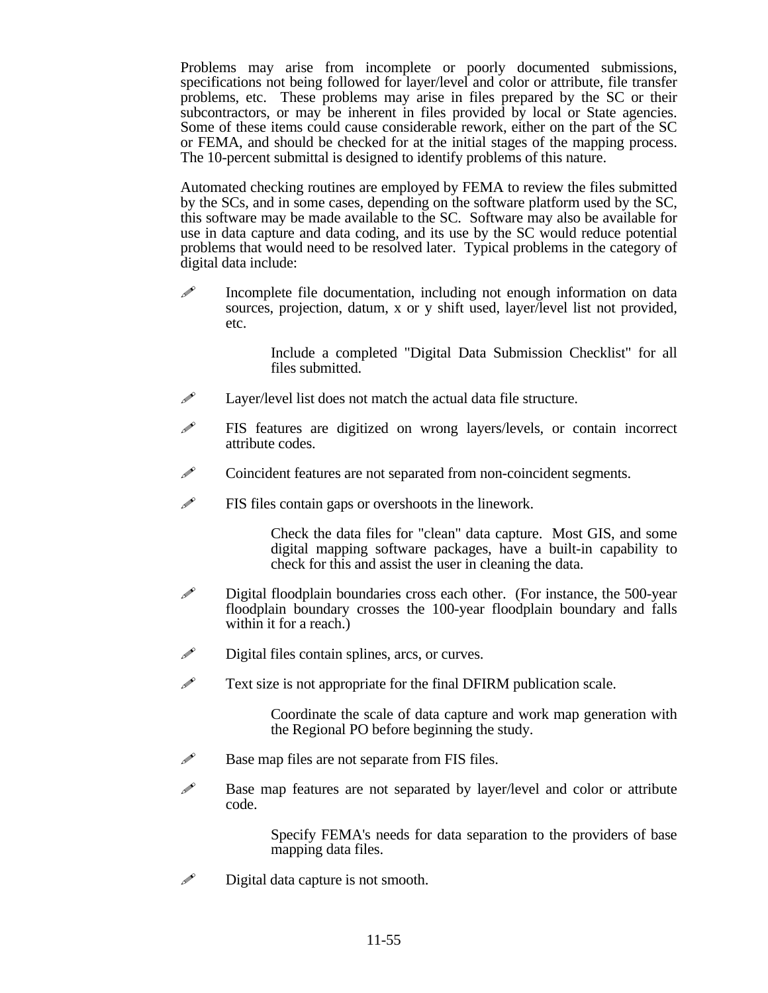Problems may arise from incomplete or poorly documented submissions, specifications not being followed for layer/level and color or attribute, file transfer problems, etc. These problems may arise in files prepared by the SC or their subcontractors, or may be inherent in files provided by local or State agencies. Some of these items could cause considerable rework, either on the part of the SC or FEMA, and should be checked for at the initial stages of the mapping process. The 10-percent submittal is designed to identify problems of this nature.

 Automated checking routines are employed by FEMA to review the files submitted by the SCs, and in some cases, depending on the software platform used by the SC, this software may be made available to the SC. Software may also be available for use in data capture and data coding, and its use by the SC would reduce potential problems that would need to be resolved later. Typical problems in the category of digital data include:

 $\mathscr{P}$  Incomplete file documentation, including not enough information on data sources, projection, datum, x or y shift used, layer/level list not provided, etc.

> Include a completed "Digital Data Submission Checklist" for all files submitted.

- $\mathscr{P}$  Layer/level list does not match the actual data file structure.
- FIS features are digitized on wrong layers/levels, or contain incorrect attribute codes.
- Coincident features are not separated from non-coincident segments.
- $\mathscr{P}$  FIS files contain gaps or overshoots in the linework.

 Check the data files for "clean" data capture. Most GIS, and some digital mapping software packages, have a built-in capability to check for this and assist the user in cleaning the data.

- Digital floodplain boundaries cross each other. (For instance, the 500-year floodplain boundary crosses the 100-year floodplain boundary and falls within it for a reach.)
- Digital files contain splines, arcs, or curves.
- $\mathscr P$  Text size is not appropriate for the final DFIRM publication scale.

 Coordinate the scale of data capture and work map generation with the Regional PO before beginning the study.

- Base map files are not separate from FIS files.
- Base map features are not separated by layer/level and color or attribute code.

 Specify FEMA's needs for data separation to the providers of base mapping data files.

 $\mathscr{P}$  Digital data capture is not smooth.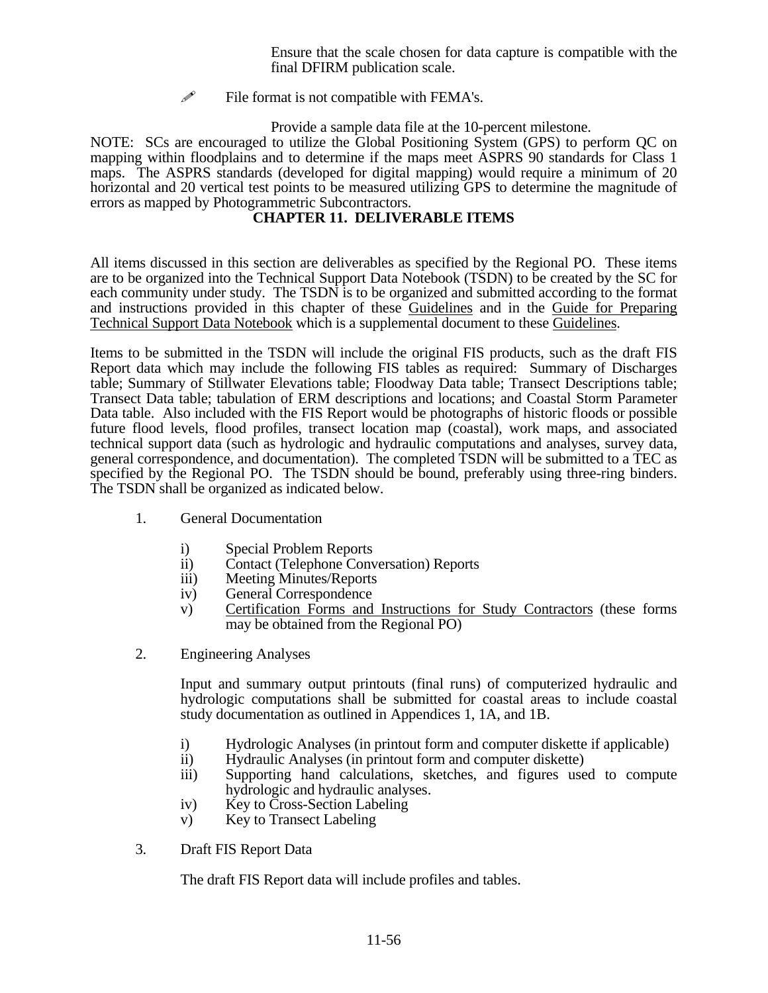Ensure that the scale chosen for data capture is compatible with the final DFIRM publication scale.

 $\mathscr{P}$  File format is not compatible with FEMA's.

Provide a sample data file at the 10-percent milestone.

NOTE: SCs are encouraged to utilize the Global Positioning System (GPS) to perform QC on mapping within floodplains and to determine if the maps meet ASPRS 90 standards for Class 1 maps. The ASPRS standards (developed for digital mapping) would require a minimum of 20 horizontal and 20 vertical test points to be measured utilizing GPS to determine the magnitude of errors as mapped by Photogrammetric Subcontractors.

# **CHAPTER 11. DELIVERABLE ITEMS**

All items discussed in this section are deliverables as specified by the Regional PO. These items are to be organized into the Technical Support Data Notebook (TSDN) to be created by the SC for each community under study. The TSDN is to be organized and submitted according to the format and instructions provided in this chapter of these Guidelines and in the Guide for Preparing Technical Support Data Notebook which is a supplemental document to these Guidelines.

Items to be submitted in the TSDN will include the original FIS products, such as the draft FIS Report data which may include the following FIS tables as required: Summary of Discharges table; Summary of Stillwater Elevations table; Floodway Data table; Transect Descriptions table; Transect Data table; tabulation of ERM descriptions and locations; and Coastal Storm Parameter Data table. Also included with the FIS Report would be photographs of historic floods or possible future flood levels, flood profiles, transect location map (coastal), work maps, and associated technical support data (such as hydrologic and hydraulic computations and analyses, survey data, general correspondence, and documentation). The completed TSDN will be submitted to a TEC as specified by the Regional PO. The TSDN should be bound, preferably using three-ring binders. The TSDN shall be organized as indicated below.

- 1. General Documentation
	- i) Special Problem Reports
	- ii) Contact (Telephone Conversation) Reports
	- iii) Meeting Minutes/Reports
	- iv) General Correspondence
	- v) Certification Forms and Instructions for Study Contractors (these forms may be obtained from the Regional PO)
- 2. Engineering Analyses

 Input and summary output printouts (final runs) of computerized hydraulic and hydrologic computations shall be submitted for coastal areas to include coastal study documentation as outlined in Appendices 1, 1A, and 1B.

- i) Hydrologic Analyses (in printout form and computer diskette if applicable)
- ii) Hydraulic Analyses (in printout form and computer diskette)
- iii) Supporting hand calculations, sketches, and figures used to compute hydrologic and hydraulic analyses.
- iv) Key to Cross-Section Labeling
- v) Key to Transect Labeling
- 3. Draft FIS Report Data

The draft FIS Report data will include profiles and tables.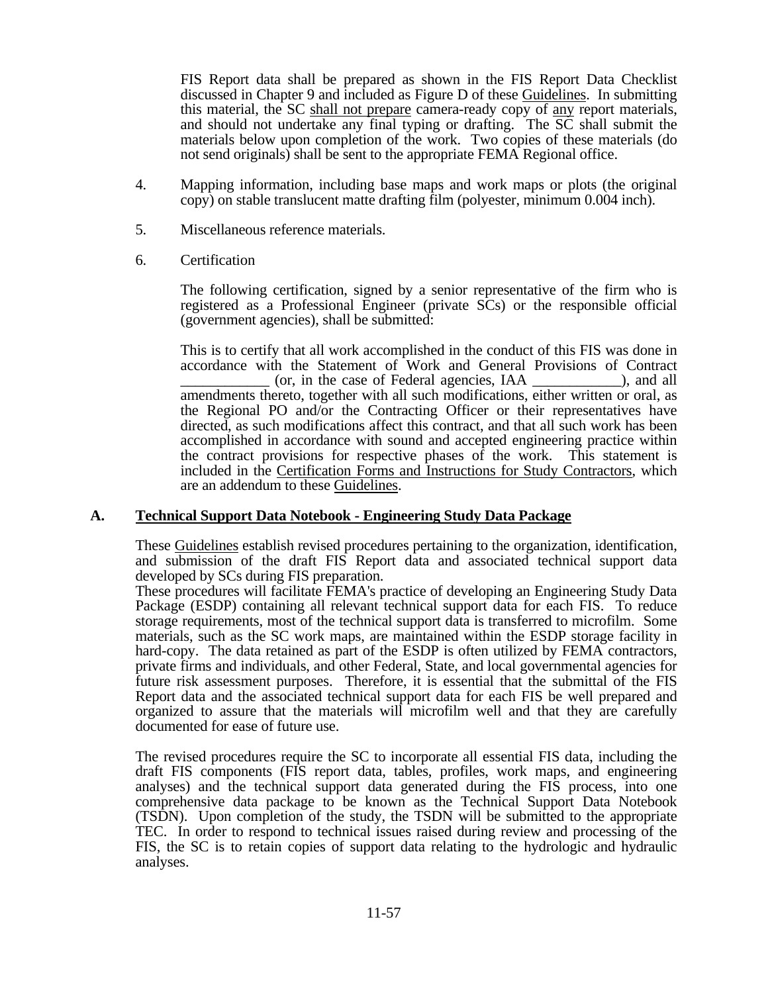FIS Report data shall be prepared as shown in the FIS Report Data Checklist discussed in Chapter 9 and included as Figure D of these Guidelines. In submitting this material, the SC shall not prepare camera-ready copy of any report materials, and should not undertake any final typing or drafting. The SC shall submit the materials below upon completion of the work. Two copies of these materials (do not send originals) shall be sent to the appropriate FEMA Regional office.

- 4. Mapping information, including base maps and work maps or plots (the original copy) on stable translucent matte drafting film (polyester, minimum 0.004 inch).
- 5. Miscellaneous reference materials.
- 6. Certification

 The following certification, signed by a senior representative of the firm who is registered as a Professional Engineer (private SCs) or the responsible official (government agencies), shall be submitted:

 This is to certify that all work accomplished in the conduct of this FIS was done in accordance with the Statement of Work and General Provisions of Contract \_\_\_\_\_\_\_\_\_\_\_\_ (or, in the case of Federal agencies, IAA \_\_\_\_\_\_\_\_\_\_\_\_), and all amendments thereto, together with all such modifications, either written or oral, as the Regional PO and/or the Contracting Officer or their representatives have directed, as such modifications affect this contract, and that all such work has been accomplished in accordance with sound and accepted engineering practice within the contract provisions for respective phases of the work. This statement is included in the Certification Forms and Instructions for Study Contractors, which are an addendum to these Guidelines.

### **A. Technical Support Data Notebook - Engineering Study Data Package**

 These Guidelines establish revised procedures pertaining to the organization, identification, and submission of the draft FIS Report data and associated technical support data developed by SCs during FIS preparation.

 These procedures will facilitate FEMA's practice of developing an Engineering Study Data Package (ESDP) containing all relevant technical support data for each FIS. To reduce storage requirements, most of the technical support data is transferred to microfilm. Some materials, such as the SC work maps, are maintained within the ESDP storage facility in hard-copy. The data retained as part of the ESDP is often utilized by FEMA contractors, private firms and individuals, and other Federal, State, and local governmental agencies for future risk assessment purposes. Therefore, it is essential that the submittal of the FIS Report data and the associated technical support data for each FIS be well prepared and organized to assure that the materials will microfilm well and that they are carefully documented for ease of future use.

 The revised procedures require the SC to incorporate all essential FIS data, including the draft FIS components (FIS report data, tables, profiles, work maps, and engineering analyses) and the technical support data generated during the FIS process, into one comprehensive data package to be known as the Technical Support Data Notebook (TSDN). Upon completion of the study, the TSDN will be submitted to the appropriate TEC. In order to respond to technical issues raised during review and processing of the FIS, the SC is to retain copies of support data relating to the hydrologic and hydraulic analyses.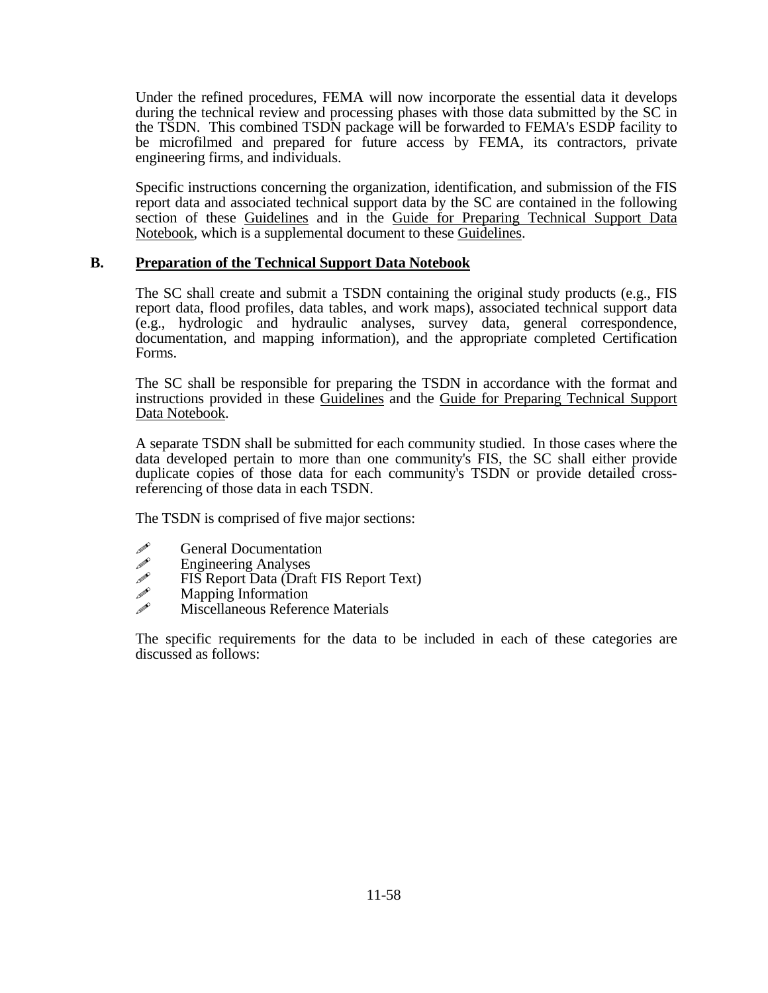Under the refined procedures, FEMA will now incorporate the essential data it develops during the technical review and processing phases with those data submitted by the SC in the TSDN. This combined TSDN package will be forwarded to FEMA's ESDP facility to be microfilmed and prepared for future access by FEMA, its contractors, private engineering firms, and individuals.

 Specific instructions concerning the organization, identification, and submission of the FIS report data and associated technical support data by the SC are contained in the following section of these Guidelines and in the Guide for Preparing Technical Support Data Notebook, which is a supplemental document to these Guidelines.

# **B. Preparation of the Technical Support Data Notebook**

 The SC shall create and submit a TSDN containing the original study products (e.g., FIS report data, flood profiles, data tables, and work maps), associated technical support data (e.g., hydrologic and hydraulic analyses, survey data, general correspondence, documentation, and mapping information), and the appropriate completed Certification Forms.

 The SC shall be responsible for preparing the TSDN in accordance with the format and instructions provided in these Guidelines and the Guide for Preparing Technical Support Data Notebook.

 A separate TSDN shall be submitted for each community studied. In those cases where the data developed pertain to more than one community's FIS, the SC shall either provide duplicate copies of those data for each community's TSDN or provide detailed crossreferencing of those data in each TSDN.

The TSDN is comprised of five major sections:

- $\mathscr{P}$  General Documentation<br> $\mathscr{P}$  Engineering Analyses
- Engineering Analyses<br> **EX** FIS Report Data (Draf
- $\mathscr{P}$  FIS Report Data (Draft FIS Report Text)<br>Mapping Information
- $\mathscr{P}$  Mapping Information
- Miscellaneous Reference Materials

 The specific requirements for the data to be included in each of these categories are discussed as follows: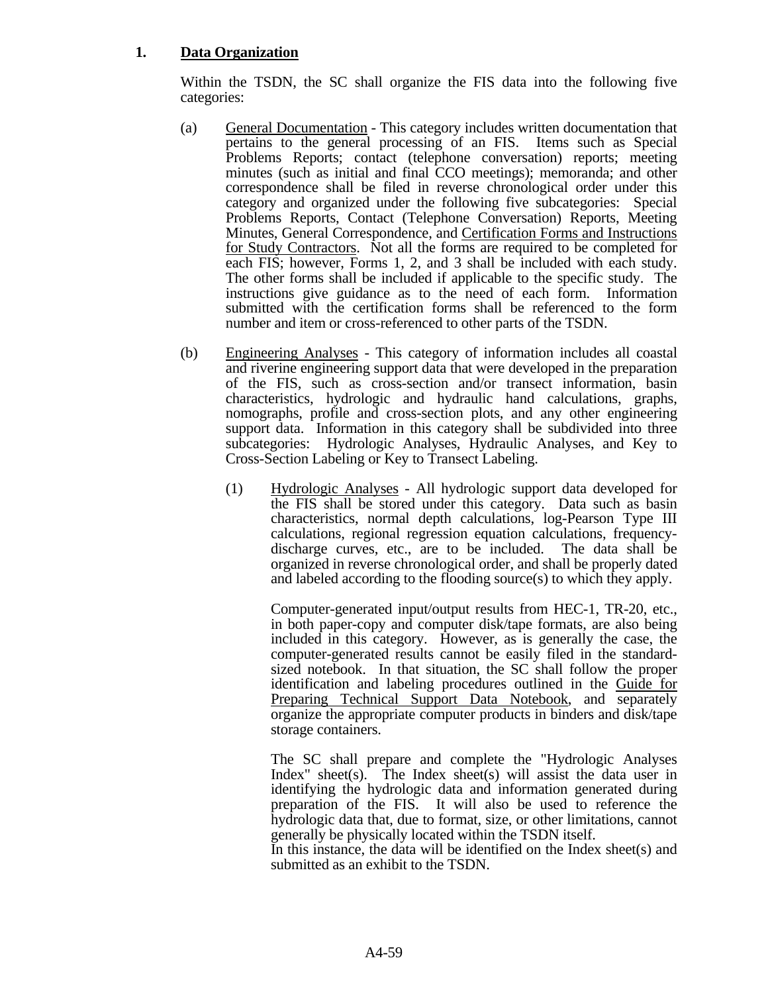# **1. Data Organization**

 Within the TSDN, the SC shall organize the FIS data into the following five categories:

- (a) General Documentation This category includes written documentation that pertains to the general processing of an FIS. Items such as Special Problems Reports; contact (telephone conversation) reports; meeting minutes (such as initial and final CCO meetings); memoranda; and other correspondence shall be filed in reverse chronological order under this category and organized under the following five subcategories: Special Problems Reports, Contact (Telephone Conversation) Reports, Meeting Minutes, General Correspondence, and Certification Forms and Instructions for Study Contractors. Not all the forms are required to be completed for each FIS; however, Forms 1, 2, and 3 shall be included with each study. The other forms shall be included if applicable to the specific study. The instructions give guidance as to the need of each form. Information submitted with the certification forms shall be referenced to the form number and item or cross-referenced to other parts of the TSDN.
- (b) Engineering Analyses This category of information includes all coastal and riverine engineering support data that were developed in the preparation of the FIS, such as cross-section and/or transect information, basin characteristics, hydrologic and hydraulic hand calculations, graphs, nomographs, profile and cross-section plots, and any other engineering support data. Information in this category shall be subdivided into three subcategories: Hydrologic Analyses, Hydraulic Analyses, and Key to Cross-Section Labeling or Key to Transect Labeling.
	- (1) Hydrologic Analyses All hydrologic support data developed for the FIS shall be stored under this category. Data such as basin characteristics, normal depth calculations, log-Pearson Type III calculations, regional regression equation calculations, frequencydischarge curves, etc., are to be included. The data shall be organized in reverse chronological order, and shall be properly dated and labeled according to the flooding source(s) to which they apply.

 Computer-generated input/output results from HEC-1, TR-20, etc., in both paper-copy and computer disk/tape formats, are also being included in this category. However, as is generally the case, the computer-generated results cannot be easily filed in the standardsized notebook. In that situation, the SC shall follow the proper identification and labeling procedures outlined in the Guide for Preparing Technical Support Data Notebook, and separately organize the appropriate computer products in binders and disk/tape storage containers.

 The SC shall prepare and complete the "Hydrologic Analyses Index" sheet(s). The Index sheet(s) will assist the data user in identifying the hydrologic data and information generated during preparation of the FIS. It will also be used to reference the hydrologic data that, due to format, size, or other limitations, cannot generally be physically located within the TSDN itself.

 In this instance, the data will be identified on the Index sheet(s) and submitted as an exhibit to the TSDN.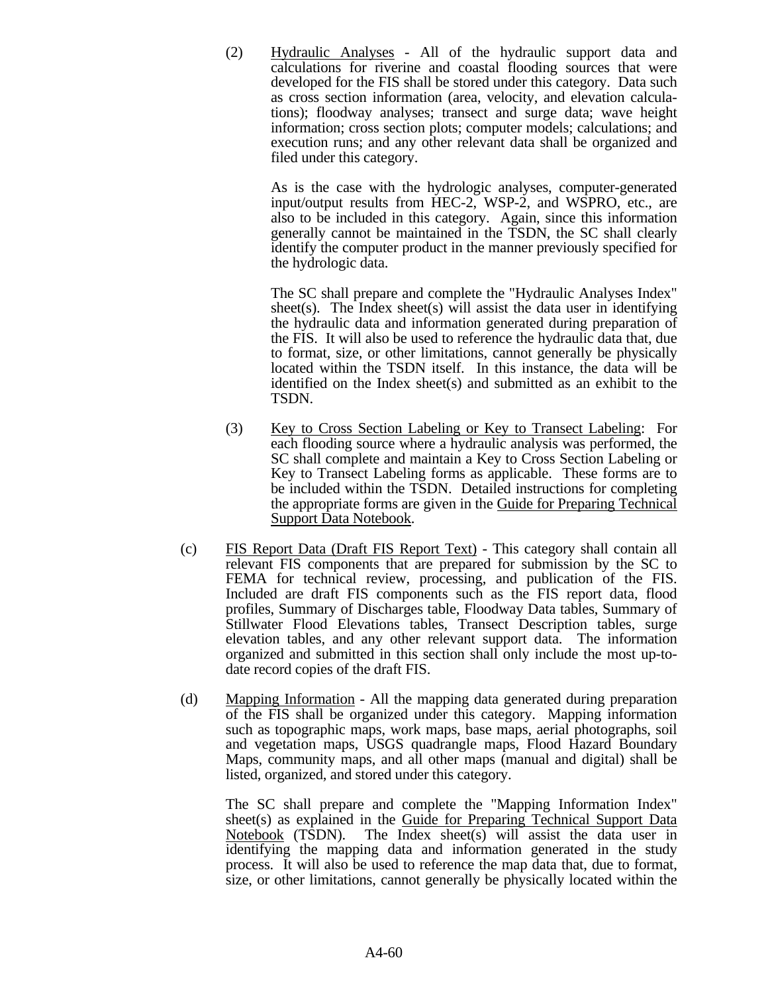(2) Hydraulic Analyses - All of the hydraulic support data and calculations for riverine and coastal flooding sources that were developed for the FIS shall be stored under this category. Data such as cross section information (area, velocity, and elevation calculations); floodway analyses; transect and surge data; wave height information; cross section plots; computer models; calculations; and execution runs; and any other relevant data shall be organized and filed under this category.

 As is the case with the hydrologic analyses, computer-generated input/output results from HEC-2, WSP-2, and WSPRO, etc., are also to be included in this category. Again, since this information generally cannot be maintained in the TSDN, the SC shall clearly identify the computer product in the manner previously specified for the hydrologic data.

 The SC shall prepare and complete the "Hydraulic Analyses Index" sheet(s). The Index sheet(s) will assist the data user in identifying the hydraulic data and information generated during preparation of the FIS. It will also be used to reference the hydraulic data that, due to format, size, or other limitations, cannot generally be physically located within the TSDN itself. In this instance, the data will be identified on the Index sheet(s) and submitted as an exhibit to the TSDN.

- (3) Key to Cross Section Labeling or Key to Transect Labeling: For each flooding source where a hydraulic analysis was performed, the SC shall complete and maintain a Key to Cross Section Labeling or Key to Transect Labeling forms as applicable. These forms are to be included within the TSDN. Detailed instructions for completing the appropriate forms are given in the Guide for Preparing Technical Support Data Notebook.
- (c) FIS Report Data (Draft FIS Report Text) This category shall contain all relevant FIS components that are prepared for submission by the SC to FEMA for technical review, processing, and publication of the FIS. Included are draft FIS components such as the FIS report data, flood profiles, Summary of Discharges table, Floodway Data tables, Summary of Stillwater Flood Elevations tables, Transect Description tables, surge elevation tables, and any other relevant support data. The information organized and submitted in this section shall only include the most up-todate record copies of the draft FIS.
- (d) Mapping Information All the mapping data generated during preparation of the FIS shall be organized under this category. Mapping information such as topographic maps, work maps, base maps, aerial photographs, soil and vegetation maps, USGS quadrangle maps, Flood Hazard Boundary Maps, community maps, and all other maps (manual and digital) shall be listed, organized, and stored under this category.

 The SC shall prepare and complete the "Mapping Information Index" sheet(s) as explained in the Guide for Preparing Technical Support Data Notebook  $(TSDN)$ . The Index sheet(s) will assist the data user in identifying the mapping data and information generated in the study process. It will also be used to reference the map data that, due to format, size, or other limitations, cannot generally be physically located within the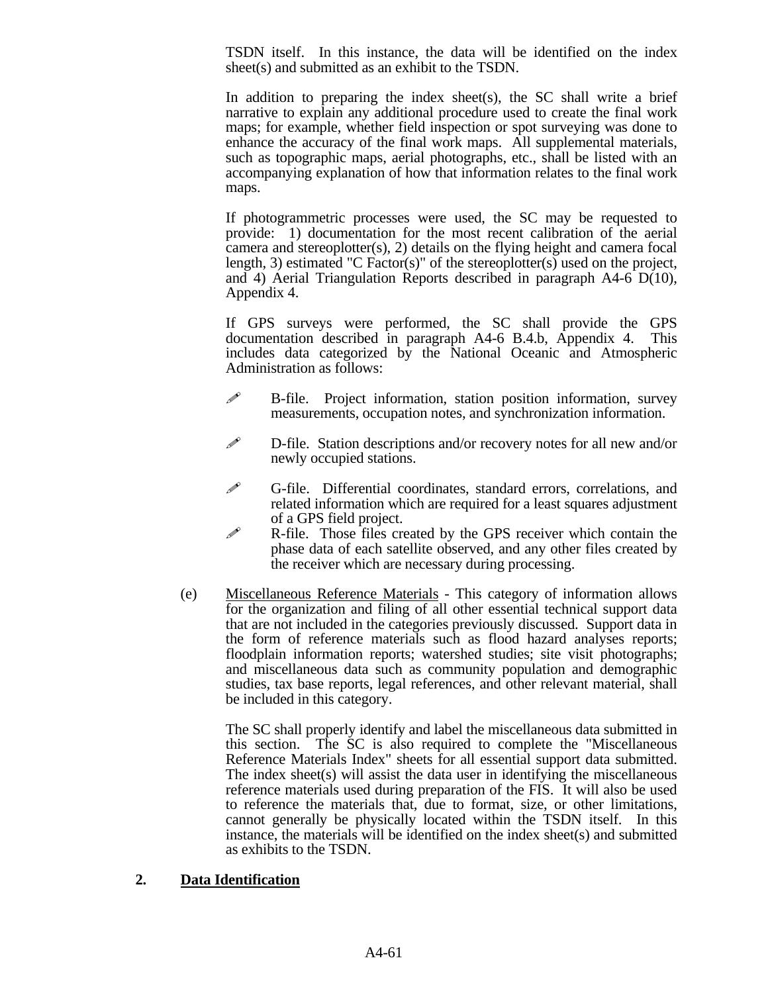TSDN itself. In this instance, the data will be identified on the index sheet(s) and submitted as an exhibit to the TSDN.

In addition to preparing the index sheet(s), the  $SC$  shall write a brief narrative to explain any additional procedure used to create the final work maps; for example, whether field inspection or spot surveying was done to enhance the accuracy of the final work maps. All supplemental materials, such as topographic maps, aerial photographs, etc., shall be listed with an accompanying explanation of how that information relates to the final work maps.

 If photogrammetric processes were used, the SC may be requested to provide: 1) documentation for the most recent calibration of the aerial camera and stereoplotter(s), 2) details on the flying height and camera focal length, 3) estimated "C Factor(s)" of the stereoplotter(s) used on the project, and 4) Aerial Triangulation Reports described in paragraph A4-6 D(10), Appendix 4.

 If GPS surveys were performed, the SC shall provide the GPS documentation described in paragraph A4-6 B.4.b, Appendix 4. This includes data categorized by the National Oceanic and Atmospheric Administration as follows:

- $\mathscr{P}$  B-file. Project information, station position information, survey measurements, occupation notes, and synchronization information.
- $\mathscr{P}$  D-file. Station descriptions and/or recovery notes for all new and/or newly occupied stations.
- G-file. Differential coordinates, standard errors, correlations, and related information which are required for a least squares adjustment
- of a GPS field project. R-file. Those files created by the GPS receiver which contain the phase data of each satellite observed, and any other files created by the receiver which are necessary during processing.
- (e) Miscellaneous Reference Materials This category of information allows for the organization and filing of all other essential technical support data that are not included in the categories previously discussed. Support data in the form of reference materials such as flood hazard analyses reports; floodplain information reports; watershed studies; site visit photographs; and miscellaneous data such as community population and demographic studies, tax base reports, legal references, and other relevant material, shall be included in this category.

 The SC shall properly identify and label the miscellaneous data submitted in this section. The SC is also required to complete the "Miscellaneous Reference Materials Index" sheets for all essential support data submitted. The index sheet(s) will assist the data user in identifying the miscellaneous reference materials used during preparation of the FIS. It will also be used to reference the materials that, due to format, size, or other limitations, cannot generally be physically located within the TSDN itself. In this instance, the materials will be identified on the index sheet(s) and submitted as exhibits to the TSDN.

# **2. Data Identification**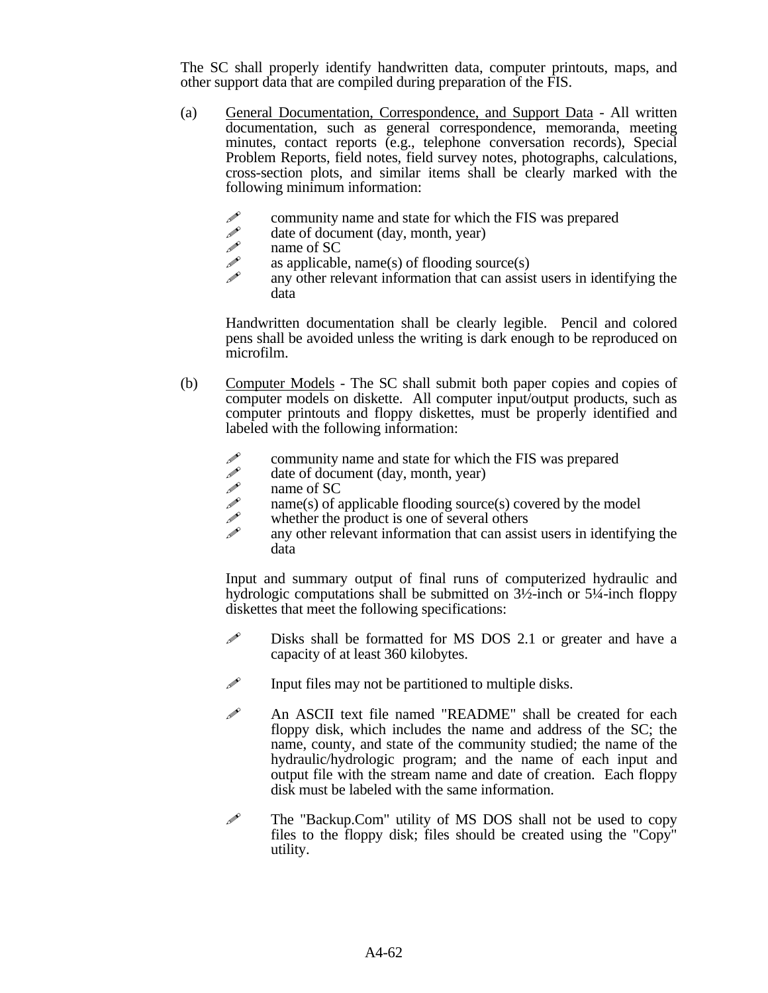The SC shall properly identify handwritten data, computer printouts, maps, and other support data that are compiled during preparation of the FIS.

- (a) General Documentation, Correspondence, and Support Data All written documentation, such as general correspondence, memoranda, meeting minutes, contact reports (e.g., telephone conversation records), Special Problem Reports, field notes, field survey notes, photographs, calculations, cross-section plots, and similar items shall be clearly marked with the following minimum information:
	-
	-
	-
	-
	- community name and state for which the FIS was prepared<br>
	date of document (day, month, year)<br>
	name of SC<br>
	as applicable, name(s) of flooding source(s)<br>
	any other relevant information that can assist users in identifying th data

 Handwritten documentation shall be clearly legible. Pencil and colored pens shall be avoided unless the writing is dark enough to be reproduced on microfilm.

- (b) Computer Models The SC shall submit both paper copies and copies of computer models on diskette. All computer input/output products, such as computer printouts and floppy diskettes, must be properly identified and labeled with the following information:
	-
	-
	-
	- community name and state for which the FIS was prepared<br>date of document (day, month, year)<br>name of SC<br>name(s) of applicable flooding source(s) covered by the model<br>whether the product is one of several others<br>any other re
	-
	- data

 Input and summary output of final runs of computerized hydraulic and hydrologic computations shall be submitted on  $3\frac{1}{2}$ -inch or  $5\frac{1}{4}$ -inch floppy diskettes that meet the following specifications:

- $\mathscr{P}$  Disks shall be formatted for MS DOS 2.1 or greater and have a capacity of at least 360 kilobytes.
- $\mathscr{P}$  Input files may not be partitioned to multiple disks.
- $\mathscr{P}$  An ASCII text file named "README" shall be created for each floppy disk, which includes the name and address of the SC; the name, county, and state of the community studied; the name of the hydraulic/hydrologic program; and the name of each input and output file with the stream name and date of creation. Each floppy disk must be labeled with the same information.
- The "Backup.Com" utility of MS DOS shall not be used to copy files to the floppy disk; files should be created using the "Copy" utility.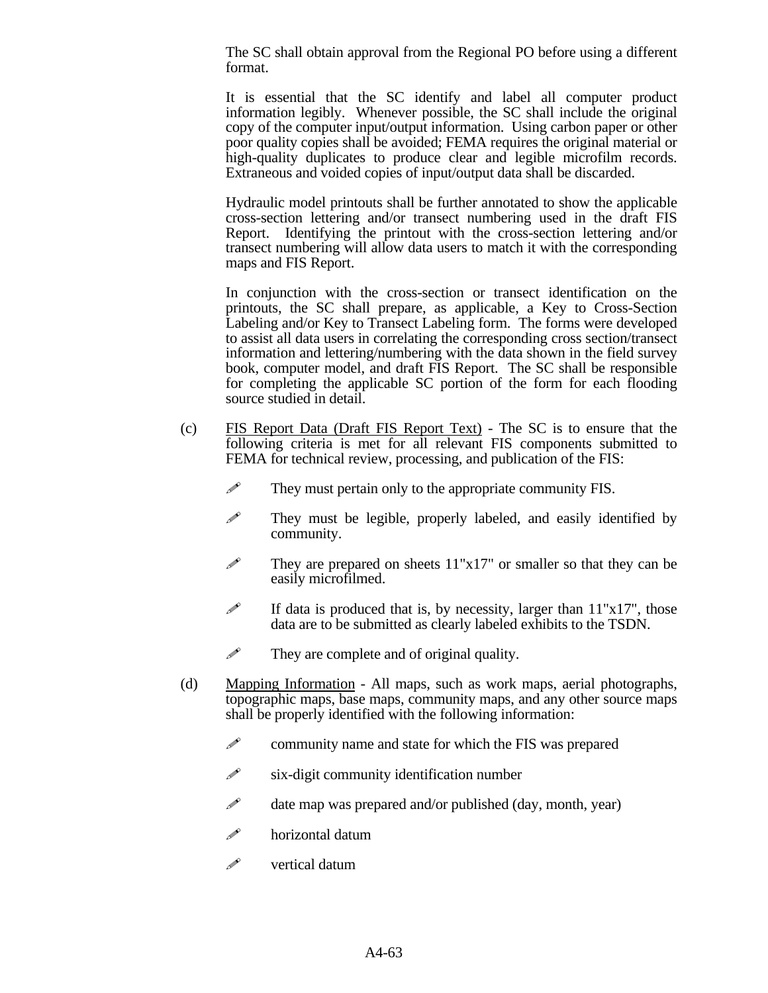The SC shall obtain approval from the Regional PO before using a different format.

 It is essential that the SC identify and label all computer product information legibly. Whenever possible, the SC shall include the original copy of the computer input/output information. Using carbon paper or other poor quality copies shall be avoided; FEMA requires the original material or high-quality duplicates to produce clear and legible microfilm records. Extraneous and voided copies of input/output data shall be discarded.

 Hydraulic model printouts shall be further annotated to show the applicable cross-section lettering and/or transect numbering used in the draft FIS Report. Identifying the printout with the cross-section lettering and/or transect numbering will allow data users to match it with the corresponding maps and FIS Report.

 In conjunction with the cross-section or transect identification on the printouts, the SC shall prepare, as applicable, a Key to Cross-Section Labeling and/or Key to Transect Labeling form. The forms were developed to assist all data users in correlating the corresponding cross section/transect information and lettering/numbering with the data shown in the field survey book, computer model, and draft FIS Report. The SC shall be responsible for completing the applicable SC portion of the form for each flooding source studied in detail.

- (c) FIS Report Data (Draft FIS Report Text) The SC is to ensure that the following criteria is met for all relevant FIS components submitted to FEMA for technical review, processing, and publication of the FIS:
	- $\mathscr{P}$  They must pertain only to the appropriate community FIS.
	- $\mathscr P$  They must be legible, properly labeled, and easily identified by community.
	- $\mathscr{P}$  They are prepared on sheets 11"x17" or smaller so that they can be easily microfilmed.
	- $\mathscr{I}$  If data is produced that is, by necessity, larger than 11"x17", those data are to be submitted as clearly labeled exhibits to the TSDN.
	- $\mathscr{P}$  They are complete and of original quality.
- (d) Mapping Information All maps, such as work maps, aerial photographs, topographic maps, base maps, community maps, and any other source maps shall be properly identified with the following information:
	- $\mathscr{P}$  community name and state for which the FIS was prepared
	- $\mathscr{I}$  six-digit community identification number
	- $\mathscr{P}$  date map was prepared and/or published (day, month, year)
	- $\mathscr{P}$  horizontal datum
	- $\mathscr{P}$  vertical datum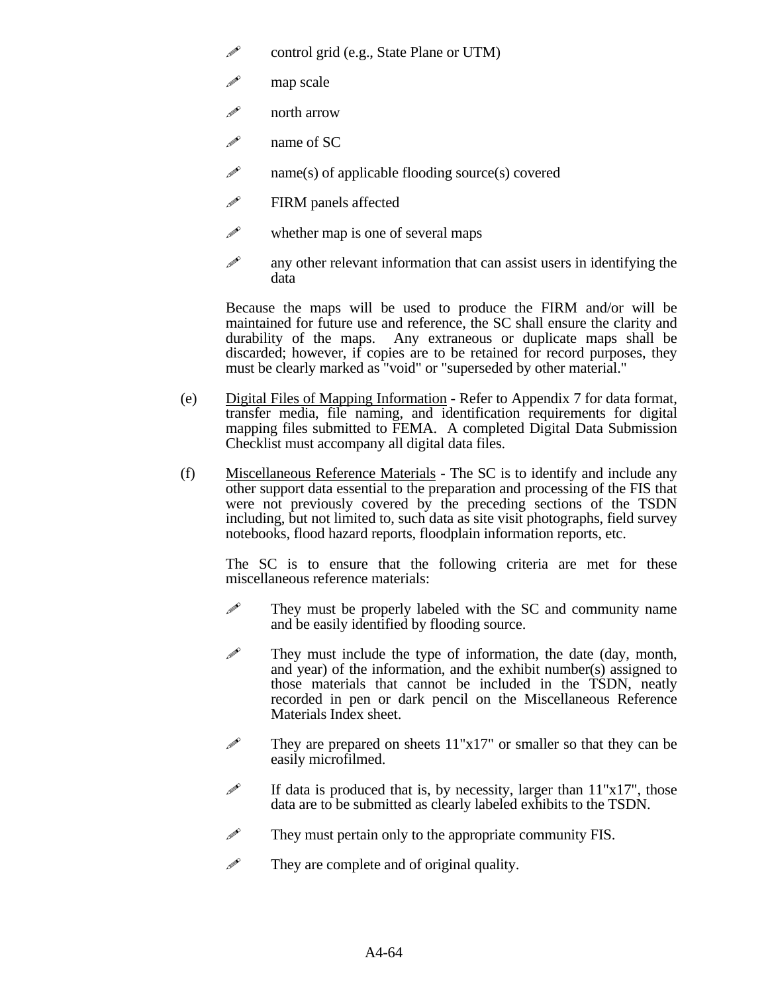- $\mathscr{D}$  control grid (e.g., State Plane or UTM)
- $\mathscr{P}$  map scale
- $\mathscr{P}$  north arrow
- $\mathscr{D}$  name of SC
- $\mathscr{P}$  name(s) of applicable flooding source(s) covered
- $\mathscr{P}$  FIRM panels affected
- $\mathscr{P}$  whether map is one of several maps
- $\mathscr{P}$  any other relevant information that can assist users in identifying the data

 Because the maps will be used to produce the FIRM and/or will be maintained for future use and reference, the SC shall ensure the clarity and durability of the maps. Any extraneous or duplicate maps shall be discarded; however, if copies are to be retained for record purposes, they must be clearly marked as "void" or "superseded by other material."

- (e) Digital Files of Mapping Information Refer to Appendix 7 for data format, transfer media, file naming, and identification requirements for digital mapping files submitted to FEMA. A completed Digital Data Submission Checklist must accompany all digital data files.
- (f) Miscellaneous Reference Materials The SC is to identify and include any other support data essential to the preparation and processing of the FIS that were not previously covered by the preceding sections of the TSDN including, but not limited to, such data as site visit photographs, field survey notebooks, flood hazard reports, floodplain information reports, etc.

 The SC is to ensure that the following criteria are met for these miscellaneous reference materials:

- $\mathscr{P}$  They must be properly labeled with the SC and community name and be easily identified by flooding source.
- $\mathscr{P}$  They must include the type of information, the date (day, month, and year) of the information, and the exhibit number(s) assigned to those materials that cannot be included in the TSDN, neatly recorded in pen or dark pencil on the Miscellaneous Reference Materials Index sheet.
- $\mathscr{P}$  They are prepared on sheets 11"x17" or smaller so that they can be easily microfilmed.
- $\mathscr{I}$  If data is produced that is, by necessity, larger than 11"x17", those data are to be submitted as clearly labeled exhibits to the TSDN.
- They must pertain only to the appropriate community FIS.
- $\mathscr{P}$ They are complete and of original quality.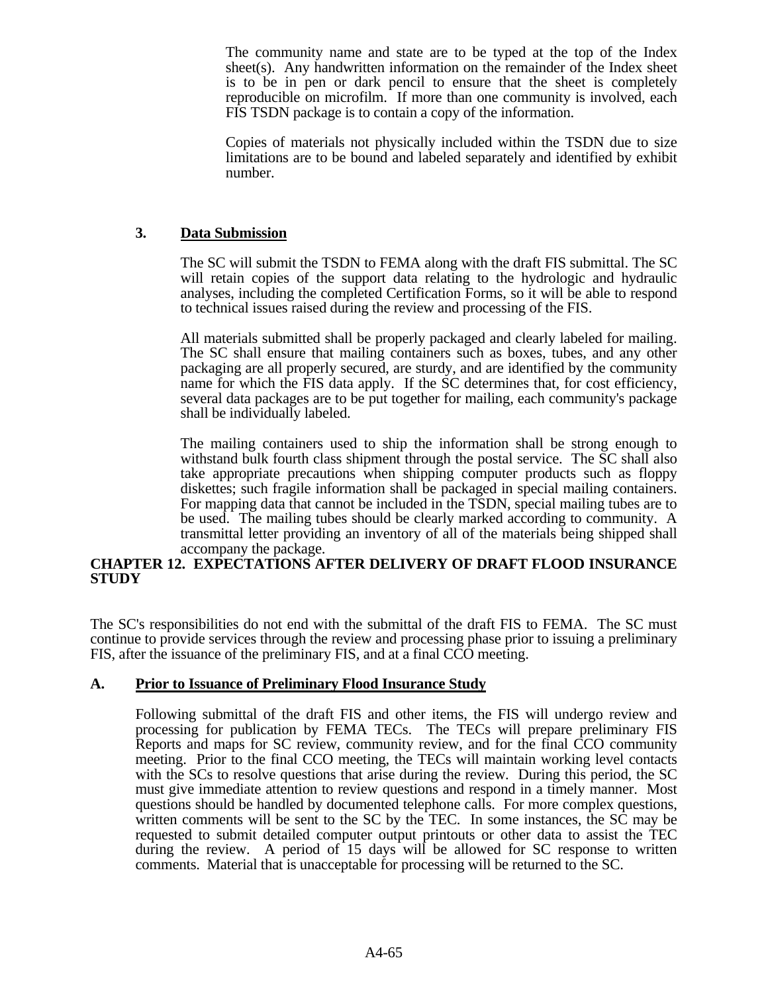The community name and state are to be typed at the top of the Index sheet(s). Any handwritten information on the remainder of the Index sheet is to be in pen or dark pencil to ensure that the sheet is completely reproducible on microfilm. If more than one community is involved, each FIS TSDN package is to contain a copy of the information.

 Copies of materials not physically included within the TSDN due to size limitations are to be bound and labeled separately and identified by exhibit number.

# **3. Data Submission**

 The SC will submit the TSDN to FEMA along with the draft FIS submittal. The SC will retain copies of the support data relating to the hydrologic and hydraulic analyses, including the completed Certification Forms, so it will be able to respond to technical issues raised during the review and processing of the FIS.

 All materials submitted shall be properly packaged and clearly labeled for mailing. The SC shall ensure that mailing containers such as boxes, tubes, and any other packaging are all properly secured, are sturdy, and are identified by the community name for which the FIS data apply. If the SC determines that, for cost efficiency, several data packages are to be put together for mailing, each community's package shall be individually labeled.

 The mailing containers used to ship the information shall be strong enough to withstand bulk fourth class shipment through the postal service. The SC shall also take appropriate precautions when shipping computer products such as floppy diskettes; such fragile information shall be packaged in special mailing containers. For mapping data that cannot be included in the TSDN, special mailing tubes are to be used. The mailing tubes should be clearly marked according to community. A transmittal letter providing an inventory of all of the materials being shipped shall accompany the package.

### **CHAPTER 12. EXPECTATIONS AFTER DELIVERY OF DRAFT FLOOD INSURANCE STUDY**

The SC's responsibilities do not end with the submittal of the draft FIS to FEMA. The SC must continue to provide services through the review and processing phase prior to issuing a preliminary FIS, after the issuance of the preliminary FIS, and at a final CCO meeting.

### **A. Prior to Issuance of Preliminary Flood Insurance Study**

 Following submittal of the draft FIS and other items, the FIS will undergo review and processing for publication by FEMA TECs. The TECs will prepare preliminary FIS Reports and maps for SC review, community review, and for the final CCO community meeting. Prior to the final CCO meeting, the TECs will maintain working level contacts with the SCs to resolve questions that arise during the review. During this period, the SC must give immediate attention to review questions and respond in a timely manner. Most questions should be handled by documented telephone calls. For more complex questions, written comments will be sent to the SC by the TEC. In some instances, the SC may be requested to submit detailed computer output printouts or other data to assist the TEC during the review. A period of 15 days will be allowed for SC response to written comments. Material that is unacceptable for processing will be returned to the SC.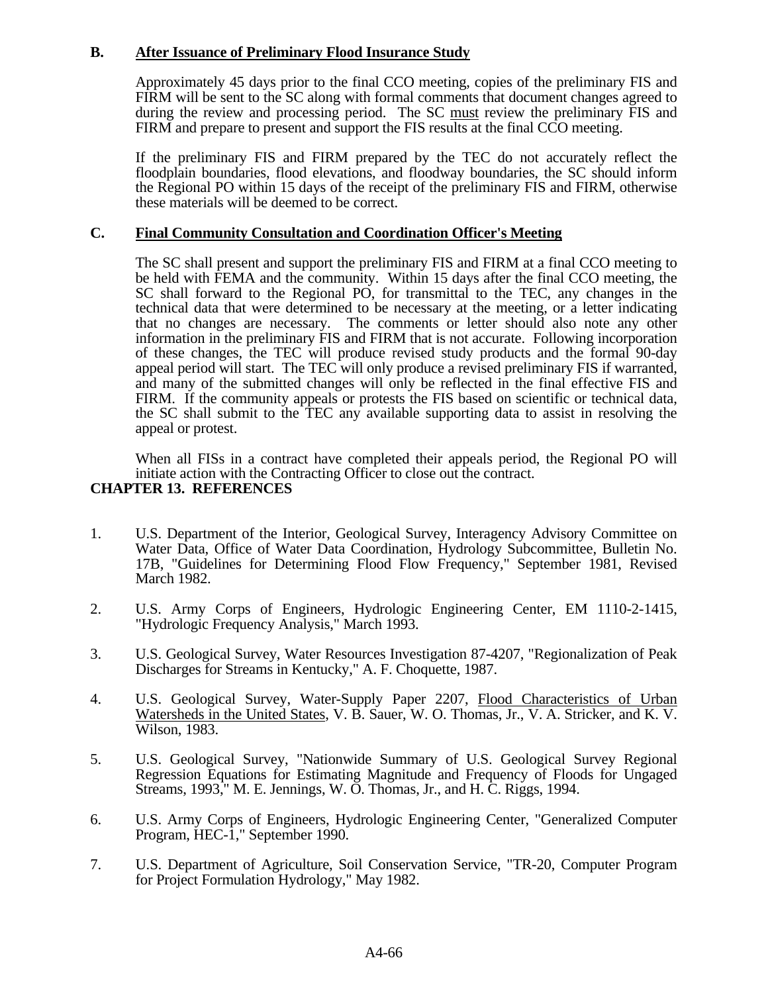# **B. After Issuance of Preliminary Flood Insurance Study**

 Approximately 45 days prior to the final CCO meeting, copies of the preliminary FIS and FIRM will be sent to the SC along with formal comments that document changes agreed to during the review and processing period. The SC must review the preliminary FIS and FIRM and prepare to present and support the FIS results at the final CCO meeting.

 If the preliminary FIS and FIRM prepared by the TEC do not accurately reflect the floodplain boundaries, flood elevations, and floodway boundaries, the SC should inform the Regional PO within 15 days of the receipt of the preliminary FIS and FIRM, otherwise these materials will be deemed to be correct.

# **C. Final Community Consultation and Coordination Officer's Meeting**

 The SC shall present and support the preliminary FIS and FIRM at a final CCO meeting to be held with FEMA and the community. Within 15 days after the final CCO meeting, the SC shall forward to the Regional PO, for transmittal to the TEC, any changes in the technical data that were determined to be necessary at the meeting, or a letter indicating that no changes are necessary. The comments or letter should also note any other information in the preliminary FIS and FIRM that is not accurate. Following incorporation of these changes, the TEC will produce revised study products and the formal 90-day appeal period will start. The TEC will only produce a revised preliminary FIS if warranted, and many of the submitted changes will only be reflected in the final effective FIS and FIRM. If the community appeals or protests the FIS based on scientific or technical data, the SC shall submit to the TEC any available supporting data to assist in resolving the appeal or protest.

 When all FISs in a contract have completed their appeals period, the Regional PO will initiate action with the Contracting Officer to close out the contract.

# **CHAPTER 13. REFERENCES**

- 1. U.S. Department of the Interior, Geological Survey, Interagency Advisory Committee on Water Data, Office of Water Data Coordination, Hydrology Subcommittee, Bulletin No. 17B, "Guidelines for Determining Flood Flow Frequency," September 1981, Revised March 1982.
- 2. U.S. Army Corps of Engineers, Hydrologic Engineering Center, EM 1110-2-1415, "Hydrologic Frequency Analysis," March 1993.
- 3. U.S. Geological Survey, Water Resources Investigation 87-4207, "Regionalization of Peak Discharges for Streams in Kentucky," A. F. Choquette, 1987.
- 4. U.S. Geological Survey, Water-Supply Paper 2207, Flood Characteristics of Urban Watersheds in the United States, V. B. Sauer, W. O. Thomas, Jr., V. A. Stricker, and K. V. Wilson, 1983.
- 5. U.S. Geological Survey, "Nationwide Summary of U.S. Geological Survey Regional Regression Equations for Estimating Magnitude and Frequency of Floods for Ungaged Streams, 1993," M. E. Jennings, W. O. Thomas, Jr., and H. C. Riggs, 1994.
- 6. U.S. Army Corps of Engineers, Hydrologic Engineering Center, "Generalized Computer Program, HEC-1," September 1990.
- 7. U.S. Department of Agriculture, Soil Conservation Service, "TR-20, Computer Program for Project Formulation Hydrology," May 1982.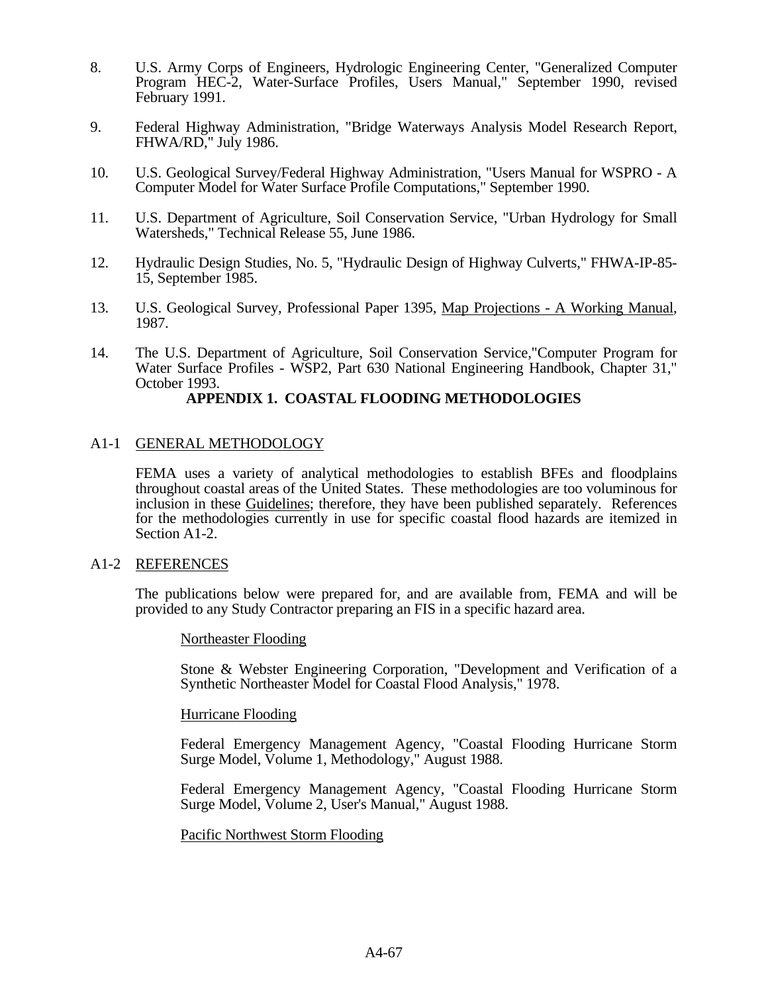- 8. U.S. Army Corps of Engineers, Hydrologic Engineering Center, "Generalized Computer Program HEC-2, Water-Surface Profiles, Users Manual," September 1990, revised February 1991.
- 9. Federal Highway Administration, "Bridge Waterways Analysis Model Research Report, FHWA/RD," July 1986.
- 10. U.S. Geological Survey/Federal Highway Administration, "Users Manual for WSPRO A Computer Model for Water Surface Profile Computations," September 1990.
- 11. U.S. Department of Agriculture, Soil Conservation Service, "Urban Hydrology for Small Watersheds," Technical Release 55, June 1986.
- 12. Hydraulic Design Studies, No. 5, "Hydraulic Design of Highway Culverts," FHWA-IP-85- 15, September 1985.
- 13. U.S. Geological Survey, Professional Paper 1395, Map Projections A Working Manual, 1987.
- 14. The U.S. Department of Agriculture, Soil Conservation Service,"Computer Program for Water Surface Profiles - WSP2, Part 630 National Engineering Handbook, Chapter 31," October 1993.

### **APPENDIX 1. COASTAL FLOODING METHODOLOGIES**

### A1-1 GENERAL METHODOLOGY

 FEMA uses a variety of analytical methodologies to establish BFEs and floodplains throughout coastal areas of the United States. These methodologies are too voluminous for inclusion in these Guidelines; therefore, they have been published separately. References for the methodologies currently in use for specific coastal flood hazards are itemized in Section A1-2.

# A1-2 REFERENCES

 The publications below were prepared for, and are available from, FEMA and will be provided to any Study Contractor preparing an FIS in a specific hazard area.

#### Northeaster Flooding

 Stone & Webster Engineering Corporation, "Development and Verification of a Synthetic Northeaster Model for Coastal Flood Analysis," 1978.

#### Hurricane Flooding

 Federal Emergency Management Agency, "Coastal Flooding Hurricane Storm Surge Model, Volume 1, Methodology," August 1988.

 Federal Emergency Management Agency, "Coastal Flooding Hurricane Storm Surge Model, Volume 2, User's Manual," August 1988.

#### Pacific Northwest Storm Flooding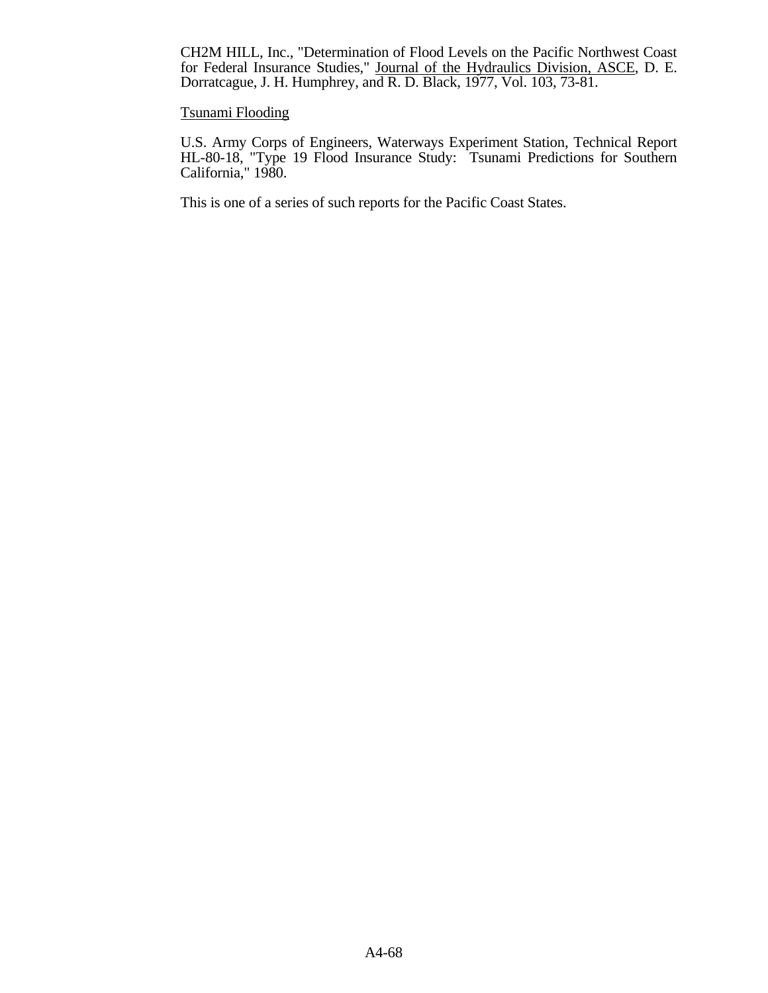CH2M HILL, Inc., "Determination of Flood Levels on the Pacific Northwest Coast for Federal Insurance Studies," Journal of the Hydraulics Division, ASCE, D. E. Dorratcague, J. H. Humphrey, and R. D. Black, 1977, Vol. 103, 73-81.

# Tsunami Flooding

 U.S. Army Corps of Engineers, Waterways Experiment Station, Technical Report HL-80-18, "Type 19 Flood Insurance Study: Tsunami Predictions for Southern California," 1980.

This is one of a series of such reports for the Pacific Coast States.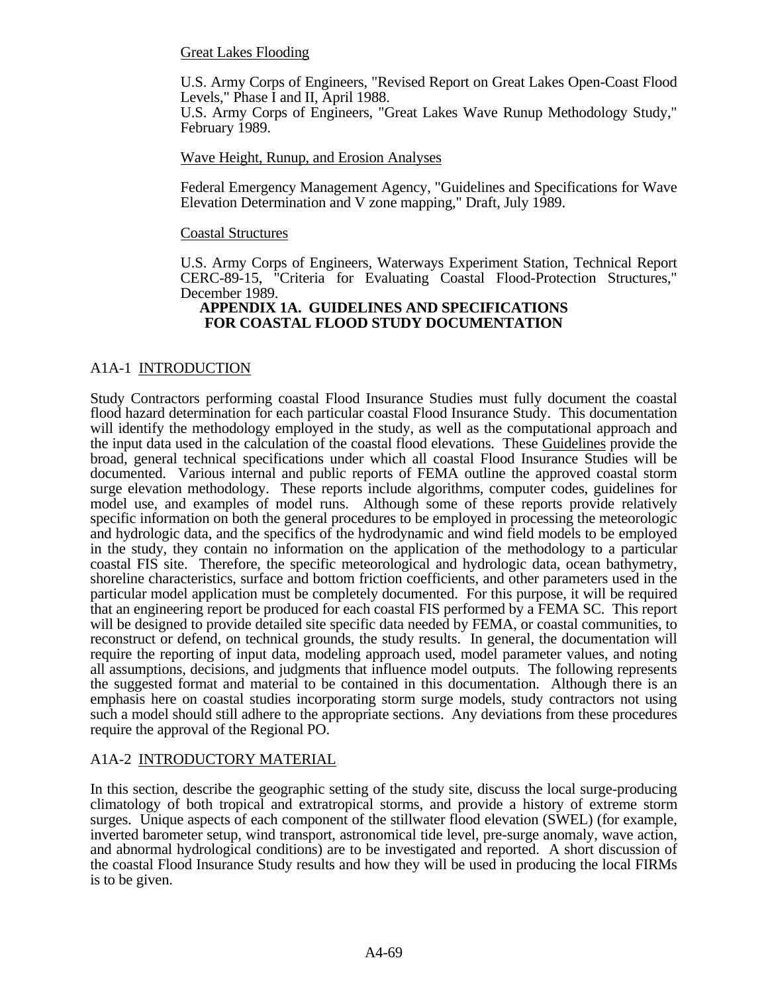# Great Lakes Flooding

 U.S. Army Corps of Engineers, "Revised Report on Great Lakes Open-Coast Flood Levels," Phase I and II, April 1988.

 U.S. Army Corps of Engineers, "Great Lakes Wave Runup Methodology Study," February 1989.

### Wave Height, Runup, and Erosion Analyses

 Federal Emergency Management Agency, "Guidelines and Specifications for Wave Elevation Determination and V zone mapping," Draft, July 1989.

#### Coastal Structures

 U.S. Army Corps of Engineers, Waterways Experiment Station, Technical Report CERC-89-15, "Criteria for Evaluating Coastal Flood-Protection Structures," December 1989.

#### **APPENDIX 1A. GUIDELINES AND SPECIFICATIONS FOR COASTAL FLOOD STUDY DOCUMENTATION**

# A1A-1 INTRODUCTION

Study Contractors performing coastal Flood Insurance Studies must fully document the coastal flood hazard determination for each particular coastal Flood Insurance Study. This documentation will identify the methodology employed in the study, as well as the computational approach and the input data used in the calculation of the coastal flood elevations. These Guidelines provide the broad, general technical specifications under which all coastal Flood Insurance Studies will be documented. Various internal and public reports of FEMA outline the approved coastal storm surge elevation methodology. These reports include algorithms, computer codes, guidelines for model use, and examples of model runs. Although some of these reports provide relatively specific information on both the general procedures to be employed in processing the meteorologic and hydrologic data, and the specifics of the hydrodynamic and wind field models to be employed in the study, they contain no information on the application of the methodology to a particular coastal FIS site. Therefore, the specific meteorological and hydrologic data, ocean bathymetry, shoreline characteristics, surface and bottom friction coefficients, and other parameters used in the particular model application must be completely documented. For this purpose, it will be required that an engineering report be produced for each coastal FIS performed by a FEMA SC. This report will be designed to provide detailed site specific data needed by FEMA, or coastal communities, to reconstruct or defend, on technical grounds, the study results. In general, the documentation will require the reporting of input data, modeling approach used, model parameter values, and noting all assumptions, decisions, and judgments that influence model outputs. The following represents the suggested format and material to be contained in this documentation. Although there is an emphasis here on coastal studies incorporating storm surge models, study contractors not using such a model should still adhere to the appropriate sections. Any deviations from these procedures require the approval of the Regional PO.

### A1A-2 INTRODUCTORY MATERIAL

In this section, describe the geographic setting of the study site, discuss the local surge-producing climatology of both tropical and extratropical storms, and provide a history of extreme storm surges. Unique aspects of each component of the stillwater flood elevation (SWEL) (for example, inverted barometer setup, wind transport, astronomical tide level, pre-surge anomaly, wave action, and abnormal hydrological conditions) are to be investigated and reported. A short discussion of the coastal Flood Insurance Study results and how they will be used in producing the local FIRMs is to be given.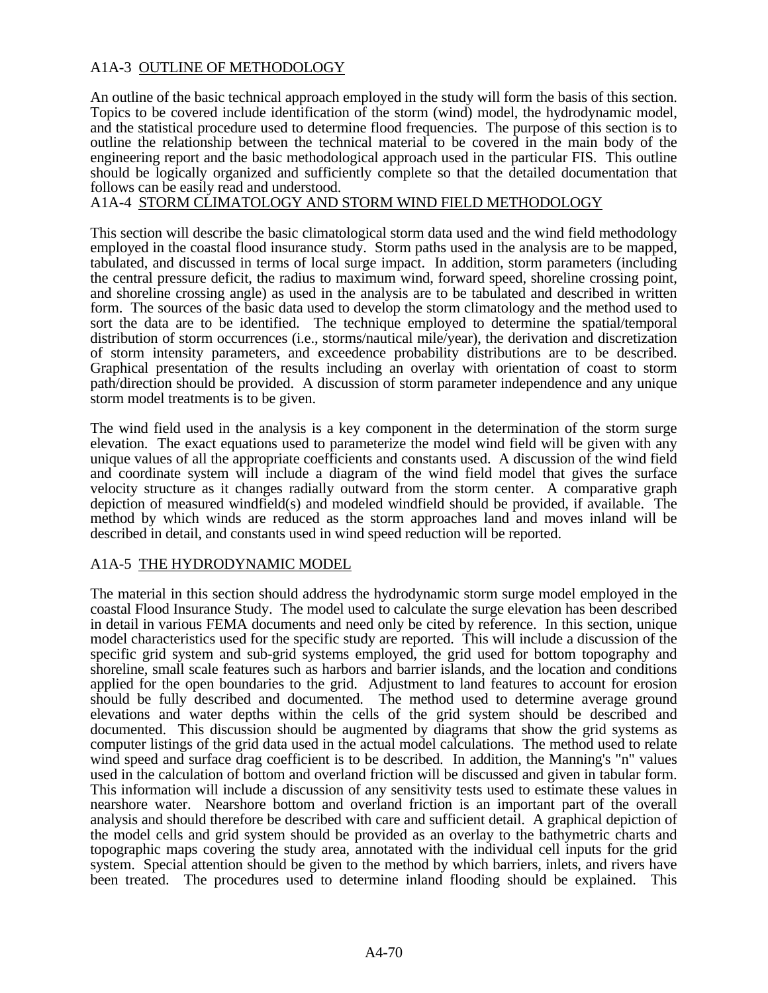# A1A-3 OUTLINE OF METHODOLOGY

An outline of the basic technical approach employed in the study will form the basis of this section. Topics to be covered include identification of the storm (wind) model, the hydrodynamic model, and the statistical procedure used to determine flood frequencies. The purpose of this section is to outline the relationship between the technical material to be covered in the main body of the engineering report and the basic methodological approach used in the particular FIS. This outline should be logically organized and sufficiently complete so that the detailed documentation that follows can be easily read and understood.

## A1A-4 STORM CLIMATOLOGY AND STORM WIND FIELD METHODOLOGY

This section will describe the basic climatological storm data used and the wind field methodology employed in the coastal flood insurance study. Storm paths used in the analysis are to be mapped, tabulated, and discussed in terms of local surge impact. In addition, storm parameters (including the central pressure deficit, the radius to maximum wind, forward speed, shoreline crossing point, and shoreline crossing angle) as used in the analysis are to be tabulated and described in written form. The sources of the basic data used to develop the storm climatology and the method used to sort the data are to be identified. The technique employed to determine the spatial/temporal distribution of storm occurrences (i.e., storms/nautical mile/year), the derivation and discretization of storm intensity parameters, and exceedence probability distributions are to be described. Graphical presentation of the results including an overlay with orientation of coast to storm path/direction should be provided. A discussion of storm parameter independence and any unique storm model treatments is to be given.

The wind field used in the analysis is a key component in the determination of the storm surge elevation. The exact equations used to parameterize the model wind field will be given with any unique values of all the appropriate coefficients and constants used. A discussion of the wind field and coordinate system will include a diagram of the wind field model that gives the surface velocity structure as it changes radially outward from the storm center. A comparative graph depiction of measured windfield(s) and modeled windfield should be provided, if available. The method by which winds are reduced as the storm approaches land and moves inland will be described in detail, and constants used in wind speed reduction will be reported.

# A1A-5 THE HYDRODYNAMIC MODEL

The material in this section should address the hydrodynamic storm surge model employed in the coastal Flood Insurance Study. The model used to calculate the surge elevation has been described in detail in various FEMA documents and need only be cited by reference. In this section, unique model characteristics used for the specific study are reported. This will include a discussion of the specific grid system and sub-grid systems employed, the grid used for bottom topography and shoreline, small scale features such as harbors and barrier islands, and the location and conditions applied for the open boundaries to the grid. Adjustment to land features to account for erosion should be fully described and documented. The method used to determine average ground elevations and water depths within the cells of the grid system should be described and documented. This discussion should be augmented by diagrams that show the grid systems as computer listings of the grid data used in the actual model calculations. The method used to relate wind speed and surface drag coefficient is to be described. In addition, the Manning's "n" values used in the calculation of bottom and overland friction will be discussed and given in tabular form. This information will include a discussion of any sensitivity tests used to estimate these values in nearshore water. Nearshore bottom and overland friction is an important part of the overall analysis and should therefore be described with care and sufficient detail. A graphical depiction of the model cells and grid system should be provided as an overlay to the bathymetric charts and topographic maps covering the study area, annotated with the individual cell inputs for the grid system. Special attention should be given to the method by which barriers, inlets, and rivers have been treated. The procedures used to determine inland flooding should be explained. This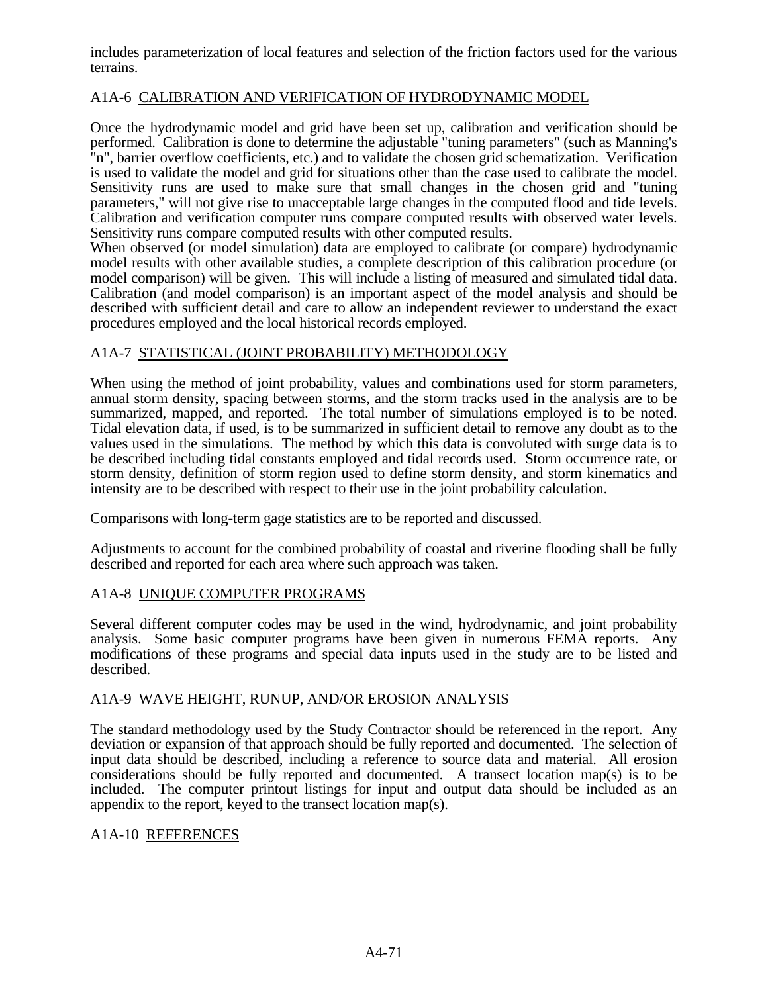includes parameterization of local features and selection of the friction factors used for the various terrains.

# A1A-6 CALIBRATION AND VERIFICATION OF HYDRODYNAMIC MODEL

Once the hydrodynamic model and grid have been set up, calibration and verification should be performed. Calibration is done to determine the adjustable "tuning parameters" (such as Manning's "n", barrier overflow coefficients, etc.) and to validate the chosen grid schematization. Verification is used to validate the model and grid for situations other than the case used to calibrate the model. Sensitivity runs are used to make sure that small changes in the chosen grid and "tuning parameters," will not give rise to unacceptable large changes in the computed flood and tide levels. Calibration and verification computer runs compare computed results with observed water levels. Sensitivity runs compare computed results with other computed results.

When observed (or model simulation) data are employed to calibrate (or compare) hydrodynamic model results with other available studies, a complete description of this calibration procedure (or model comparison) will be given. This will include a listing of measured and simulated tidal data. Calibration (and model comparison) is an important aspect of the model analysis and should be described with sufficient detail and care to allow an independent reviewer to understand the exact procedures employed and the local historical records employed.

# A1A-7 STATISTICAL (JOINT PROBABILITY) METHODOLOGY

When using the method of joint probability, values and combinations used for storm parameters, annual storm density, spacing between storms, and the storm tracks used in the analysis are to be summarized, mapped, and reported. The total number of simulations employed is to be noted. Tidal elevation data, if used, is to be summarized in sufficient detail to remove any doubt as to the values used in the simulations. The method by which this data is convoluted with surge data is to be described including tidal constants employed and tidal records used. Storm occurrence rate, or storm density, definition of storm region used to define storm density, and storm kinematics and intensity are to be described with respect to their use in the joint probability calculation.

Comparisons with long-term gage statistics are to be reported and discussed.

Adjustments to account for the combined probability of coastal and riverine flooding shall be fully described and reported for each area where such approach was taken.

# A1A-8 UNIQUE COMPUTER PROGRAMS

Several different computer codes may be used in the wind, hydrodynamic, and joint probability analysis. Some basic computer programs have been given in numerous FEMA reports. Any modifications of these programs and special data inputs used in the study are to be listed and described.

### A1A-9 WAVE HEIGHT, RUNUP, AND/OR EROSION ANALYSIS

The standard methodology used by the Study Contractor should be referenced in the report. Any deviation or expansion of that approach should be fully reported and documented. The selection of input data should be described, including a reference to source data and material. All erosion considerations should be fully reported and documented. A transect location map(s) is to be included. The computer printout listings for input and output data should be included as an appendix to the report, keyed to the transect location map(s).

# A1A-10 REFERENCES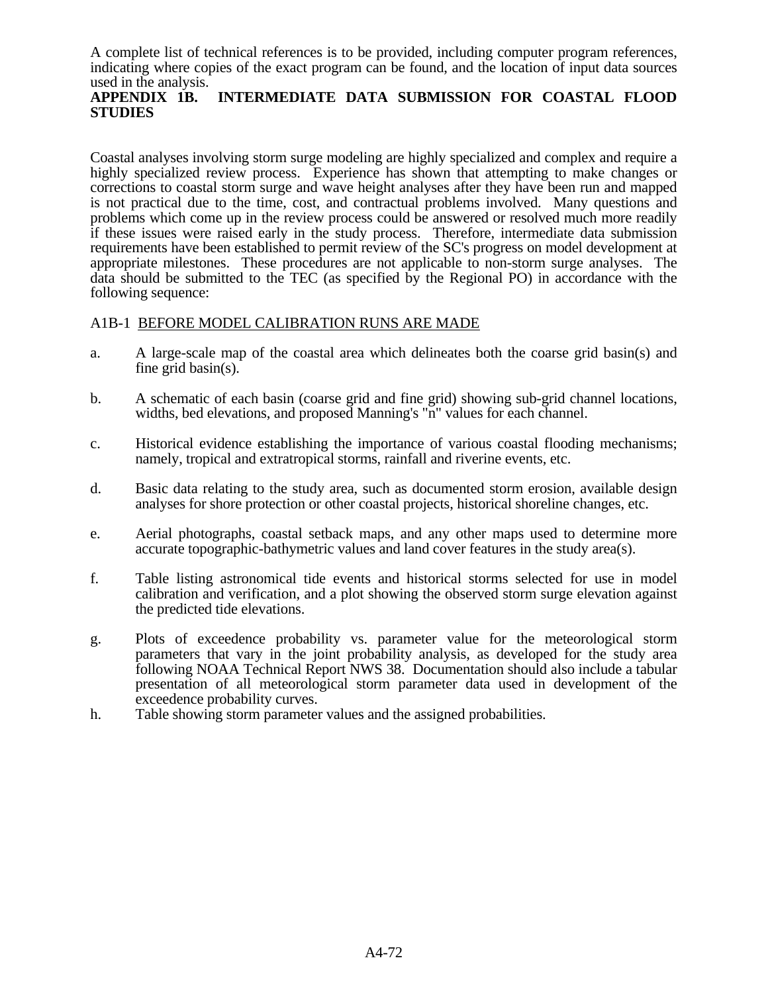A complete list of technical references is to be provided, including computer program references, indicating where copies of the exact program can be found, and the location of input data sources used in the analysis.

# **APPENDIX 1B. INTERMEDIATE DATA SUBMISSION FOR COASTAL FLOOD STUDIES**

Coastal analyses involving storm surge modeling are highly specialized and complex and require a highly specialized review process. Experience has shown that attempting to make changes or corrections to coastal storm surge and wave height analyses after they have been run and mapped is not practical due to the time, cost, and contractual problems involved. Many questions and problems which come up in the review process could be answered or resolved much more readily if these issues were raised early in the study process. Therefore, intermediate data submission requirements have been established to permit review of the SC's progress on model development at appropriate milestones. These procedures are not applicable to non-storm surge analyses. The data should be submitted to the TEC (as specified by the Regional PO) in accordance with the following sequence:

# A1B-1 BEFORE MODEL CALIBRATION RUNS ARE MADE

- a. A large-scale map of the coastal area which delineates both the coarse grid basin(s) and fine grid basin(s).
- b. A schematic of each basin (coarse grid and fine grid) showing sub-grid channel locations, widths, bed elevations, and proposed Manning's "n" values for each channel.
- c. Historical evidence establishing the importance of various coastal flooding mechanisms; namely, tropical and extratropical storms, rainfall and riverine events, etc.
- d. Basic data relating to the study area, such as documented storm erosion, available design analyses for shore protection or other coastal projects, historical shoreline changes, etc.
- e. Aerial photographs, coastal setback maps, and any other maps used to determine more accurate topographic-bathymetric values and land cover features in the study area(s).
- f. Table listing astronomical tide events and historical storms selected for use in model calibration and verification, and a plot showing the observed storm surge elevation against the predicted tide elevations.
- g. Plots of exceedence probability vs. parameter value for the meteorological storm parameters that vary in the joint probability analysis, as developed for the study area following NOAA Technical Report NWS 38. Documentation should also include a tabular presentation of all meteorological storm parameter data used in development of the exceedence probability curves.
- h. Table showing storm parameter values and the assigned probabilities.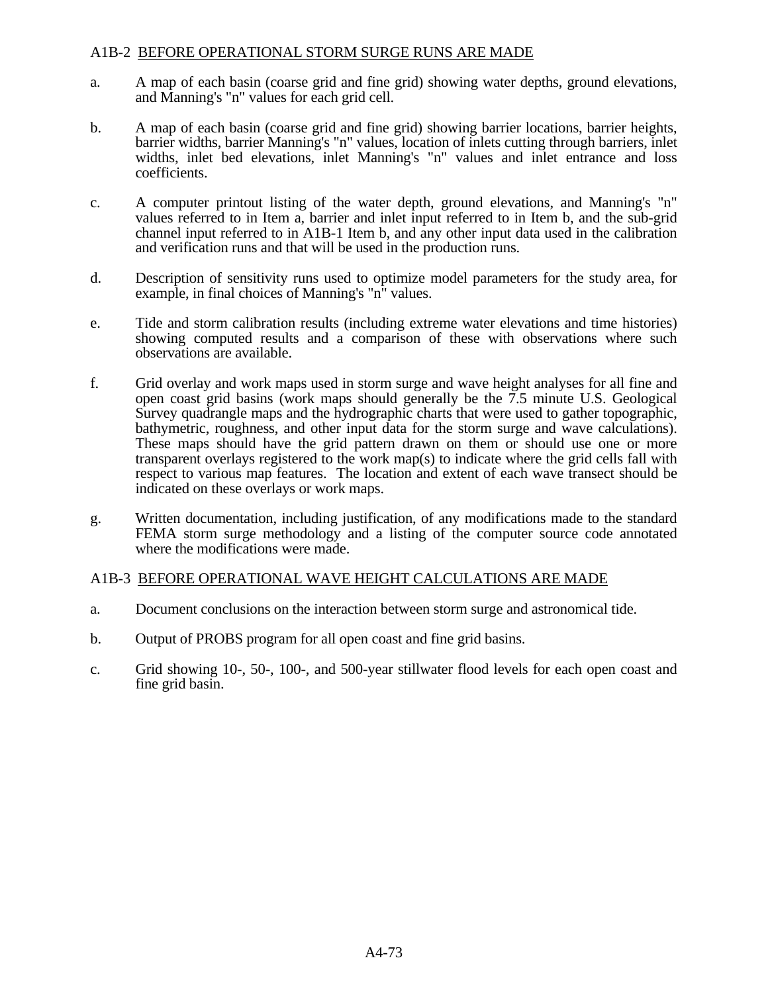# A1B-2 BEFORE OPERATIONAL STORM SURGE RUNS ARE MADE

- a. A map of each basin (coarse grid and fine grid) showing water depths, ground elevations, and Manning's "n" values for each grid cell.
- b. A map of each basin (coarse grid and fine grid) showing barrier locations, barrier heights, barrier widths, barrier Manning's "n" values, location of inlets cutting through barriers, inlet widths, inlet bed elevations, inlet Manning's "n" values and inlet entrance and loss coefficients.
- c. A computer printout listing of the water depth, ground elevations, and Manning's "n" values referred to in Item a, barrier and inlet input referred to in Item b, and the sub-grid channel input referred to in A1B-1 Item b, and any other input data used in the calibration and verification runs and that will be used in the production runs.
- d. Description of sensitivity runs used to optimize model parameters for the study area, for example, in final choices of Manning's "n" values.
- e. Tide and storm calibration results (including extreme water elevations and time histories) showing computed results and a comparison of these with observations where such observations are available.
- f. Grid overlay and work maps used in storm surge and wave height analyses for all fine and open coast grid basins (work maps should generally be the 7.5 minute U.S. Geological Survey quadrangle maps and the hydrographic charts that were used to gather topographic, bathymetric, roughness, and other input data for the storm surge and wave calculations). These maps should have the grid pattern drawn on them or should use one or more transparent overlays registered to the work map(s) to indicate where the grid cells fall with respect to various map features. The location and extent of each wave transect should be indicated on these overlays or work maps.
- g. Written documentation, including justification, of any modifications made to the standard FEMA storm surge methodology and a listing of the computer source code annotated where the modifications were made.

### A1B-3 BEFORE OPERATIONAL WAVE HEIGHT CALCULATIONS ARE MADE

- a. Document conclusions on the interaction between storm surge and astronomical tide.
- b. Output of PROBS program for all open coast and fine grid basins.
- c. Grid showing 10-, 50-, 100-, and 500-year stillwater flood levels for each open coast and fine grid basin.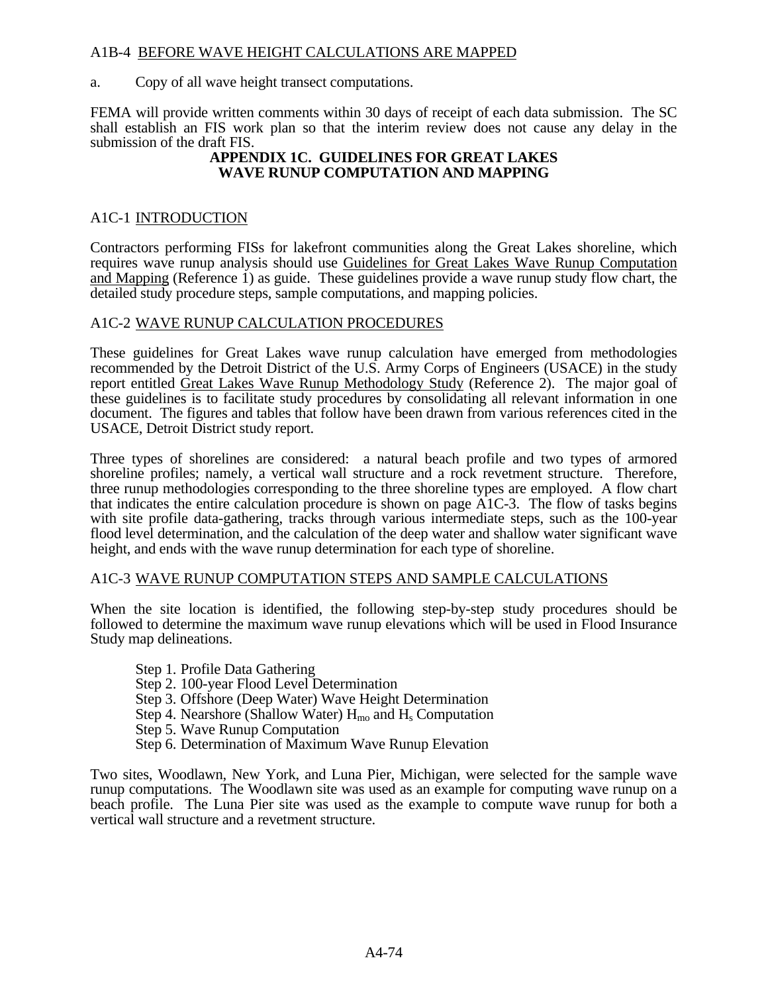# A1B-4 BEFORE WAVE HEIGHT CALCULATIONS ARE MAPPED

a. Copy of all wave height transect computations.

FEMA will provide written comments within 30 days of receipt of each data submission. The SC shall establish an FIS work plan so that the interim review does not cause any delay in the submission of the draft FIS.

#### **APPENDIX 1C. GUIDELINES FOR GREAT LAKES WAVE RUNUP COMPUTATION AND MAPPING**

# A1C-1 INTRODUCTION

Contractors performing FISs for lakefront communities along the Great Lakes shoreline, which requires wave runup analysis should use Guidelines for Great Lakes Wave Runup Computation and Mapping (Reference 1) as guide. These guidelines provide a wave runup study flow chart, the detailed study procedure steps, sample computations, and mapping policies.

#### A1C-2 WAVE RUNUP CALCULATION PROCEDURES

These guidelines for Great Lakes wave runup calculation have emerged from methodologies recommended by the Detroit District of the U.S. Army Corps of Engineers (USACE) in the study report entitled Great Lakes Wave Runup Methodology Study (Reference 2). The major goal of these guidelines is to facilitate study procedures by consolidating all relevant information in one document. The figures and tables that follow have been drawn from various references cited in the USACE, Detroit District study report.

Three types of shorelines are considered: a natural beach profile and two types of armored shoreline profiles; namely, a vertical wall structure and a rock revetment structure. Therefore, three runup methodologies corresponding to the three shoreline types are employed. A flow chart that indicates the entire calculation procedure is shown on page A1C-3. The flow of tasks begins with site profile data-gathering, tracks through various intermediate steps, such as the 100-year flood level determination, and the calculation of the deep water and shallow water significant wave height, and ends with the wave runup determination for each type of shoreline.

#### A1C-3 WAVE RUNUP COMPUTATION STEPS AND SAMPLE CALCULATIONS

When the site location is identified, the following step-by-step study procedures should be followed to determine the maximum wave runup elevations which will be used in Flood Insurance Study map delineations.

- Step 1. Profile Data Gathering
- Step 2. 100-year Flood Level Determination
- Step 3. Offshore (Deep Water) Wave Height Determination
- Step 4. Nearshore (Shallow Water)  $H_{\text{mo}}$  and  $H_s$  Computation
- Step 5. Wave Runup Computation
- Step 6. Determination of Maximum Wave Runup Elevation

Two sites, Woodlawn, New York, and Luna Pier, Michigan, were selected for the sample wave runup computations. The Woodlawn site was used as an example for computing wave runup on a beach profile. The Luna Pier site was used as the example to compute wave runup for both a vertical wall structure and a revetment structure.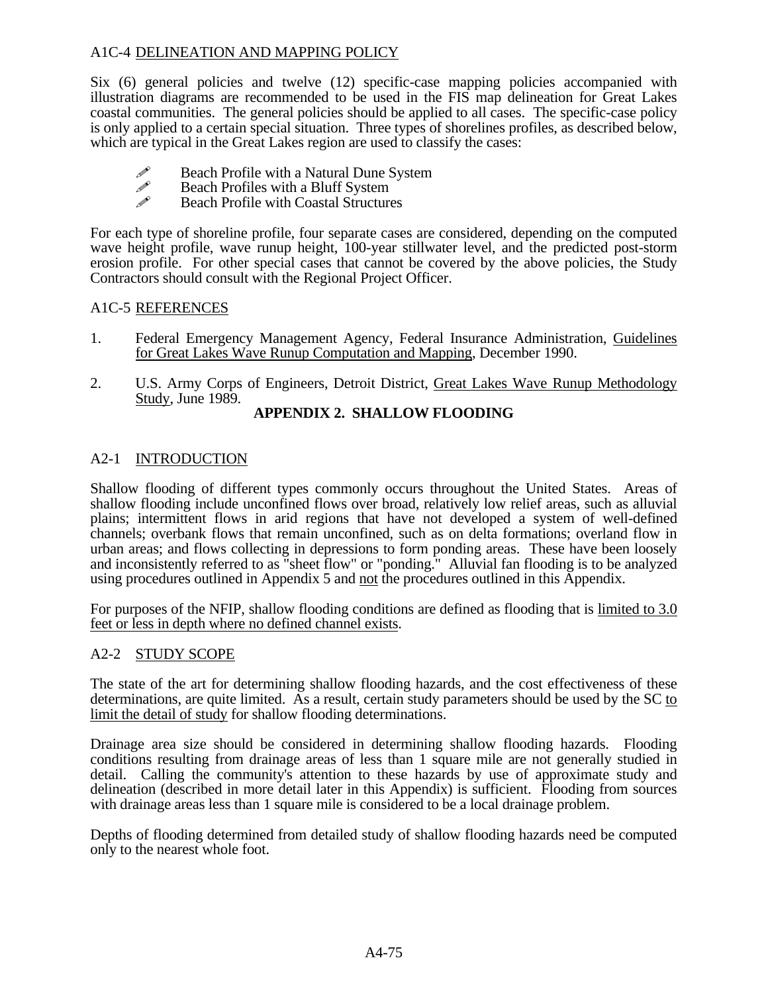# A1C-4 DELINEATION AND MAPPING POLICY

Six (6) general policies and twelve (12) specific-case mapping policies accompanied with illustration diagrams are recommended to be used in the FIS map delineation for Great Lakes coastal communities. The general policies should be applied to all cases. The specific-case policy is only applied to a certain special situation. Three types of shorelines profiles, as described below, which are typical in the Great Lakes region are used to classify the cases:

- $\mathscr{P}$  Beach Profile with a Natural Dune System<br>Beach Profiles with a Bluff System
- Beach Profiles with a Bluff System<br>Beach Profile with Coastal Structure
- Beach Profile with Coastal Structures

For each type of shoreline profile, four separate cases are considered, depending on the computed wave height profile, wave runup height, 100-year stillwater level, and the predicted post-storm erosion profile. For other special cases that cannot be covered by the above policies, the Study Contractors should consult with the Regional Project Officer.

### A1C-5 REFERENCES

- 1. Federal Emergency Management Agency, Federal Insurance Administration, Guidelines for Great Lakes Wave Runup Computation and Mapping, December 1990.
- 2. U.S. Army Corps of Engineers, Detroit District, Great Lakes Wave Runup Methodology Study, June 1989.

# **APPENDIX 2. SHALLOW FLOODING**

# A2-1 INTRODUCTION

Shallow flooding of different types commonly occurs throughout the United States. Areas of shallow flooding include unconfined flows over broad, relatively low relief areas, such as alluvial plains; intermittent flows in arid regions that have not developed a system of well-defined channels; overbank flows that remain unconfined, such as on delta formations; overland flow in urban areas; and flows collecting in depressions to form ponding areas. These have been loosely and inconsistently referred to as "sheet flow" or "ponding." Alluvial fan flooding is to be analyzed using procedures outlined in Appendix 5 and not the procedures outlined in this Appendix.

For purposes of the NFIP, shallow flooding conditions are defined as flooding that is limited to 3.0 feet or less in depth where no defined channel exists.

### A2-2 STUDY SCOPE

The state of the art for determining shallow flooding hazards, and the cost effectiveness of these determinations, are quite limited. As a result, certain study parameters should be used by the SC to limit the detail of study for shallow flooding determinations.

Drainage area size should be considered in determining shallow flooding hazards. Flooding conditions resulting from drainage areas of less than 1 square mile are not generally studied in detail. Calling the community's attention to these hazards by use of approximate study and delineation (described in more detail later in this Appendix) is sufficient. Flooding from sources with drainage areas less than 1 square mile is considered to be a local drainage problem.

Depths of flooding determined from detailed study of shallow flooding hazards need be computed only to the nearest whole foot.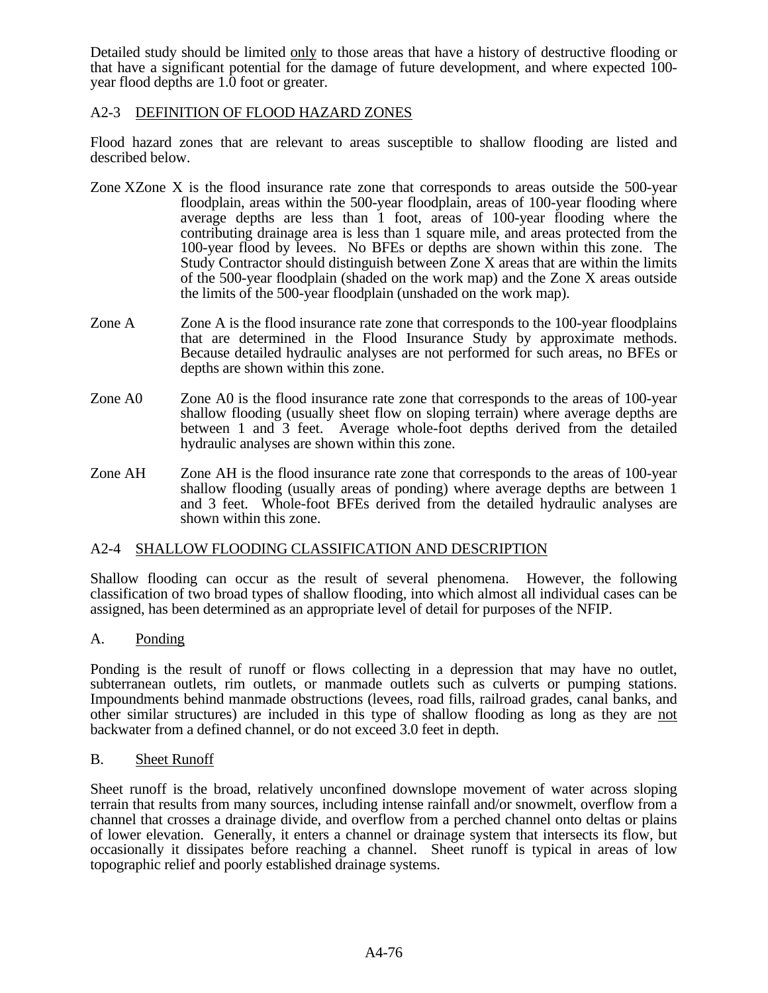Detailed study should be limited only to those areas that have a history of destructive flooding or that have a significant potential for the damage of future development, and where expected 100 year flood depths are 1.0 foot or greater.

### A2-3 DEFINITION OF FLOOD HAZARD ZONES

Flood hazard zones that are relevant to areas susceptible to shallow flooding are listed and described below.

- Zone X Zone X is the flood insurance rate zone that corresponds to areas outside the 500-year floodplain, areas within the 500-year floodplain, areas of 100-year flooding where average depths are less than 1 foot, areas of 100-year flooding where the contributing drainage area is less than 1 square mile, and areas protected from the 100-year flood by levees. No BFEs or depths are shown within this zone. The Study Contractor should distinguish between Zone X areas that are within the limits of the 500-year floodplain (shaded on the work map) and the Zone X areas outside the limits of the 500-year floodplain (unshaded on the work map).
- Zone A Zone A is the flood insurance rate zone that corresponds to the 100-year floodplains that are determined in the Flood Insurance Study by approximate methods. Because detailed hydraulic analyses are not performed for such areas, no BFEs or depths are shown within this zone.
- Zone A0 Zone A0 is the flood insurance rate zone that corresponds to the areas of 100-year shallow flooding (usually sheet flow on sloping terrain) where average depths are between 1 and 3 feet. Average whole-foot depths derived from the detailed hydraulic analyses are shown within this zone.
- Zone AH Zone AH is the flood insurance rate zone that corresponds to the areas of 100-year shallow flooding (usually areas of ponding) where average depths are between 1 and 3 feet. Whole-foot BFEs derived from the detailed hydraulic analyses are shown within this zone.

### A2-4 SHALLOW FLOODING CLASSIFICATION AND DESCRIPTION

Shallow flooding can occur as the result of several phenomena. However, the following classification of two broad types of shallow flooding, into which almost all individual cases can be assigned, has been determined as an appropriate level of detail for purposes of the NFIP.

### A. Ponding

Ponding is the result of runoff or flows collecting in a depression that may have no outlet, subterranean outlets, rim outlets, or manmade outlets such as culverts or pumping stations. Impoundments behind manmade obstructions (levees, road fills, railroad grades, canal banks, and other similar structures) are included in this type of shallow flooding as long as they are not backwater from a defined channel, or do not exceed 3.0 feet in depth.

#### B. Sheet Runoff

Sheet runoff is the broad, relatively unconfined downslope movement of water across sloping terrain that results from many sources, including intense rainfall and/or snowmelt, overflow from a channel that crosses a drainage divide, and overflow from a perched channel onto deltas or plains of lower elevation. Generally, it enters a channel or drainage system that intersects its flow, but occasionally it dissipates before reaching a channel. Sheet runoff is typical in areas of low topographic relief and poorly established drainage systems.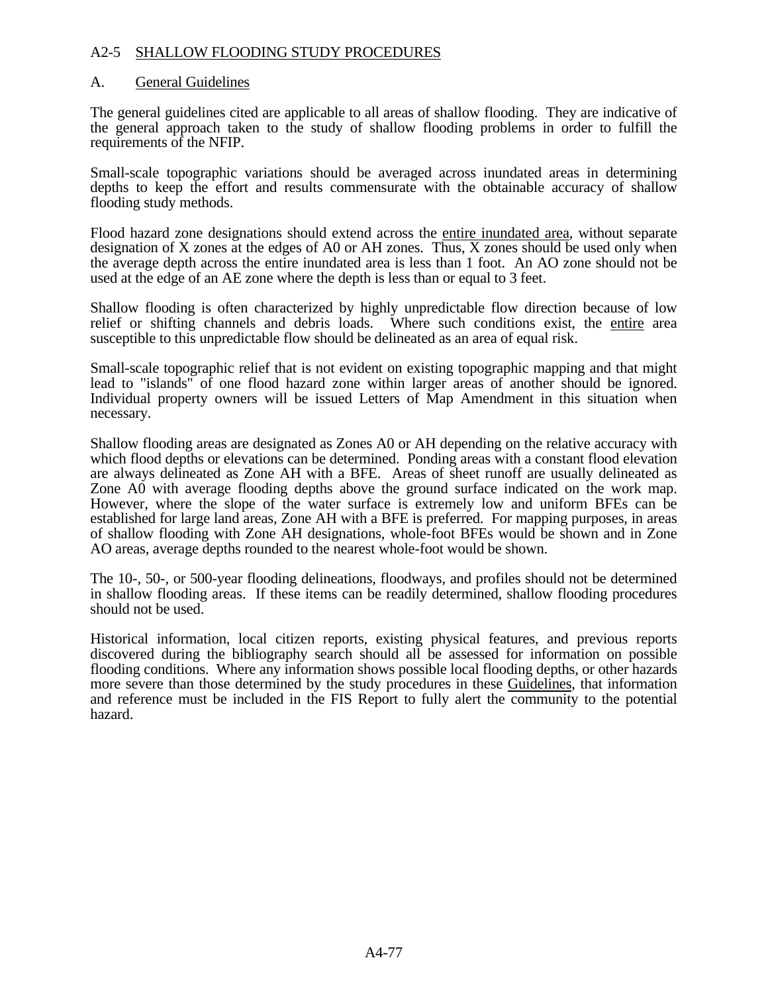# A2-5 SHALLOW FLOODING STUDY PROCEDURES

### A. General Guidelines

The general guidelines cited are applicable to all areas of shallow flooding. They are indicative of the general approach taken to the study of shallow flooding problems in order to fulfill the requirements of the NFIP.

Small-scale topographic variations should be averaged across inundated areas in determining depths to keep the effort and results commensurate with the obtainable accuracy of shallow flooding study methods.

Flood hazard zone designations should extend across the entire inundated area, without separate designation of X zones at the edges of A0 or AH zones. Thus, X zones should be used only when the average depth across the entire inundated area is less than 1 foot. An AO zone should not be used at the edge of an AE zone where the depth is less than or equal to 3 feet.

Shallow flooding is often characterized by highly unpredictable flow direction because of low relief or shifting channels and debris loads. Where such conditions exist, the entire area susceptible to this unpredictable flow should be delineated as an area of equal risk.

Small-scale topographic relief that is not evident on existing topographic mapping and that might lead to "islands" of one flood hazard zone within larger areas of another should be ignored. Individual property owners will be issued Letters of Map Amendment in this situation when necessary.

Shallow flooding areas are designated as Zones A0 or AH depending on the relative accuracy with which flood depths or elevations can be determined. Ponding areas with a constant flood elevation are always delineated as Zone AH with a BFE. Areas of sheet runoff are usually delineated as Zone A0 with average flooding depths above the ground surface indicated on the work map. However, where the slope of the water surface is extremely low and uniform BFEs can be established for large land areas, Zone AH with a BFE is preferred. For mapping purposes, in areas of shallow flooding with Zone AH designations, whole-foot BFEs would be shown and in Zone AO areas, average depths rounded to the nearest whole-foot would be shown.

The 10-, 50-, or 500-year flooding delineations, floodways, and profiles should not be determined in shallow flooding areas. If these items can be readily determined, shallow flooding procedures should not be used.

Historical information, local citizen reports, existing physical features, and previous reports discovered during the bibliography search should all be assessed for information on possible flooding conditions. Where any information shows possible local flooding depths, or other hazards more severe than those determined by the study procedures in these Guidelines, that information and reference must be included in the FIS Report to fully alert the community to the potential hazard.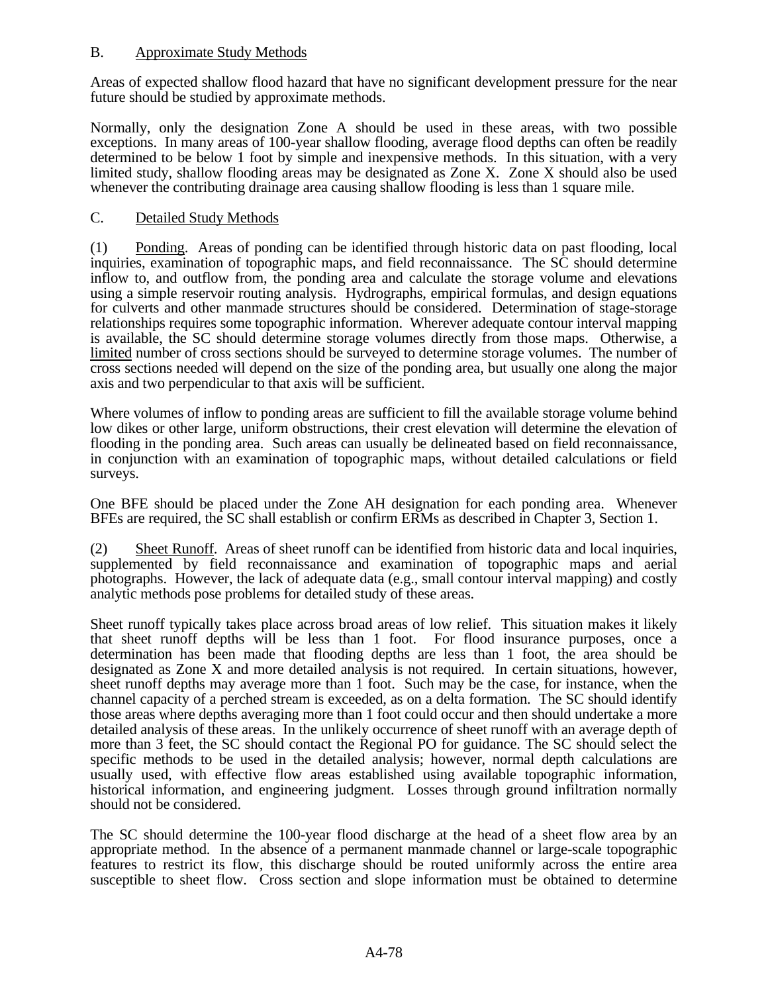### B. Approximate Study Methods

Areas of expected shallow flood hazard that have no significant development pressure for the near future should be studied by approximate methods.

Normally, only the designation Zone A should be used in these areas, with two possible exceptions. In many areas of 100-year shallow flooding, average flood depths can often be readily determined to be below 1 foot by simple and inexpensive methods. In this situation, with a very limited study, shallow flooding areas may be designated as Zone X. Zone X should also be used whenever the contributing drainage area causing shallow flooding is less than 1 square mile.

# C. Detailed Study Methods

(1) Ponding. Areas of ponding can be identified through historic data on past flooding, local inquiries, examination of topographic maps, and field reconnaissance. The SC should determine inflow to, and outflow from, the ponding area and calculate the storage volume and elevations using a simple reservoir routing analysis. Hydrographs, empirical formulas, and design equations for culverts and other manmade structures should be considered. Determination of stage-storage relationships requires some topographic information. Wherever adequate contour interval mapping is available, the SC should determine storage volumes directly from those maps. Otherwise, a limited number of cross sections should be surveyed to determine storage volumes. The number of cross sections needed will depend on the size of the ponding area, but usually one along the major axis and two perpendicular to that axis will be sufficient.

Where volumes of inflow to ponding areas are sufficient to fill the available storage volume behind low dikes or other large, uniform obstructions, their crest elevation will determine the elevation of flooding in the ponding area. Such areas can usually be delineated based on field reconnaissance, in conjunction with an examination of topographic maps, without detailed calculations or field surveys.

One BFE should be placed under the Zone AH designation for each ponding area. Whenever BFEs are required, the SC shall establish or confirm ERMs as described in Chapter 3, Section 1.

(2) Sheet Runoff. Areas of sheet runoff can be identified from historic data and local inquiries, supplemented by field reconnaissance and examination of topographic maps and aerial photographs. However, the lack of adequate data (e.g., small contour interval mapping) and costly analytic methods pose problems for detailed study of these areas.

Sheet runoff typically takes place across broad areas of low relief. This situation makes it likely that sheet runoff depths will be less than 1 foot. For flood insurance purposes, once a determination has been made that flooding depths are less than 1 foot, the area should be designated as Zone X and more detailed analysis is not required. In certain situations, however, sheet runoff depths may average more than 1 foot. Such may be the case, for instance, when the channel capacity of a perched stream is exceeded, as on a delta formation. The SC should identify those areas where depths averaging more than 1 foot could occur and then should undertake a more detailed analysis of these areas. In the unlikely occurrence of sheet runoff with an average depth of more than 3 feet, the SC should contact the Regional PO for guidance. The SC should select the specific methods to be used in the detailed analysis; however, normal depth calculations are usually used, with effective flow areas established using available topographic information, historical information, and engineering judgment. Losses through ground infiltration normally should not be considered.

The SC should determine the 100-year flood discharge at the head of a sheet flow area by an appropriate method. In the absence of a permanent manmade channel or large-scale topographic features to restrict its flow, this discharge should be routed uniformly across the entire area susceptible to sheet flow. Cross section and slope information must be obtained to determine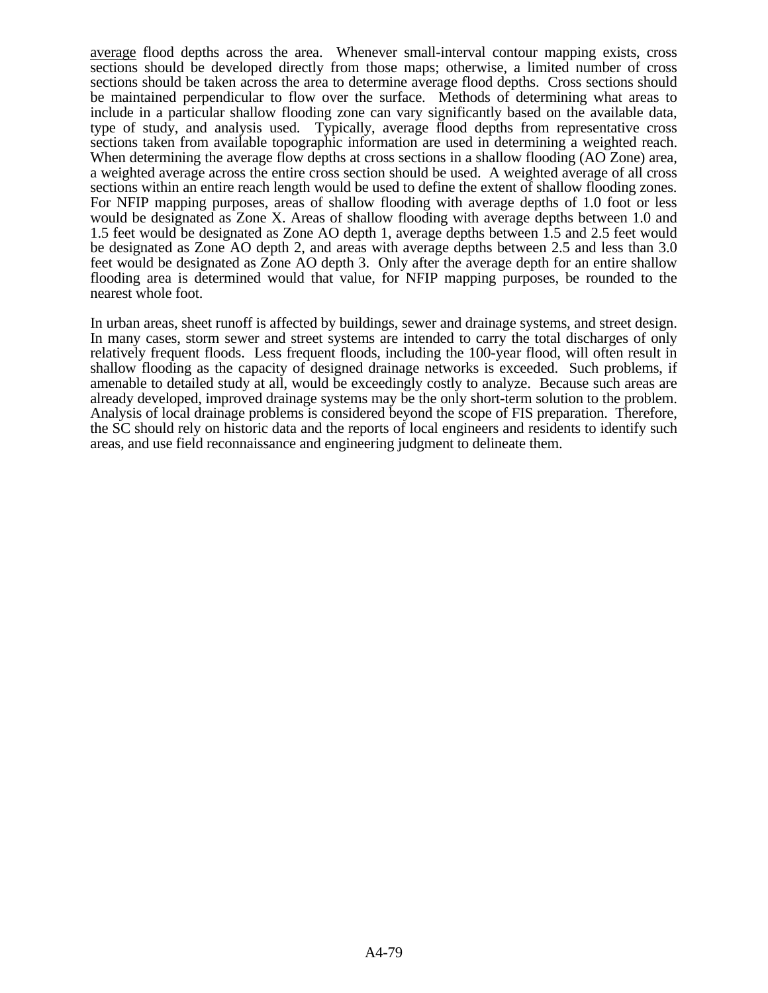average flood depths across the area. Whenever small-interval contour mapping exists, cross sections should be developed directly from those maps; otherwise, a limited number of cross sections should be taken across the area to determine average flood depths. Cross sections should be maintained perpendicular to flow over the surface. Methods of determining what areas to include in a particular shallow flooding zone can vary significantly based on the available data, type of study, and analysis used. Typically, average flood depths from representative cross sections taken from available topographic information are used in determining a weighted reach. When determining the average flow depths at cross sections in a shallow flooding (AO Zone) area, a weighted average across the entire cross section should be used. A weighted average of all cross sections within an entire reach length would be used to define the extent of shallow flooding zones. For NFIP mapping purposes, areas of shallow flooding with average depths of 1.0 foot or less would be designated as Zone X. Areas of shallow flooding with average depths between 1.0 and 1.5 feet would be designated as Zone AO depth 1, average depths between 1.5 and 2.5 feet would be designated as Zone AO depth 2, and areas with average depths between 2.5 and less than 3.0 feet would be designated as Zone AO depth 3. Only after the average depth for an entire shallow flooding area is determined would that value, for NFIP mapping purposes, be rounded to the nearest whole foot.

In urban areas, sheet runoff is affected by buildings, sewer and drainage systems, and street design. In many cases, storm sewer and street systems are intended to carry the total discharges of only relatively frequent floods. Less frequent floods, including the 100-year flood, will often result in shallow flooding as the capacity of designed drainage networks is exceeded. Such problems, if amenable to detailed study at all, would be exceedingly costly to analyze. Because such areas are already developed, improved drainage systems may be the only short-term solution to the problem. Analysis of local drainage problems is considered beyond the scope of FIS preparation. Therefore, the SC should rely on historic data and the reports of local engineers and residents to identify such areas, and use field reconnaissance and engineering judgment to delineate them.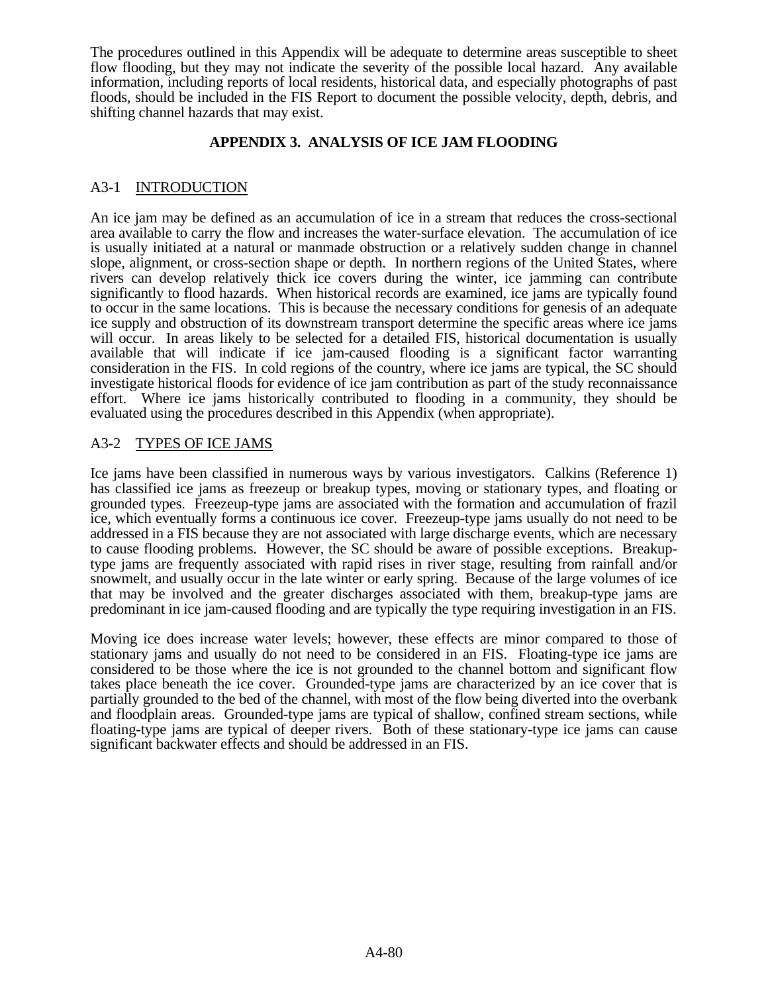The procedures outlined in this Appendix will be adequate to determine areas susceptible to sheet flow flooding, but they may not indicate the severity of the possible local hazard. Any available information, including reports of local residents, historical data, and especially photographs of past floods, should be included in the FIS Report to document the possible velocity, depth, debris, and shifting channel hazards that may exist.

#### **APPENDIX 3. ANALYSIS OF ICE JAM FLOODING**

# A3-1 INTRODUCTION

An ice jam may be defined as an accumulation of ice in a stream that reduces the cross-sectional area available to carry the flow and increases the water-surface elevation. The accumulation of ice is usually initiated at a natural or manmade obstruction or a relatively sudden change in channel slope, alignment, or cross-section shape or depth. In northern regions of the United States, where rivers can develop relatively thick ice covers during the winter, ice jamming can contribute significantly to flood hazards. When historical records are examined, ice jams are typically found to occur in the same locations. This is because the necessary conditions for genesis of an adequate ice supply and obstruction of its downstream transport determine the specific areas where ice jams will occur. In areas likely to be selected for a detailed FIS, historical documentation is usually available that will indicate if ice jam-caused flooding is a significant factor warranting consideration in the FIS. In cold regions of the country, where ice jams are typical, the SC should investigate historical floods for evidence of ice jam contribution as part of the study reconnaissance effort. Where ice jams historically contributed to flooding in a community, they should be evaluated using the procedures described in this Appendix (when appropriate).

### A3-2 TYPES OF ICE JAMS

Ice jams have been classified in numerous ways by various investigators. Calkins (Reference 1) has classified ice jams as freezeup or breakup types, moving or stationary types, and floating or grounded types. Freezeup-type jams are associated with the formation and accumulation of frazil ice, which eventually forms a continuous ice cover. Freezeup-type jams usually do not need to be addressed in a FIS because they are not associated with large discharge events, which are necessary to cause flooding problems. However, the SC should be aware of possible exceptions. Breakuptype jams are frequently associated with rapid rises in river stage, resulting from rainfall and/or snowmelt, and usually occur in the late winter or early spring. Because of the large volumes of ice that may be involved and the greater discharges associated with them, breakup-type jams are predominant in ice jam-caused flooding and are typically the type requiring investigation in an FIS.

Moving ice does increase water levels; however, these effects are minor compared to those of stationary jams and usually do not need to be considered in an FIS. Floating-type ice jams are considered to be those where the ice is not grounded to the channel bottom and significant flow takes place beneath the ice cover. Grounded-type jams are characterized by an ice cover that is partially grounded to the bed of the channel, with most of the flow being diverted into the overbank and floodplain areas. Grounded-type jams are typical of shallow, confined stream sections, while floating-type jams are typical of deeper rivers. Both of these stationary-type ice jams can cause significant backwater effects and should be addressed in an FIS.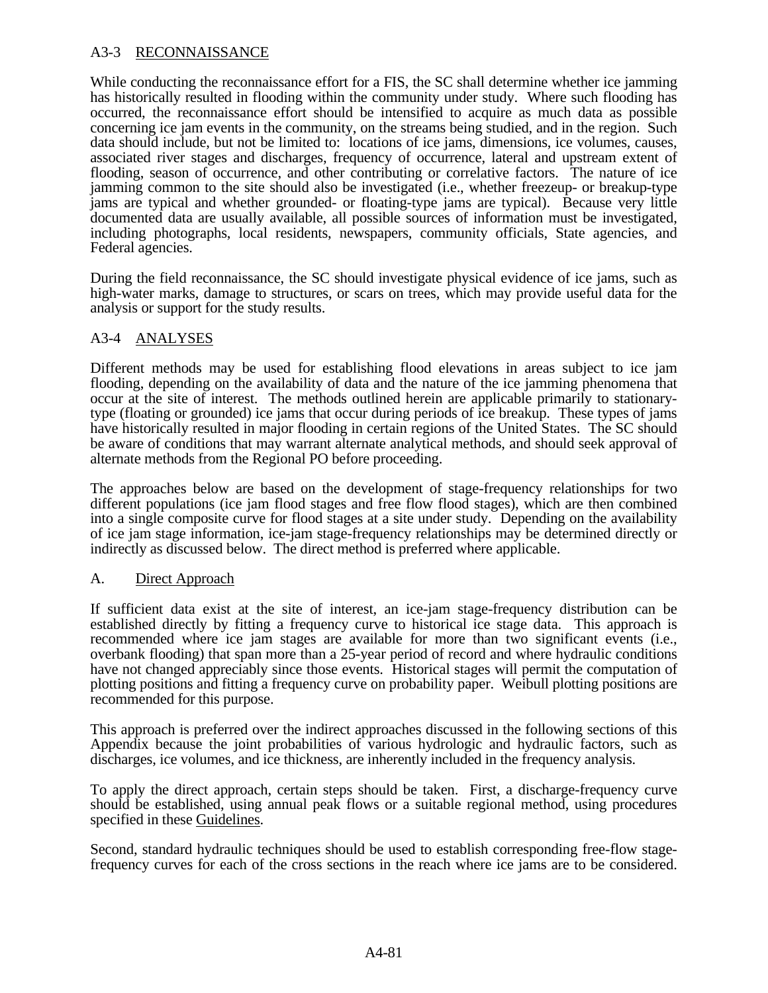# A3-3 RECONNAISSANCE

While conducting the reconnaissance effort for a FIS, the SC shall determine whether ice jamming has historically resulted in flooding within the community under study. Where such flooding has occurred, the reconnaissance effort should be intensified to acquire as much data as possible concerning ice jam events in the community, on the streams being studied, and in the region. Such data should include, but not be limited to: locations of ice jams, dimensions, ice volumes, causes, associated river stages and discharges, frequency of occurrence, lateral and upstream extent of flooding, season of occurrence, and other contributing or correlative factors. The nature of ice jamming common to the site should also be investigated (i.e., whether freezeup- or breakup-type jams are typical and whether grounded- or floating-type jams are typical). Because very little documented data are usually available, all possible sources of information must be investigated, including photographs, local residents, newspapers, community officials, State agencies, and Federal agencies.

During the field reconnaissance, the SC should investigate physical evidence of ice jams, such as high-water marks, damage to structures, or scars on trees, which may provide useful data for the analysis or support for the study results.

### A3-4 ANALYSES

Different methods may be used for establishing flood elevations in areas subject to ice jam flooding, depending on the availability of data and the nature of the ice jamming phenomena that occur at the site of interest. The methods outlined herein are applicable primarily to stationarytype (floating or grounded) ice jams that occur during periods of ice breakup. These types of jams have historically resulted in major flooding in certain regions of the United States. The SC should be aware of conditions that may warrant alternate analytical methods, and should seek approval of alternate methods from the Regional PO before proceeding.

The approaches below are based on the development of stage-frequency relationships for two different populations (ice jam flood stages and free flow flood stages), which are then combined into a single composite curve for flood stages at a site under study. Depending on the availability of ice jam stage information, ice-jam stage-frequency relationships may be determined directly or indirectly as discussed below. The direct method is preferred where applicable.

### A. Direct Approach

If sufficient data exist at the site of interest, an ice-jam stage-frequency distribution can be established directly by fitting a frequency curve to historical ice stage data. This approach is recommended where ice jam stages are available for more than two significant events (i.e., overbank flooding) that span more than a 25-year period of record and where hydraulic conditions have not changed appreciably since those events. Historical stages will permit the computation of plotting positions and fitting a frequency curve on probability paper. Weibull plotting positions are recommended for this purpose.

This approach is preferred over the indirect approaches discussed in the following sections of this Appendix because the joint probabilities of various hydrologic and hydraulic factors, such as discharges, ice volumes, and ice thickness, are inherently included in the frequency analysis.

To apply the direct approach, certain steps should be taken. First, a discharge-frequency curve should be established, using annual peak flows or a suitable regional method, using procedures specified in these Guidelines.

Second, standard hydraulic techniques should be used to establish corresponding free-flow stagefrequency curves for each of the cross sections in the reach where ice jams are to be considered.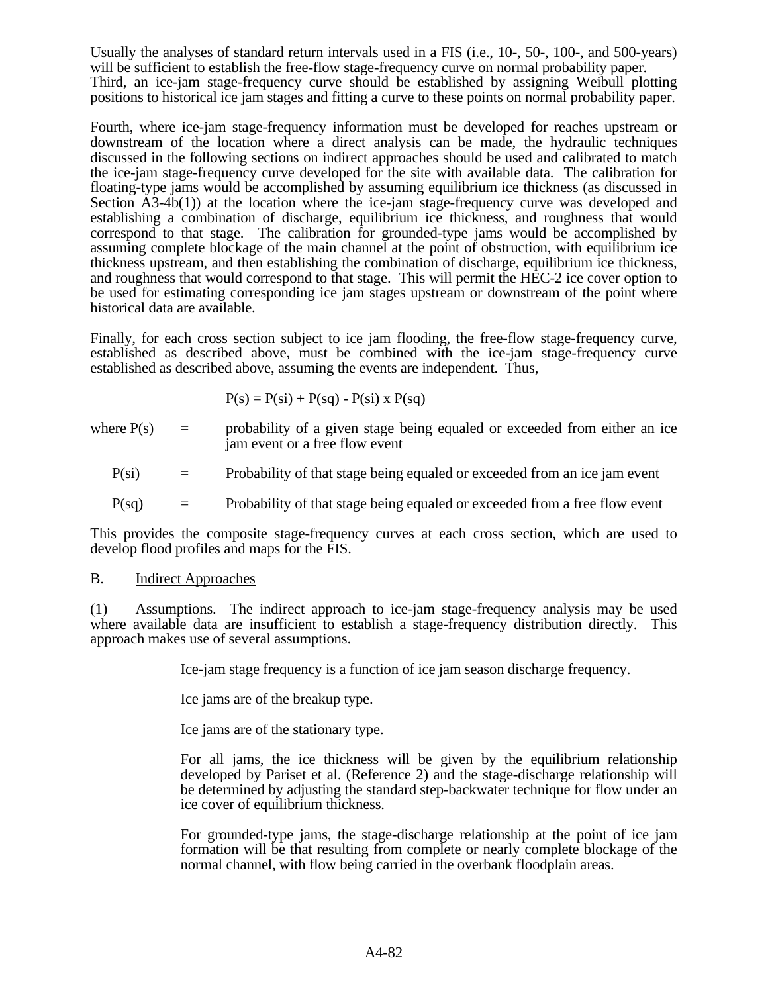Usually the analyses of standard return intervals used in a FIS (i.e., 10-, 50-, 100-, and 500-years) will be sufficient to establish the free-flow stage-frequency curve on normal probability paper. Third, an ice-jam stage-frequency curve should be established by assigning Weibull plotting positions to historical ice jam stages and fitting a curve to these points on normal probability paper.

Fourth, where ice-jam stage-frequency information must be developed for reaches upstream or downstream of the location where a direct analysis can be made, the hydraulic techniques discussed in the following sections on indirect approaches should be used and calibrated to match the ice-jam stage-frequency curve developed for the site with available data. The calibration for floating-type jams would be accomplished by assuming equilibrium ice thickness (as discussed in Section  $\overrightarrow{A3}$ - $\overrightarrow{4b(1)}$  at the location where the ice-jam stage-frequency curve was developed and establishing a combination of discharge, equilibrium ice thickness, and roughness that would correspond to that stage. The calibration for grounded-type jams would be accomplished by assuming complete blockage of the main channel at the point of obstruction, with equilibrium ice thickness upstream, and then establishing the combination of discharge, equilibrium ice thickness, and roughness that would correspond to that stage. This will permit the HEC-2 ice cover option to be used for estimating corresponding ice jam stages upstream or downstream of the point where historical data are available.

Finally, for each cross section subject to ice jam flooding, the free-flow stage-frequency curve, established as described above, must be combined with the ice-jam stage-frequency curve established as described above, assuming the events are independent. Thus,

$$
P(s) = P(s\mathbf{i}) + P(s\mathbf{q}) - P(s\mathbf{i}) \times P(s\mathbf{q})
$$

where  $P(s)$  = probability of a given stage being equaled or exceeded from either an ice jam event or a free flow event

 $P(\text{si})$  = Probability of that stage being equaled or exceeded from an ice jam event

 $P(sq)$  = Probability of that stage being equaled or exceeded from a free flow event

This provides the composite stage-frequency curves at each cross section, which are used to develop flood profiles and maps for the FIS.

#### B. Indirect Approaches

(1) Assumptions. The indirect approach to ice-jam stage-frequency analysis may be used where available data are insufficient to establish a stage-frequency distribution directly. This approach makes use of several assumptions.

Ice-jam stage frequency is a function of ice jam season discharge frequency.

Ice jams are of the breakup type.

Ice jams are of the stationary type.

 For all jams, the ice thickness will be given by the equilibrium relationship developed by Pariset et al. (Reference 2) and the stage-discharge relationship will be determined by adjusting the standard step-backwater technique for flow under an ice cover of equilibrium thickness.

 For grounded-type jams, the stage-discharge relationship at the point of ice jam formation will be that resulting from complete or nearly complete blockage of the normal channel, with flow being carried in the overbank floodplain areas.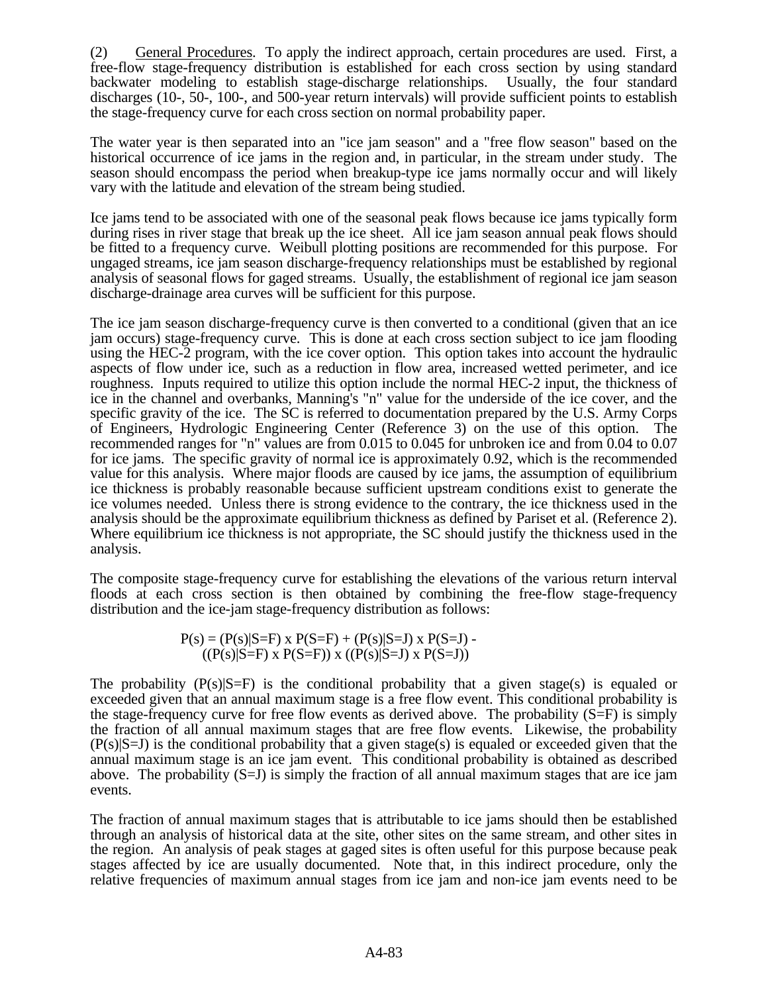(2) General Procedures. To apply the indirect approach, certain procedures are used. First, a free-flow stage-frequency distribution is established for each cross section by using standard backwater modeling to establish stage-discharge relationships. Usually, the four standard discharges (10-, 50-, 100-, and 500-year return intervals) will provide sufficient points to establish the stage-frequency curve for each cross section on normal probability paper.

The water year is then separated into an "ice jam season" and a "free flow season" based on the historical occurrence of ice jams in the region and, in particular, in the stream under study. The season should encompass the period when breakup-type ice jams normally occur and will likely vary with the latitude and elevation of the stream being studied.

Ice jams tend to be associated with one of the seasonal peak flows because ice jams typically form during rises in river stage that break up the ice sheet. All ice jam season annual peak flows should be fitted to a frequency curve. Weibull plotting positions are recommended for this purpose. For ungaged streams, ice jam season discharge-frequency relationships must be established by regional analysis of seasonal flows for gaged streams. Usually, the establishment of regional ice jam season discharge-drainage area curves will be sufficient for this purpose.

The ice jam season discharge-frequency curve is then converted to a conditional (given that an ice jam occurs) stage-frequency curve. This is done at each cross section subject to ice jam flooding using the HEC-2 program, with the ice cover option. This option takes into account the hydraulic aspects of flow under ice, such as a reduction in flow area, increased wetted perimeter, and ice roughness. Inputs required to utilize this option include the normal HEC-2 input, the thickness of ice in the channel and overbanks, Manning's "n" value for the underside of the ice cover, and the specific gravity of the ice. The SC is referred to documentation prepared by the U.S. Army Corps of Engineers, Hydrologic Engineering Center (Reference 3) on the use of this option. The recommended ranges for "n" values are from 0.015 to 0.045 for unbroken ice and from 0.04 to 0.07 for ice jams. The specific gravity of normal ice is approximately 0.92, which is the recommended value for this analysis. Where major floods are caused by ice jams, the assumption of equilibrium ice thickness is probably reasonable because sufficient upstream conditions exist to generate the ice volumes needed. Unless there is strong evidence to the contrary, the ice thickness used in the analysis should be the approximate equilibrium thickness as defined by Pariset et al. (Reference 2). Where equilibrium ice thickness is not appropriate, the SC should justify the thickness used in the analysis.

The composite stage-frequency curve for establishing the elevations of the various return interval floods at each cross section is then obtained by combining the free-flow stage-frequency distribution and the ice-jam stage-frequency distribution as follows:

> $P(s) = (P(s)|S=F) \times P(S=F) + (P(s)|S=J) \times P(S=J)$  - $((P(s)|S=F) \times P(S=F)) \times ((P(s)|S=J) \times P(S=J))$

The probability  $(P(s)|S=F)$  is the conditional probability that a given stage(s) is equaled or exceeded given that an annual maximum stage is a free flow event. This conditional probability is the stage-frequency curve for free flow events as derived above. The probability  $(S=F)$  is simply the fraction of all annual maximum stages that are free flow events. Likewise, the probability  $(P(s)|S=J)$  is the conditional probability that a given stage(s) is equaled or exceeded given that the annual maximum stage is an ice jam event. This conditional probability is obtained as described above. The probability  $(S=J)$  is simply the fraction of all annual maximum stages that are ice jam events.

The fraction of annual maximum stages that is attributable to ice jams should then be established through an analysis of historical data at the site, other sites on the same stream, and other sites in the region. An analysis of peak stages at gaged sites is often useful for this purpose because peak stages affected by ice are usually documented. Note that, in this indirect procedure, only the relative frequencies of maximum annual stages from ice jam and non-ice jam events need to be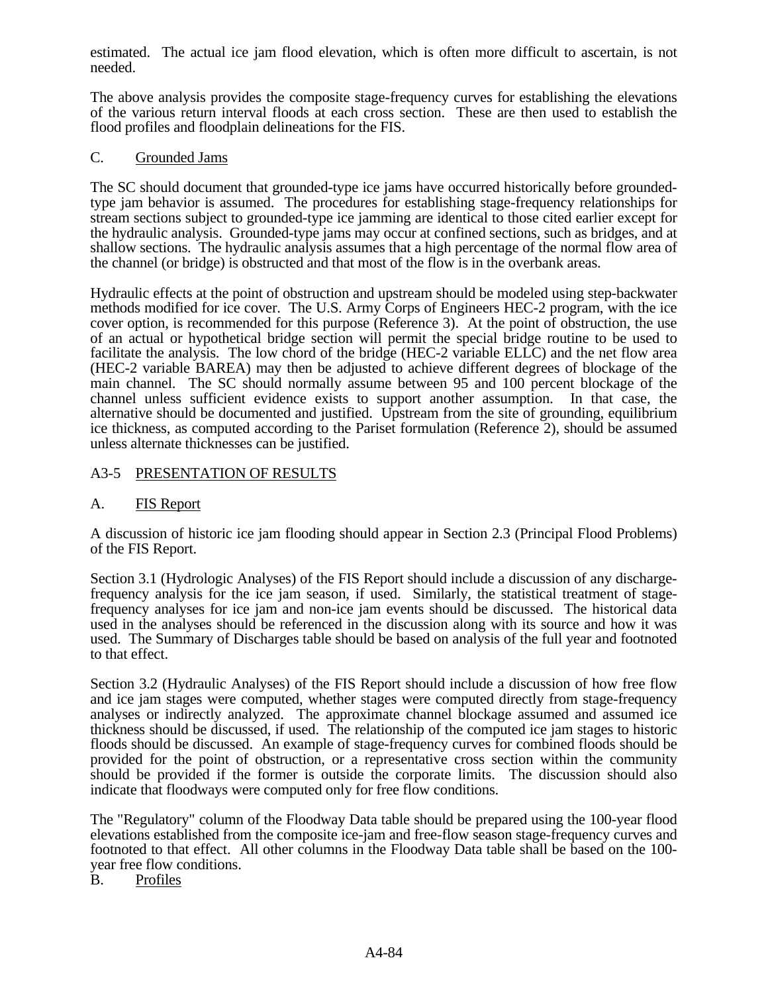estimated. The actual ice jam flood elevation, which is often more difficult to ascertain, is not needed.

The above analysis provides the composite stage-frequency curves for establishing the elevations of the various return interval floods at each cross section. These are then used to establish the flood profiles and floodplain delineations for the FIS.

### C. Grounded Jams

The SC should document that grounded-type ice jams have occurred historically before groundedtype jam behavior is assumed. The procedures for establishing stage-frequency relationships for stream sections subject to grounded-type ice jamming are identical to those cited earlier except for the hydraulic analysis. Grounded-type jams may occur at confined sections, such as bridges, and at shallow sections. The hydraulic analysis assumes that a high percentage of the normal flow area of the channel (or bridge) is obstructed and that most of the flow is in the overbank areas.

Hydraulic effects at the point of obstruction and upstream should be modeled using step-backwater methods modified for ice cover. The U.S. Army Corps of Engineers HEC-2 program, with the ice cover option, is recommended for this purpose (Reference 3). At the point of obstruction, the use of an actual or hypothetical bridge section will permit the special bridge routine to be used to facilitate the analysis. The low chord of the bridge (HEC-2 variable ELLC) and the net flow area (HEC-2 variable BAREA) may then be adjusted to achieve different degrees of blockage of the main channel. The SC should normally assume between 95 and 100 percent blockage of the channel unless sufficient evidence exists to support another assumption. In that case, the alternative should be documented and justified. Upstream from the site of grounding, equilibrium ice thickness, as computed according to the Pariset formulation (Reference 2), should be assumed unless alternate thicknesses can be justified.

# A3-5 PRESENTATION OF RESULTS

# A. FIS Report

A discussion of historic ice jam flooding should appear in Section 2.3 (Principal Flood Problems) of the FIS Report.

Section 3.1 (Hydrologic Analyses) of the FIS Report should include a discussion of any dischargefrequency analysis for the ice jam season, if used. Similarly, the statistical treatment of stagefrequency analyses for ice jam and non-ice jam events should be discussed. The historical data used in the analyses should be referenced in the discussion along with its source and how it was used. The Summary of Discharges table should be based on analysis of the full year and footnoted to that effect.

Section 3.2 (Hydraulic Analyses) of the FIS Report should include a discussion of how free flow and ice jam stages were computed, whether stages were computed directly from stage-frequency analyses or indirectly analyzed. The approximate channel blockage assumed and assumed ice thickness should be discussed, if used. The relationship of the computed ice jam stages to historic floods should be discussed. An example of stage-frequency curves for combined floods should be provided for the point of obstruction, or a representative cross section within the community should be provided if the former is outside the corporate limits. The discussion should also indicate that floodways were computed only for free flow conditions.

The "Regulatory" column of the Floodway Data table should be prepared using the 100-year flood elevations established from the composite ice-jam and free-flow season stage-frequency curves and footnoted to that effect. All other columns in the Floodway Data table shall be based on the 100 year free flow conditions.<br>B. Profiles

**Profiles**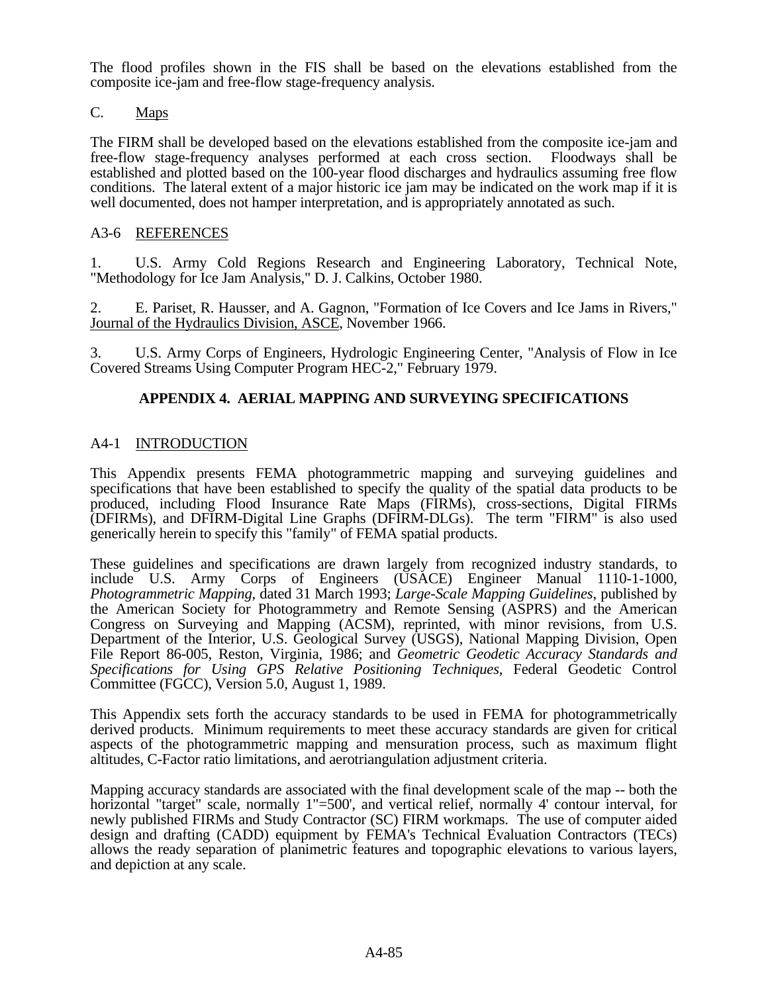The flood profiles shown in the FIS shall be based on the elevations established from the composite ice-jam and free-flow stage-frequency analysis.

C. Maps

The FIRM shall be developed based on the elevations established from the composite ice-jam and free-flow stage-frequency analyses performed at each cross section. Floodways shall be established and plotted based on the 100-year flood discharges and hydraulics assuming free flow conditions. The lateral extent of a major historic ice jam may be indicated on the work map if it is well documented, does not hamper interpretation, and is appropriately annotated as such.

# A3-6 REFERENCES

1. U.S. Army Cold Regions Research and Engineering Laboratory, Technical Note, "Methodology for Ice Jam Analysis," D. J. Calkins, October 1980.

2. E. Pariset, R. Hausser, and A. Gagnon, "Formation of Ice Covers and Ice Jams in Rivers," Journal of the Hydraulics Division, ASCE, November 1966.

3. U.S. Army Corps of Engineers, Hydrologic Engineering Center, "Analysis of Flow in Ice Covered Streams Using Computer Program HEC-2," February 1979.

# **APPENDIX 4. AERIAL MAPPING AND SURVEYING SPECIFICATIONS**

# A4-1 INTRODUCTION

This Appendix presents FEMA photogrammetric mapping and surveying guidelines and specifications that have been established to specify the quality of the spatial data products to be produced, including Flood Insurance Rate Maps (FIRMs), cross-sections, Digital FIRMs (DFIRMs), and DFIRM-Digital Line Graphs (DFIRM-DLGs). The term "FIRM" is also used generically herein to specify this "family" of FEMA spatial products.

These guidelines and specifications are drawn largely from recognized industry standards, to include U.S. Army Corps of Engineers (USACE) Engineer Manual 1110-1-1000, *Photogrammetric Mapping*, dated 31 March 1993; *Large-Scale Mapping Guidelines*, published by the American Society for Photogrammetry and Remote Sensing (ASPRS) and the American Congress on Surveying and Mapping (ACSM), reprinted, with minor revisions, from U.S. Department of the Interior, U.S. Geological Survey (USGS), National Mapping Division, Open File Report 86-005, Reston, Virginia, 1986; and *Geometric Geodetic Accuracy Standards and Specifications for Using GPS Relative Positioning Techniques*, Federal Geodetic Control Committee (FGCC), Version 5.0, August 1, 1989.

This Appendix sets forth the accuracy standards to be used in FEMA for photogrammetrically derived products. Minimum requirements to meet these accuracy standards are given for critical aspects of the photogrammetric mapping and mensuration process, such as maximum flight altitudes, C-Factor ratio limitations, and aerotriangulation adjustment criteria.

Mapping accuracy standards are associated with the final development scale of the map -- both the horizontal "target" scale, normally 1"=500', and vertical relief, normally 4' contour interval, for newly published FIRMs and Study Contractor (SC) FIRM workmaps. The use of computer aided design and drafting (CADD) equipment by FEMA's Technical Evaluation Contractors (TECs) allows the ready separation of planimetric features and topographic elevations to various layers, and depiction at any scale.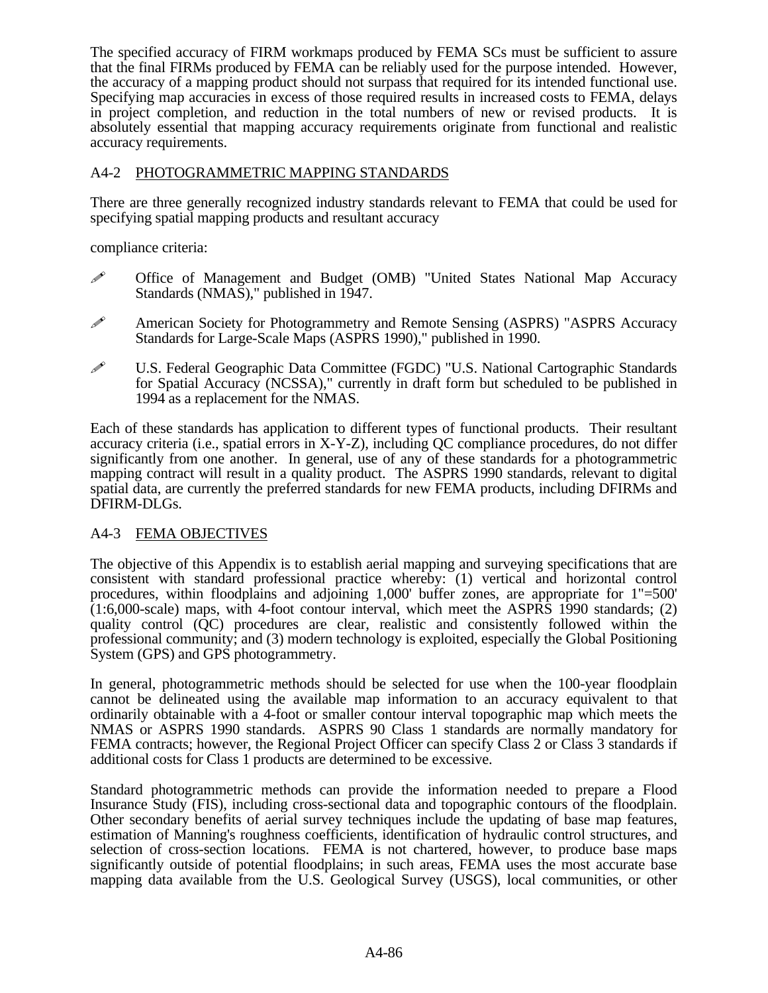The specified accuracy of FIRM workmaps produced by FEMA SCs must be sufficient to assure that the final FIRMs produced by FEMA can be reliably used for the purpose intended. However, the accuracy of a mapping product should not surpass that required for its intended functional use. Specifying map accuracies in excess of those required results in increased costs to FEMA, delays in project completion, and reduction in the total numbers of new or revised products. It is absolutely essential that mapping accuracy requirements originate from functional and realistic accuracy requirements.

#### A4-2 PHOTOGRAMMETRIC MAPPING STANDARDS

There are three generally recognized industry standards relevant to FEMA that could be used for specifying spatial mapping products and resultant accuracy

compliance criteria:

- Office of Management and Budget (OMB) "United States National Map Accuracy Standards (NMAS)," published in 1947.
- American Society for Photogrammetry and Remote Sensing (ASPRS) "ASPRS Accuracy Standards for Large-Scale Maps (ASPRS 1990)," published in 1990.
- U.S. Federal Geographic Data Committee (FGDC) "U.S. National Cartographic Standards for Spatial Accuracy (NCSSA)," currently in draft form but scheduled to be published in 1994 as a replacement for the NMAS.

Each of these standards has application to different types of functional products. Their resultant accuracy criteria (i.e., spatial errors in X-Y-Z), including QC compliance procedures, do not differ significantly from one another. In general, use of any of these standards for a photogrammetric mapping contract will result in a quality product. The ASPRS 1990 standards, relevant to digital spatial data, are currently the preferred standards for new FEMA products, including DFIRMs and DFIRM-DLGs.

### A4-3 FEMA OBJECTIVES

The objective of this Appendix is to establish aerial mapping and surveying specifications that are consistent with standard professional practice whereby: (1) vertical and horizontal control procedures, within floodplains and adjoining 1,000' buffer zones, are appropriate for 1"=500'  $(1:6,000\text{-}scale)$  maps, with 4-foot contour interval, which meet the ASPRS 1990 standards; (2) quality control (QC) procedures are clear, realistic and consistently followed within the professional community; and (3) modern technology is exploited, especially the Global Positioning System (GPS) and GPS photogrammetry.

In general, photogrammetric methods should be selected for use when the 100-year floodplain cannot be delineated using the available map information to an accuracy equivalent to that ordinarily obtainable with a 4-foot or smaller contour interval topographic map which meets the NMAS or ASPRS 1990 standards. ASPRS 90 Class 1 standards are normally mandatory for FEMA contracts; however, the Regional Project Officer can specify Class 2 or Class 3 standards if additional costs for Class 1 products are determined to be excessive.

Standard photogrammetric methods can provide the information needed to prepare a Flood Insurance Study (FIS), including cross-sectional data and topographic contours of the floodplain. Other secondary benefits of aerial survey techniques include the updating of base map features, estimation of Manning's roughness coefficients, identification of hydraulic control structures, and selection of cross-section locations. FEMA is not chartered, however, to produce base maps significantly outside of potential floodplains; in such areas, FEMA uses the most accurate base mapping data available from the U.S. Geological Survey (USGS), local communities, or other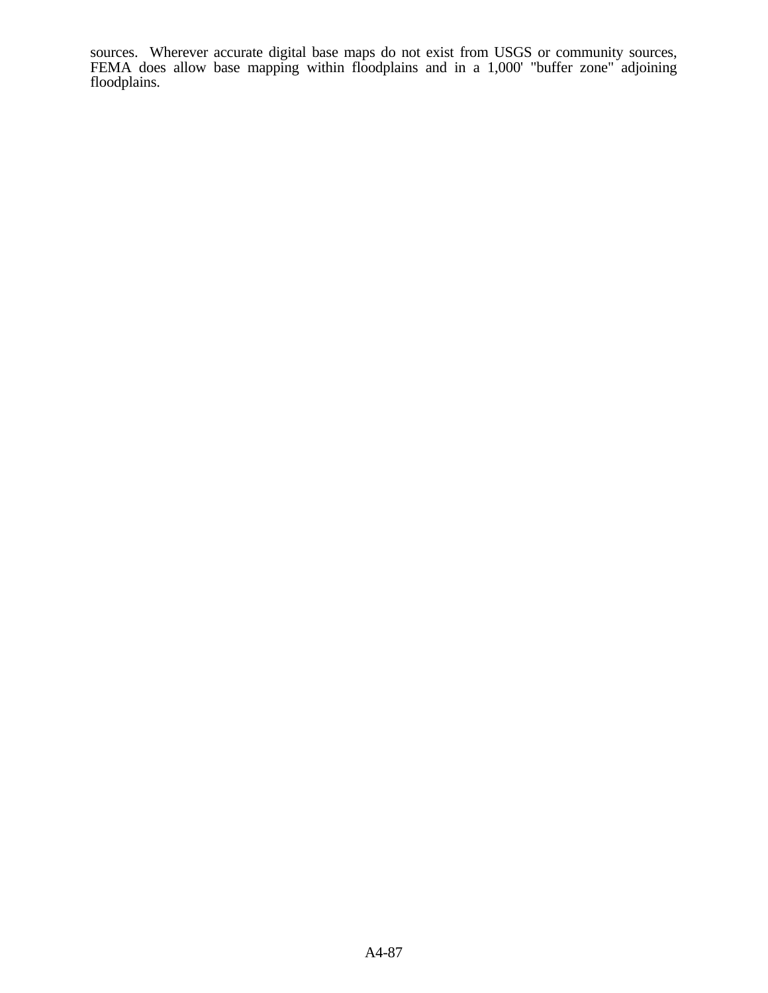sources. Wherever accurate digital base maps do not exist from USGS or community sources, FEMA does allow base mapping within floodplains and in a 1,000' "buffer zone" adjoining floodplains.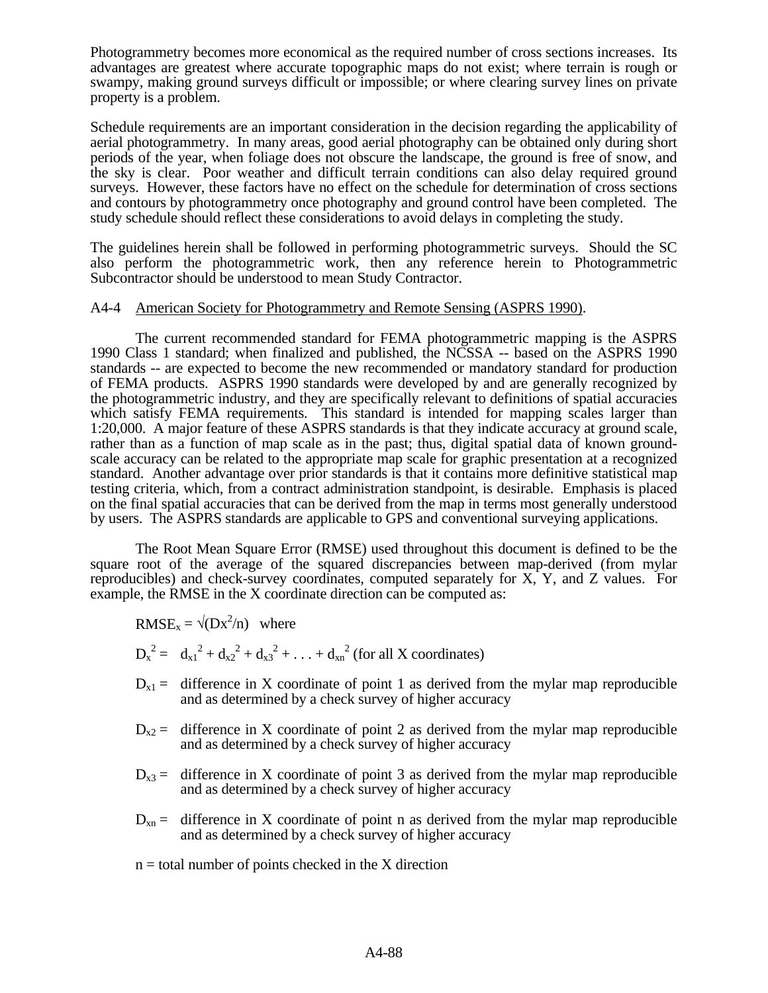Photogrammetry becomes more economical as the required number of cross sections increases. Its advantages are greatest where accurate topographic maps do not exist; where terrain is rough or swampy, making ground surveys difficult or impossible; or where clearing survey lines on private property is a problem.

Schedule requirements are an important consideration in the decision regarding the applicability of aerial photogrammetry. In many areas, good aerial photography can be obtained only during short periods of the year, when foliage does not obscure the landscape, the ground is free of snow, and the sky is clear. Poor weather and difficult terrain conditions can also delay required ground surveys. However, these factors have no effect on the schedule for determination of cross sections and contours by photogrammetry once photography and ground control have been completed. The study schedule should reflect these considerations to avoid delays in completing the study.

The guidelines herein shall be followed in performing photogrammetric surveys. Should the SC also perform the photogrammetric work, then any reference herein to Photogrammetric Subcontractor should be understood to mean Study Contractor.

#### A4-4 American Society for Photogrammetry and Remote Sensing (ASPRS 1990).

 The current recommended standard for FEMA photogrammetric mapping is the ASPRS 1990 Class 1 standard; when finalized and published, the NCSSA -- based on the ASPRS 1990 standards -- are expected to become the new recommended or mandatory standard for production of FEMA products. ASPRS 1990 standards were developed by and are generally recognized by the photogrammetric industry, and they are specifically relevant to definitions of spatial accuracies which satisfy FEMA requirements. This standard is intended for mapping scales larger than 1:20,000. A major feature of these ASPRS standards is that they indicate accuracy at ground scale, rather than as a function of map scale as in the past; thus, digital spatial data of known groundscale accuracy can be related to the appropriate map scale for graphic presentation at a recognized standard. Another advantage over prior standards is that it contains more definitive statistical map testing criteria, which, from a contract administration standpoint, is desirable. Emphasis is placed on the final spatial accuracies that can be derived from the map in terms most generally understood by users. The ASPRS standards are applicable to GPS and conventional surveying applications.

 The Root Mean Square Error (RMSE) used throughout this document is defined to be the square root of the average of the squared discrepancies between map-derived (from mylar reproducibles) and check-survey coordinates, computed separately for X, Y, and Z values. For example, the RMSE in the X coordinate direction can be computed as:

 $RMSE_x = \sqrt{(Dx^2/n)}$  where

 $D_x^2 = d_{x1}^2 + d_{x2}^2 + d_{x3}^2 + ... + d_{xn}^2$  (for all X coordinates)

- $D_{x1}$  = difference in X coordinate of point 1 as derived from the mylar map reproducible and as determined by a check survey of higher accuracy
- $D_{x2}$  = difference in X coordinate of point 2 as derived from the mylar map reproducible and as determined by a check survey of higher accuracy
- $D_{x3}$  = difference in X coordinate of point 3 as derived from the mylar map reproducible and as determined by a check survey of higher accuracy
- $D_{xn}$  = difference in X coordinate of point n as derived from the mylar map reproducible and as determined by a check survey of higher accuracy

 $n =$  total number of points checked in the X direction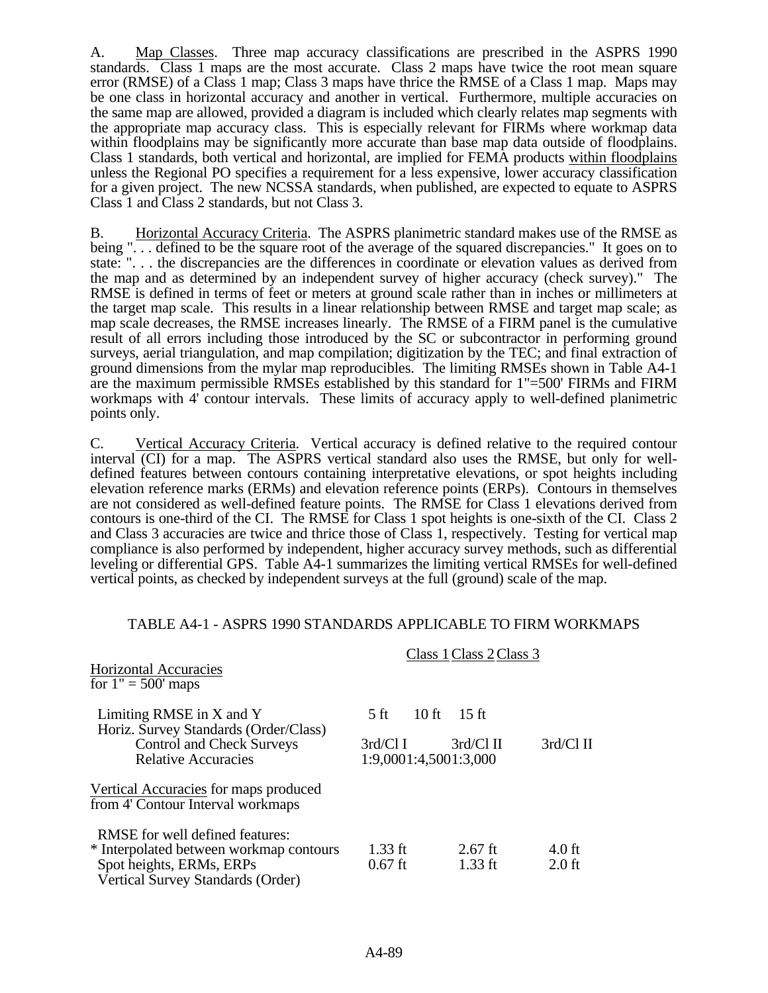A. Map Classes. Three map accuracy classifications are prescribed in the ASPRS 1990 standards. Class 1 maps are the most accurate. Class 2 maps have twice the root mean square error (RMSE) of a Class 1 map; Class 3 maps have thrice the RMSE of a Class 1 map. Maps may be one class in horizontal accuracy and another in vertical. Furthermore, multiple accuracies on the same map are allowed, provided a diagram is included which clearly relates map segments with the appropriate map accuracy class. This is especially relevant for FIRMs where workmap data within floodplains may be significantly more accurate than base map data outside of floodplains. Class 1 standards, both vertical and horizontal, are implied for FEMA products within floodplains unless the Regional PO specifies a requirement for a less expensive, lower accuracy classification for a given project. The new NCSSA standards, when published, are expected to equate to ASPRS Class 1 and Class 2 standards, but not Class 3.

B. Horizontal Accuracy Criteria. The ASPRS planimetric standard makes use of the RMSE as being "... defined to be the square root of the average of the squared discrepancies." It goes on to state: ". . . the discrepancies are the differences in coordinate or elevation values as derived from the map and as determined by an independent survey of higher accuracy (check survey)." The RMSE is defined in terms of feet or meters at ground scale rather than in inches or millimeters at the target map scale. This results in a linear relationship between RMSE and target map scale; as map scale decreases, the RMSE increases linearly. The RMSE of a FIRM panel is the cumulative result of all errors including those introduced by the SC or subcontractor in performing ground surveys, aerial triangulation, and map compilation; digitization by the TEC; and final extraction of ground dimensions from the mylar map reproducibles. The limiting RMSEs shown in Table A4-1 are the maximum permissible RMSEs established by this standard for 1"=500' FIRMs and FIRM workmaps with 4' contour intervals. These limits of accuracy apply to well-defined planimetric points only.

C. Vertical Accuracy Criteria. Vertical accuracy is defined relative to the required contour interval (CI) for a map. The ASPRS vertical standard also uses the RMSE, but only for welldefined features between contours containing interpretative elevations, or spot heights including elevation reference marks (ERMs) and elevation reference points (ERPs). Contours in themselves are not considered as well-defined feature points. The RMSE for Class 1 elevations derived from contours is one-third of the CI. The RMSE for Class 1 spot heights is one-sixth of the CI. Class 2 and Class 3 accuracies are twice and thrice those of Class 1, respectively. Testing for vertical map compliance is also performed by independent, higher accuracy survey methods, such as differential leveling or differential GPS. Table A4-1 summarizes the limiting vertical RMSEs for well-defined vertical points, as checked by independent surveys at the full (ground) scale of the map.

### TABLE A4-1 - ASPRS 1990 STANDARDS APPLICABLE TO FIRM WORKMAPS

| <b>Horizontal Accuracies</b><br>for $1" = 500'$ maps                                                                                        |                        | Class 1 Class 2 Class 3              |                      |
|---------------------------------------------------------------------------------------------------------------------------------------------|------------------------|--------------------------------------|----------------------|
| Limiting RMSE in X and Y                                                                                                                    | $5$ ft                 | $10 \text{ ft}$<br>$-15$ ft          |                      |
| Horiz. Survey Standards (Order/Class)<br><b>Control and Check Surveys</b><br><b>Relative Accuracies</b>                                     | 3rd/Cl I               | $3rd/Cl$ II<br>1:9,0001:4,5001:3,000 | 3rd/Cl II            |
| Vertical Accuracies for maps produced<br>from 4' Contour Interval workmaps                                                                  |                        |                                      |                      |
| RMSE for well defined features:<br>* Interpolated between workmap contours<br>Spot heights, ERMs, ERPs<br>Vertical Survey Standards (Order) | $1.33$ ft<br>$0.67$ ft | $2.67$ ft<br>$1.33$ ft               | $4.0$ ft<br>$2.0$ ft |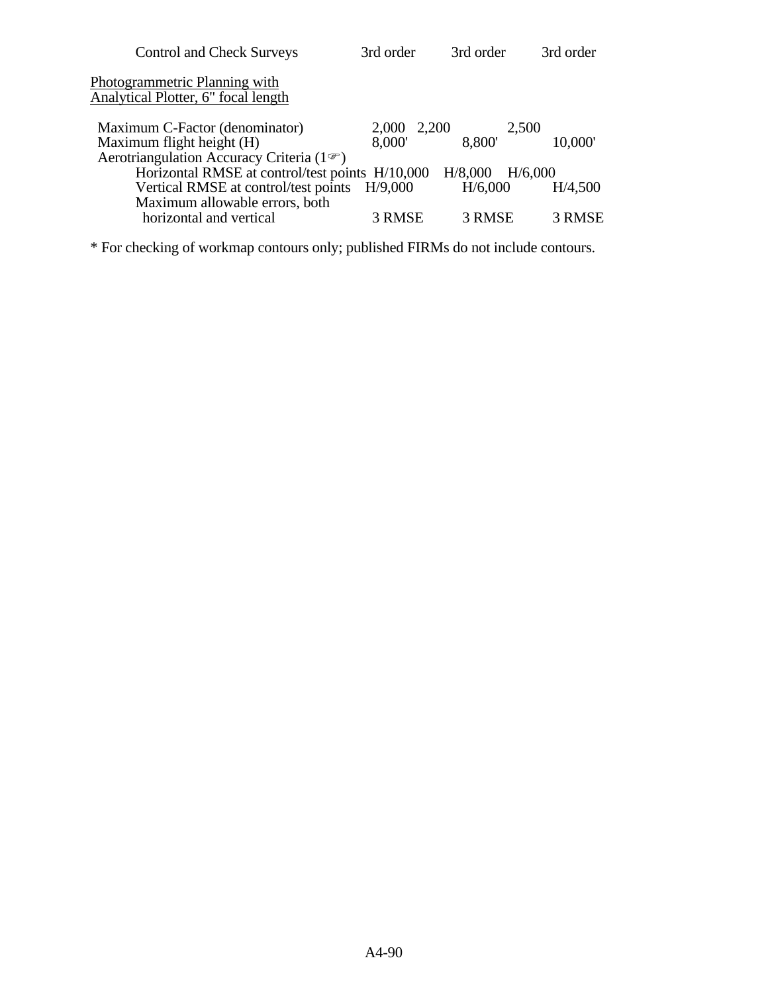| <b>Control and Check Surveys</b>                                     | 3rd order      | 3rd order          | 3rd order |
|----------------------------------------------------------------------|----------------|--------------------|-----------|
| Photogrammetric Planning with<br>Analytical Plotter, 6" focal length |                |                    |           |
| Maximum C-Factor (denominator)                                       | 2,200<br>2,000 | 2,500              |           |
| Maximum flight height (H)                                            | 8,000'         | 8,800              | 10,000'   |
| Aerotriangulation Accuracy Criteria (1 <sup>or)</sup>                |                |                    |           |
| Horizontal RMSE at control/test points H/10,000                      |                | H/8,000<br>H/6,000 |           |
| Vertical RMSE at control/test points                                 | H/9,000        | H/6,000            | H/4,500   |
| Maximum allowable errors, both<br>horizontal and vertical            | 3 RMSE         | 3 RMSE             | 3 RMSE    |

\* For checking of workmap contours only; published FIRMs do not include contours.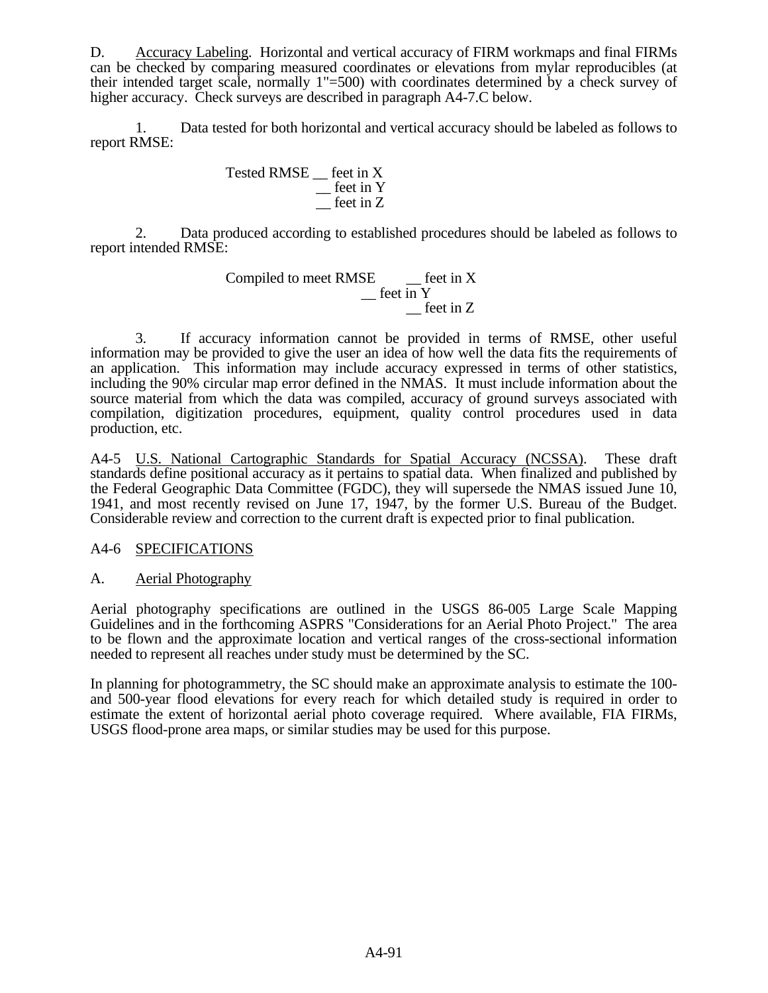D. Accuracy Labeling. Horizontal and vertical accuracy of FIRM workmaps and final FIRMs can be checked by comparing measured coordinates or elevations from mylar reproducibles (at their intended target scale, normally 1"=500) with coordinates determined by a check survey of higher accuracy. Check surveys are described in paragraph A4-7.C below.

 1. Data tested for both horizontal and vertical accuracy should be labeled as follows to report RMSE:

> Tested RMSE \_\_ feet in X \_\_ feet in Y  $\overline{\phantom{a}}$  feet in Z

 2. Data produced according to established procedures should be labeled as follows to report intended RMSE:

Compiled to meet RMSE \_\_ feet in X  $\qquad \qquad$  feet in Y \_\_ feet in Z

 3. If accuracy information cannot be provided in terms of RMSE, other useful information may be provided to give the user an idea of how well the data fits the requirements of an application. This information may include accuracy expressed in terms of other statistics, including the 90% circular map error defined in the NMAS. It must include information about the source material from which the data was compiled, accuracy of ground surveys associated with compilation, digitization procedures, equipment, quality control procedures used in data production, etc.

A4-5 U.S. National Cartographic Standards for Spatial Accuracy (NCSSA). These draft standards define positional accuracy as it pertains to spatial data. When finalized and published by the Federal Geographic Data Committee (FGDC), they will supersede the NMAS issued June 10, 1941, and most recently revised on June 17, 1947, by the former U.S. Bureau of the Budget. Considerable review and correction to the current draft is expected prior to final publication.

### A4-6 SPECIFICATIONS

### A. Aerial Photography

Aerial photography specifications are outlined in the USGS 86-005 Large Scale Mapping Guidelines and in the forthcoming ASPRS "Considerations for an Aerial Photo Project." The area to be flown and the approximate location and vertical ranges of the cross-sectional information needed to represent all reaches under study must be determined by the SC.

In planning for photogrammetry, the SC should make an approximate analysis to estimate the 100 and 500-year flood elevations for every reach for which detailed study is required in order to estimate the extent of horizontal aerial photo coverage required. Where available, FIA FIRMs, USGS flood-prone area maps, or similar studies may be used for this purpose.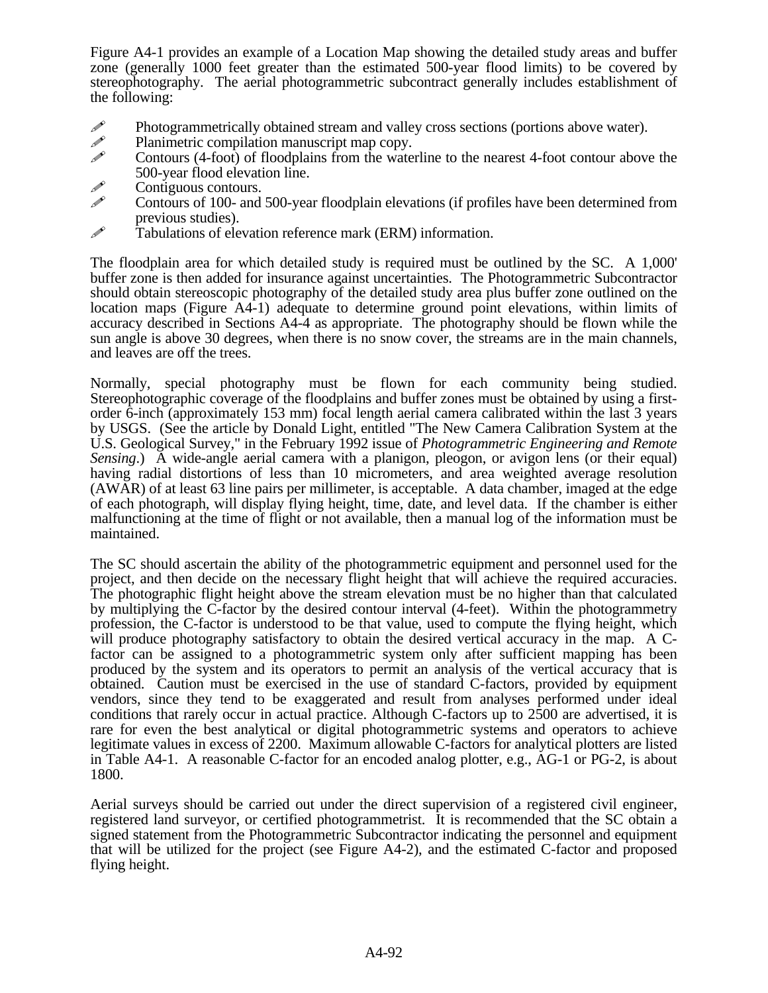Figure A4-1 provides an example of a Location Map showing the detailed study areas and buffer zone (generally 1000 feet greater than the estimated 500-year flood limits) to be covered by stereophotography. The aerial photogrammetric subcontract generally includes establishment of the following:

- Photogrammetrically obtained stream and valley cross sections (portions above water).<br>Planimetric compilation manuscript man conv.
- Planimetric compilation manuscript map copy.
- $\mathscr{P}$  Contours (4-foot) of floodplains from the waterline to the nearest 4-foot contour above the 500-year flood elevation line.
- Contiguous contours.
- Contours of 100- and 500-year floodplain elevations (if profiles have been determined from previous studies).
- $\mathscr{P}$  Tabulations of elevation reference mark (ERM) information.

The floodplain area for which detailed study is required must be outlined by the SC. A 1,000' buffer zone is then added for insurance against uncertainties. The Photogrammetric Subcontractor should obtain stereoscopic photography of the detailed study area plus buffer zone outlined on the location maps (Figure A4-1) adequate to determine ground point elevations, within limits of accuracy described in Sections A4-4 as appropriate. The photography should be flown while the sun angle is above 30 degrees, when there is no snow cover, the streams are in the main channels, and leaves are off the trees.

Normally, special photography must be flown for each community being studied. Stereophotographic coverage of the floodplains and buffer zones must be obtained by using a firstorder 6-inch (approximately 153 mm) focal length aerial camera calibrated within the last 3 years by USGS. (See the article by Donald Light, entitled "The New Camera Calibration System at the U.S. Geological Survey," in the February 1992 issue of *Photogrammetric Engineering and Remote Sensing*.) A wide-angle aerial camera with a planigon, pleogon, or avigon lens (or their equal) having radial distortions of less than 10 micrometers, and area weighted average resolution (AWAR) of at least 63 line pairs per millimeter, is acceptable. A data chamber, imaged at the edge of each photograph, will display flying height, time, date, and level data. If the chamber is either malfunctioning at the time of flight or not available, then a manual log of the information must be maintained.

The SC should ascertain the ability of the photogrammetric equipment and personnel used for the project, and then decide on the necessary flight height that will achieve the required accuracies. The photographic flight height above the stream elevation must be no higher than that calculated by multiplying the C-factor by the desired contour interval (4-feet). Within the photogrammetry profession, the C-factor is understood to be that value, used to compute the flying height, which will produce photography satisfactory to obtain the desired vertical accuracy in the map. A Cfactor can be assigned to a photogrammetric system only after sufficient mapping has been produced by the system and its operators to permit an analysis of the vertical accuracy that is obtained. Caution must be exercised in the use of standard C-factors, provided by equipment vendors, since they tend to be exaggerated and result from analyses performed under ideal conditions that rarely occur in actual practice. Although C-factors up to 2500 are advertised, it is rare for even the best analytical or digital photogrammetric systems and operators to achieve legitimate values in excess of 2200. Maximum allowable C-factors for analytical plotters are listed in Table A4-1. A reasonable C-factor for an encoded analog plotter, e.g., AG-1 or PG-2, is about 1800.

Aerial surveys should be carried out under the direct supervision of a registered civil engineer, registered land surveyor, or certified photogrammetrist. It is recommended that the SC obtain a signed statement from the Photogrammetric Subcontractor indicating the personnel and equipment that will be utilized for the project (see Figure A4-2), and the estimated C-factor and proposed flying height.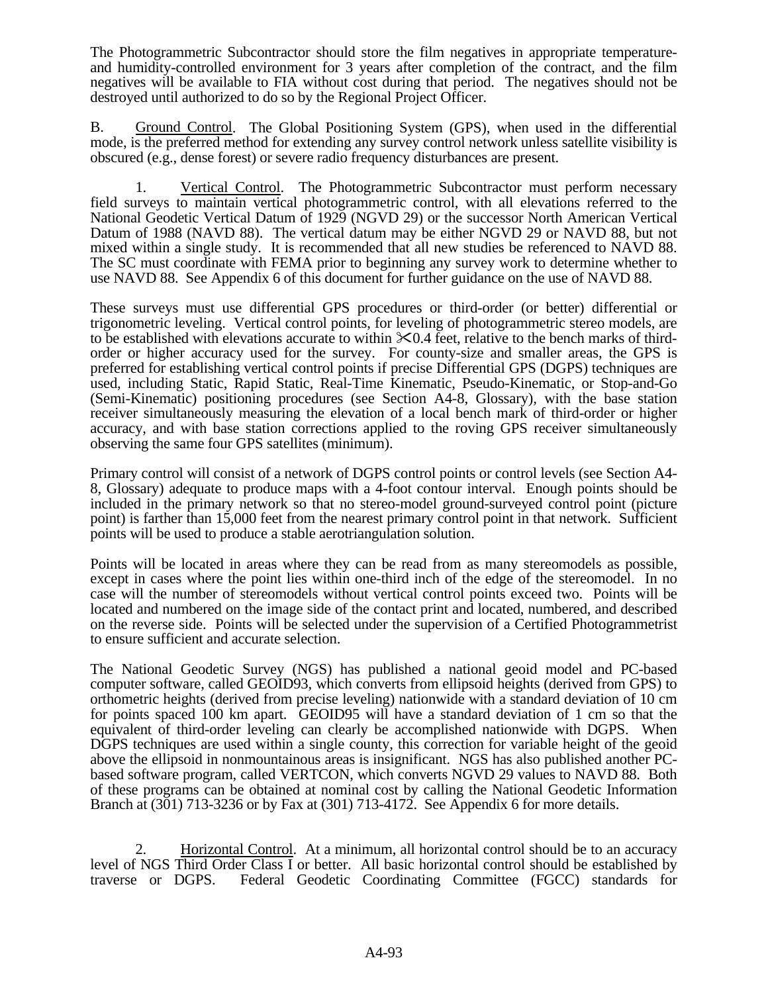The Photogrammetric Subcontractor should store the film negatives in appropriate temperatureand humidity-controlled environment for 3 years after completion of the contract, and the film negatives will be available to FIA without cost during that period. The negatives should not be destroyed until authorized to do so by the Regional Project Officer.

B. Ground Control. The Global Positioning System (GPS), when used in the differential mode, is the preferred method for extending any survey control network unless satellite visibility is obscured (e.g., dense forest) or severe radio frequency disturbances are present.

 1. Vertical Control. The Photogrammetric Subcontractor must perform necessary field surveys to maintain vertical photogrammetric control, with all elevations referred to the National Geodetic Vertical Datum of 1929 (NGVD 29) or the successor North American Vertical Datum of 1988 (NAVD 88). The vertical datum may be either NGVD 29 or NAVD 88, but not mixed within a single study. It is recommended that all new studies be referenced to NAVD 88. The SC must coordinate with FEMA prior to beginning any survey work to determine whether to use NAVD 88. See Appendix 6 of this document for further guidance on the use of NAVD 88.

These surveys must use differential GPS procedures or third-order (or better) differential or trigonometric leveling. Vertical control points, for leveling of photogrammetric stereo models, are to be established with elevations accurate to within  $\ge 0.4$  feet, relative to the bench marks of thirdorder or higher accuracy used for the survey. For county-size and smaller areas, the GPS is preferred for establishing vertical control points if precise Differential GPS (DGPS) techniques are used, including Static, Rapid Static, Real-Time Kinematic, Pseudo-Kinematic, or Stop-and-Go (Semi-Kinematic) positioning procedures (see Section A4-8, Glossary), with the base station receiver simultaneously measuring the elevation of a local bench mark of third-order or higher accuracy, and with base station corrections applied to the roving GPS receiver simultaneously observing the same four GPS satellites (minimum).

Primary control will consist of a network of DGPS control points or control levels (see Section A4- 8, Glossary) adequate to produce maps with a 4-foot contour interval. Enough points should be included in the primary network so that no stereo-model ground-surveyed control point (picture point) is farther than 15,000 feet from the nearest primary control point in that network. Sufficient points will be used to produce a stable aerotriangulation solution.

Points will be located in areas where they can be read from as many stereomodels as possible, except in cases where the point lies within one-third inch of the edge of the stereomodel. In no case will the number of stereomodels without vertical control points exceed two. Points will be located and numbered on the image side of the contact print and located, numbered, and described on the reverse side. Points will be selected under the supervision of a Certified Photogrammetrist to ensure sufficient and accurate selection.

The National Geodetic Survey (NGS) has published a national geoid model and PC-based computer software, called GEOID93, which converts from ellipsoid heights (derived from GPS) to orthometric heights (derived from precise leveling) nationwide with a standard deviation of 10 cm for points spaced 100 km apart. GEOID95 will have a standard deviation of 1 cm so that the equivalent of third-order leveling can clearly be accomplished nationwide with DGPS. When DGPS techniques are used within a single county, this correction for variable height of the geoid above the ellipsoid in nonmountainous areas is insignificant. NGS has also published another PCbased software program, called VERTCON, which converts NGVD 29 values to NAVD 88. Both of these programs can be obtained at nominal cost by calling the National Geodetic Information Branch at (301) 713-3236 or by Fax at (301) 713-4172. See Appendix 6 for more details.

 2. Horizontal Control. At a minimum, all horizontal control should be to an accuracy level of NGS Third Order Class I or better. All basic horizontal control should be established by traverse or DGPS. Federal Geodetic Coordinating Committee (FGCC) standards for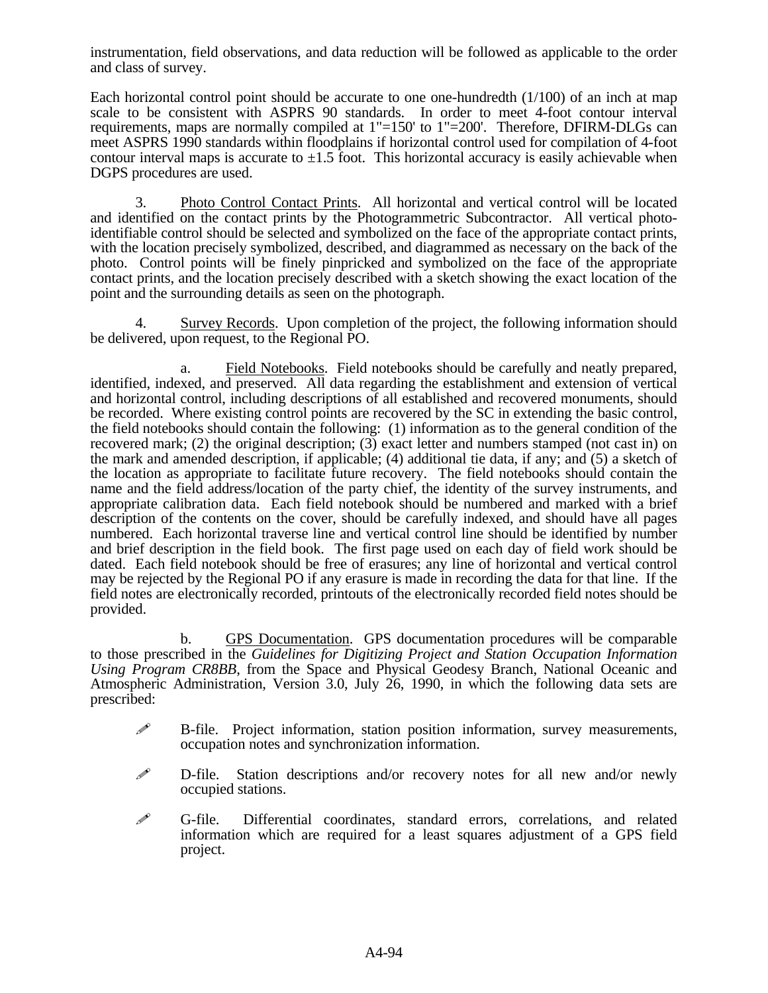instrumentation, field observations, and data reduction will be followed as applicable to the order and class of survey.

Each horizontal control point should be accurate to one one-hundredth  $(1/100)$  of an inch at map scale to be consistent with ASPRS 90 standards. In order to meet 4-foot contour interval requirements, maps are normally compiled at 1"=150' to 1"=200'. Therefore, DFIRM-DLGs can meet ASPRS 1990 standards within floodplains if horizontal control used for compilation of 4-foot contour interval maps is accurate to  $\pm 1.5$  foot. This horizontal accuracy is easily achievable when DGPS procedures are used.

 3. Photo Control Contact Prints. All horizontal and vertical control will be located and identified on the contact prints by the Photogrammetric Subcontractor. All vertical photoidentifiable control should be selected and symbolized on the face of the appropriate contact prints, with the location precisely symbolized, described, and diagrammed as necessary on the back of the photo. Control points will be finely pinpricked and symbolized on the face of the appropriate contact prints, and the location precisely described with a sketch showing the exact location of the point and the surrounding details as seen on the photograph.

 4. Survey Records. Upon completion of the project, the following information should be delivered, upon request, to the Regional PO.

 a. Field Notebooks. Field notebooks should be carefully and neatly prepared, identified, indexed, and preserved. All data regarding the establishment and extension of vertical and horizontal control, including descriptions of all established and recovered monuments, should be recorded. Where existing control points are recovered by the SC in extending the basic control, the field notebooks should contain the following: (1) information as to the general condition of the recovered mark; (2) the original description; (3) exact letter and numbers stamped (not cast in) on the mark and amended description, if applicable; (4) additional tie data, if any; and (5) a sketch of the location as appropriate to facilitate future recovery. The field notebooks should contain the name and the field address/location of the party chief, the identity of the survey instruments, and appropriate calibration data. Each field notebook should be numbered and marked with a brief description of the contents on the cover, should be carefully indexed, and should have all pages numbered. Each horizontal traverse line and vertical control line should be identified by number and brief description in the field book. The first page used on each day of field work should be dated. Each field notebook should be free of erasures; any line of horizontal and vertical control may be rejected by the Regional PO if any erasure is made in recording the data for that line. If the field notes are electronically recorded, printouts of the electronically recorded field notes should be provided.

Î b. GPS Documentation. GPS documentation procedures will be comparable to those prescribed in the *Guidelines for Digitizing Project and Station Occupation Information Using Program CR8BB*, from the Space and Physical Geodesy Branch, National Oceanic and Atmospheric Administration, Version 3.0, July 26, 1990, in which the following data sets are prescribed:

- $\mathscr{P}$  B-file. Project information, station position information, survey measurements, occupation notes and synchronization information.
- $\mathscr{P}$  D-file. Station descriptions and/or recovery notes for all new and/or newly occupied stations.
- G-file. Differential coordinates, standard errors, correlations, and related information which are required for a least squares adjustment of a GPS field project.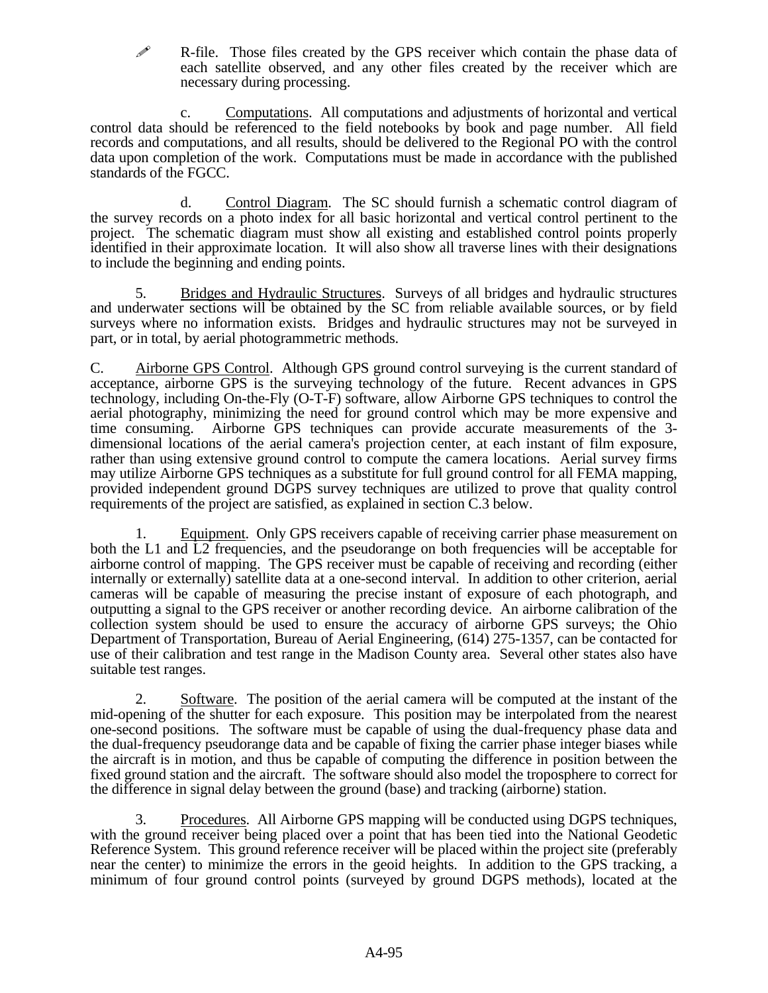R-file. Those files created by the GPS receiver which contain the phase data of each satellite observed, and any other files created by the receiver which are necessary during processing.

 c. Computations. All computations and adjustments of horizontal and vertical control data should be referenced to the field notebooks by book and page number. All field records and computations, and all results, should be delivered to the Regional PO with the control data upon completion of the work. Computations must be made in accordance with the published standards of the FGCC.

 d. Control Diagram. The SC should furnish a schematic control diagram of the survey records on a photo index for all basic horizontal and vertical control pertinent to the project. The schematic diagram must show all existing and established control points properly identified in their approximate location. It will also show all traverse lines with their designations to include the beginning and ending points.

 5. Bridges and Hydraulic Structures. Surveys of all bridges and hydraulic structures and underwater sections will be obtained by the SC from reliable available sources, or by field surveys where no information exists. Bridges and hydraulic structures may not be surveyed in part, or in total, by aerial photogrammetric methods.

C. Airborne GPS Control. Although GPS ground control surveying is the current standard of acceptance, airborne GPS is the surveying technology of the future. Recent advances in GPS technology, including On-the-Fly (O-T-F) software, allow Airborne GPS techniques to control the aerial photography, minimizing the need for ground control which may be more expensive and time consuming. Airborne GPS techniques can provide accurate measurements of the 3 dimensional locations of the aerial camera's projection center, at each instant of film exposure, rather than using extensive ground control to compute the camera locations. Aerial survey firms may utilize Airborne GPS techniques as a substitute for full ground control for all FEMA mapping, provided independent ground DGPS survey techniques are utilized to prove that quality control requirements of the project are satisfied, as explained in section C.3 below.

 1. Equipment. Only GPS receivers capable of receiving carrier phase measurement on both the L1 and L2 frequencies, and the pseudorange on both frequencies will be acceptable for airborne control of mapping. The GPS receiver must be capable of receiving and recording (either internally or externally) satellite data at a one-second interval. In addition to other criterion, aerial cameras will be capable of measuring the precise instant of exposure of each photograph, and outputting a signal to the GPS receiver or another recording device. An airborne calibration of the collection system should be used to ensure the accuracy of airborne GPS surveys; the Ohio Department of Transportation, Bureau of Aerial Engineering, (614) 275-1357, can be contacted for use of their calibration and test range in the Madison County area. Several other states also have suitable test ranges.

 2. Software. The position of the aerial camera will be computed at the instant of the mid-opening of the shutter for each exposure. This position may be interpolated from the nearest one-second positions. The software must be capable of using the dual-frequency phase data and the dual-frequency pseudorange data and be capable of fixing the carrier phase integer biases while the aircraft is in motion, and thus be capable of computing the difference in position between the fixed ground station and the aircraft. The software should also model the troposphere to correct for the difference in signal delay between the ground (base) and tracking (airborne) station.

 3. Procedures. All Airborne GPS mapping will be conducted using DGPS techniques, with the ground receiver being placed over a point that has been tied into the National Geodetic Reference System. This ground reference receiver will be placed within the project site (preferably near the center) to minimize the errors in the geoid heights. In addition to the GPS tracking, a minimum of four ground control points (surveyed by ground DGPS methods), located at the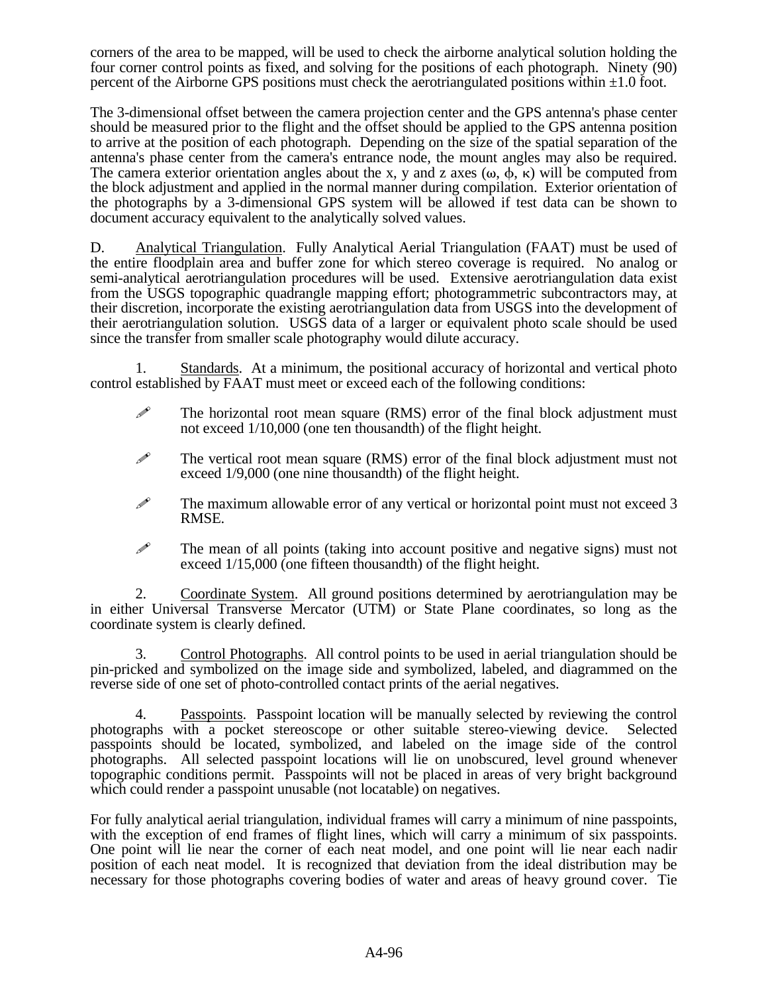corners of the area to be mapped, will be used to check the airborne analytical solution holding the four corner control points as fixed, and solving for the positions of each photograph. Ninety (90) percent of the Airborne GPS positions must check the aerotriangulated positions within  $\pm 1.0$  foot.

The 3-dimensional offset between the camera projection center and the GPS antenna's phase center should be measured prior to the flight and the offset should be applied to the GPS antenna position to arrive at the position of each photograph. Depending on the size of the spatial separation of the antenna's phase center from the camera's entrance node, the mount angles may also be required. The camera exterior orientation angles about the x, y and z axes  $(\omega, \phi, \kappa)$  will be computed from the block adjustment and applied in the normal manner during compilation. Exterior orientation of the photographs by a 3-dimensional GPS system will be allowed if test data can be shown to document accuracy equivalent to the analytically solved values.

D. Analytical Triangulation. Fully Analytical Aerial Triangulation (FAAT) must be used of the entire floodplain area and buffer zone for which stereo coverage is required. No analog or semi-analytical aerotriangulation procedures will be used. Extensive aerotriangulation data exist from the USGS topographic quadrangle mapping effort; photogrammetric subcontractors may, at their discretion, incorporate the existing aerotriangulation data from USGS into the development of their aerotriangulation solution. USGS data of a larger or equivalent photo scale should be used since the transfer from smaller scale photography would dilute accuracy.

 1. Standards. At a minimum, the positional accuracy of horizontal and vertical photo control established by FAAT must meet or exceed each of the following conditions:

- $\mathscr{P}$  The horizontal root mean square (RMS) error of the final block adjustment must not exceed 1/10,000 (one ten thousandth) of the flight height.
- $\mathscr{P}$  The vertical root mean square (RMS) error of the final block adjustment must not exceed 1/9,000 (one nine thousandth) of the flight height.
- $\mathscr{P}$  The maximum allowable error of any vertical or horizontal point must not exceed 3 RMSE.
- $\mathscr{P}$  The mean of all points (taking into account positive and negative signs) must not exceed 1/15,000 (one fifteen thousandth) of the flight height.

 2. Coordinate System. All ground positions determined by aerotriangulation may be in either Universal Transverse Mercator (UTM) or State Plane coordinates, so long as the coordinate system is clearly defined.

 3. Control Photographs. All control points to be used in aerial triangulation should be pin-pricked and symbolized on the image side and symbolized, labeled, and diagrammed on the reverse side of one set of photo-controlled contact prints of the aerial negatives.

 4. Passpoints. Passpoint location will be manually selected by reviewing the control photographs with a pocket stereoscope or other suitable stereo-viewing device. Selected passpoints should be located, symbolized, and labeled on the image side of the control photographs. All selected passpoint locations will lie on unobscured, level ground whenever topographic conditions permit. Passpoints will not be placed in areas of very bright background which could render a passpoint unusable (not locatable) on negatives.

For fully analytical aerial triangulation, individual frames will carry a minimum of nine passpoints, with the exception of end frames of flight lines, which will carry a minimum of six passpoints. One point will lie near the corner of each neat model, and one point will lie near each nadir position of each neat model. It is recognized that deviation from the ideal distribution may be necessary for those photographs covering bodies of water and areas of heavy ground cover. Tie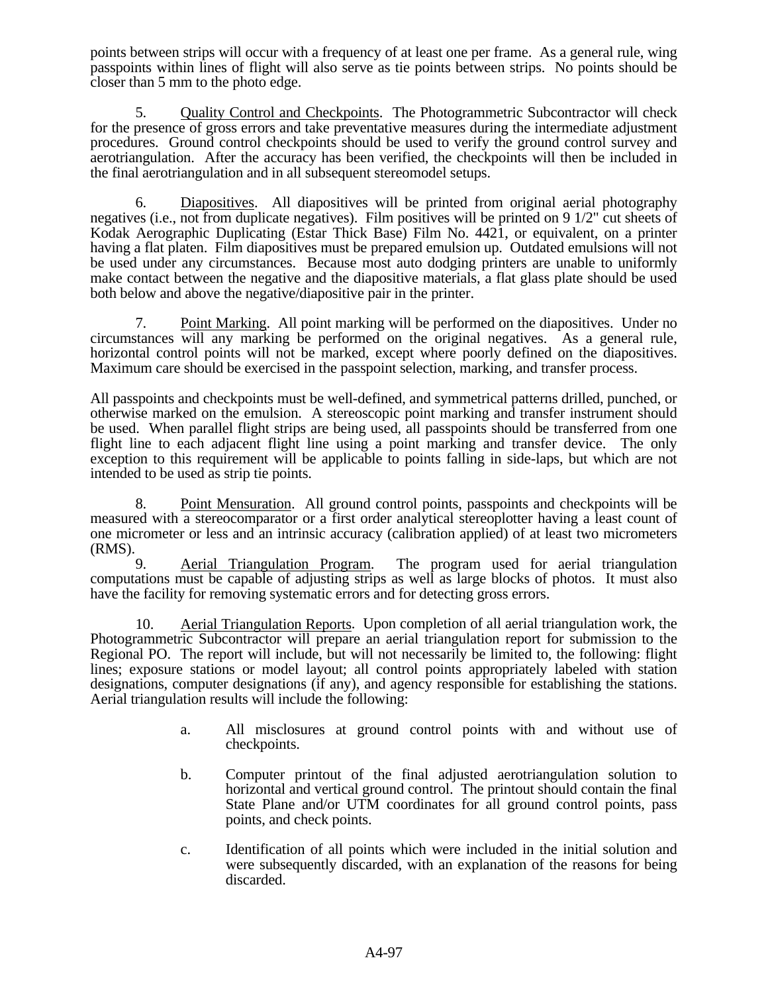points between strips will occur with a frequency of at least one per frame. As a general rule, wing passpoints within lines of flight will also serve as tie points between strips. No points should be closer than 5 mm to the photo edge.

 5. Quality Control and Checkpoints. The Photogrammetric Subcontractor will check for the presence of gross errors and take preventative measures during the intermediate adjustment procedures. Ground control checkpoints should be used to verify the ground control survey and aerotriangulation. After the accuracy has been verified, the checkpoints will then be included in the final aerotriangulation and in all subsequent stereomodel setups.

 6. Diapositives. All diapositives will be printed from original aerial photography negatives (i.e., not from duplicate negatives). Film positives will be printed on 9 1/2" cut sheets of Kodak Aerographic Duplicating (Estar Thick Base) Film No. 4421, or equivalent, on a printer having a flat platen. Film diapositives must be prepared emulsion up. Outdated emulsions will not be used under any circumstances. Because most auto dodging printers are unable to uniformly make contact between the negative and the diapositive materials, a flat glass plate should be used both below and above the negative/diapositive pair in the printer.

 7. Point Marking. All point marking will be performed on the diapositives. Under no circumstances will any marking be performed on the original negatives. As a general rule, horizontal control points will not be marked, except where poorly defined on the diapositives. Maximum care should be exercised in the passpoint selection, marking, and transfer process.

All passpoints and checkpoints must be well-defined, and symmetrical patterns drilled, punched, or otherwise marked on the emulsion. A stereoscopic point marking and transfer instrument should be used. When parallel flight strips are being used, all passpoints should be transferred from one flight line to each adjacent flight line using a point marking and transfer device. The only exception to this requirement will be applicable to points falling in side-laps, but which are not intended to be used as strip tie points.

 8. Point Mensuration. All ground control points, passpoints and checkpoints will be measured with a stereocomparator or a first order analytical stereoplotter having a least count of one micrometer or less and an intrinsic accuracy (calibration applied) of at least two micrometers (RMS).

 9. Aerial Triangulation Program. The program used for aerial triangulation computations must be capable of adjusting strips as well as large blocks of photos. It must also have the facility for removing systematic errors and for detecting gross errors.

 10. Aerial Triangulation Reports. Upon completion of all aerial triangulation work, the Photogrammetric Subcontractor will prepare an aerial triangulation report for submission to the Regional PO. The report will include, but will not necessarily be limited to, the following: flight lines; exposure stations or model layout; all control points appropriately labeled with station designations, computer designations (if any), and agency responsible for establishing the stations. Aerial triangulation results will include the following:

- a. All misclosures at ground control points with and without use of checkpoints.
- b. Computer printout of the final adjusted aerotriangulation solution to horizontal and vertical ground control. The printout should contain the final State Plane and/or UTM coordinates for all ground control points, pass points, and check points.
- c. Identification of all points which were included in the initial solution and were subsequently discarded, with an explanation of the reasons for being discarded.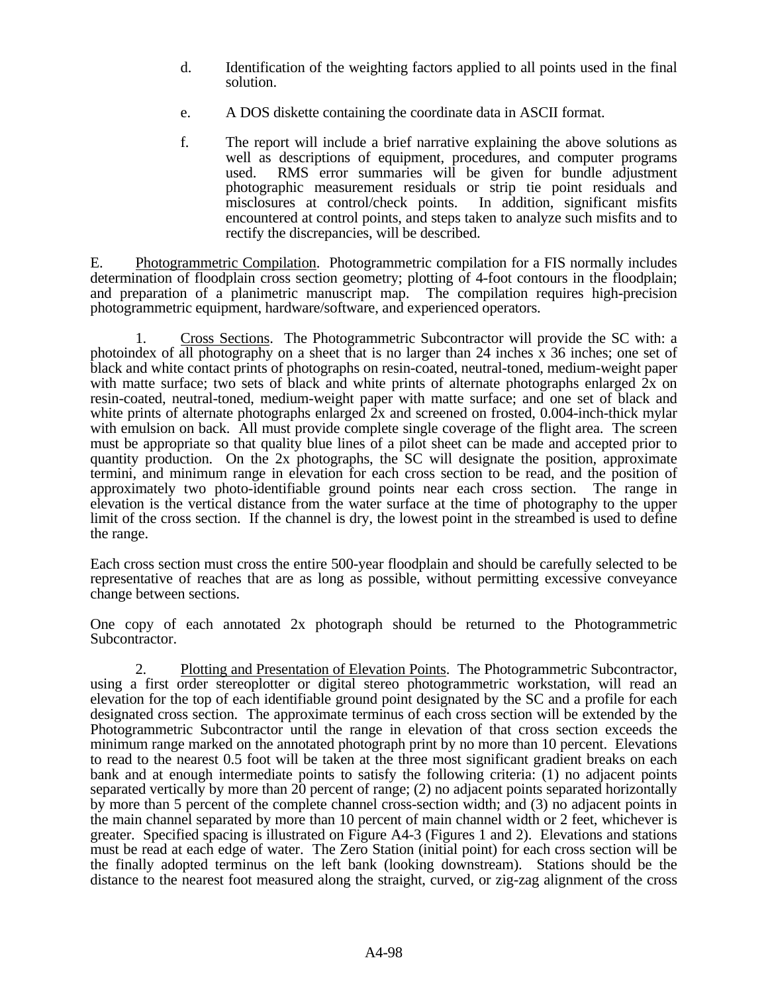- d. Identification of the weighting factors applied to all points used in the final solution.
- e. A DOS diskette containing the coordinate data in ASCII format.
- f. The report will include a brief narrative explaining the above solutions as well as descriptions of equipment, procedures, and computer programs used. RMS error summaries will be given for bundle adjustment photographic measurement residuals or strip tie point residuals and misclosures at control/check points. In addition, significant misfits encountered at control points, and steps taken to analyze such misfits and to rectify the discrepancies, will be described.

E. Photogrammetric Compilation. Photogrammetric compilation for a FIS normally includes determination of floodplain cross section geometry; plotting of 4-foot contours in the floodplain; and preparation of a planimetric manuscript map. The compilation requires high-precision photogrammetric equipment, hardware/software, and experienced operators.

 1. Cross Sections. The Photogrammetric Subcontractor will provide the SC with: a photoindex of all photography on a sheet that is no larger than 24 inches x 36 inches; one set of black and white contact prints of photographs on resin-coated, neutral-toned, medium-weight paper with matte surface; two sets of black and white prints of alternate photographs enlarged 2x on resin-coated, neutral-toned, medium-weight paper with matte surface; and one set of black and white prints of alternate photographs enlarged  $\overline{2}x$  and screened on frosted, 0.004-inch-thick mylar with emulsion on back. All must provide complete single coverage of the flight area. The screen must be appropriate so that quality blue lines of a pilot sheet can be made and accepted prior to quantity production. On the 2x photographs, the SC will designate the position, approximate termini, and minimum range in elevation for each cross section to be read, and the position of approximately two photo-identifiable ground points near each cross section. The range in elevation is the vertical distance from the water surface at the time of photography to the upper limit of the cross section. If the channel is dry, the lowest point in the streambed is used to define the range.

Each cross section must cross the entire 500-year floodplain and should be carefully selected to be representative of reaches that are as long as possible, without permitting excessive conveyance change between sections.

One copy of each annotated 2x photograph should be returned to the Photogrammetric Subcontractor.

2. Plotting and Presentation of Elevation Points. The Photogrammetric Subcontractor, using a first order stereoplotter or digital stereo photogrammetric workstation, will read an elevation for the top of each identifiable ground point designated by the SC and a profile for each designated cross section. The approximate terminus of each cross section will be extended by the Photogrammetric Subcontractor until the range in elevation of that cross section exceeds the minimum range marked on the annotated photograph print by no more than 10 percent. Elevations to read to the nearest 0.5 foot will be taken at the three most significant gradient breaks on each bank and at enough intermediate points to satisfy the following criteria: (1) no adjacent points separated vertically by more than 20 percent of range; (2) no adjacent points separated horizontally by more than 5 percent of the complete channel cross-section width; and (3) no adjacent points in the main channel separated by more than 10 percent of main channel width or 2 feet, whichever is greater. Specified spacing is illustrated on Figure A4-3 (Figures 1 and 2). Elevations and stations must be read at each edge of water. The Zero Station (initial point) for each cross section will be the finally adopted terminus on the left bank (looking downstream). Stations should be the distance to the nearest foot measured along the straight, curved, or zig-zag alignment of the cross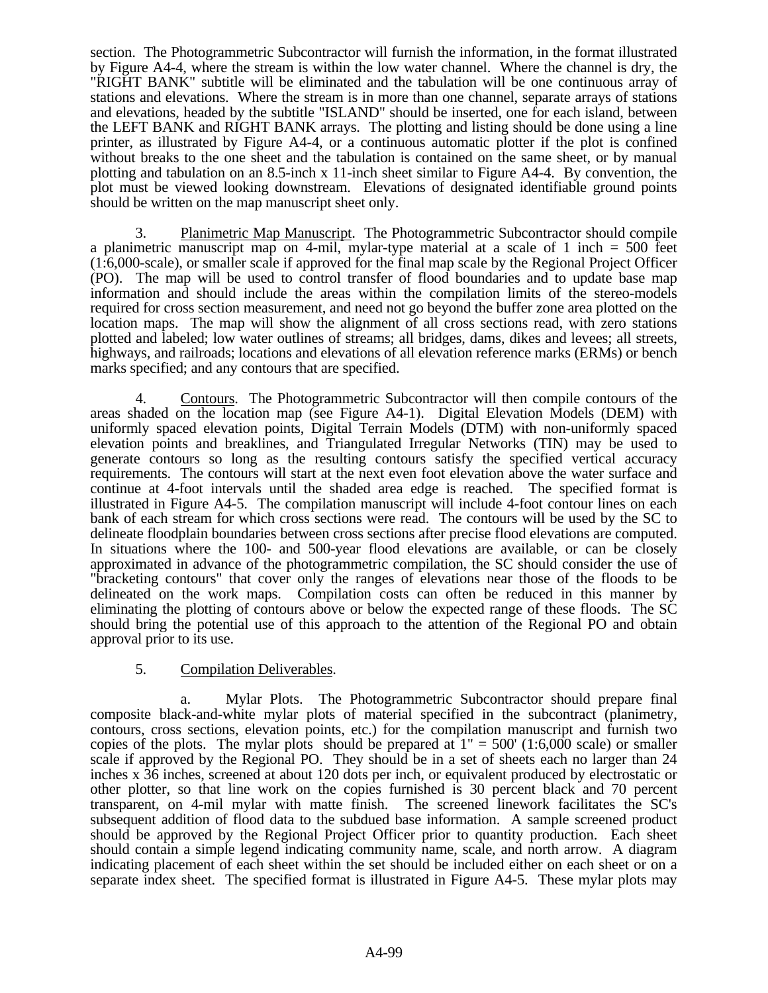section. The Photogrammetric Subcontractor will furnish the information, in the format illustrated by Figure A4-4, where the stream is within the low water channel. Where the channel is dry, the "RIGHT BANK" subtitle will be eliminated and the tabulation will be one continuous array of stations and elevations. Where the stream is in more than one channel, separate arrays of stations and elevations, headed by the subtitle "ISLAND" should be inserted, one for each island, between the LEFT BANK and RIGHT BANK arrays. The plotting and listing should be done using a line printer, as illustrated by Figure A4-4, or a continuous automatic plotter if the plot is confined without breaks to the one sheet and the tabulation is contained on the same sheet, or by manual plotting and tabulation on an 8.5-inch x 11-inch sheet similar to Figure A4-4. By convention, the plot must be viewed looking downstream. Elevations of designated identifiable ground points should be written on the map manuscript sheet only.

3. Planimetric Map Manuscript. The Photogrammetric Subcontractor should compile a planimetric manuscript map on 4-mil, mylar-type material at a scale of 1 inch = 500 feet (1:6,000-scale), or smaller scale if approved for the final map scale by the Regional Project Officer (PO). The map will be used to control transfer of flood boundaries and to update base map information and should include the areas within the compilation limits of the stereo-models required for cross section measurement, and need not go beyond the buffer zone area plotted on the location maps. The map will show the alignment of all cross sections read, with zero stations plotted and labeled; low water outlines of streams; all bridges, dams, dikes and levees; all streets, highways, and railroads; locations and elevations of all elevation reference marks (ERMs) or bench marks specified; and any contours that are specified.

 4. Contours. The Photogrammetric Subcontractor will then compile contours of the areas shaded on the location map (see Figure A4-1). Digital Elevation Models (DEM) with uniformly spaced elevation points, Digital Terrain Models (DTM) with non-uniformly spaced elevation points and breaklines, and Triangulated Irregular Networks (TIN) may be used to generate contours so long as the resulting contours satisfy the specified vertical accuracy requirements. The contours will start at the next even foot elevation above the water surface and continue at 4-foot intervals until the shaded area edge is reached. The specified format is illustrated in Figure A4-5. The compilation manuscript will include 4-foot contour lines on each bank of each stream for which cross sections were read. The contours will be used by the SC to delineate floodplain boundaries between cross sections after precise flood elevations are computed. In situations where the 100- and 500-year flood elevations are available, or can be closely approximated in advance of the photogrammetric compilation, the SC should consider the use of "bracketing contours" that cover only the ranges of elevations near those of the floods to be delineated on the work maps. Compilation costs can often be reduced in this manner by eliminating the plotting of contours above or below the expected range of these floods. The SC should bring the potential use of this approach to the attention of the Regional PO and obtain approval prior to its use.

### 5. Compilation Deliverables.

 a. Mylar Plots. The Photogrammetric Subcontractor should prepare final composite black-and-white mylar plots of material specified in the subcontract (planimetry, contours, cross sections, elevation points, etc.) for the compilation manuscript and furnish two copies of the plots. The mylar plots should be prepared at  $1" = 500'$  (1:6,000 scale) or smaller scale if approved by the Regional PO. They should be in a set of sheets each no larger than 24 inches x 36 inches, screened at about 120 dots per inch, or equivalent produced by electrostatic or other plotter, so that line work on the copies furnished is 30 percent black and 70 percent transparent, on 4-mil mylar with matte finish. The screened linework facilitates the SC's subsequent addition of flood data to the subdued base information. A sample screened product should be approved by the Regional Project Officer prior to quantity production. Each sheet should contain a simple legend indicating community name, scale, and north arrow. A diagram indicating placement of each sheet within the set should be included either on each sheet or on a separate index sheet. The specified format is illustrated in Figure A4-5. These mylar plots may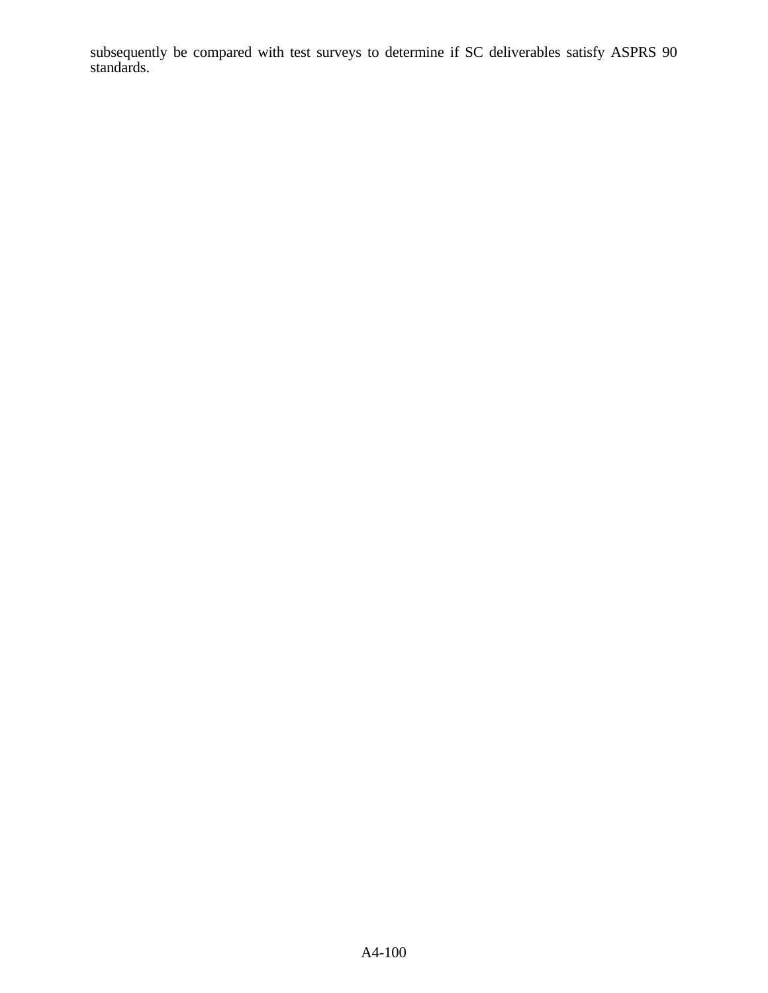subsequently be compared with test surveys to determine if SC deliverables satisfy ASPRS 90 standards.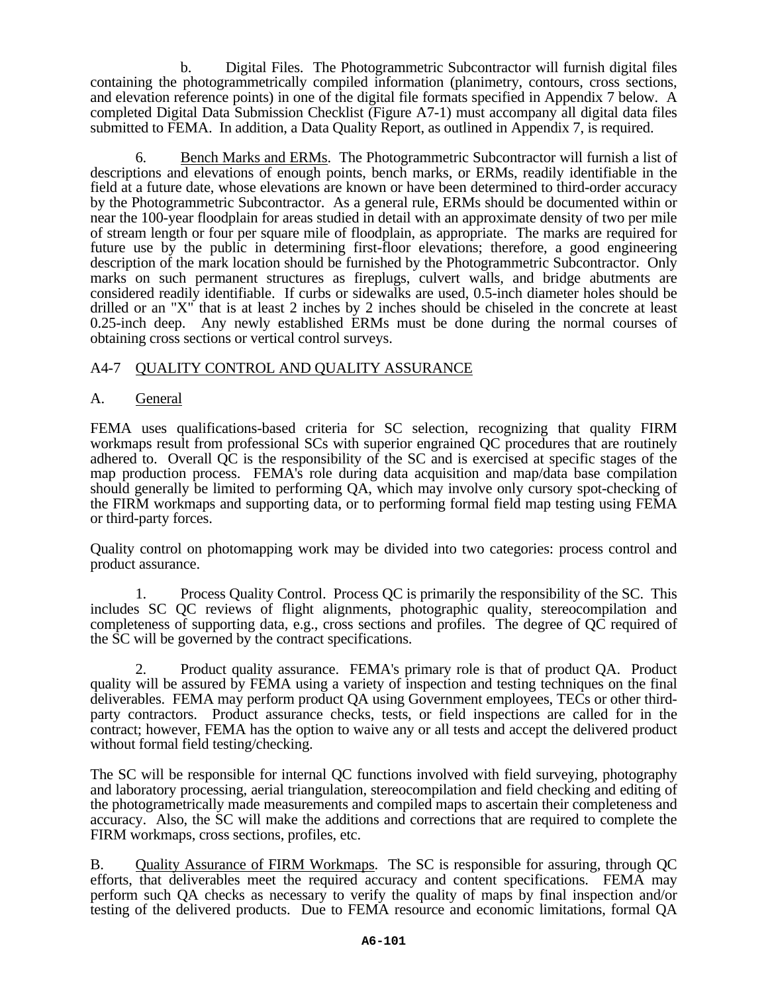b. Digital Files. The Photogrammetric Subcontractor will furnish digital files containing the photogrammetrically compiled information (planimetry, contours, cross sections, and elevation reference points) in one of the digital file formats specified in Appendix 7 below. A completed Digital Data Submission Checklist (Figure A7-1) must accompany all digital data files submitted to FEMA. In addition, a Data Quality Report, as outlined in Appendix 7, is required.

6. Bench Marks and ERMs. The Photogrammetric Subcontractor will furnish a list of descriptions and elevations of enough points, bench marks, or ERMs, readily identifiable in the field at a future date, whose elevations are known or have been determined to third-order accuracy by the Photogrammetric Subcontractor. As a general rule, ERMs should be documented within or near the 100-year floodplain for areas studied in detail with an approximate density of two per mile of stream length or four per square mile of floodplain, as appropriate. The marks are required for future use by the public in determining first-floor elevations; therefore, a good engineering description of the mark location should be furnished by the Photogrammetric Subcontractor. Only marks on such permanent structures as fireplugs, culvert walls, and bridge abutments are considered readily identifiable. If curbs or sidewalks are used, 0.5-inch diameter holes should be drilled or an "X" that is at least 2 inches by 2 inches should be chiseled in the concrete at least 0.25-inch deep. Any newly established ERMs must be done during the normal courses of obtaining cross sections or vertical control surveys.

# A4-7 QUALITY CONTROL AND QUALITY ASSURANCE

# A. General

FEMA uses qualifications-based criteria for SC selection, recognizing that quality FIRM workmaps result from professional SCs with superior engrained QC procedures that are routinely adhered to. Overall QC is the responsibility of the SC and is exercised at specific stages of the map production process. FEMA's role during data acquisition and map/data base compilation should generally be limited to performing QA, which may involve only cursory spot-checking of the FIRM workmaps and supporting data, or to performing formal field map testing using FEMA or third-party forces.

Quality control on photomapping work may be divided into two categories: process control and product assurance.

 1. Process Quality Control. Process QC is primarily the responsibility of the SC. This includes SC QC reviews of flight alignments, photographic quality, stereocompilation and completeness of supporting data, e.g., cross sections and profiles. The degree of QC required of the SC will be governed by the contract specifications.

 2. Product quality assurance. FEMA's primary role is that of product QA. Product quality will be assured by FEMA using a variety of inspection and testing techniques on the final deliverables. FEMA may perform product QA using Government employees, TECs or other thirdparty contractors. Product assurance checks, tests, or field inspections are called for in the contract; however, FEMA has the option to waive any or all tests and accept the delivered product without formal field testing/checking.

The SC will be responsible for internal QC functions involved with field surveying, photography and laboratory processing, aerial triangulation, stereocompilation and field checking and editing of the photogrametrically made measurements and compiled maps to ascertain their completeness and accuracy. Also, the SC will make the additions and corrections that are required to complete the FIRM workmaps, cross sections, profiles, etc.

B. Quality Assurance of FIRM Workmaps. The SC is responsible for assuring, through QC efforts, that deliverables meet the required accuracy and content specifications. FEMA may perform such QA checks as necessary to verify the quality of maps by final inspection and/or testing of the delivered products. Due to FEMA resource and economic limitations, formal QA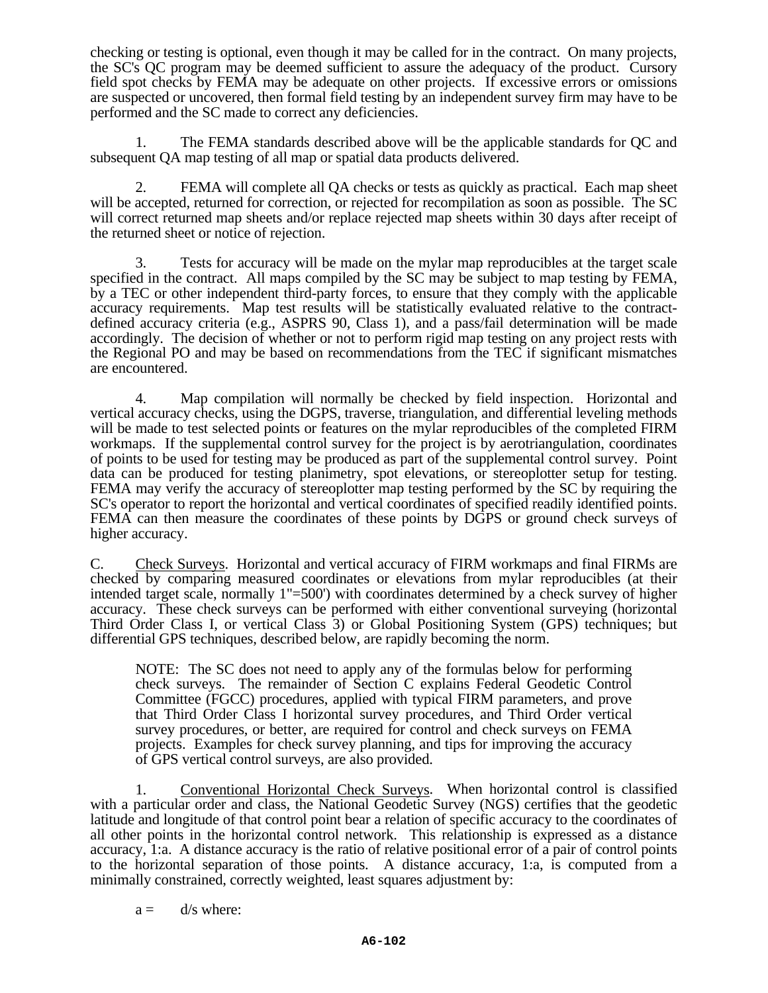checking or testing is optional, even though it may be called for in the contract. On many projects, the SC's QC program may be deemed sufficient to assure the adequacy of the product. Cursory field spot checks by FEMA may be adequate on other projects. If excessive errors or omissions are suspected or uncovered, then formal field testing by an independent survey firm may have to be performed and the SC made to correct any deficiencies.

 1. The FEMA standards described above will be the applicable standards for QC and subsequent QA map testing of all map or spatial data products delivered.

 2. FEMA will complete all QA checks or tests as quickly as practical. Each map sheet will be accepted, returned for correction, or rejected for recompilation as soon as possible. The SC will correct returned map sheets and/or replace rejected map sheets within 30 days after receipt of the returned sheet or notice of rejection.

 3. Tests for accuracy will be made on the mylar map reproducibles at the target scale specified in the contract. All maps compiled by the SC may be subject to map testing by FEMA, by a TEC or other independent third-party forces, to ensure that they comply with the applicable accuracy requirements. Map test results will be statistically evaluated relative to the contractdefined accuracy criteria (e.g., ASPRS 90, Class 1), and a pass/fail determination will be made accordingly. The decision of whether or not to perform rigid map testing on any project rests with the Regional PO and may be based on recommendations from the TEC if significant mismatches are encountered.

 4. Map compilation will normally be checked by field inspection. Horizontal and vertical accuracy checks, using the DGPS, traverse, triangulation, and differential leveling methods will be made to test selected points or features on the mylar reproducibles of the completed FIRM workmaps. If the supplemental control survey for the project is by aerotriangulation, coordinates of points to be used for testing may be produced as part of the supplemental control survey. Point data can be produced for testing planimetry, spot elevations, or stereoplotter setup for testing. FEMA may verify the accuracy of stereoplotter map testing performed by the SC by requiring the SC's operator to report the horizontal and vertical coordinates of specified readily identified points. FEMA can then measure the coordinates of these points by DGPS or ground check surveys of higher accuracy.

C. Check Surveys. Horizontal and vertical accuracy of FIRM workmaps and final FIRMs are checked by comparing measured coordinates or elevations from mylar reproducibles (at their intended target scale, normally 1"=500') with coordinates determined by a check survey of higher accuracy. These check surveys can be performed with either conventional surveying (horizontal Third Order Class I, or vertical Class 3) or Global Positioning System (GPS) techniques; but differential GPS techniques, described below, are rapidly becoming the norm.

 NOTE: The SC does not need to apply any of the formulas below for performing check surveys. The remainder of Section C explains Federal Geodetic Control Committee (FGCC) procedures, applied with typical FIRM parameters, and prove that Third Order Class I horizontal survey procedures, and Third Order vertical survey procedures, or better, are required for control and check surveys on FEMA projects. Examples for check survey planning, and tips for improving the accuracy of GPS vertical control surveys, are also provided.

 1. Conventional Horizontal Check Surveys. When horizontal control is classified with a particular order and class, the National Geodetic Survey (NGS) certifies that the geodetic latitude and longitude of that control point bear a relation of specific accuracy to the coordinates of all other points in the horizontal control network. This relationship is expressed as a distance accuracy, 1:a. A distance accuracy is the ratio of relative positional error of a pair of control points to the horizontal separation of those points. A distance accuracy, 1:a, is computed from a minimally constrained, correctly weighted, least squares adjustment by:

 $a = d/s$  where: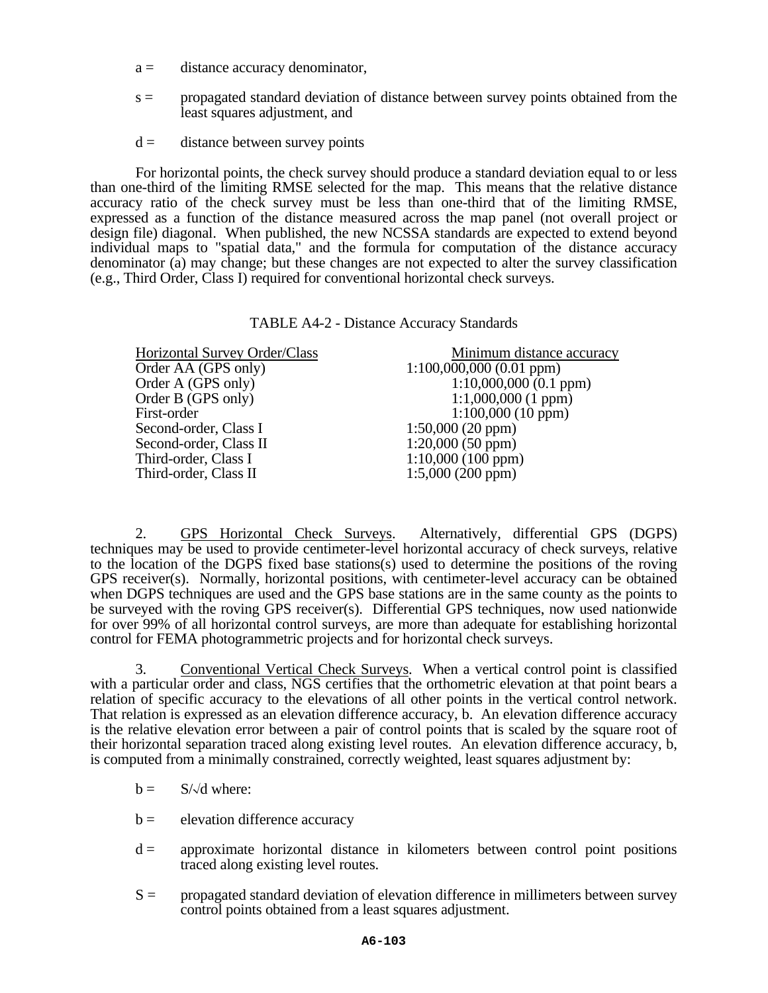- $a =$  distance accuracy denominator,
- s = propagated standard deviation of distance between survey points obtained from the least squares adjustment, and
- $d =$  distance between survey points

 For horizontal points, the check survey should produce a standard deviation equal to or less than one-third of the limiting RMSE selected for the map. This means that the relative distance accuracy ratio of the check survey must be less than one-third that of the limiting RMSE, expressed as a function of the distance measured across the map panel (not overall project or design file) diagonal. When published, the new NCSSA standards are expected to extend beyond individual maps to "spatial data," and the formula for computation of the distance accuracy denominator (a) may change; but these changes are not expected to alter the survey classification (e.g., Third Order, Class I) required for conventional horizontal check surveys.

TABLE A4-2 - Distance Accuracy Standards

| Horizontal Survey Order/Class | Minimum distance accuracy  |
|-------------------------------|----------------------------|
| Order AA (GPS only)           | $1:100,000,000$ (0.01 ppm) |
| Order A (GPS only)            | $1:10,000,000$ (0.1 ppm)   |
| Order B (GPS only)            | $1:1,000,000$ (1 ppm)      |
| First-order                   | 1:100,000(10 ppm)          |
| Second-order, Class I         | 1:50,000(20 ppm)           |
| Second-order, Class II        | 1:20,000(50 ppm)           |
| Third-order, Class I          | 1:10,000(100 ppm)          |
| Third-order, Class II         | 1:5,000(200 ppm)           |
|                               |                            |

 2. GPS Horizontal Check Surveys. Alternatively, differential GPS (DGPS) techniques may be used to provide centimeter-level horizontal accuracy of check surveys, relative to the location of the DGPS fixed base stations(s) used to determine the positions of the roving GPS receiver(s). Normally, horizontal positions, with centimeter-level accuracy can be obtained when DGPS techniques are used and the GPS base stations are in the same county as the points to be surveyed with the roving GPS receiver(s). Differential GPS techniques, now used nationwide for over 99% of all horizontal control surveys, are more than adequate for establishing horizontal control for FEMA photogrammetric projects and for horizontal check surveys.

 3. Conventional Vertical Check Surveys. When a vertical control point is classified with a particular order and class, NGS certifies that the orthometric elevation at that point bears a relation of specific accuracy to the elevations of all other points in the vertical control network. That relation is expressed as an elevation difference accuracy, b. An elevation difference accuracy is the relative elevation error between a pair of control points that is scaled by the square root of their horizontal separation traced along existing level routes. An elevation difference accuracy, b, is computed from a minimally constrained, correctly weighted, least squares adjustment by:

- $b = S/\sqrt{d}$  where:
- $b =$  elevation difference accuracy
- $d =$  approximate horizontal distance in kilometers between control point positions traced along existing level routes.
- $S =$  propagated standard deviation of elevation difference in millimeters between survey control points obtained from a least squares adjustment.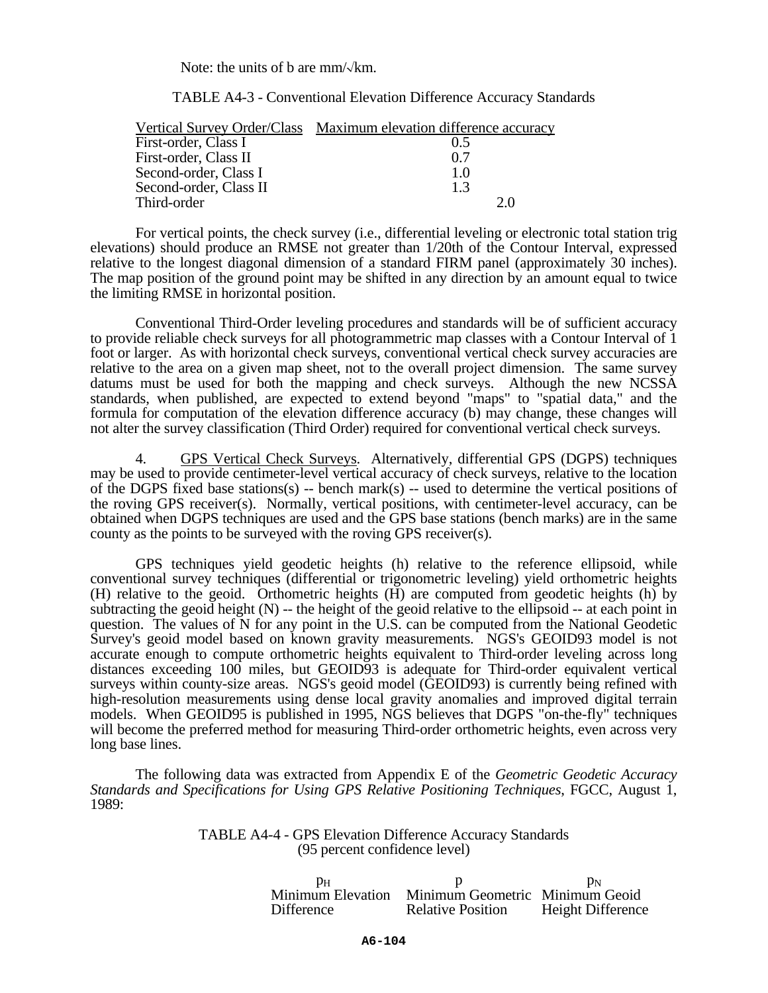Note: the units of b are  $mm/\sqrt{km}$ .

TABLE A4-3 - Conventional Elevation Difference Accuracy Standards

|                        | Vertical Survey Order/Class Maximum elevation difference accuracy |
|------------------------|-------------------------------------------------------------------|
| First-order, Class I   | 0.5                                                               |
| First-order, Class II  | 0.7                                                               |
| Second-order, Class I  | 1.0                                                               |
| Second-order, Class II | 1 <sup>2</sup>                                                    |
| Third-order            | 2 U                                                               |

 For vertical points, the check survey (i.e., differential leveling or electronic total station trig elevations) should produce an RMSE not greater than 1/20th of the Contour Interval, expressed relative to the longest diagonal dimension of a standard FIRM panel (approximately 30 inches). The map position of the ground point may be shifted in any direction by an amount equal to twice the limiting RMSE in horizontal position.

 Conventional Third-Order leveling procedures and standards will be of sufficient accuracy to provide reliable check surveys for all photogrammetric map classes with a Contour Interval of 1 foot or larger. As with horizontal check surveys, conventional vertical check survey accuracies are relative to the area on a given map sheet, not to the overall project dimension. The same survey datums must be used for both the mapping and check surveys. Although the new NCSSA standards, when published, are expected to extend beyond "maps" to "spatial data," and the formula for computation of the elevation difference accuracy (b) may change, these changes will not alter the survey classification (Third Order) required for conventional vertical check surveys.

 4. GPS Vertical Check Surveys. Alternatively, differential GPS (DGPS) techniques may be used to provide centimeter-level vertical accuracy of check surveys, relative to the location of the DGPS fixed base stations(s) -- bench mark(s) -- used to determine the vertical positions of the roving GPS receiver(s). Normally, vertical positions, with centimeter-level accuracy, can be obtained when DGPS techniques are used and the GPS base stations (bench marks) are in the same county as the points to be surveyed with the roving GPS receiver(s).

 GPS techniques yield geodetic heights (h) relative to the reference ellipsoid, while conventional survey techniques (differential or trigonometric leveling) yield orthometric heights (H) relative to the geoid. Orthometric heights (H) are computed from geodetic heights (h) by subtracting the geoid height  $(N)$  -- the height of the geoid relative to the ellipsoid -- at each point in question. The values of N for any point in the U.S. can be computed from the National Geodetic Survey's geoid model based on known gravity measurements. NGS's GEOID93 model is not accurate enough to compute orthometric heights equivalent to Third-order leveling across long distances exceeding 100 miles, but GEOID93 is adequate for Third-order equivalent vertical surveys within county-size areas. NGS's geoid model (GEOID93) is currently being refined with high-resolution measurements using dense local gravity anomalies and improved digital terrain models. When GEOID95 is published in 1995, NGS believes that DGPS "on-the-fly" techniques will become the preferred method for measuring Third-order orthometric heights, even across very long base lines.

 The following data was extracted from Appendix E of the *Geometric Geodetic Accuracy Standards and Specifications for Using GPS Relative Positioning Techniques*, FGCC, August 1, 1989:

#### TABLE A4-4 - GPS Elevation Difference Accuracy Standards (95 percent confidence level)

|            | pн |                                                   | pм |
|------------|----|---------------------------------------------------|----|
|            |    | Minimum Elevation Minimum Geometric Minimum Geoid |    |
| Difference |    | Relative Position Height Difference               |    |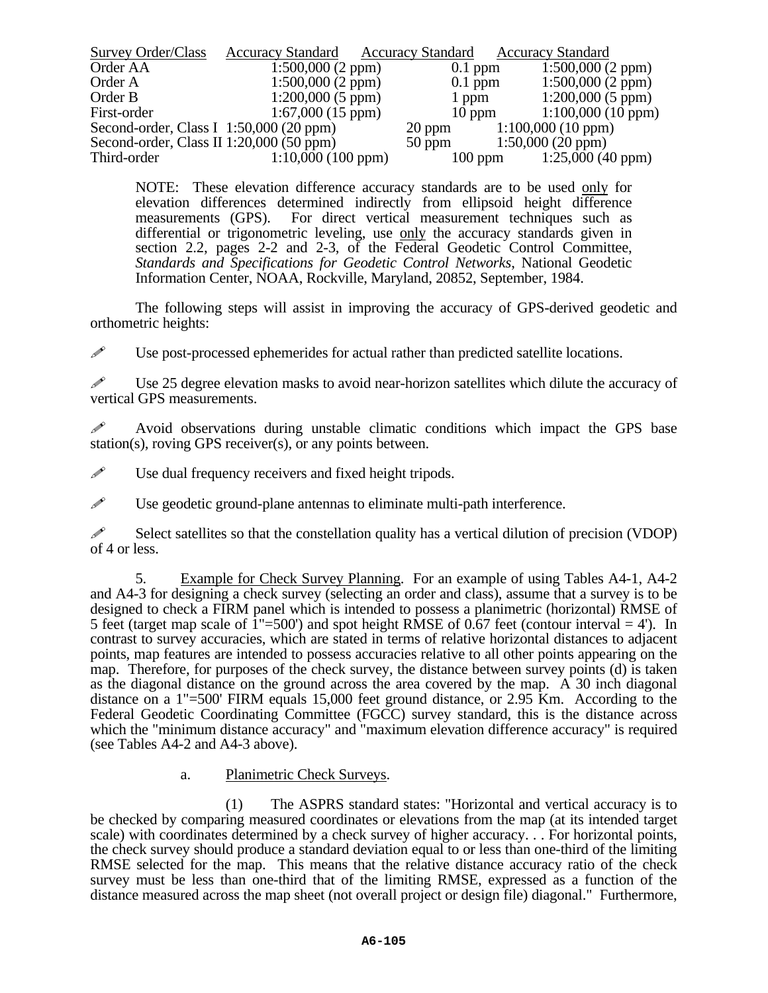| Survey Order/Class                       | <b>Accuracy Standard</b> |           | <b>Accuracy Standard Accuracy Standard</b> |
|------------------------------------------|--------------------------|-----------|--------------------------------------------|
| Order AA                                 | $1:500,000$ (2 ppm)      | $0.1$ ppm | $1:500,000$ (2 ppm)                        |
| Order A                                  | $1:500,000$ (2 ppm)      | $0.1$ ppm | 1:500,000(2 ppm)                           |
| Order B                                  | $1:200,000$ (5 ppm)      | 1 ppm     | $1:200,000$ (5 ppm)                        |
| First-order                              | 1:67,000(15 ppm)         | $10$ ppm  | 1:100,000(10 ppm)                          |
| Second-order, Class I 1:50,000 (20 ppm)  |                          | 20 ppm    | 1:100,000(10 ppm)                          |
| Second-order, Class II 1:20,000 (50 ppm) |                          | $50$ ppm  | 1:50,000(20 ppm)                           |
| Third-order                              | 1:10,000(100 ppm)        | $100$ ppm | 1:25,000(40 ppm)                           |

 NOTE: These elevation difference accuracy standards are to be used only for elevation differences determined indirectly from ellipsoid height difference measurements (GPS). For direct vertical measurement techniques such as differential or trigonometric leveling, use only the accuracy standards given in section 2.2, pages 2-2 and 2-3, of the Federal Geodetic Control Committee, *Standards and Specifications for Geodetic Control Networks*, National Geodetic Information Center, NOAA, Rockville, Maryland, 20852, September, 1984.

 The following steps will assist in improving the accuracy of GPS-derived geodetic and orthometric heights:

Use post-processed ephemerides for actual rather than predicted satellite locations.

 $\mathscr{P}$  Use 25 degree elevation masks to avoid near-horizon satellites which dilute the accuracy of vertical GPS measurements.

Avoid observations during unstable climatic conditions which impact the GPS base station(s), roving GPS receiver(s), or any points between.

Use dual frequency receivers and fixed height tripods.

 $\mathscr{S}$  Use geodetic ground-plane antennas to eliminate multi-path interference.

 Select satellites so that the constellation quality has a vertical dilution of precision (VDOP) of 4 or less.

 5. Example for Check Survey Planning. For an example of using Tables A4-1, A4-2 and A4-3 for designing a check survey (selecting an order and class), assume that a survey is to be designed to check a FIRM panel which is intended to possess a planimetric (horizontal) RMSE of 5 feet (target map scale of  $\overline{1}$ "=500") and spot height RMSE of 0.67 feet (contour interval = 4"). In contrast to survey accuracies, which are stated in terms of relative horizontal distances to adjacent points, map features are intended to possess accuracies relative to all other points appearing on the map. Therefore, for purposes of the check survey, the distance between survey points (d) is taken as the diagonal distance on the ground across the area covered by the map. A 30 inch diagonal distance on a 1"=500' FIRM equals 15,000 feet ground distance, or 2.95 Km. According to the Federal Geodetic Coordinating Committee (FGCC) survey standard, this is the distance across which the "minimum distance accuracy" and "maximum elevation difference accuracy" is required (see Tables A4-2 and A4-3 above).

#### a. Planimetric Check Surveys.

 (1) The ASPRS standard states: "Horizontal and vertical accuracy is to be checked by comparing measured coordinates or elevations from the map (at its intended target scale) with coordinates determined by a check survey of higher accuracy. . . For horizontal points, the check survey should produce a standard deviation equal to or less than one-third of the limiting RMSE selected for the map. This means that the relative distance accuracy ratio of the check survey must be less than one-third that of the limiting RMSE, expressed as a function of the distance measured across the map sheet (not overall project or design file) diagonal." Furthermore,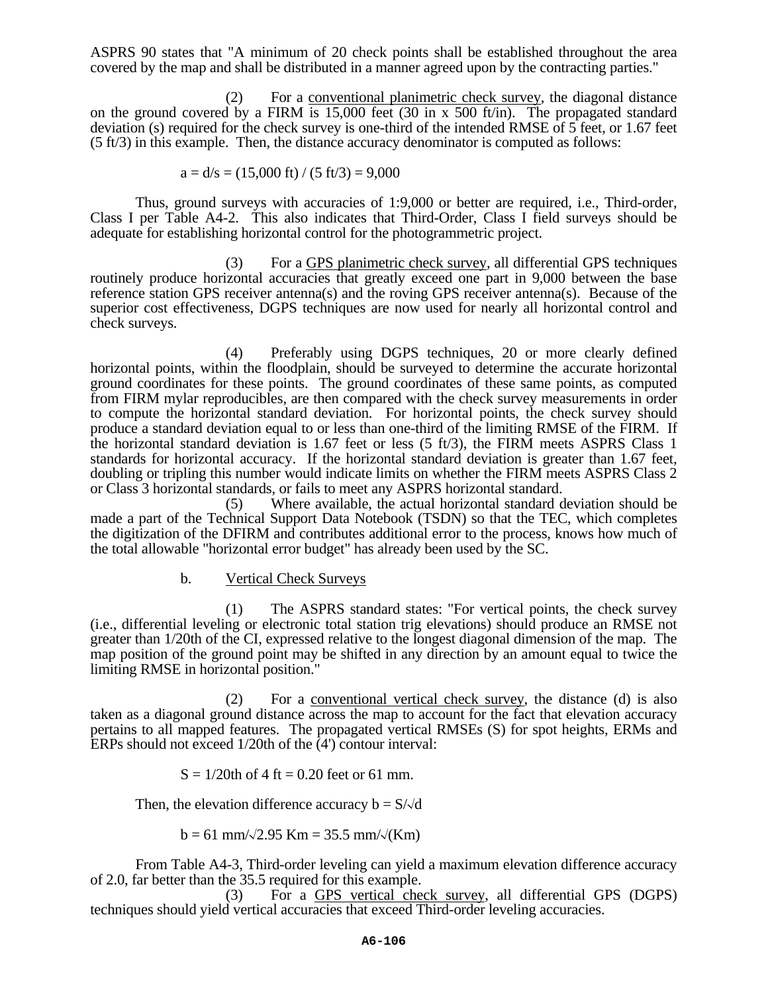ASPRS 90 states that "A minimum of 20 check points shall be established throughout the area covered by the map and shall be distributed in a manner agreed upon by the contracting parties."

 (2) For a conventional planimetric check survey, the diagonal distance on the ground covered by a FIRM is 15,000 feet (30 in x 500 ft/in). The propagated standard deviation (s) required for the check survey is one-third of the intended RMSE of 5 feet, or 1.67 feet  $(5 \text{ ft/3})$  in this example. Then, the distance accuracy denominator is computed as follows:

$$
a = d/s = (15,000 \text{ ft}) / (5 \text{ ft}/3) = 9,000
$$

 Thus, ground surveys with accuracies of 1:9,000 or better are required, i.e., Third-order, Class I per Table A4-2. This also indicates that Third-Order, Class I field surveys should be adequate for establishing horizontal control for the photogrammetric project.

 (3) For a GPS planimetric check survey, all differential GPS techniques routinely produce horizontal accuracies that greatly exceed one part in 9,000 between the base reference station GPS receiver antenna(s) and the roving GPS receiver antenna(s). Because of the superior cost effectiveness, DGPS techniques are now used for nearly all horizontal control and check surveys.

 (4) Preferably using DGPS techniques, 20 or more clearly defined horizontal points, within the floodplain, should be surveyed to determine the accurate horizontal ground coordinates for these points. The ground coordinates of these same points, as computed from FIRM mylar reproducibles, are then compared with the check survey measurements in order to compute the horizontal standard deviation. For horizontal points, the check survey should produce a standard deviation equal to or less than one-third of the limiting RMSE of the FIRM. If the horizontal standard deviation is 1.67 feet or less  $(5 \text{ ft/3})$ , the FIRM meets ASPRS Class 1 standards for horizontal accuracy. If the horizontal standard deviation is greater than 1.67 feet, doubling or tripling this number would indicate limits on whether the FIRM meets ASPRS Class 2 or Class 3 horizontal standards, or fails to meet any ASPRS horizontal standard.

 (5) Where available, the actual horizontal standard deviation should be made a part of the Technical Support Data Notebook (TSDN) so that the TEC, which completes the digitization of the DFIRM and contributes additional error to the process, knows how much of the total allowable "horizontal error budget" has already been used by the SC.

### b. Vertical Check Surveys

 (1) The ASPRS standard states: "For vertical points, the check survey (i.e., differential leveling or electronic total station trig elevations) should produce an RMSE not greater than 1/20th of the CI, expressed relative to the longest diagonal dimension of the map. The map position of the ground point may be shifted in any direction by an amount equal to twice the limiting RMSE in horizontal position."

 (2) For a conventional vertical check survey, the distance (d) is also taken as a diagonal ground distance across the map to account for the fact that elevation accuracy pertains to all mapped features. The propagated vertical RMSEs (S) for spot heights, ERMs and ERPs should not exceed  $1/20$ th of the  $(4')$  contour interval:

 $S = 1/20$ th of 4 ft = 0.20 feet or 61 mm.

Then, the elevation difference accuracy  $b = S/\sqrt{d}$ 

 $b = 61$  mm/ $\sqrt{2.95}$  Km = 35.5 mm/ $\sqrt{(km)}$ 

 From Table A4-3, Third-order leveling can yield a maximum elevation difference accuracy of 2.0, far better than the 35.5 required for this example.

 (3) For a GPS vertical check survey, all differential GPS (DGPS) techniques should yield vertical accuracies that exceed Third-order leveling accuracies.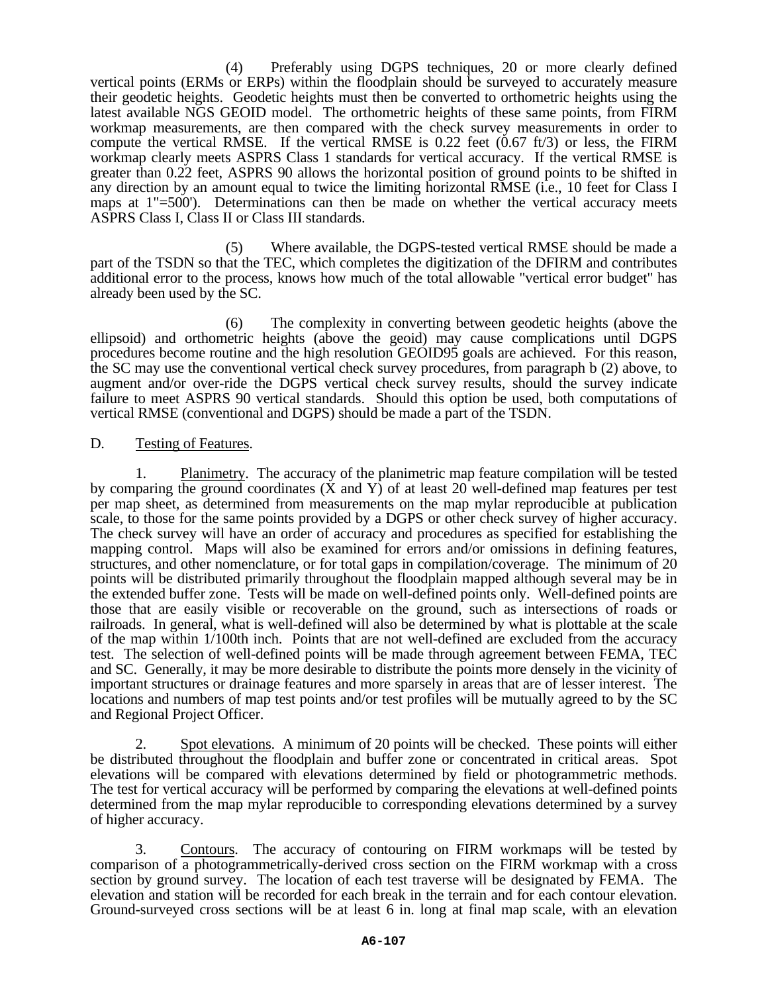(4) Preferably using DGPS techniques, 20 or more clearly defined vertical points (ERMs or ERPs) within the floodplain should be surveyed to accurately measure their geodetic heights. Geodetic heights must then be converted to orthometric heights using the latest available NGS GEOID model. The orthometric heights of these same points, from FIRM workmap measurements, are then compared with the check survey measurements in order to compute the vertical RMSE. If the vertical RMSE is  $0.22$  feet  $(0.67 \text{ ft/3})$  or less, the FIRM workmap clearly meets ASPRS Class 1 standards for vertical accuracy. If the vertical RMSE is greater than 0.22 feet, ASPRS 90 allows the horizontal position of ground points to be shifted in any direction by an amount equal to twice the limiting horizontal RMSE (i.e., 10 feet for Class I maps at 1"=500'). Determinations can then be made on whether the vertical accuracy meets ASPRS Class I, Class II or Class III standards.

 (5) Where available, the DGPS-tested vertical RMSE should be made a part of the TSDN so that the TEC, which completes the digitization of the DFIRM and contributes additional error to the process, knows how much of the total allowable "vertical error budget" has already been used by the SC.

 (6) The complexity in converting between geodetic heights (above the ellipsoid) and orthometric heights (above the geoid) may cause complications until DGPS procedures become routine and the high resolution GEOID95 goals are achieved. For this reason, the SC may use the conventional vertical check survey procedures, from paragraph b (2) above, to augment and/or over-ride the DGPS vertical check survey results, should the survey indicate failure to meet ASPRS 90 vertical standards. Should this option be used, both computations of vertical RMSE (conventional and DGPS) should be made a part of the TSDN.

### D. Testing of Features.

 1. Planimetry. The accuracy of the planimetric map feature compilation will be tested by comparing the ground coordinates  $(X \text{ and } Y)$  of at least 20 well-defined map features per test per map sheet, as determined from measurements on the map mylar reproducible at publication scale, to those for the same points provided by a DGPS or other check survey of higher accuracy. The check survey will have an order of accuracy and procedures as specified for establishing the mapping control. Maps will also be examined for errors and/or omissions in defining features, structures, and other nomenclature, or for total gaps in compilation/coverage. The minimum of 20 points will be distributed primarily throughout the floodplain mapped although several may be in the extended buffer zone. Tests will be made on well-defined points only. Well-defined points are those that are easily visible or recoverable on the ground, such as intersections of roads or railroads. In general, what is well-defined will also be determined by what is plottable at the scale of the map within 1/100th inch. Points that are not well-defined are excluded from the accuracy test. The selection of well-defined points will be made through agreement between FEMA, TEC and SC. Generally, it may be more desirable to distribute the points more densely in the vicinity of important structures or drainage features and more sparsely in areas that are of lesser interest. The locations and numbers of map test points and/or test profiles will be mutually agreed to by the SC and Regional Project Officer.

 2. Spot elevations. A minimum of 20 points will be checked. These points will either be distributed throughout the floodplain and buffer zone or concentrated in critical areas. Spot elevations will be compared with elevations determined by field or photogrammetric methods. The test for vertical accuracy will be performed by comparing the elevations at well-defined points determined from the map mylar reproducible to corresponding elevations determined by a survey of higher accuracy.

 3. Contours. The accuracy of contouring on FIRM workmaps will be tested by comparison of a photogrammetrically-derived cross section on the FIRM workmap with a cross section by ground survey. The location of each test traverse will be designated by FEMA. The elevation and station will be recorded for each break in the terrain and for each contour elevation. Ground-surveyed cross sections will be at least 6 in. long at final map scale, with an elevation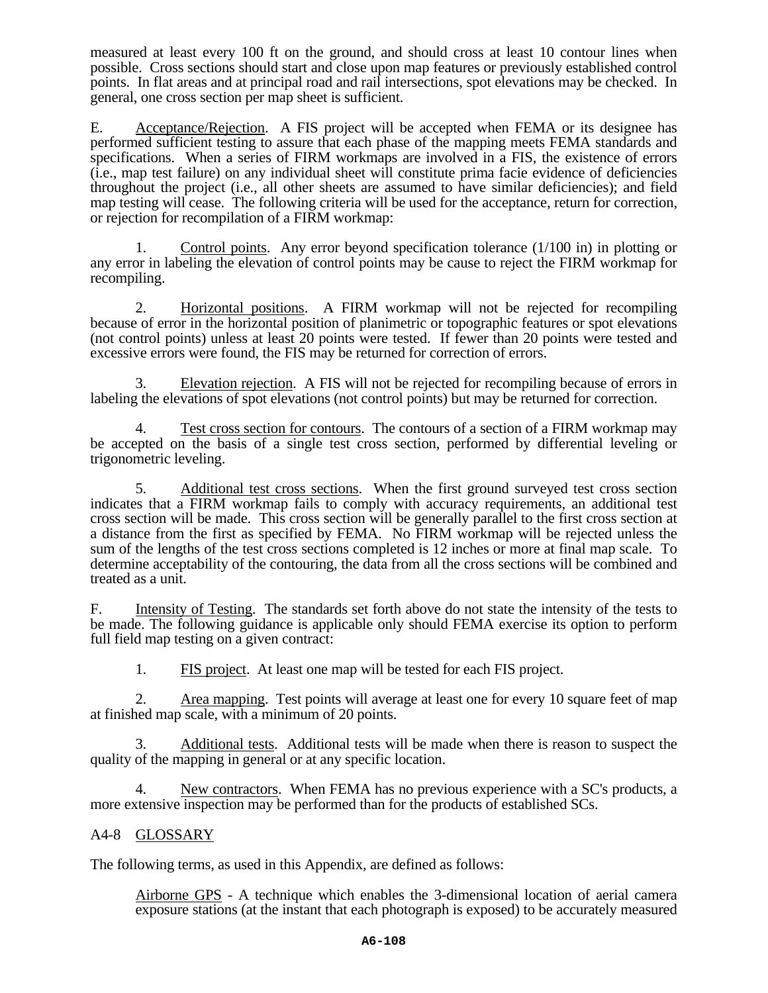measured at least every 100 ft on the ground, and should cross at least 10 contour lines when possible. Cross sections should start and close upon map features or previously established control points. In flat areas and at principal road and rail intersections, spot elevations may be checked. In general, one cross section per map sheet is sufficient.

E. Acceptance/Rejection. A FIS project will be accepted when FEMA or its designee has performed sufficient testing to assure that each phase of the mapping meets FEMA standards and specifications. When a series of FIRM workmaps are involved in a FIS, the existence of errors (i.e., map test failure) on any individual sheet will constitute prima facie evidence of deficiencies throughout the project (i.e., all other sheets are assumed to have similar deficiencies); and field map testing will cease. The following criteria will be used for the acceptance, return for correction, or rejection for recompilation of a FIRM workmap:

 1. Control points. Any error beyond specification tolerance (1/100 in) in plotting or any error in labeling the elevation of control points may be cause to reject the FIRM workmap for recompiling.

 2. Horizontal positions. A FIRM workmap will not be rejected for recompiling because of error in the horizontal position of planimetric or topographic features or spot elevations (not control points) unless at least 20 points were tested. If fewer than 20 points were tested and excessive errors were found, the FIS may be returned for correction of errors.

 3. Elevation rejection. A FIS will not be rejected for recompiling because of errors in labeling the elevations of spot elevations (not control points) but may be returned for correction.

 4. Test cross section for contours. The contours of a section of a FIRM workmap may be accepted on the basis of a single test cross section, performed by differential leveling or trigonometric leveling.

 5. Additional test cross sections. When the first ground surveyed test cross section indicates that a FIRM workmap fails to comply with accuracy requirements, an additional test cross section will be made. This cross section will be generally parallel to the first cross section at a distance from the first as specified by FEMA. No FIRM workmap will be rejected unless the sum of the lengths of the test cross sections completed is 12 inches or more at final map scale. To determine acceptability of the contouring, the data from all the cross sections will be combined and treated as a unit.

F. Intensity of Testing. The standards set forth above do not state the intensity of the tests to be made. The following guidance is applicable only should FEMA exercise its option to perform full field map testing on a given contract:

1. FIS project. At least one map will be tested for each FIS project.

 2. Area mapping. Test points will average at least one for every 10 square feet of map at finished map scale, with a minimum of 20 points.

 3. Additional tests. Additional tests will be made when there is reason to suspect the quality of the mapping in general or at any specific location.

New contractors. When FEMA has no previous experience with a SC's products, a more extensive inspection may be performed than for the products of established SCs.

### A4-8 GLOSSARY

The following terms, as used in this Appendix, are defined as follows:

 Airborne GPS - A technique which enables the 3-dimensional location of aerial camera exposure stations (at the instant that each photograph is exposed) to be accurately measured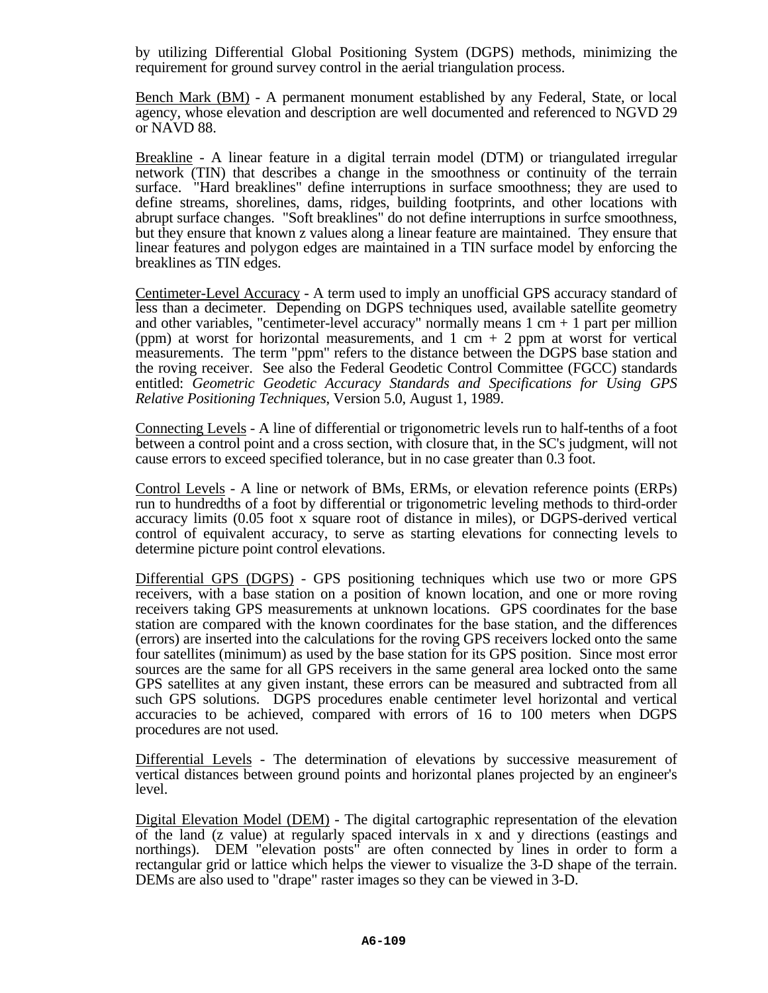by utilizing Differential Global Positioning System (DGPS) methods, minimizing the requirement for ground survey control in the aerial triangulation process.

 Bench Mark (BM) - A permanent monument established by any Federal, State, or local agency, whose elevation and description are well documented and referenced to NGVD 29 or NAVD 88.

 Breakline - A linear feature in a digital terrain model (DTM) or triangulated irregular network (TIN) that describes a change in the smoothness or continuity of the terrain surface. "Hard breaklines" define interruptions in surface smoothness; they are used to define streams, shorelines, dams, ridges, building footprints, and other locations with abrupt surface changes. "Soft breaklines" do not define interruptions in surfce smoothness, but they ensure that known z values along a linear feature are maintained. They ensure that linear features and polygon edges are maintained in a TIN surface model by enforcing the breaklines as TIN edges.

 Centimeter-Level Accuracy - A term used to imply an unofficial GPS accuracy standard of less than a decimeter. Depending on DGPS techniques used, available satellite geometry and other variables, "centimeter-level accuracy" normally means  $1 \text{ cm} + 1$  part per million (ppm) at worst for horizontal measurements, and  $1 \text{ cm} + 2 \text{ ppm}$  at worst for vertical measurements. The term "ppm" refers to the distance between the DGPS base station and the roving receiver. See also the Federal Geodetic Control Committee (FGCC) standards entitled: *Geometric Geodetic Accuracy Standards and Specifications for Using GPS Relative Positioning Techniques*, Version 5.0, August 1, 1989.

 Connecting Levels - A line of differential or trigonometric levels run to half-tenths of a foot between a control point and a cross section, with closure that, in the SC's judgment, will not cause errors to exceed specified tolerance, but in no case greater than 0.3 foot.

 Control Levels - A line or network of BMs, ERMs, or elevation reference points (ERPs) run to hundredths of a foot by differential or trigonometric leveling methods to third-order accuracy limits (0.05 foot x square root of distance in miles), or DGPS-derived vertical control of equivalent accuracy, to serve as starting elevations for connecting levels to determine picture point control elevations.

 Differential GPS (DGPS) - GPS positioning techniques which use two or more GPS receivers, with a base station on a position of known location, and one or more roving receivers taking GPS measurements at unknown locations. GPS coordinates for the base station are compared with the known coordinates for the base station, and the differences (errors) are inserted into the calculations for the roving GPS receivers locked onto the same four satellites (minimum) as used by the base station for its GPS position. Since most error sources are the same for all GPS receivers in the same general area locked onto the same GPS satellites at any given instant, these errors can be measured and subtracted from all such GPS solutions. DGPS procedures enable centimeter level horizontal and vertical accuracies to be achieved, compared with errors of 16 to 100 meters when DGPS procedures are not used.

 Differential Levels - The determination of elevations by successive measurement of vertical distances between ground points and horizontal planes projected by an engineer's level.

 Digital Elevation Model (DEM) - The digital cartographic representation of the elevation of the land (z value) at regularly spaced intervals in x and y directions (eastings and northings). DEM "elevation posts" are often connected by lines in order to form a rectangular grid or lattice which helps the viewer to visualize the 3-D shape of the terrain. DEMs are also used to "drape" raster images so they can be viewed in 3-D.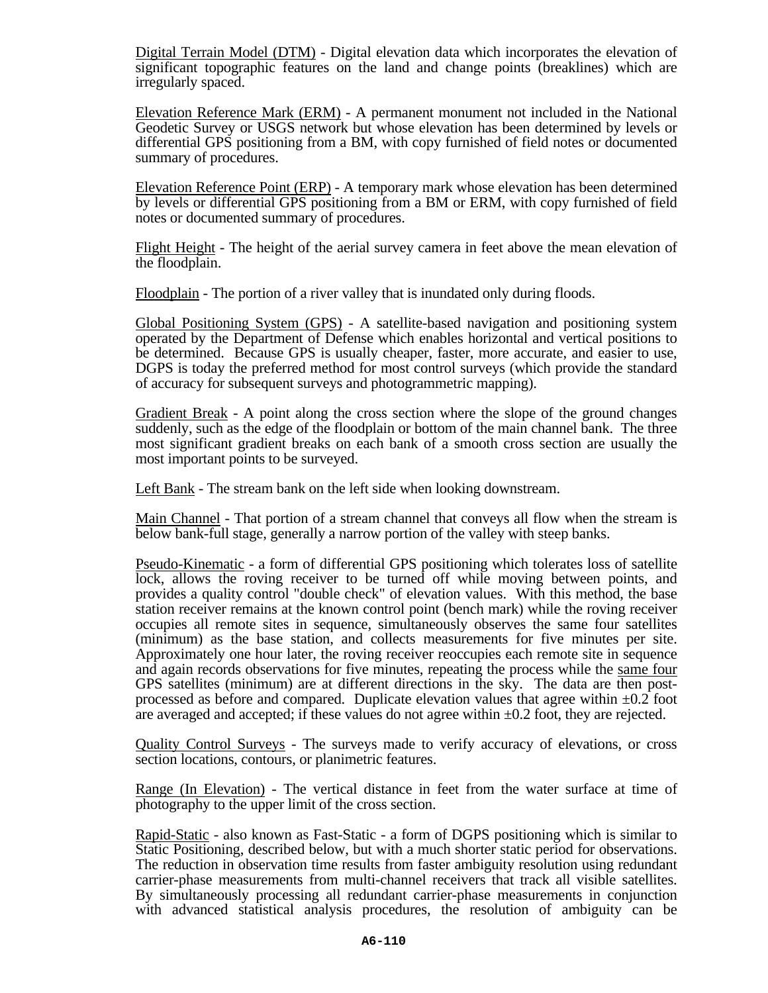Digital Terrain Model (DTM) - Digital elevation data which incorporates the elevation of significant topographic features on the land and change points (breaklines) which are irregularly spaced.

 Elevation Reference Mark (ERM) - A permanent monument not included in the National Geodetic Survey or USGS network but whose elevation has been determined by levels or differential GPS positioning from a BM, with copy furnished of field notes or documented summary of procedures.

 Elevation Reference Point (ERP) - A temporary mark whose elevation has been determined by levels or differential GPS positioning from a BM or ERM, with copy furnished of field notes or documented summary of procedures.

 Flight Height - The height of the aerial survey camera in feet above the mean elevation of the floodplain.

Floodplain - The portion of a river valley that is inundated only during floods.

 Global Positioning System (GPS) - A satellite-based navigation and positioning system operated by the Department of Defense which enables horizontal and vertical positions to be determined. Because GPS is usually cheaper, faster, more accurate, and easier to use, DGPS is today the preferred method for most control surveys (which provide the standard of accuracy for subsequent surveys and photogrammetric mapping).

 Gradient Break - A point along the cross section where the slope of the ground changes suddenly, such as the edge of the floodplain or bottom of the main channel bank. The three most significant gradient breaks on each bank of a smooth cross section are usually the most important points to be surveyed.

Left Bank - The stream bank on the left side when looking downstream.

Main Channel - That portion of a stream channel that conveys all flow when the stream is below bank-full stage, generally a narrow portion of the valley with steep banks.

Pseudo-Kinematic - a form of differential GPS positioning which tolerates loss of satellite lock, allows the roving receiver to be turned off while moving between points, and provides a quality control "double check" of elevation values. With this method, the base station receiver remains at the known control point (bench mark) while the roving receiver occupies all remote sites in sequence, simultaneously observes the same four satellites (minimum) as the base station, and collects measurements for five minutes per site. Approximately one hour later, the roving receiver reoccupies each remote site in sequence and again records observations for five minutes, repeating the process while the same four GPS satellites (minimum) are at different directions in the sky. The data are then postprocessed as before and compared. Duplicate elevation values that agree within  $\pm 0.2$  foot are averaged and accepted; if these values do not agree within  $\pm 0.2$  foot, they are rejected.

 Quality Control Surveys - The surveys made to verify accuracy of elevations, or cross section locations, contours, or planimetric features.

 Range (In Elevation) - The vertical distance in feet from the water surface at time of photography to the upper limit of the cross section.

 Rapid-Static - also known as Fast-Static - a form of DGPS positioning which is similar to Static Positioning, described below, but with a much shorter static period for observations. The reduction in observation time results from faster ambiguity resolution using redundant carrier-phase measurements from multi-channel receivers that track all visible satellites. By simultaneously processing all redundant carrier-phase measurements in conjunction with advanced statistical analysis procedures, the resolution of ambiguity can be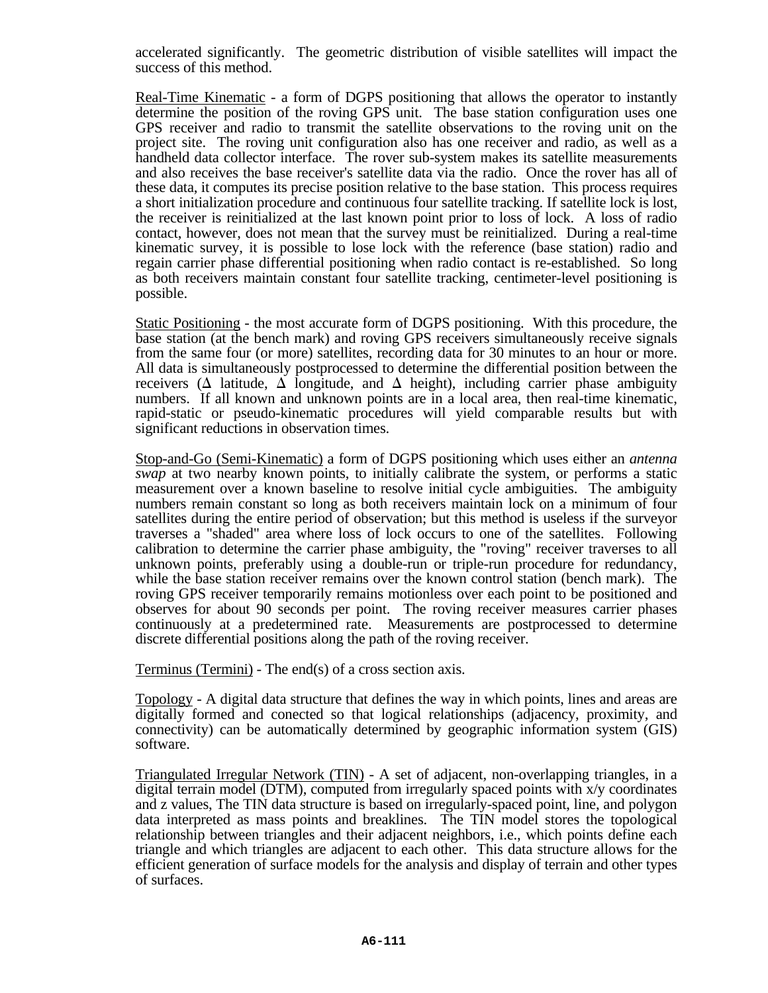accelerated significantly. The geometric distribution of visible satellites will impact the success of this method.

 Real-Time Kinematic - a form of DGPS positioning that allows the operator to instantly determine the position of the roving GPS unit. The base station configuration uses one GPS receiver and radio to transmit the satellite observations to the roving unit on the project site. The roving unit configuration also has one receiver and radio, as well as a handheld data collector interface. The rover sub-system makes its satellite measurements and also receives the base receiver's satellite data via the radio. Once the rover has all of these data, it computes its precise position relative to the base station. This process requires a short initialization procedure and continuous four satellite tracking. If satellite lock is lost, the receiver is reinitialized at the last known point prior to loss of lock. A loss of radio contact, however, does not mean that the survey must be reinitialized. During a real-time kinematic survey, it is possible to lose lock with the reference (base station) radio and regain carrier phase differential positioning when radio contact is re-established. So long as both receivers maintain constant four satellite tracking, centimeter-level positioning is possible.

 Static Positioning - the most accurate form of DGPS positioning. With this procedure, the base station (at the bench mark) and roving GPS receivers simultaneously receive signals from the same four (or more) satellites, recording data for 30 minutes to an hour or more. All data is simultaneously postprocessed to determine the differential position between the receivers ( $\Delta$  latitude,  $\Delta$  longitude, and  $\Delta$  height), including carrier phase ambiguity numbers. If all known and unknown points are in a local area, then real-time kinematic, rapid-static or pseudo-kinematic procedures will yield comparable results but with significant reductions in observation times.

 Stop-and-Go (Semi-Kinematic) a form of DGPS positioning which uses either an *antenna swap* at two nearby known points, to initially calibrate the system, or performs a static measurement over a known baseline to resolve initial cycle ambiguities. The ambiguity numbers remain constant so long as both receivers maintain lock on a minimum of four satellites during the entire period of observation; but this method is useless if the surveyor traverses a "shaded" area where loss of lock occurs to one of the satellites. Following calibration to determine the carrier phase ambiguity, the "roving" receiver traverses to all unknown points, preferably using a double-run or triple-run procedure for redundancy, while the base station receiver remains over the known control station (bench mark). The roving GPS receiver temporarily remains motionless over each point to be positioned and observes for about 90 seconds per point. The roving receiver measures carrier phases continuously at a predetermined rate. Measurements are postprocessed to determine discrete differential positions along the path of the roving receiver.

Terminus (Termini) - The end(s) of a cross section axis.

 Topology - A digital data structure that defines the way in which points, lines and areas are digitally formed and conected so that logical relationships (adjacency, proximity, and connectivity) can be automatically determined by geographic information system (GIS) software.

 Triangulated Irregular Network (TIN) - A set of adjacent, non-overlapping triangles, in a digital terrain model (DTM), computed from irregularly spaced points with x/y coordinates and z values, The TIN data structure is based on irregularly-spaced point, line, and polygon data interpreted as mass points and breaklines. The TIN model stores the topological relationship between triangles and their adjacent neighbors, i.e., which points define each triangle and which triangles are adjacent to each other. This data structure allows for the efficient generation of surface models for the analysis and display of terrain and other types of surfaces.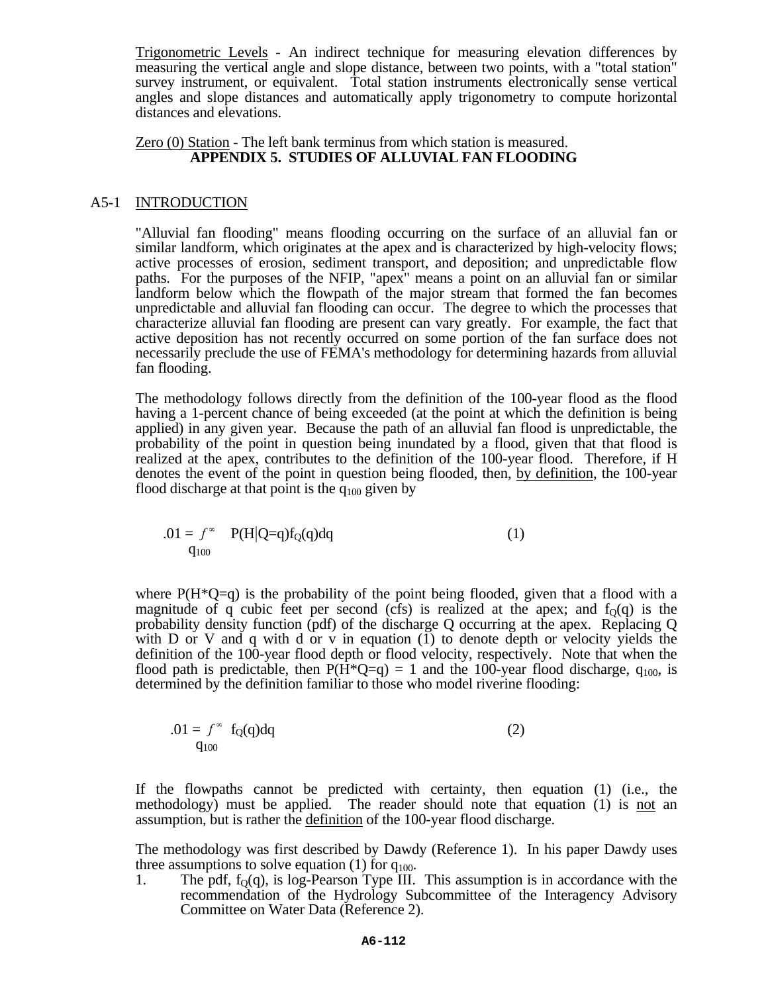Trigonometric Levels - An indirect technique for measuring elevation differences by measuring the vertical angle and slope distance, between two points, with a "total station" survey instrument, or equivalent. Total station instruments electronically sense vertical angles and slope distances and automatically apply trigonometry to compute horizontal distances and elevations.

# Zero (0) Station - The left bank terminus from which station is measured.  **APPENDIX 5. STUDIES OF ALLUVIAL FAN FLOODING**

# A5-1 INTRODUCTION

 "Alluvial fan flooding" means flooding occurring on the surface of an alluvial fan or similar landform, which originates at the apex and is characterized by high-velocity flows; active processes of erosion, sediment transport, and deposition; and unpredictable flow paths. For the purposes of the NFIP, "apex" means a point on an alluvial fan or similar landform below which the flowpath of the major stream that formed the fan becomes unpredictable and alluvial fan flooding can occur. The degree to which the processes that characterize alluvial fan flooding are present can vary greatly. For example, the fact that active deposition has not recently occurred on some portion of the fan surface does not necessarily preclude the use of FEMA's methodology for determining hazards from alluvial fan flooding.

 The methodology follows directly from the definition of the 100-year flood as the flood having a 1-percent chance of being exceeded (at the point at which the definition is being applied) in any given year. Because the path of an alluvial fan flood is unpredictable, the probability of the point in question being inundated by a flood, given that that flood is realized at the apex, contributes to the definition of the 100-year flood. Therefore, if H denotes the event of the point in question being flooded, then, by definition, the 100-year flood discharge at that point is the  $q_{100}$  given by

$$
.01 = f^{\infty} \quad P(H|Q=q) f_Q(q) dq \tag{1}
$$

where  $P(H^*Q=q)$  is the probability of the point being flooded, given that a flood with a magnitude of q cubic feet per second (cfs) is realized at the apex; and  $f<sub>0</sub>(q)$  is the probability density function (pdf) of the discharge Q occurring at the apex. Replacing Q with D or V and q with d or v in equation (1) to denote depth or velocity yields the definition of the 100-year flood depth or flood velocity, respectively. Note that when the flood path is predictable, then  $P(\bar{H}^*Q=q) = 1$  and the 100-year flood discharge, q<sub>100</sub>, is determined by the definition familiar to those who model riverine flooding:

$$
.01 = f^{\infty} f_{Q}(q) dq
$$
 (2)  
q<sub>100</sub>

 If the flowpaths cannot be predicted with certainty, then equation (1) (i.e., the methodology) must be applied. The reader should note that equation (1) is not an assumption, but is rather the definition of the 100-year flood discharge.

 The methodology was first described by Dawdy (Reference 1). In his paper Dawdy uses three assumptions to solve equation (1) for  $q_{100}$ .

1. The pdf,  $f<sub>Q</sub>(q)$ , is log-Pearson Type III. This assumption is in accordance with the recommendation of the Hydrology Subcommittee of the Interagency Advisory Committee on Water Data (Reference 2).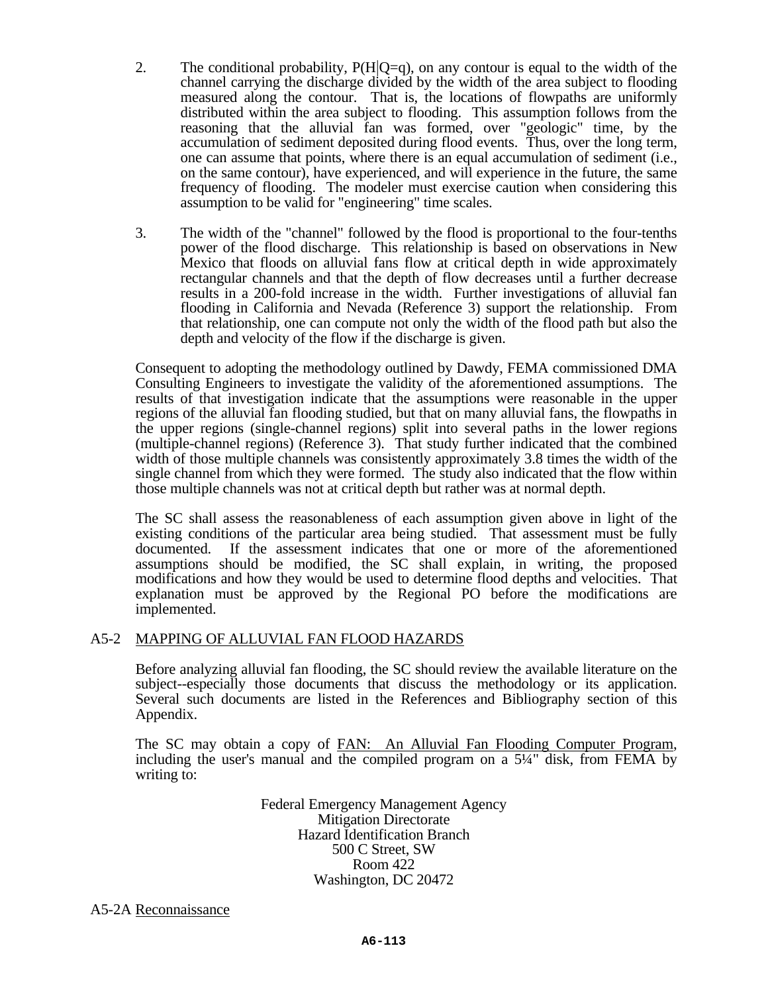- 2. The conditional probability,  $P(H|Q=q)$ , on any contour is equal to the width of the channel carrying the discharge divided by the width of the area subject to flooding measured along the contour. That is, the locations of flowpaths are uniformly distributed within the area subject to flooding. This assumption follows from the reasoning that the alluvial fan was formed, over "geologic" time, by the accumulation of sediment deposited during flood events. Thus, over the long term, one can assume that points, where there is an equal accumulation of sediment (i.e., on the same contour), have experienced, and will experience in the future, the same frequency of flooding. The modeler must exercise caution when considering this assumption to be valid for "engineering" time scales.
- 3. The width of the "channel" followed by the flood is proportional to the four-tenths power of the flood discharge. This relationship is based on observations in New Mexico that floods on alluvial fans flow at critical depth in wide approximately rectangular channels and that the depth of flow decreases until a further decrease results in a 200-fold increase in the width. Further investigations of alluvial fan flooding in California and Nevada (Reference 3) support the relationship. From that relationship, one can compute not only the width of the flood path but also the depth and velocity of the flow if the discharge is given.

 Consequent to adopting the methodology outlined by Dawdy, FEMA commissioned DMA Consulting Engineers to investigate the validity of the aforementioned assumptions. The results of that investigation indicate that the assumptions were reasonable in the upper regions of the alluvial fan flooding studied, but that on many alluvial fans, the flowpaths in the upper regions (single-channel regions) split into several paths in the lower regions (multiple-channel regions) (Reference 3). That study further indicated that the combined width of those multiple channels was consistently approximately 3.8 times the width of the single channel from which they were formed. The study also indicated that the flow within those multiple channels was not at critical depth but rather was at normal depth.

 The SC shall assess the reasonableness of each assumption given above in light of the existing conditions of the particular area being studied. That assessment must be fully documented. If the assessment indicates that one or more of the aforementioned assumptions should be modified, the SC shall explain, in writing, the proposed modifications and how they would be used to determine flood depths and velocities. That explanation must be approved by the Regional PO before the modifications are implemented.

# A5-2 MAPPING OF ALLUVIAL FAN FLOOD HAZARDS

 Before analyzing alluvial fan flooding, the SC should review the available literature on the subject--especially those documents that discuss the methodology or its application. Several such documents are listed in the References and Bibliography section of this Appendix.

The SC may obtain a copy of FAN: An Alluvial Fan Flooding Computer Program, including the user's manual and the compiled program on a 5¼" disk, from FEMA by writing to:

> Federal Emergency Management Agency Mitigation Directorate Hazard Identification Branch 500 C Street, SW Room 422 Washington, DC 20472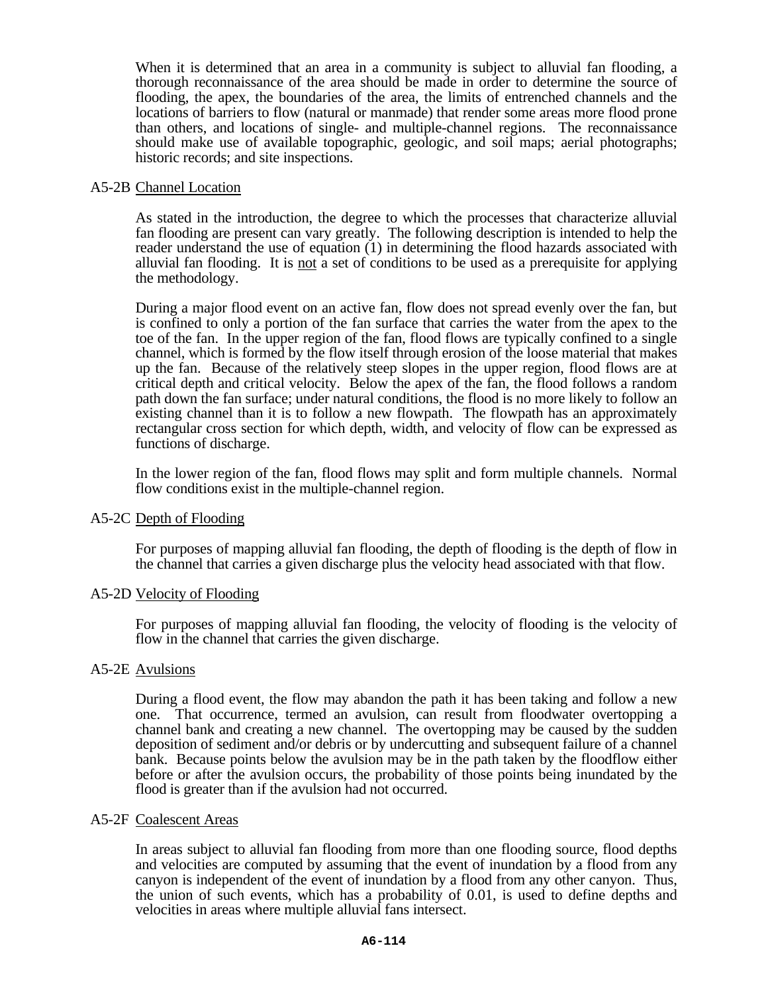When it is determined that an area in a community is subject to alluvial fan flooding, a thorough reconnaissance of the area should be made in order to determine the source of flooding, the apex, the boundaries of the area, the limits of entrenched channels and the locations of barriers to flow (natural or manmade) that render some areas more flood prone than others, and locations of single- and multiple-channel regions. The reconnaissance should make use of available topographic, geologic, and soil maps; aerial photographs; historic records; and site inspections.

# A5-2B Channel Location

 As stated in the introduction, the degree to which the processes that characterize alluvial fan flooding are present can vary greatly. The following description is intended to help the reader understand the use of equation (1) in determining the flood hazards associated with alluvial fan flooding. It is not a set of conditions to be used as a prerequisite for applying the methodology.

 During a major flood event on an active fan, flow does not spread evenly over the fan, but is confined to only a portion of the fan surface that carries the water from the apex to the toe of the fan. In the upper region of the fan, flood flows are typically confined to a single channel, which is formed by the flow itself through erosion of the loose material that makes up the fan. Because of the relatively steep slopes in the upper region, flood flows are at critical depth and critical velocity. Below the apex of the fan, the flood follows a random path down the fan surface; under natural conditions, the flood is no more likely to follow an existing channel than it is to follow a new flowpath. The flowpath has an approximately rectangular cross section for which depth, width, and velocity of flow can be expressed as functions of discharge.

 In the lower region of the fan, flood flows may split and form multiple channels. Normal flow conditions exist in the multiple-channel region.

# A5-2C Depth of Flooding

 For purposes of mapping alluvial fan flooding, the depth of flooding is the depth of flow in the channel that carries a given discharge plus the velocity head associated with that flow.

# A5-2D Velocity of Flooding

 For purposes of mapping alluvial fan flooding, the velocity of flooding is the velocity of flow in the channel that carries the given discharge.

# A5-2E Avulsions

 During a flood event, the flow may abandon the path it has been taking and follow a new one. That occurrence, termed an avulsion, can result from floodwater overtopping a channel bank and creating a new channel. The overtopping may be caused by the sudden deposition of sediment and/or debris or by undercutting and subsequent failure of a channel bank. Because points below the avulsion may be in the path taken by the floodflow either before or after the avulsion occurs, the probability of those points being inundated by the flood is greater than if the avulsion had not occurred.

# A5-2F Coalescent Areas

 In areas subject to alluvial fan flooding from more than one flooding source, flood depths and velocities are computed by assuming that the event of inundation by a flood from any canyon is independent of the event of inundation by a flood from any other canyon. Thus, the union of such events, which has a probability of 0.01, is used to define depths and velocities in areas where multiple alluvial fans intersect.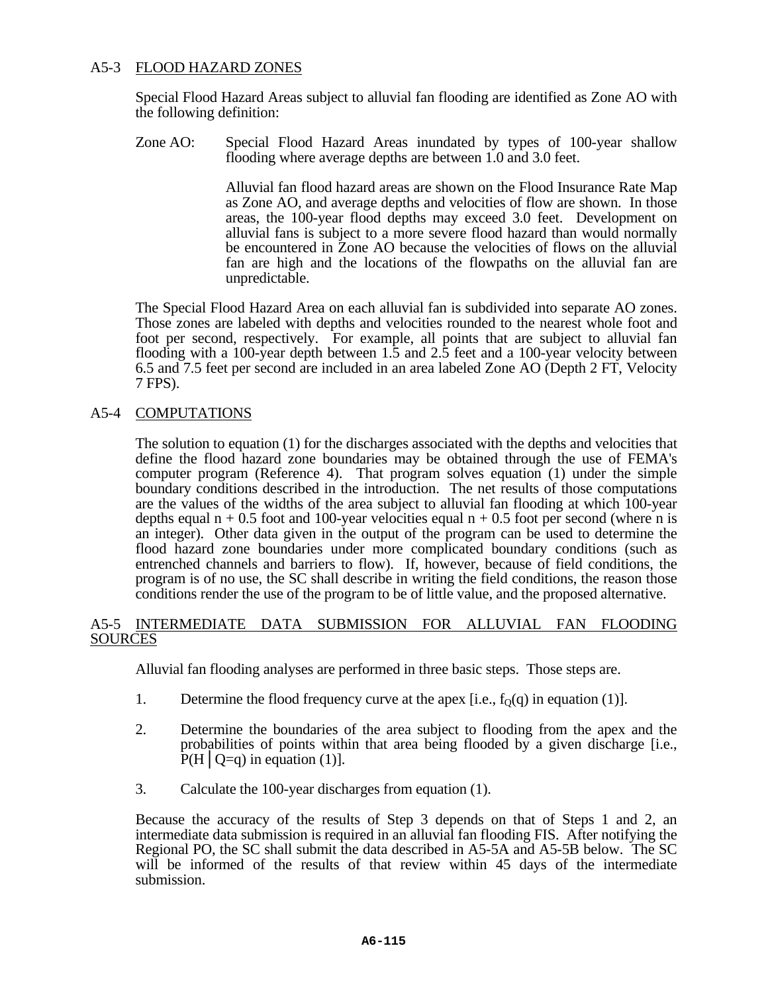# A5-3 FLOOD HAZARD ZONES

 Special Flood Hazard Areas subject to alluvial fan flooding are identified as Zone AO with the following definition:

 Zone AO: Special Flood Hazard Areas inundated by types of 100-year shallow flooding where average depths are between 1.0 and 3.0 feet.

> Alluvial fan flood hazard areas are shown on the Flood Insurance Rate Map as Zone AO, and average depths and velocities of flow are shown. In those areas, the 100-year flood depths may exceed 3.0 feet. Development on alluvial fans is subject to a more severe flood hazard than would normally be encountered in Zone AO because the velocities of flows on the alluvial fan are high and the locations of the flowpaths on the alluvial fan are unpredictable.

 The Special Flood Hazard Area on each alluvial fan is subdivided into separate AO zones. Those zones are labeled with depths and velocities rounded to the nearest whole foot and foot per second, respectively. For example, all points that are subject to alluvial fan flooding with a 100-year depth between 1.5 and 2.5 feet and a 100-year velocity between 6.5 and 7.5 feet per second are included in an area labeled Zone AO (Depth 2 FT, Velocity 7 FPS).

# A5-4 COMPUTATIONS

 The solution to equation (1) for the discharges associated with the depths and velocities that define the flood hazard zone boundaries may be obtained through the use of FEMA's computer program (Reference 4). That program solves equation (1) under the simple boundary conditions described in the introduction. The net results of those computations are the values of the widths of the area subject to alluvial fan flooding at which 100-year depths equal  $n + 0.5$  foot and 100-year velocities equal  $n + 0.5$  foot per second (where n is an integer). Other data given in the output of the program can be used to determine the flood hazard zone boundaries under more complicated boundary conditions (such as entrenched channels and barriers to flow). If, however, because of field conditions, the program is of no use, the SC shall describe in writing the field conditions, the reason those conditions render the use of the program to be of little value, and the proposed alternative.

# A5-5 INTERMEDIATE DATA SUBMISSION FOR ALLUVIAL FAN FLOODING **SOURCES**

Alluvial fan flooding analyses are performed in three basic steps. Those steps are.

- 1. Determine the flood frequency curve at the apex [i.e.,  $f<sub>O</sub>(q)$  in equation (1)].
- 2. Determine the boundaries of the area subject to flooding from the apex and the probabilities of points within that area being flooded by a given discharge [i.e.,  $P(H | Q=q)$  in equation (1).
- 3. Calculate the 100-year discharges from equation (1).

 Because the accuracy of the results of Step 3 depends on that of Steps 1 and 2, an intermediate data submission is required in an alluvial fan flooding FIS. After notifying the Regional PO, the SC shall submit the data described in A5-5A and A5-5B below. The SC will be informed of the results of that review within 45 days of the intermediate submission.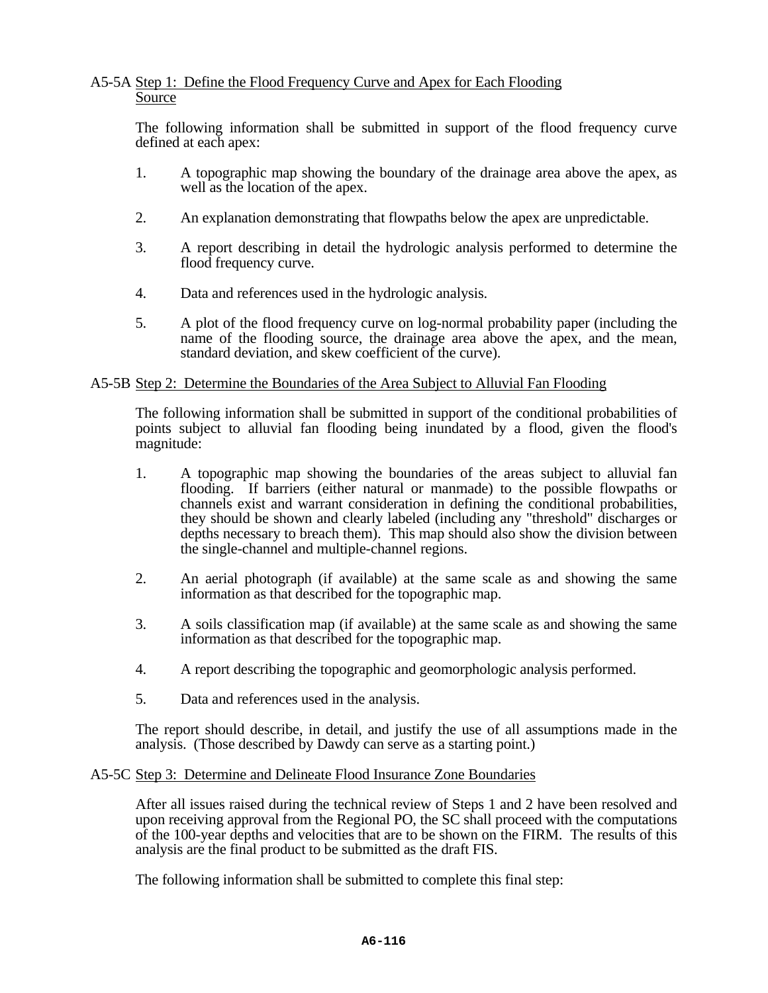# A5-5A Step 1: Define the Flood Frequency Curve and Apex for Each Flooding Source

 The following information shall be submitted in support of the flood frequency curve defined at each apex:

- 1. A topographic map showing the boundary of the drainage area above the apex, as well as the location of the apex.
- 2. An explanation demonstrating that flowpaths below the apex are unpredictable.
- 3. A report describing in detail the hydrologic analysis performed to determine the flood frequency curve.
- 4. Data and references used in the hydrologic analysis.
- 5. A plot of the flood frequency curve on log-normal probability paper (including the name of the flooding source, the drainage area above the apex, and the mean, standard deviation, and skew coefficient of the curve).

# A5-5B Step 2: Determine the Boundaries of the Area Subject to Alluvial Fan Flooding

 The following information shall be submitted in support of the conditional probabilities of points subject to alluvial fan flooding being inundated by a flood, given the flood's magnitude:

- 1. A topographic map showing the boundaries of the areas subject to alluvial fan flooding. If barriers (either natural or manmade) to the possible flowpaths or channels exist and warrant consideration in defining the conditional probabilities, they should be shown and clearly labeled (including any "threshold" discharges or depths necessary to breach them). This map should also show the division between the single-channel and multiple-channel regions.
- 2. An aerial photograph (if available) at the same scale as and showing the same information as that described for the topographic map.
- 3. A soils classification map (if available) at the same scale as and showing the same information as that described for the topographic map.
- 4. A report describing the topographic and geomorphologic analysis performed.
- 5. Data and references used in the analysis.

 The report should describe, in detail, and justify the use of all assumptions made in the analysis. (Those described by Dawdy can serve as a starting point.)

# A5-5C Step 3: Determine and Delineate Flood Insurance Zone Boundaries

 After all issues raised during the technical review of Steps 1 and 2 have been resolved and upon receiving approval from the Regional PO, the SC shall proceed with the computations of the 100-year depths and velocities that are to be shown on the FIRM. The results of this analysis are the final product to be submitted as the draft FIS.

The following information shall be submitted to complete this final step: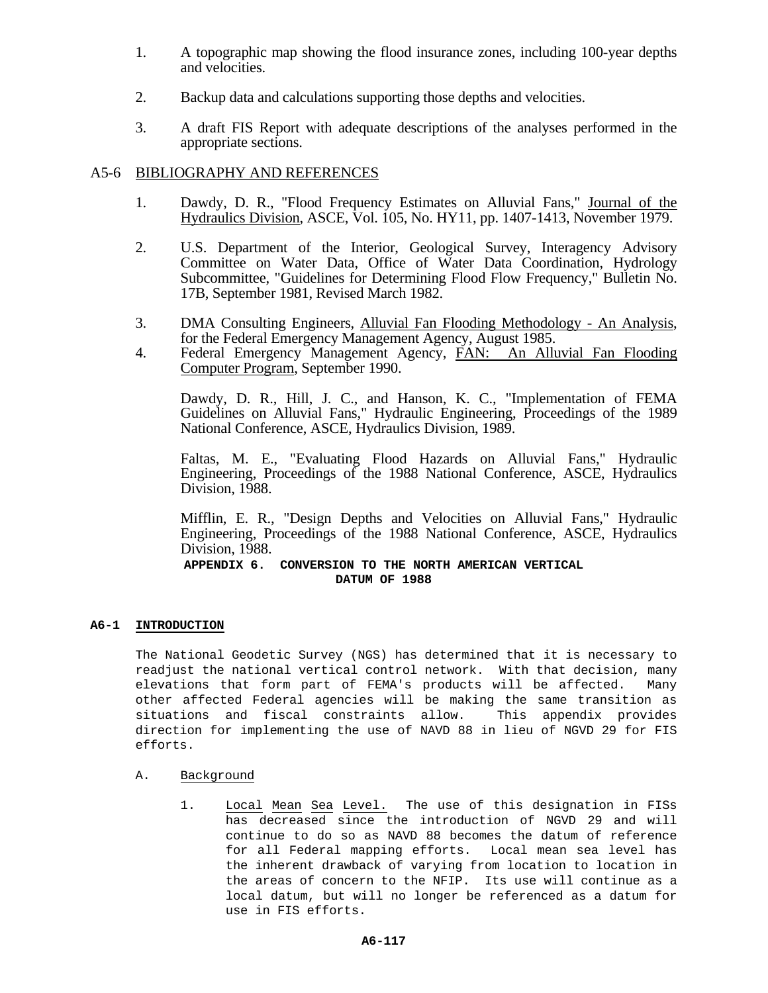- 1. A topographic map showing the flood insurance zones, including 100-year depths and velocities.
- 2. Backup data and calculations supporting those depths and velocities.
- 3. A draft FIS Report with adequate descriptions of the analyses performed in the appropriate sections.

# A5-6 BIBLIOGRAPHY AND REFERENCES

- 1. Dawdy, D. R., "Flood Frequency Estimates on Alluvial Fans," Journal of the Hydraulics Division, ASCE, Vol. 105, No. HY11, pp. 1407-1413, November 1979.
- 2. U.S. Department of the Interior, Geological Survey, Interagency Advisory Committee on Water Data, Office of Water Data Coordination, Hydrology Subcommittee, "Guidelines for Determining Flood Flow Frequency," Bulletin No. 17B, September 1981, Revised March 1982.
- 3. DMA Consulting Engineers, Alluvial Fan Flooding Methodology An Analysis, for the Federal Emergency Management Agency, August 1985.
- 4. Federal Emergency Management Agency, FAN: An Alluvial Fan Flooding Computer Program, September 1990.

 Dawdy, D. R., Hill, J. C., and Hanson, K. C., "Implementation of FEMA Guidelines on Alluvial Fans," Hydraulic Engineering, Proceedings of the 1989 National Conference, ASCE, Hydraulics Division, 1989.

 Faltas, M. E., "Evaluating Flood Hazards on Alluvial Fans," Hydraulic Engineering, Proceedings of the 1988 National Conference, ASCE, Hydraulics Division, 1988.

 Mifflin, E. R., "Design Depths and Velocities on Alluvial Fans," Hydraulic Engineering, Proceedings of the 1988 National Conference, ASCE, Hydraulics Division, 1988.

**APPENDIX 6. CONVERSION TO THE NORTH AMERICAN VERTICAL DATUM OF 1988**

## **A6-1 INTRODUCTION**

 The National Geodetic Survey (NGS) has determined that it is necessary to readjust the national vertical control network. With that decision, many elevations that form part of FEMA's products will be affected. Many other affected Federal agencies will be making the same transition as situations and fiscal constraints allow. This appendix provides direction for implementing the use of NAVD 88 in lieu of NGVD 29 for FIS efforts.

- A. Background
	- 1. Local Mean Sea Level. The use of this designation in FISs has decreased since the introduction of NGVD 29 and will continue to do so as NAVD 88 becomes the datum of reference for all Federal mapping efforts. Local mean sea level has the inherent drawback of varying from location to location in the areas of concern to the NFIP. Its use will continue as a local datum, but will no longer be referenced as a datum for use in FIS efforts.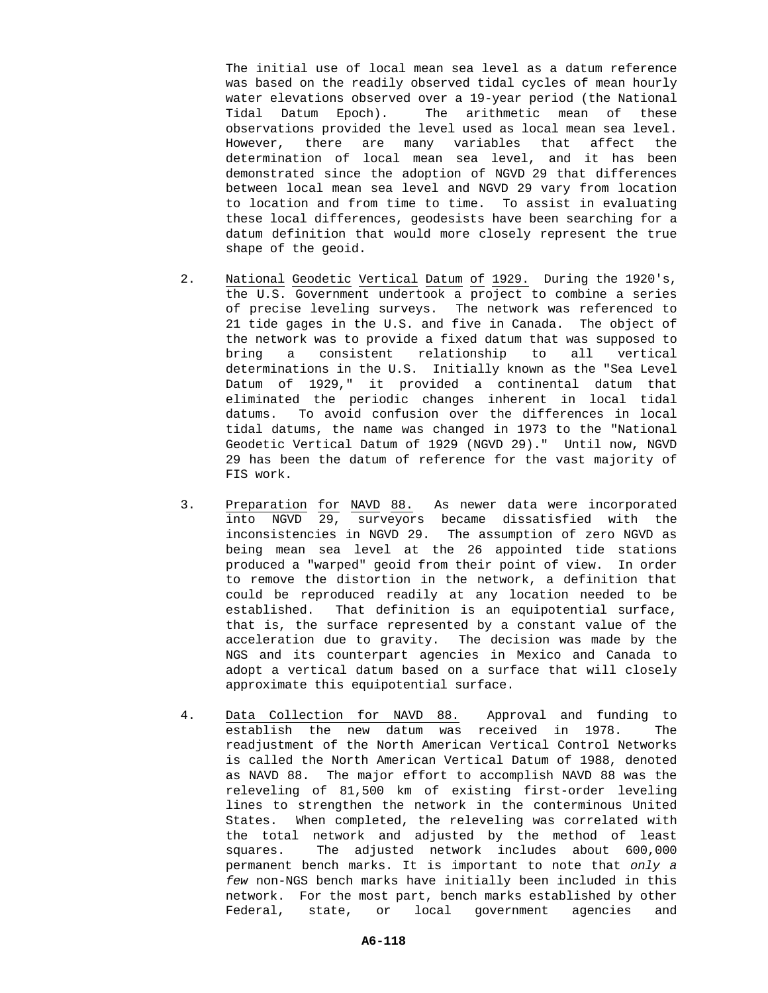The initial use of local mean sea level as a datum reference was based on the readily observed tidal cycles of mean hourly water elevations observed over a 19-year period (the National Tidal Datum Epoch). The arithmetic mean of these observations provided the level used as local mean sea level. However, there are many variables that affect the determination of local mean sea level, and it has been demonstrated since the adoption of NGVD 29 that differences between local mean sea level and NGVD 29 vary from location to location and from time to time. To assist in evaluating these local differences, geodesists have been searching for a datum definition that would more closely represent the true shape of the geoid.

- 2. National Geodetic Vertical Datum of 1929. During the 1920's, the U.S. Government undertook a project to combine a series of precise leveling surveys. The network was referenced to 21 tide gages in the U.S. and five in Canada. The object of the network was to provide a fixed datum that was supposed to bring a consistent relationship to all vertical determinations in the U.S. Initially known as the "Sea Level Datum of 1929," it provided a continental datum that eliminated the periodic changes inherent in local tidal datums. To avoid confusion over the differences in local tidal datums, the name was changed in 1973 to the "National Geodetic Vertical Datum of 1929 (NGVD 29)." Until now, NGVD 29 has been the datum of reference for the vast majority of FIS work.
- 3. Preparation for NAVD 88. As newer data were incorporated into NGVD 29, surveyors became dissatisfied with the inconsistencies in NGVD 29. The assumption of zero NGVD as being mean sea level at the 26 appointed tide stations produced a "warped" geoid from their point of view. In order to remove the distortion in the network, a definition that could be reproduced readily at any location needed to be established. That definition is an equipotential surface, that is, the surface represented by a constant value of the acceleration due to gravity. The decision was made by the NGS and its counterpart agencies in Mexico and Canada to adopt a vertical datum based on a surface that will closely approximate this equipotential surface.
- 4. Data Collection for NAVD 88. Approval and funding to establish the new datum was received in 1978. The readjustment of the North American Vertical Control Networks is called the North American Vertical Datum of 1988, denoted as NAVD 88. The major effort to accomplish NAVD 88 was the releveling of 81,500 km of existing first-order leveling lines to strengthen the network in the conterminous United States. When completed, the releveling was correlated with the total network and adjusted by the method of least squares. The adjusted network includes about 600,000 permanent bench marks. It is important to note that *only a few* non-NGS bench marks have initially been included in this network. For the most part, bench marks established by other Federal, state, or local government agencies and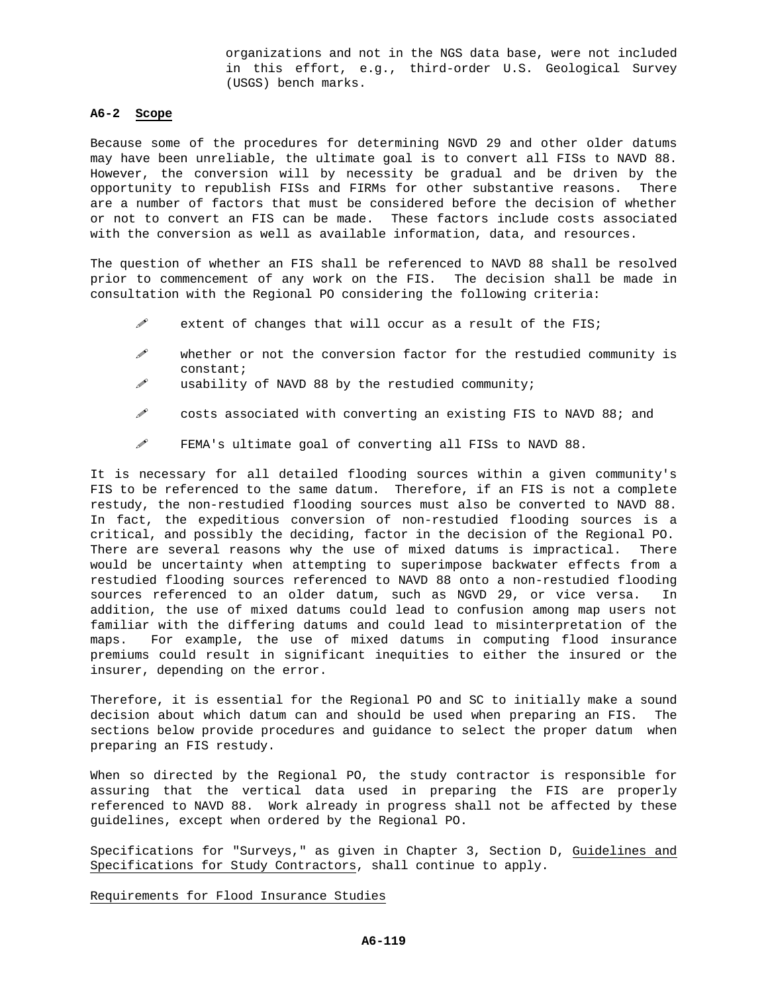organizations and not in the NGS data base, were not included in this effort, e.g., third-order U.S. Geological Survey (USGS) bench marks.

#### **A6-2 Scope**

Because some of the procedures for determining NGVD 29 and other older datums may have been unreliable, the ultimate goal is to convert all FISs to NAVD 88. However, the conversion will by necessity be gradual and be driven by the opportunity to republish FISs and FIRMs for other substantive reasons. There are a number of factors that must be considered before the decision of whether or not to convert an FIS can be made. These factors include costs associated with the conversion as well as available information, data, and resources.

The question of whether an FIS shall be referenced to NAVD 88 shall be resolved prior to commencement of any work on the FIS. The decision shall be made in consultation with the Regional PO considering the following criteria:

- $\mathscr S$  extent of changes that will occur as a result of the FIS;
- $\mathscr N$  whether or not the conversion factor for the restudied community is constant;
- $\mathscr{L}$  usability of NAVD 88 by the restudied community;
- $\mathscr{I}$  costs associated with converting an existing FIS to NAVD 88; and
- FEMA's ultimate goal of converting all FISs to NAVD 88.

It is necessary for all detailed flooding sources within a given community's FIS to be referenced to the same datum. Therefore, if an FIS is not a complete restudy, the non-restudied flooding sources must also be converted to NAVD 88. In fact, the expeditious conversion of non-restudied flooding sources is a critical, and possibly the deciding, factor in the decision of the Regional PO. There are several reasons why the use of mixed datums is impractical. There would be uncertainty when attempting to superimpose backwater effects from a restudied flooding sources referenced to NAVD 88 onto a non-restudied flooding sources referenced to an older datum, such as NGVD 29, or vice versa. In addition, the use of mixed datums could lead to confusion among map users not familiar with the differing datums and could lead to misinterpretation of the maps. For example, the use of mixed datums in computing flood insurance premiums could result in significant inequities to either the insured or the insurer, depending on the error.

Therefore, it is essential for the Regional PO and SC to initially make a sound decision about which datum can and should be used when preparing an FIS. The sections below provide procedures and guidance to select the proper datum when preparing an FIS restudy.

When so directed by the Regional PO, the study contractor is responsible for assuring that the vertical data used in preparing the FIS are properly referenced to NAVD 88. Work already in progress shall not be affected by these guidelines, except when ordered by the Regional PO.

Specifications for "Surveys," as given in Chapter 3, Section D, Guidelines and Specifications for Study Contractors, shall continue to apply.

Requirements for Flood Insurance Studies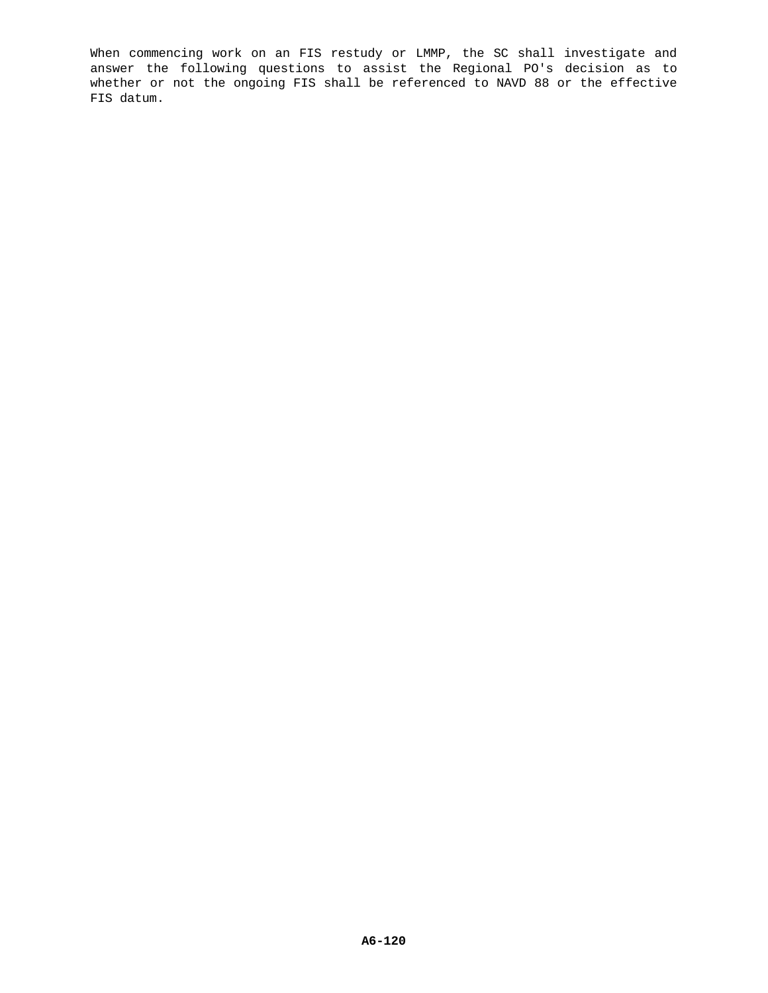When commencing work on an FIS restudy or LMMP, the SC shall investigate and answer the following questions to assist the Regional PO's decision as to whether or not the ongoing FIS shall be referenced to NAVD 88 or the effective FIS datum.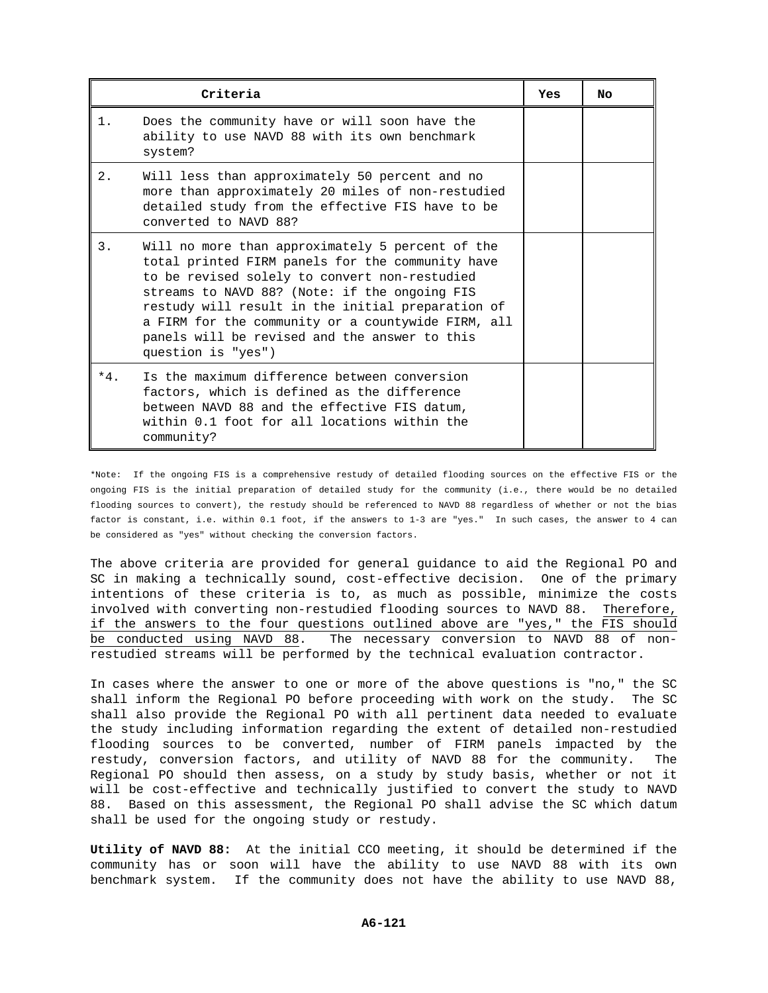|        | Criteria                                                                                                                                                                                                                                                                                                                                                                                 | Yes | No |
|--------|------------------------------------------------------------------------------------------------------------------------------------------------------------------------------------------------------------------------------------------------------------------------------------------------------------------------------------------------------------------------------------------|-----|----|
| 1.     | Does the community have or will soon have the<br>ability to use NAVD 88 with its own benchmark<br>system?                                                                                                                                                                                                                                                                                |     |    |
| 2.     | Will less than approximately 50 percent and no<br>more than approximately 20 miles of non-restudied<br>detailed study from the effective FIS have to be<br>converted to NAVD 88?                                                                                                                                                                                                         |     |    |
| 3.     | Will no more than approximately 5 percent of the<br>total printed FIRM panels for the community have<br>to be revised solely to convert non-restudied<br>streams to NAVD 88? (Note: if the ongoing FIS<br>restudy will result in the initial preparation of<br>a FIRM for the community or a countywide FIRM, all<br>panels will be revised and the answer to this<br>question is "yes") |     |    |
| $*4$ . | Is the maximum difference between conversion<br>factors, which is defined as the difference<br>between NAVD 88 and the effective FIS datum,<br>within 0.1 foot for all locations within the<br>community?                                                                                                                                                                                |     |    |

\*Note: If the ongoing FIS is a comprehensive restudy of detailed flooding sources on the effective FIS or the ongoing FIS is the initial preparation of detailed study for the community (i.e., there would be no detailed flooding sources to convert), the restudy should be referenced to NAVD 88 regardless of whether or not the bias factor is constant, i.e. within 0.1 foot, if the answers to 1-3 are "yes." In such cases, the answer to 4 can be considered as "yes" without checking the conversion factors.

The above criteria are provided for general guidance to aid the Regional PO and SC in making a technically sound, cost-effective decision. One of the primary intentions of these criteria is to, as much as possible, minimize the costs involved with converting non-restudied flooding sources to NAVD 88. Therefore, if the answers to the four questions outlined above are "yes," the FIS should be conducted using NAVD 88. The necessary conversion to NAVD 88 of nonrestudied streams will be performed by the technical evaluation contractor.

In cases where the answer to one or more of the above questions is "no," the SC shall inform the Regional PO before proceeding with work on the study. The SC shall also provide the Regional PO with all pertinent data needed to evaluate the study including information regarding the extent of detailed non-restudied flooding sources to be converted, number of FIRM panels impacted by the restudy, conversion factors, and utility of NAVD 88 for the community. The Regional PO should then assess, on a study by study basis, whether or not it will be cost-effective and technically justified to convert the study to NAVD 88. Based on this assessment, the Regional PO shall advise the SC which datum shall be used for the ongoing study or restudy.

**Utility of NAVD 88:** At the initial CCO meeting, it should be determined if the community has or soon will have the ability to use NAVD 88 with its own benchmark system. If the community does not have the ability to use NAVD 88,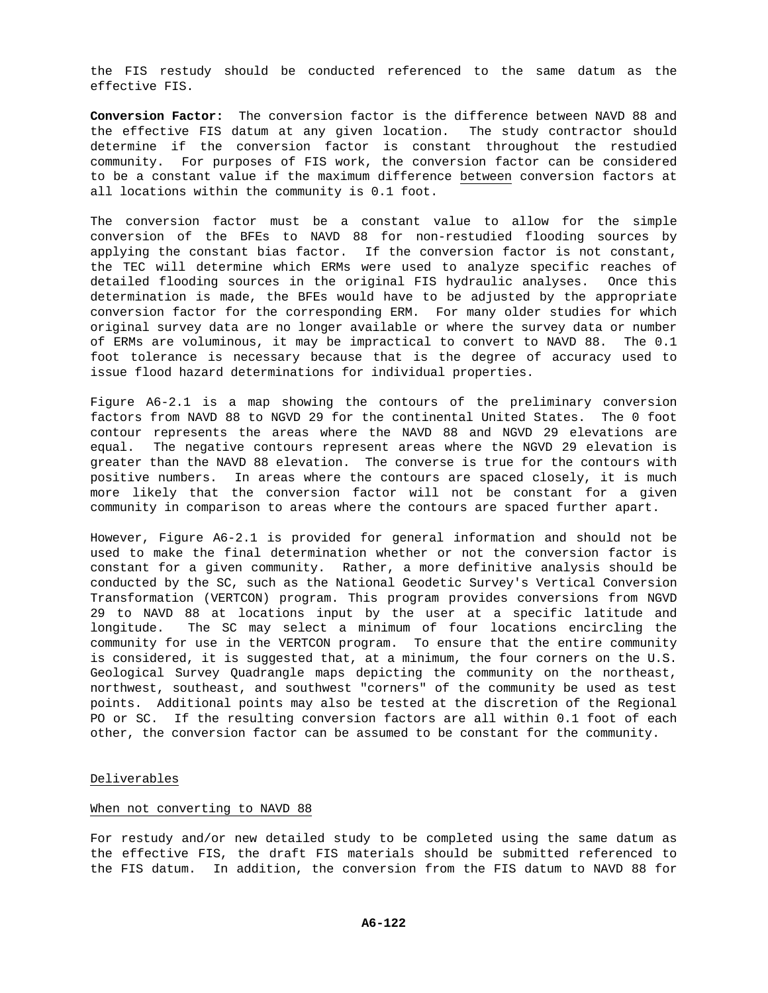the FIS restudy should be conducted referenced to the same datum as the effective FIS.

**Conversion Factor:** The conversion factor is the difference between NAVD 88 and the effective FIS datum at any given location. The study contractor should determine if the conversion factor is constant throughout the restudied community. For purposes of FIS work, the conversion factor can be considered to be a constant value if the maximum difference between conversion factors at all locations within the community is 0.1 foot.

The conversion factor must be a constant value to allow for the simple conversion of the BFEs to NAVD 88 for non-restudied flooding sources by applying the constant bias factor. If the conversion factor is not constant, the TEC will determine which ERMs were used to analyze specific reaches of detailed flooding sources in the original FIS hydraulic analyses. Once this determination is made, the BFEs would have to be adjusted by the appropriate conversion factor for the corresponding ERM. For many older studies for which original survey data are no longer available or where the survey data or number of ERMs are voluminous, it may be impractical to convert to NAVD 88. The 0.1 foot tolerance is necessary because that is the degree of accuracy used to issue flood hazard determinations for individual properties.

Figure A6-2.1 is a map showing the contours of the preliminary conversion factors from NAVD 88 to NGVD 29 for the continental United States. The 0 foot contour represents the areas where the NAVD 88 and NGVD 29 elevations are equal. The negative contours represent areas where the NGVD 29 elevation is greater than the NAVD 88 elevation. The converse is true for the contours with positive numbers. In areas where the contours are spaced closely, it is much more likely that the conversion factor will not be constant for a given community in comparison to areas where the contours are spaced further apart.

However, Figure A6-2.1 is provided for general information and should not be used to make the final determination whether or not the conversion factor is constant for a given community. Rather, a more definitive analysis should be conducted by the SC, such as the National Geodetic Survey's Vertical Conversion Transformation (VERTCON) program. This program provides conversions from NGVD 29 to NAVD 88 at locations input by the user at a specific latitude and longitude. The SC may select a minimum of four locations encircling the community for use in the VERTCON program. To ensure that the entire community is considered, it is suggested that, at a minimum, the four corners on the U.S. Geological Survey Quadrangle maps depicting the community on the northeast, northwest, southeast, and southwest "corners" of the community be used as test points. Additional points may also be tested at the discretion of the Regional PO or SC. If the resulting conversion factors are all within 0.1 foot of each other, the conversion factor can be assumed to be constant for the community.

#### Deliverables

#### When not converting to NAVD 88

For restudy and/or new detailed study to be completed using the same datum as the effective FIS, the draft FIS materials should be submitted referenced to the FIS datum. In addition, the conversion from the FIS datum to NAVD 88 for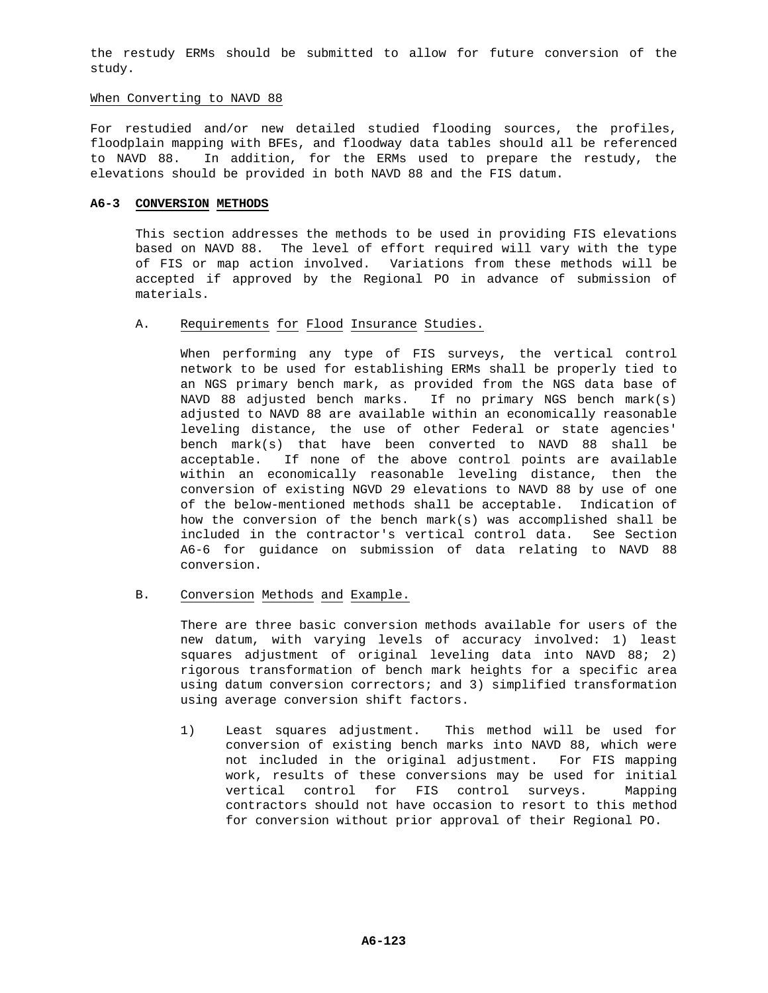the restudy ERMs should be submitted to allow for future conversion of the study.

#### When Converting to NAVD 88

For restudied and/or new detailed studied flooding sources, the profiles, floodplain mapping with BFEs, and floodway data tables should all be referenced to NAVD 88. In addition, for the ERMs used to prepare the restudy, the elevations should be provided in both NAVD 88 and the FIS datum.

#### **A6-3 CONVERSION METHODS**

 This section addresses the methods to be used in providing FIS elevations based on NAVD 88. The level of effort required will vary with the type of FIS or map action involved. Variations from these methods will be accepted if approved by the Regional PO in advance of submission of materials.

### A. Requirements for Flood Insurance Studies.

 When performing any type of FIS surveys, the vertical control network to be used for establishing ERMs shall be properly tied to an NGS primary bench mark, as provided from the NGS data base of NAVD 88 adjusted bench marks. If no primary NGS bench mark(s) adjusted to NAVD 88 are available within an economically reasonable leveling distance, the use of other Federal or state agencies' bench mark(s) that have been converted to NAVD 88 shall be acceptable. If none of the above control points are available within an economically reasonable leveling distance, then the conversion of existing NGVD 29 elevations to NAVD 88 by use of one of the below-mentioned methods shall be acceptable. Indication of how the conversion of the bench mark(s) was accomplished shall be included in the contractor's vertical control data. See Section A6-6 for guidance on submission of data relating to NAVD 88 conversion.

#### B. Conversion Methods and Example.

 There are three basic conversion methods available for users of the new datum, with varying levels of accuracy involved: 1) least squares adjustment of original leveling data into NAVD 88; 2) rigorous transformation of bench mark heights for a specific area using datum conversion correctors; and 3) simplified transformation using average conversion shift factors.

 1) Least squares adjustment. This method will be used for conversion of existing bench marks into NAVD 88, which were not included in the original adjustment. For FIS mapping work, results of these conversions may be used for initial vertical control for FIS control surveys. Mapping contractors should not have occasion to resort to this method for conversion without prior approval of their Regional PO.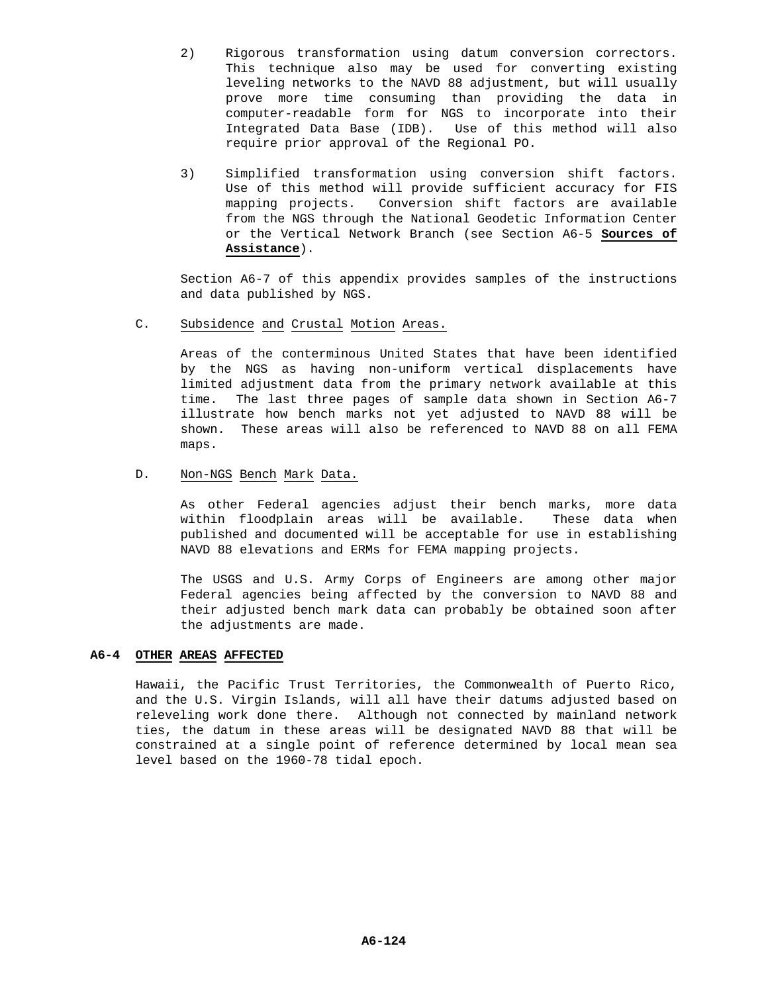2) Rigorous transformation using datum conversion correctors. This technique also may be used for converting existing leveling networks to the NAVD 88 adjustment, but will usually prove more time consuming than providing the data in computer-readable form for NGS to incorporate into their Integrated Data Base (IDB). Use of this method will also require prior approval of the Regional PO.

 3) Simplified transformation using conversion shift factors. Use of this method will provide sufficient accuracy for FIS mapping projects. Conversion shift factors are available from the NGS through the National Geodetic Information Center or the Vertical Network Branch (see Section A6-5 **Sources of Assistance**).

 Section A6-7 of this appendix provides samples of the instructions and data published by NGS.

C. Subsidence and Crustal Motion Areas.

 Areas of the conterminous United States that have been identified by the NGS as having non-uniform vertical displacements have limited adjustment data from the primary network available at this time. The last three pages of sample data shown in Section A6-7 illustrate how bench marks not yet adjusted to NAVD 88 will be shown. These areas will also be referenced to NAVD 88 on all FEMA maps.

D. Non-NGS Bench Mark Data.

 As other Federal agencies adjust their bench marks, more data within floodplain areas will be available. These data when published and documented will be acceptable for use in establishing NAVD 88 elevations and ERMs for FEMA mapping projects.

 The USGS and U.S. Army Corps of Engineers are among other major Federal agencies being affected by the conversion to NAVD 88 and their adjusted bench mark data can probably be obtained soon after the adjustments are made.

#### **A6-4 OTHER AREAS AFFECTED**

 Hawaii, the Pacific Trust Territories, the Commonwealth of Puerto Rico, and the U.S. Virgin Islands, will all have their datums adjusted based on releveling work done there. Although not connected by mainland network ties, the datum in these areas will be designated NAVD 88 that will be constrained at a single point of reference determined by local mean sea level based on the 1960-78 tidal epoch.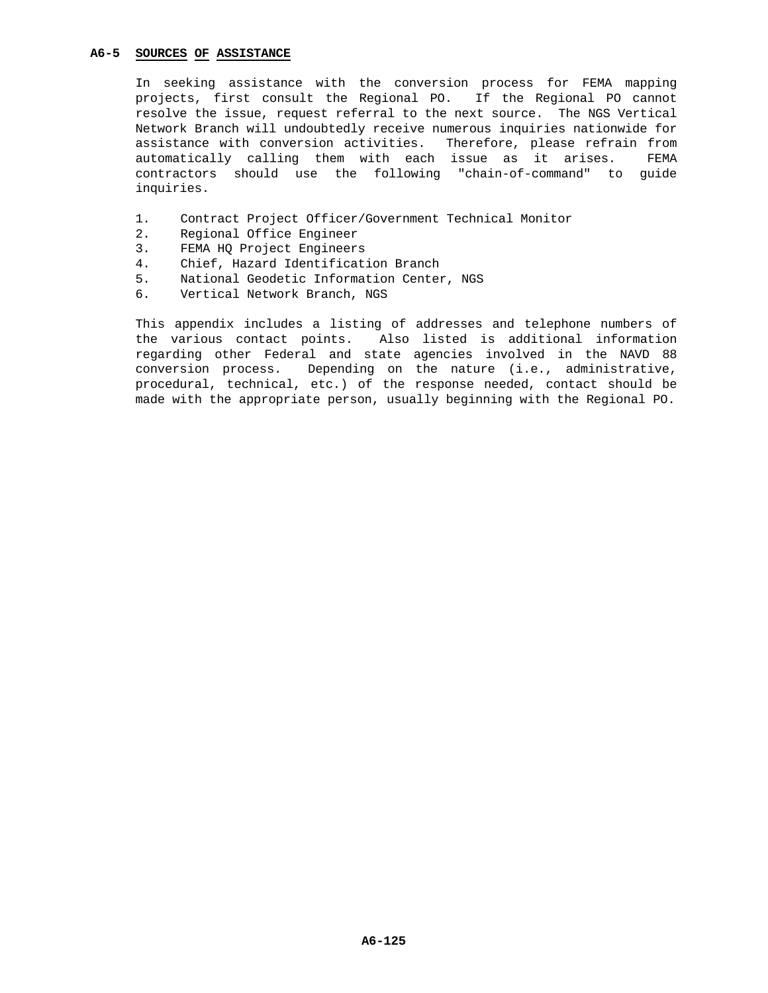#### **A6-5 SOURCES OF ASSISTANCE**

 In seeking assistance with the conversion process for FEMA mapping projects, first consult the Regional PO. If the Regional PO cannot resolve the issue, request referral to the next source. The NGS Vertical Network Branch will undoubtedly receive numerous inquiries nationwide for assistance with conversion activities. Therefore, please refrain from automatically calling them with each issue as it arises. FEMA contractors should use the following "chain-of-command" to guide inquiries.

- 1. Contract Project Officer/Government Technical Monitor
- 2. Regional Office Engineer
- 3. FEMA HQ Project Engineers
- 4. Chief, Hazard Identification Branch
- 5. National Geodetic Information Center, NGS
- 6. Vertical Network Branch, NGS

 This appendix includes a listing of addresses and telephone numbers of the various contact points. Also listed is additional information regarding other Federal and state agencies involved in the NAVD 88 conversion process. Depending on the nature (i.e., administrative, procedural, technical, etc.) of the response needed, contact should be made with the appropriate person, usually beginning with the Regional PO.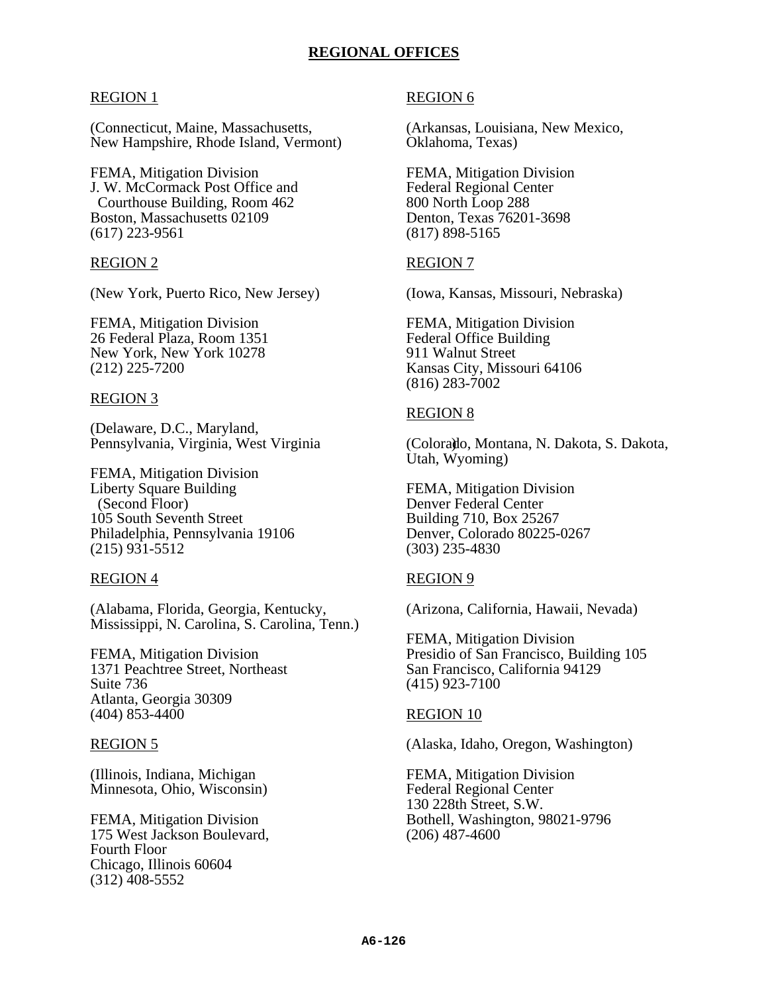# **REGIONAL OFFICES**

## REGION 1

(Connecticut, Maine, Massachusetts, New Hampshire, Rhode Island, Vermont)

FEMA, Mitigation Division J. W. McCormack Post Office and Courthouse Building, Room 462 Boston, Massachusetts 02109 (617) 223-9561

## REGION 2

(New York, Puerto Rico, New Jersey)

FEMA, Mitigation Division 26 Federal Plaza, Room 1351 New York, New York 10278 (212) 225-7200

### REGION 3

(Delaware, D.C., Maryland, Pennsylvania, Virginia, West Virginia )

FEMA, Mitigation Division Liberty Square Building (Second Floor) 105 South Seventh Street Philadelphia, Pennsylvania 19106 (215) 931-5512

## REGION 4

(Alabama, Florida, Georgia, Kentucky, Mississippi, N. Carolina, S. Carolina, Tenn.)

FEMA, Mitigation Division 1371 Peachtree Street, Northeast Suite 736 Atlanta, Georgia 30309 (404) 853-4400

#### REGION 5

(Illinois, Indiana, Michigan Minnesota, Ohio, Wisconsin)

FEMA, Mitigation Division 175 West Jackson Boulevard, Fourth Floor Chicago, Illinois 60604 (312) 408-5552

### REGION 6

(Arkansas, Louisiana, New Mexico, Oklahoma, Texas)

FEMA, Mitigation Division Federal Regional Center 800 North Loop 288 Denton, Texas 76201-3698 (817) 898-5165

## REGION 7

(Iowa, Kansas, Missouri, Nebraska)

FEMA, Mitigation Division Federal Office Building 911 Walnut Street Kansas City, Missouri 64106 (816) 283-7002

### REGION 8

(Colorado, Montana, N. Dakota, S. Dakota, Utah, Wyoming)

FEMA, Mitigation Division Denver Federal Center Building 710, Box 25267 Denver, Colorado 80225-0267 (303) 235-4830

## REGION 9

(Arizona, California, Hawaii, Nevada)

FEMA, Mitigation Division Presidio of San Francisco, Building 105 San Francisco, California 94129 (415) 923-7100

## REGION 10

(Alaska, Idaho, Oregon, Washington)

FEMA, Mitigation Division Federal Regional Center 130 228th Street, S.W. Bothell, Washington, 98021-9796 (206) 487-4600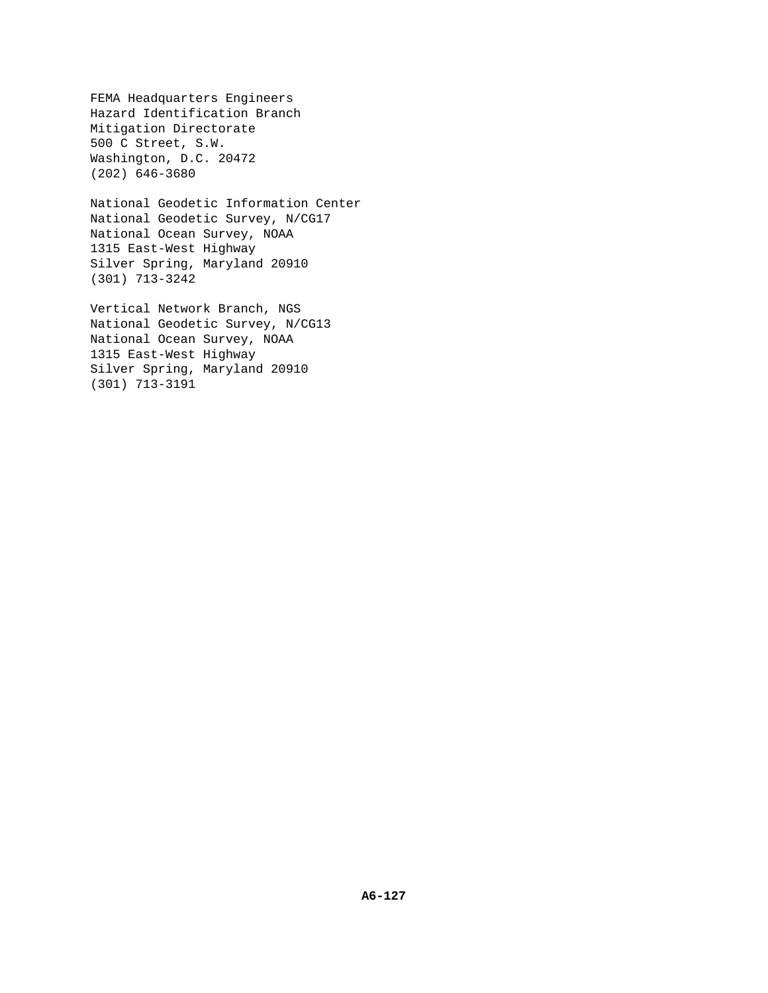FEMA Headquarters Engineers Hazard Identification Branch Mitigation Directorate 500 C Street, S.W. Washington, D.C. 20472 (202) 646-3680

National Geodetic Information Center National Geodetic Survey, N/CG17 National Ocean Survey, NOAA 1315 East-West Highway Silver Spring, Maryland 20910 (301) 713-3242

Vertical Network Branch, NGS National Geodetic Survey, N/CG13 National Ocean Survey, NOAA 1315 East-West Highway Silver Spring, Maryland 20910 (301) 713-3191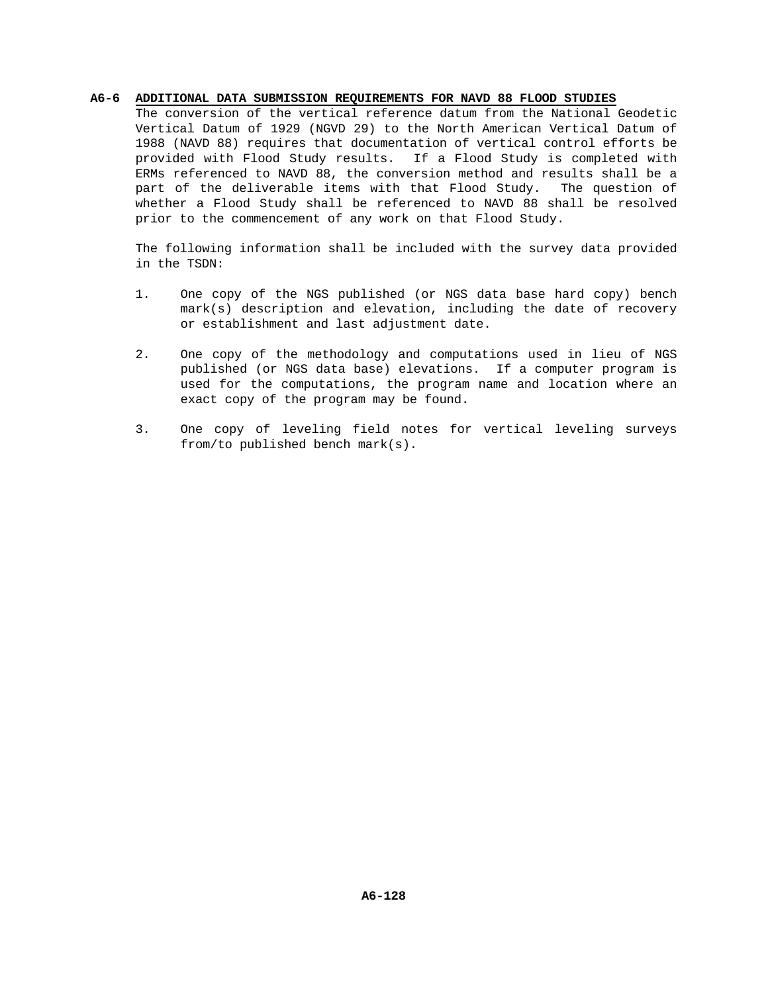#### **A6-6 ADDITIONAL DATA SUBMISSION REQUIREMENTS FOR NAVD 88 FLOOD STUDIES**

 The conversion of the vertical reference datum from the National Geodetic Vertical Datum of 1929 (NGVD 29) to the North American Vertical Datum of 1988 (NAVD 88) requires that documentation of vertical control efforts be provided with Flood Study results. If a Flood Study is completed with ERMs referenced to NAVD 88, the conversion method and results shall be a part of the deliverable items with that Flood Study. The question of whether a Flood Study shall be referenced to NAVD 88 shall be resolved prior to the commencement of any work on that Flood Study.

 The following information shall be included with the survey data provided in the TSDN:

- 1. One copy of the NGS published (or NGS data base hard copy) bench mark(s) description and elevation, including the date of recovery or establishment and last adjustment date.
- 2. One copy of the methodology and computations used in lieu of NGS published (or NGS data base) elevations. If a computer program is used for the computations, the program name and location where an exact copy of the program may be found.
- 3. One copy of leveling field notes for vertical leveling surveys from/to published bench mark(s).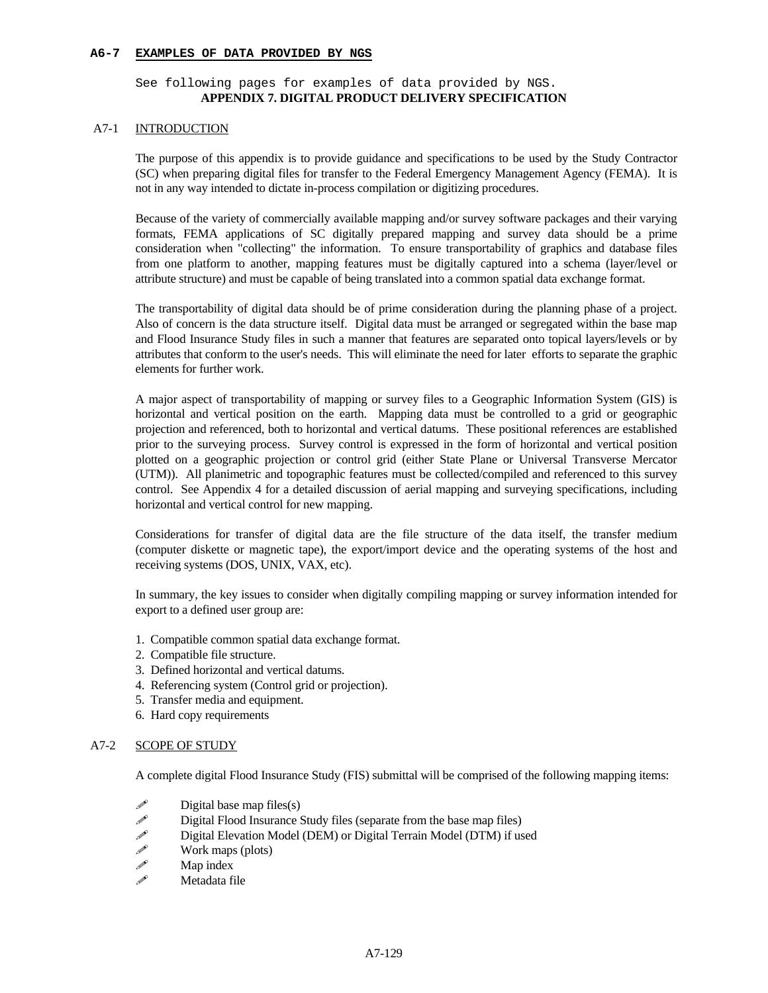#### **A6-7 EXAMPLES OF DATA PROVIDED BY NGS**

### See following pages for examples of data provided by NGS.  **APPENDIX 7. DIGITAL PRODUCT DELIVERY SPECIFICATION**

#### A7-1 INTRODUCTION

 The purpose of this appendix is to provide guidance and specifications to be used by the Study Contractor (SC) when preparing digital files for transfer to the Federal Emergency Management Agency (FEMA). It is not in any way intended to dictate in-process compilation or digitizing procedures.

 Because of the variety of commercially available mapping and/or survey software packages and their varying formats, FEMA applications of SC digitally prepared mapping and survey data should be a prime consideration when "collecting" the information. To ensure transportability of graphics and database files from one platform to another, mapping features must be digitally captured into a schema (layer/level or attribute structure) and must be capable of being translated into a common spatial data exchange format.

 The transportability of digital data should be of prime consideration during the planning phase of a project. Also of concern is the data structure itself. Digital data must be arranged or segregated within the base map and Flood Insurance Study files in such a manner that features are separated onto topical layers/levels or by attributes that conform to the user's needs. This will eliminate the need for later efforts to separate the graphic elements for further work.

 A major aspect of transportability of mapping or survey files to a Geographic Information System (GIS) is horizontal and vertical position on the earth. Mapping data must be controlled to a grid or geographic projection and referenced, both to horizontal and vertical datums. These positional references are established prior to the surveying process. Survey control is expressed in the form of horizontal and vertical position plotted on a geographic projection or control grid (either State Plane or Universal Transverse Mercator (UTM)). All planimetric and topographic features must be collected/compiled and referenced to this survey control. See Appendix 4 for a detailed discussion of aerial mapping and surveying specifications, including horizontal and vertical control for new mapping.

 Considerations for transfer of digital data are the file structure of the data itself, the transfer medium (computer diskette or magnetic tape), the export/import device and the operating systems of the host and receiving systems (DOS, UNIX, VAX, etc).

 In summary, the key issues to consider when digitally compiling mapping or survey information intended for export to a defined user group are:

- 1. Compatible common spatial data exchange format.
- 2. Compatible file structure.
- 3. Defined horizontal and vertical datums.
- 4. Referencing system (Control grid or projection).
- 5. Transfer media and equipment.
- 6. Hard copy requirements

### A7-2 SCOPE OF STUDY

A complete digital Flood Insurance Study (FIS) submittal will be comprised of the following mapping items:

- $\mathscr{D}$  Digital base map files(s)
- Digital Flood Insurance Study files (separate from the base map files)
- $\degree$  Digital Elevation Model (DEM) or Digital Terrain Model (DTM) if used<br>
Work maps (plots)
- $\mathscr{P}$  Work maps (plots)<br>Map index
- Map index
- Metadata file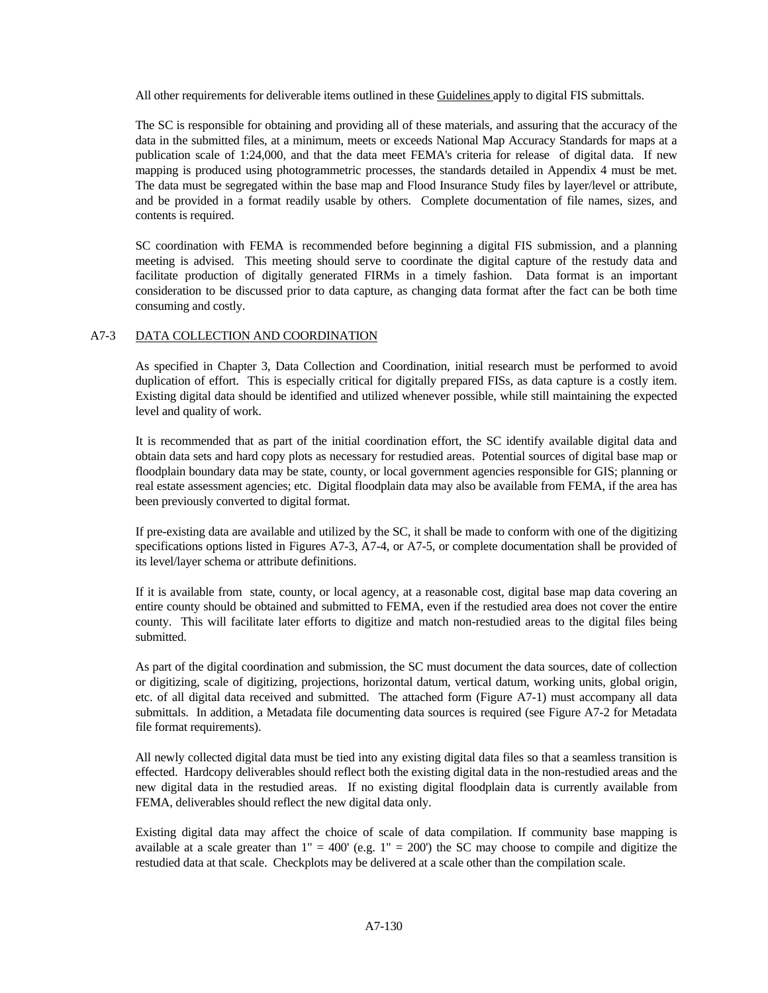All other requirements for deliverable items outlined in these Guidelines apply to digital FIS submittals.

 The SC is responsible for obtaining and providing all of these materials, and assuring that the accuracy of the data in the submitted files, at a minimum, meets or exceeds National Map Accuracy Standards for maps at a publication scale of 1:24,000, and that the data meet FEMA's criteria for release of digital data. If new mapping is produced using photogrammetric processes, the standards detailed in Appendix 4 must be met. The data must be segregated within the base map and Flood Insurance Study files by layer/level or attribute, and be provided in a format readily usable by others. Complete documentation of file names, sizes, and contents is required.

 SC coordination with FEMA is recommended before beginning a digital FIS submission, and a planning meeting is advised. This meeting should serve to coordinate the digital capture of the restudy data and facilitate production of digitally generated FIRMs in a timely fashion. Data format is an important consideration to be discussed prior to data capture, as changing data format after the fact can be both time consuming and costly.

### A7-3 DATA COLLECTION AND COORDINATION

 As specified in Chapter 3, Data Collection and Coordination, initial research must be performed to avoid duplication of effort. This is especially critical for digitally prepared FISs, as data capture is a costly item. Existing digital data should be identified and utilized whenever possible, while still maintaining the expected level and quality of work.

 It is recommended that as part of the initial coordination effort, the SC identify available digital data and obtain data sets and hard copy plots as necessary for restudied areas. Potential sources of digital base map or floodplain boundary data may be state, county, or local government agencies responsible for GIS; planning or real estate assessment agencies; etc. Digital floodplain data may also be available from FEMA, if the area has been previously converted to digital format.

 If pre-existing data are available and utilized by the SC, it shall be made to conform with one of the digitizing specifications options listed in Figures A7-3, A7-4, or A7-5, or complete documentation shall be provided of its level/layer schema or attribute definitions.

 If it is available from state, county, or local agency, at a reasonable cost, digital base map data covering an entire county should be obtained and submitted to FEMA, even if the restudied area does not cover the entire county. This will facilitate later efforts to digitize and match non-restudied areas to the digital files being submitted.

 As part of the digital coordination and submission, the SC must document the data sources, date of collection or digitizing, scale of digitizing, projections, horizontal datum, vertical datum, working units, global origin, etc. of all digital data received and submitted. The attached form (Figure A7-1) must accompany all data submittals. In addition, a Metadata file documenting data sources is required (see Figure A7-2 for Metadata file format requirements).

 All newly collected digital data must be tied into any existing digital data files so that a seamless transition is effected. Hardcopy deliverables should reflect both the existing digital data in the non-restudied areas and the new digital data in the restudied areas. If no existing digital floodplain data is currently available from FEMA, deliverables should reflect the new digital data only.

 Existing digital data may affect the choice of scale of data compilation. If community base mapping is available at a scale greater than  $1" = 400'$  (e.g.  $1" = 200'$ ) the SC may choose to compile and digitize the restudied data at that scale. Checkplots may be delivered at a scale other than the compilation scale.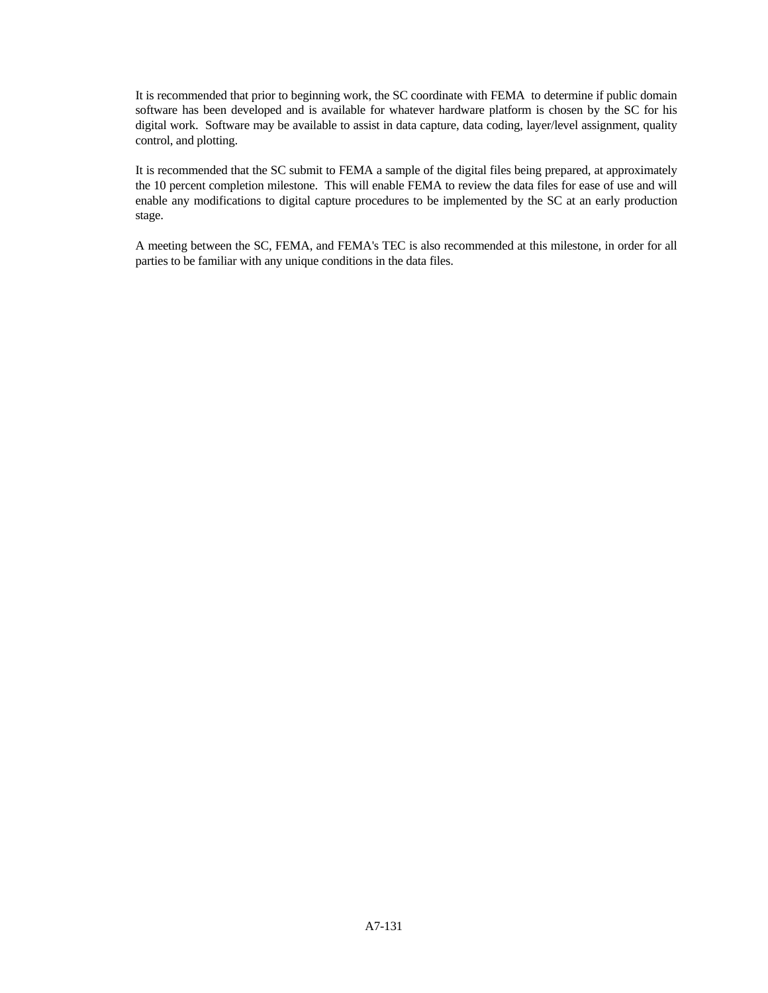It is recommended that prior to beginning work, the SC coordinate with FEMA to determine if public domain software has been developed and is available for whatever hardware platform is chosen by the SC for his digital work. Software may be available to assist in data capture, data coding, layer/level assignment, quality control, and plotting.

 It is recommended that the SC submit to FEMA a sample of the digital files being prepared, at approximately the 10 percent completion milestone. This will enable FEMA to review the data files for ease of use and will enable any modifications to digital capture procedures to be implemented by the SC at an early production stage.

 A meeting between the SC, FEMA, and FEMA's TEC is also recommended at this milestone, in order for all parties to be familiar with any unique conditions in the data files.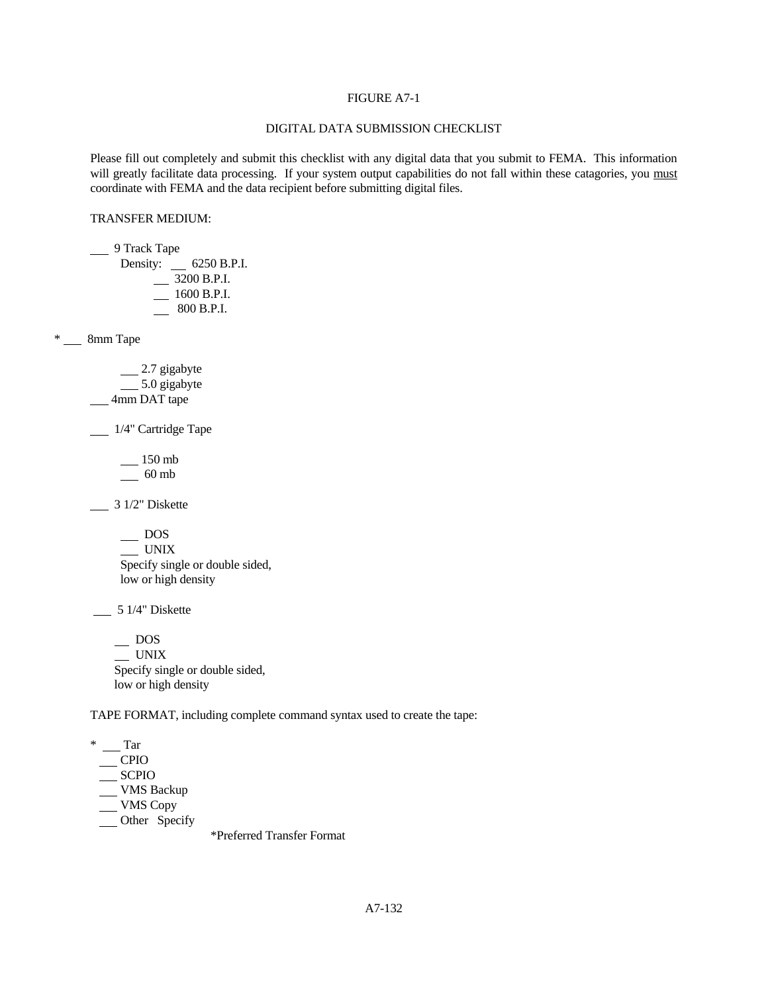#### DIGITAL DATA SUBMISSION CHECKLIST

Please fill out completely and submit this checklist with any digital data that you submit to FEMA. This information will greatly facilitate data processing. If your system output capabilities do not fall within these catagories, you must coordinate with FEMA and the data recipient before submitting digital files.

#### TRANSFER MEDIUM:

| 9 Track Tape |  |
|--------------|--|
|--------------|--|

Density: <u>\_\_\_</u> 6250 B.P.I. 3200 B.P.I. 1600 B.P.I. 800 B.P.I.

\* \_\_ 8mm Tape

\_\_ 2.7 gigabyte \_\_\_ 5.0 gigabyte 4mm DAT tape

1/4" Cartridge Tape

 150 mb  $-60$  mb

3 1/2" Diskette

 $\overline{\phantom{0}}$  DOS UNIX Specify single or double sided, low or high density

5 1/4" Diskette

 $\sim$  DOS UNIX Specify single or double sided, low or high density

TAPE FORMAT, including complete command syntax used to create the tape:

\* Tar CPIO SCPIO \_\_ VMS Backup VMS Copy Other Specify

\*Preferred Transfer Format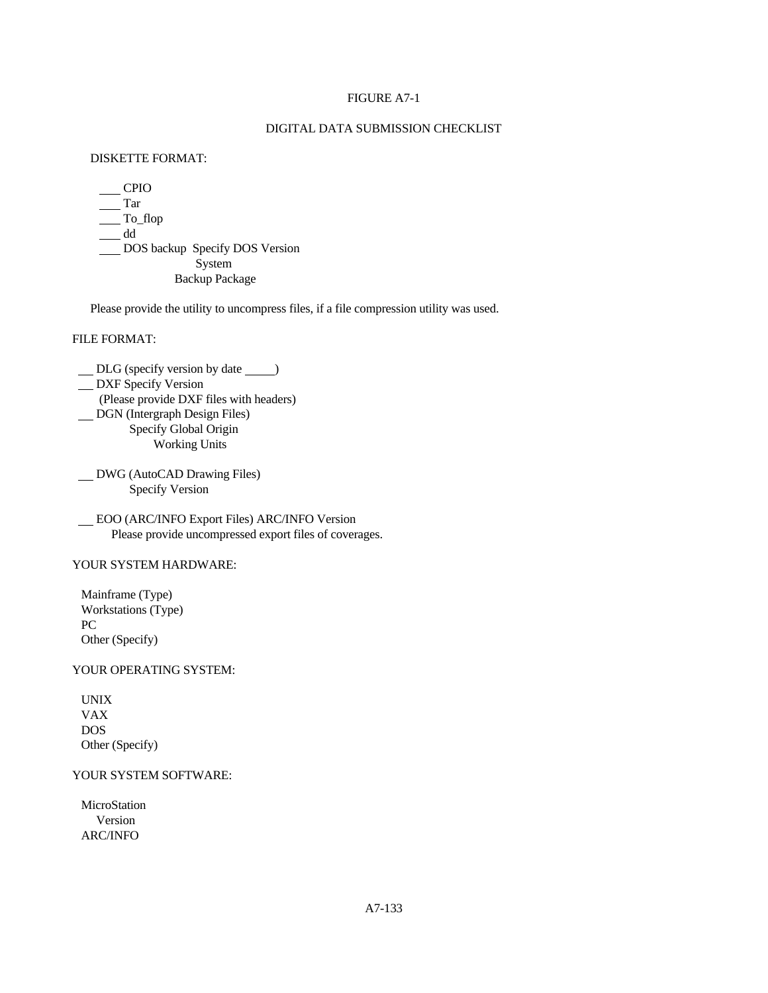### DIGITAL DATA SUBMISSION CHECKLIST

#### DISKETTE FORMAT:

 CPIO Tar To\_flop dd DOS backup Specify DOS Version System Backup Package

Please provide the utility to uncompress files, if a file compression utility was used.

## FILE FORMAT:

- \_\_ DLG (specify version by date \_\_\_\_) \_\_ DXF Specify Version (Please provide DXF files with headers) DGN (Intergraph Design Files) Specify Global Origin Working Units
- DWG (AutoCAD Drawing Files) Specify Version

 EOO (ARC/INFO Export Files) ARC/INFO Version Please provide uncompressed export files of coverages.

### YOUR SYSTEM HARDWARE:

 Mainframe (Type) Workstations (Type) PC Other (Specify)

YOUR OPERATING SYSTEM:

 UNIX VAX DOS Other (Specify)

### YOUR SYSTEM SOFTWARE:

 MicroStation Version ARC/INFO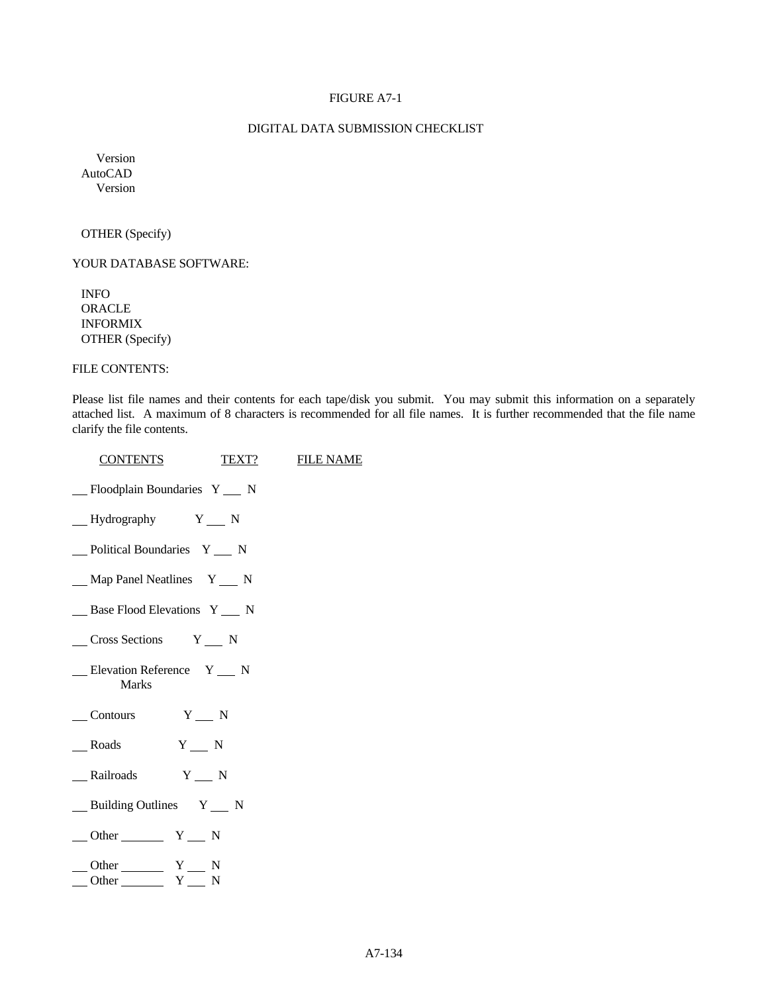## DIGITAL DATA SUBMISSION CHECKLIST

 Version AutoCAD Version

OTHER (Specify)

YOUR DATABASE SOFTWARE:

 INFO ORACLE INFORMIX OTHER (Specify)

## FILE CONTENTS:

Please list file names and their contents for each tape/disk you submit. You may submit this information on a separately attached list. A maximum of 8 characters is recommended for all file names. It is further recommended that the file name clarify the file contents.

| <b>CONTENTS</b>                                                                     | TEXT? | <b>FILE NAME</b> |
|-------------------------------------------------------------------------------------|-------|------------------|
| Floodplain Boundaries Y N                                                           |       |                  |
| $\angle$ Hydrography $Y \perp N$                                                    |       |                  |
| _Political Boundaries Y_ N                                                          |       |                  |
| Map Panel Neatlines Y N                                                             |       |                  |
| Base Flood Elevations Y __ N                                                        |       |                  |
| Cross Sections Y N                                                                  |       |                  |
| $\equiv$ Elevation Reference Y $\equiv$ N<br><b>Marks</b>                           |       |                  |
| Y N<br>$\sqrt{\frac{1}{10}}$ Contours                                               |       |                  |
| $Y \_\ N$<br>Roads                                                                  |       |                  |
| Railroads Y N                                                                       |       |                  |
| __ Building Outlines Y __ N                                                         |       |                  |
| $\sqrt{\phantom{a}}$ Other $\sqrt{\phantom{a}}$ Y $\sqrt{\phantom{a}}$ N            |       |                  |
| $\sqrt{C}$ Other $\sqrt{Y}$ $\sqrt{Y}$ N<br>$\frac{\text{Other}}{\text{Other}}$ Y N |       |                  |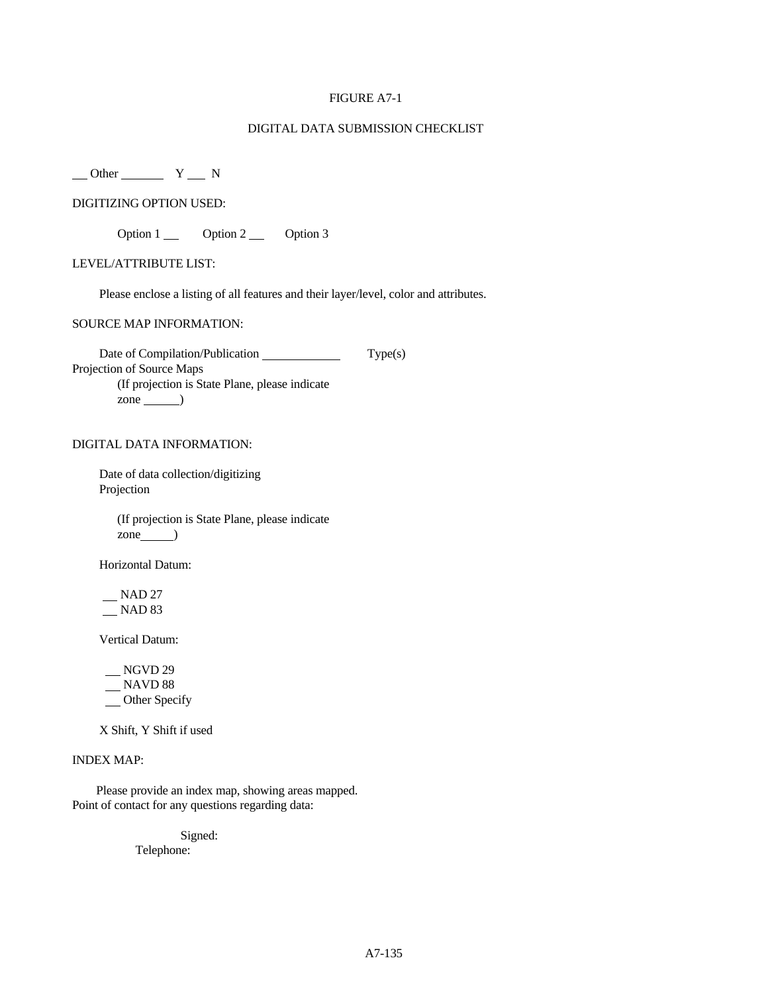### DIGITAL DATA SUBMISSION CHECKLIST

 $\overline{\phantom{0}}$  Other  $\overline{\phantom{0}}$  Y  $\overline{\phantom{0}}$  N

#### DIGITIZING OPTION USED:

Option 1 \_\_\_\_\_\_\_\_ Option 2 \_\_\_\_\_\_\_ Option 3

### LEVEL/ATTRIBUTE LIST:

Please enclose a listing of all features and their layer/level, color and attributes.

### SOURCE MAP INFORMATION:

 Date of Compilation/Publication Type(s) Projection of Source Maps (If projection is State Plane, please indicate  $zone$  )

#### DIGITAL DATA INFORMATION:

 Date of data collection/digitizing Projection

> (If projection is State Plane, please indicate  $zone$  )

Horizontal Datum:

-NAD 27  $\equiv$ NAD 83

Vertical Datum:

 $\overline{\phantom{0}}$ NGVD 29 \_\_ NAVD 88 Other Specify

X Shift, Y Shift if used

## INDEX MAP:

 Please provide an index map, showing areas mapped. Point of contact for any questions regarding data:

> Signed: Telephone: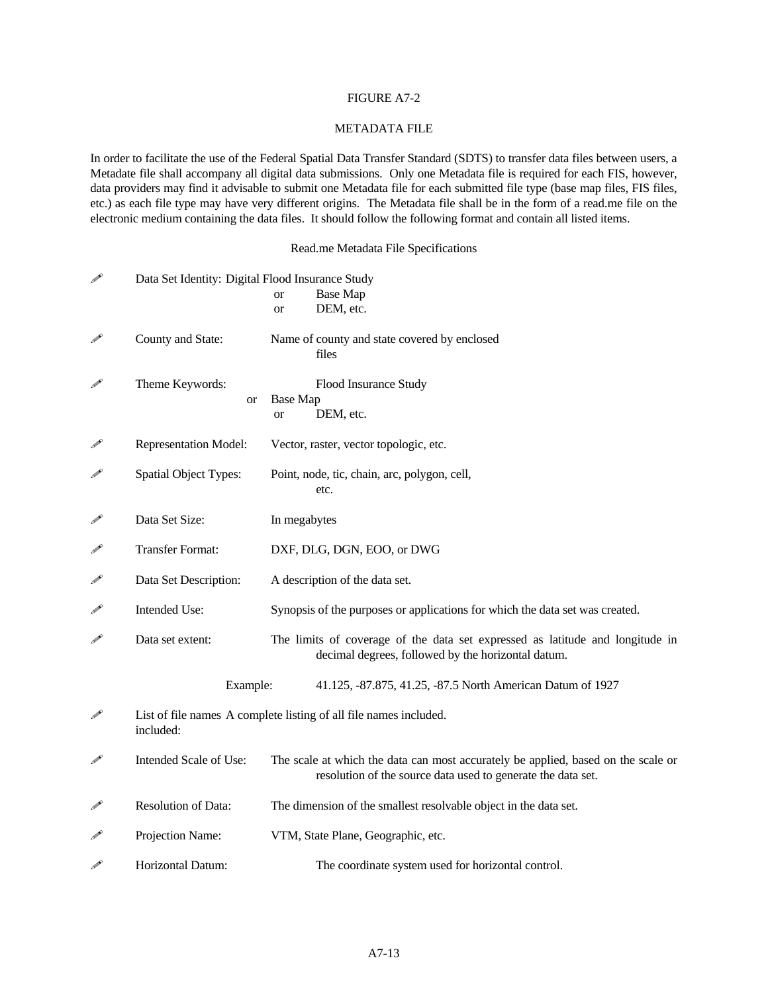#### METADATA FILE

In order to facilitate the use of the Federal Spatial Data Transfer Standard (SDTS) to transfer data files between users, a Metadate file shall accompany all digital data submissions. Only one Metadata file is required for each FIS, however, data providers may find it advisable to submit one Metadata file for each submitted file type (base map files, FIS files, etc.) as each file type may have very different origins. The Metadata file shall be in the form of a read.me file on the electronic medium containing the data files. It should follow the following format and contain all listed items.

Read.me Metadata File Specifications

| P | Data Set Identity: Digital Flood Insurance Study |                                                                                                                                                   |
|---|--------------------------------------------------|---------------------------------------------------------------------------------------------------------------------------------------------------|
|   |                                                  | <b>Base Map</b><br><b>or</b>                                                                                                                      |
|   |                                                  | DEM, etc.<br><b>or</b>                                                                                                                            |
|   | County and State:                                | Name of county and state covered by enclosed                                                                                                      |
|   |                                                  | files                                                                                                                                             |
|   | Theme Keywords:                                  | Flood Insurance Study                                                                                                                             |
|   | or                                               | <b>Base Map</b>                                                                                                                                   |
|   |                                                  | DEM, etc.<br><b>or</b>                                                                                                                            |
|   | <b>Representation Model:</b>                     | Vector, raster, vector topologic, etc.                                                                                                            |
|   | <b>Spatial Object Types:</b>                     | Point, node, tic, chain, arc, polygon, cell,                                                                                                      |
|   |                                                  | etc.                                                                                                                                              |
|   | Data Set Size:                                   | In megabytes                                                                                                                                      |
|   |                                                  |                                                                                                                                                   |
|   | <b>Transfer Format:</b>                          | DXF, DLG, DGN, EOO, or DWG                                                                                                                        |
|   | Data Set Description:                            | A description of the data set.                                                                                                                    |
|   | Intended Use:                                    | Synopsis of the purposes or applications for which the data set was created.                                                                      |
|   | Data set extent:                                 | The limits of coverage of the data set expressed as latitude and longitude in<br>decimal degrees, followed by the horizontal datum.               |
|   | Example:                                         | 41.125, -87.875, 41.25, -87.5 North American Datum of 1927                                                                                        |
|   | included:                                        | List of file names A complete listing of all file names included.                                                                                 |
|   | Intended Scale of Use:                           | The scale at which the data can most accurately be applied, based on the scale or<br>resolution of the source data used to generate the data set. |
|   | Resolution of Data:                              | The dimension of the smallest resolvable object in the data set.                                                                                  |
|   | Projection Name:                                 | VTM, State Plane, Geographic, etc.                                                                                                                |
|   | Horizontal Datum:                                | The coordinate system used for horizontal control.                                                                                                |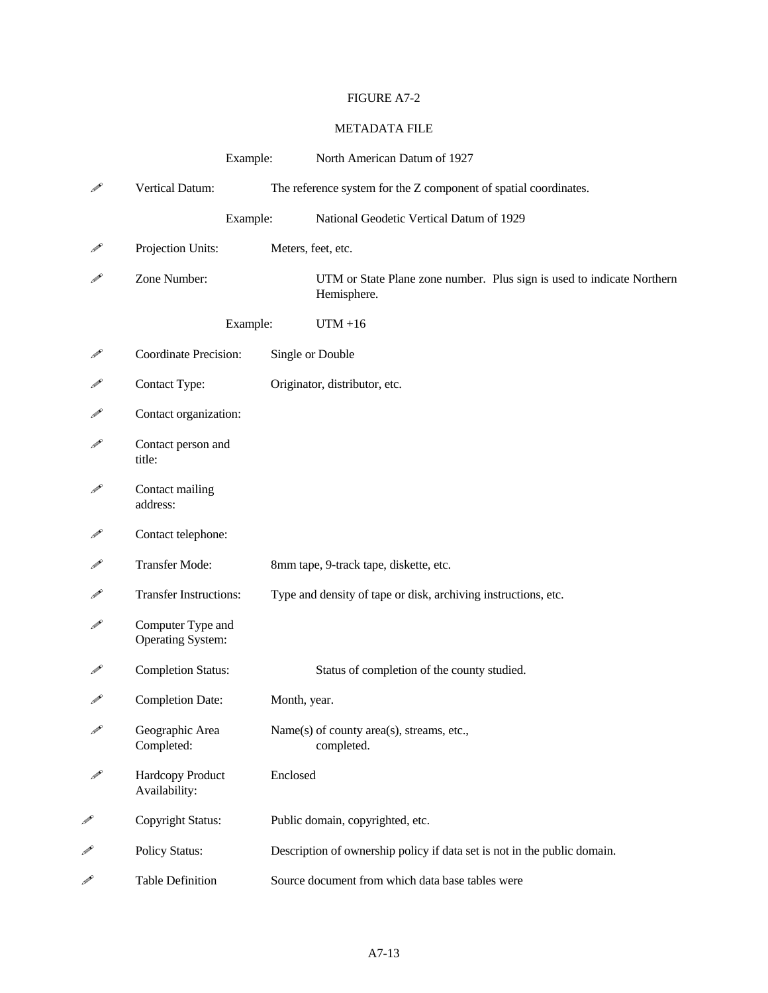# METADATA FILE

|   | Example:                                      | North American Datum of 1927                                                          |
|---|-----------------------------------------------|---------------------------------------------------------------------------------------|
|   | Vertical Datum:                               | The reference system for the Z component of spatial coordinates.                      |
|   | Example:                                      | National Geodetic Vertical Datum of 1929                                              |
|   | Projection Units:                             | Meters, feet, etc.                                                                    |
|   | Zone Number:                                  | UTM or State Plane zone number. Plus sign is used to indicate Northern<br>Hemisphere. |
|   | Example:                                      | $UTM + 16$                                                                            |
|   | Coordinate Precision:                         | Single or Double                                                                      |
|   | Contact Type:                                 | Originator, distributor, etc.                                                         |
|   | Contact organization:                         |                                                                                       |
|   | Contact person and<br>title:                  |                                                                                       |
|   | Contact mailing<br>address:                   |                                                                                       |
|   | Contact telephone:                            |                                                                                       |
|   | Transfer Mode:                                | 8mm tape, 9-track tape, diskette, etc.                                                |
|   | <b>Transfer Instructions:</b>                 | Type and density of tape or disk, archiving instructions, etc.                        |
|   | Computer Type and<br><b>Operating System:</b> |                                                                                       |
|   | <b>Completion Status:</b>                     | Status of completion of the county studied.                                           |
|   | <b>Completion Date:</b>                       | Month, year.                                                                          |
|   | Geographic Area<br>Completed:                 | Name(s) of county area(s), streams, etc.,<br>completed.                               |
|   | Hardcopy Product<br>Availability:             | Enclosed                                                                              |
|   | <b>Copyright Status:</b>                      | Public domain, copyrighted, etc.                                                      |
|   | Policy Status:                                | Description of ownership policy if data set is not in the public domain.              |
| P | <b>Table Definition</b>                       | Source document from which data base tables were                                      |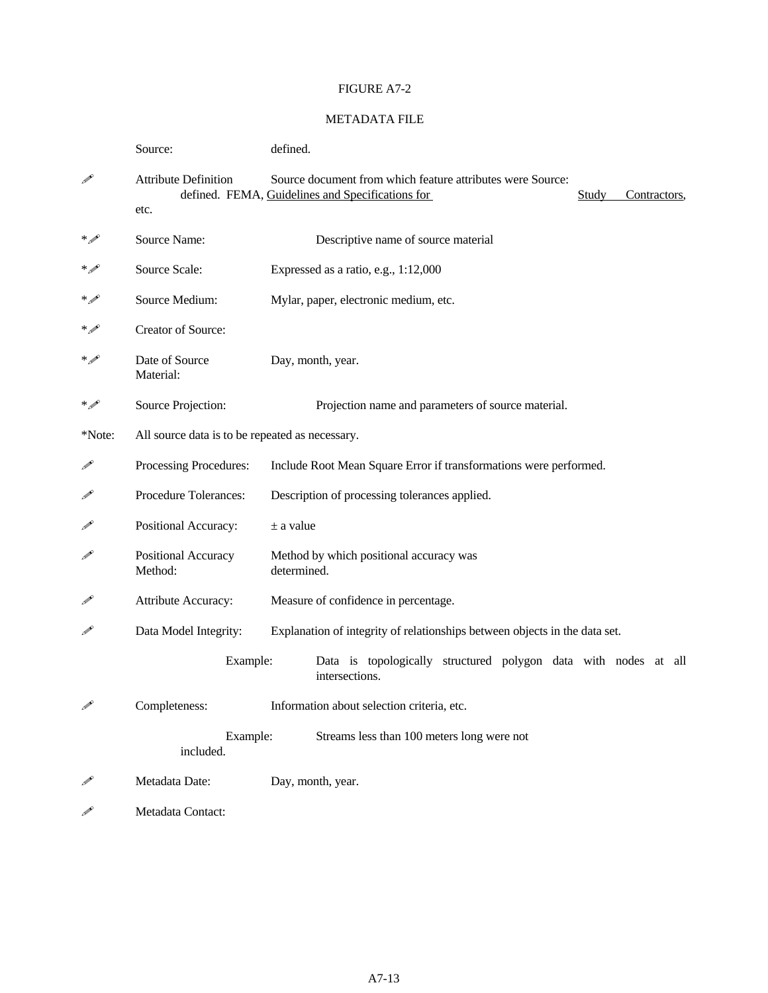# METADATA FILE

|                        | Source:                                         | defined.                                                                                                       |                       |  |  |  |  |  |  |
|------------------------|-------------------------------------------------|----------------------------------------------------------------------------------------------------------------|-----------------------|--|--|--|--|--|--|
|                        | <b>Attribute Definition</b><br>etc.             | Source document from which feature attributes were Source:<br>defined. FEMA, Guidelines and Specifications for | Study<br>Contractors, |  |  |  |  |  |  |
|                        | Source Name:                                    | Descriptive name of source material                                                                            |                       |  |  |  |  |  |  |
|                        | Source Scale:                                   | Expressed as a ratio, e.g., 1:12,000                                                                           |                       |  |  |  |  |  |  |
|                        | Source Medium:                                  | Mylar, paper, electronic medium, etc.                                                                          |                       |  |  |  |  |  |  |
|                        | Creator of Source:                              |                                                                                                                |                       |  |  |  |  |  |  |
|                        | Date of Source<br>Material:                     |                                                                                                                |                       |  |  |  |  |  |  |
| $*{\mathscr P}$        | Source Projection:                              | Projection name and parameters of source material.                                                             |                       |  |  |  |  |  |  |
| *Note:                 | All source data is to be repeated as necessary. |                                                                                                                |                       |  |  |  |  |  |  |
|                        | Processing Procedures:                          | Include Root Mean Square Error if transformations were performed.                                              |                       |  |  |  |  |  |  |
|                        | Procedure Tolerances:                           | Description of processing tolerances applied.                                                                  |                       |  |  |  |  |  |  |
|                        | Positional Accuracy:                            | $\pm$ a value                                                                                                  |                       |  |  |  |  |  |  |
|                        | Positional Accuracy<br>Method:                  | Method by which positional accuracy was<br>determined.                                                         |                       |  |  |  |  |  |  |
|                        | Attribute Accuracy:                             | Measure of confidence in percentage.                                                                           |                       |  |  |  |  |  |  |
|                        | Data Model Integrity:                           | Explanation of integrity of relationships between objects in the data set.                                     |                       |  |  |  |  |  |  |
|                        | Example:                                        | Data is topologically structured polygon data with nodes at all<br>intersections.                              |                       |  |  |  |  |  |  |
|                        | Completeness:                                   | Information about selection criteria, etc.                                                                     |                       |  |  |  |  |  |  |
|                        | Example:<br>included.                           | Streams less than 100 meters long were not                                                                     |                       |  |  |  |  |  |  |
| $\mathcal{P}^{\prime}$ | Metadata Date:                                  | Day, month, year.                                                                                              |                       |  |  |  |  |  |  |
|                        | Metadata Contact:                               |                                                                                                                |                       |  |  |  |  |  |  |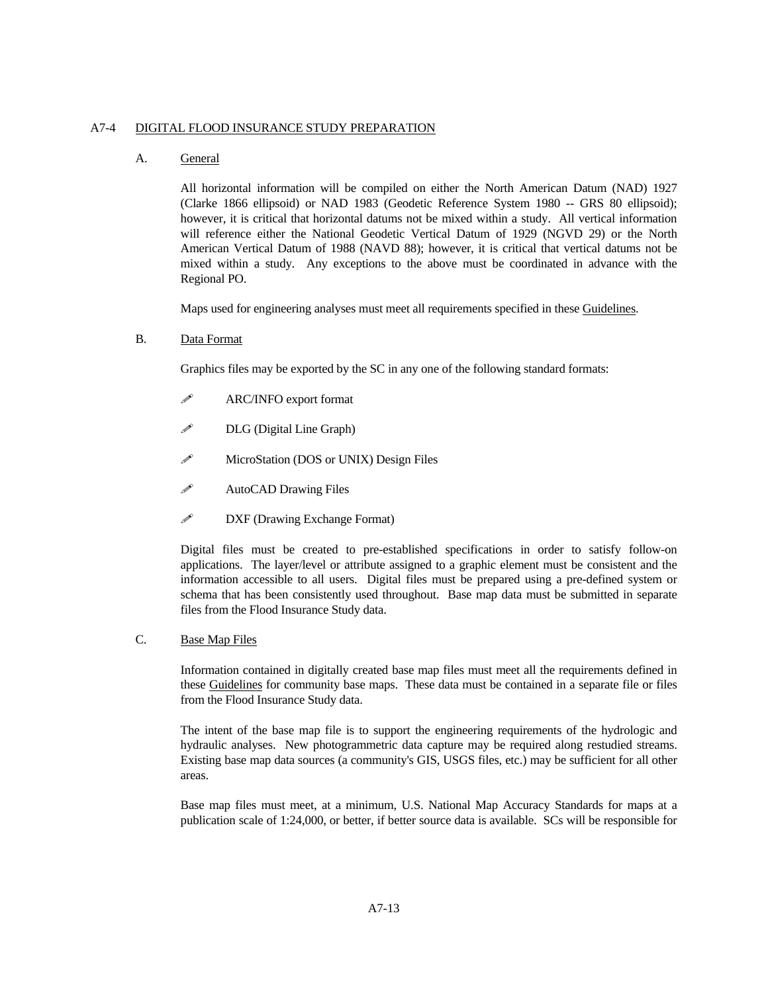#### A7-4 DIGITAL FLOOD INSURANCE STUDY PREPARATION

## A. General

 All horizontal information will be compiled on either the North American Datum (NAD) 1927 (Clarke 1866 ellipsoid) or NAD 1983 (Geodetic Reference System 1980 -- GRS 80 ellipsoid); however, it is critical that horizontal datums not be mixed within a study. All vertical information will reference either the National Geodetic Vertical Datum of 1929 (NGVD 29) or the North American Vertical Datum of 1988 (NAVD 88); however, it is critical that vertical datums not be mixed within a study. Any exceptions to the above must be coordinated in advance with the Regional PO.

Maps used for engineering analyses must meet all requirements specified in these Guidelines.

B. Data Format

Graphics files may be exported by the SC in any one of the following standard formats:

- ARC/INFO export format
- DLG (Digital Line Graph)
- MicroStation (DOS or UNIX) Design Files
- AutoCAD Drawing Files
- DXF (Drawing Exchange Format)

 Digital files must be created to pre-established specifications in order to satisfy follow-on applications. The layer/level or attribute assigned to a graphic element must be consistent and the information accessible to all users. Digital files must be prepared using a pre-defined system or schema that has been consistently used throughout. Base map data must be submitted in separate files from the Flood Insurance Study data.

C. Base Map Files

 Information contained in digitally created base map files must meet all the requirements defined in these Guidelines for community base maps. These data must be contained in a separate file or files from the Flood Insurance Study data.

 The intent of the base map file is to support the engineering requirements of the hydrologic and hydraulic analyses. New photogrammetric data capture may be required along restudied streams. Existing base map data sources (a community's GIS, USGS files, etc.) may be sufficient for all other areas.

 Base map files must meet, at a minimum, U.S. National Map Accuracy Standards for maps at a publication scale of 1:24,000, or better, if better source data is available. SCs will be responsible for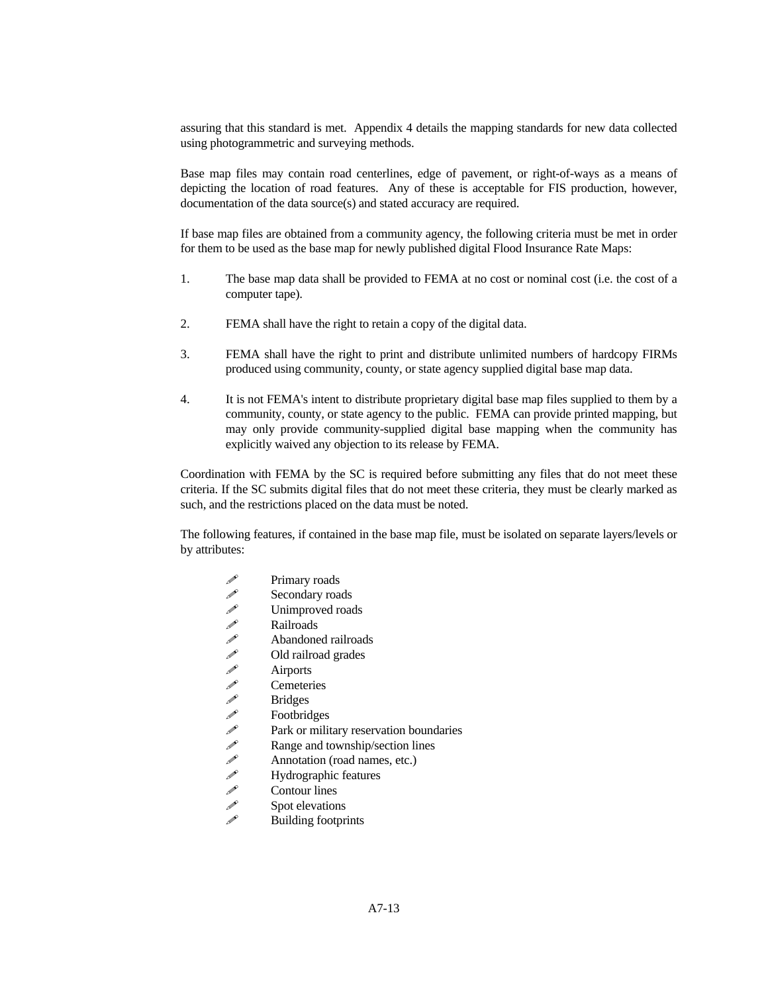assuring that this standard is met. Appendix 4 details the mapping standards for new data collected using photogrammetric and surveying methods.

 Base map files may contain road centerlines, edge of pavement, or right-of-ways as a means of depicting the location of road features. Any of these is acceptable for FIS production, however, documentation of the data source(s) and stated accuracy are required.

 If base map files are obtained from a community agency, the following criteria must be met in order for them to be used as the base map for newly published digital Flood Insurance Rate Maps:

- 1. The base map data shall be provided to FEMA at no cost or nominal cost (i.e. the cost of a computer tape).
- 2. FEMA shall have the right to retain a copy of the digital data.
- 3. FEMA shall have the right to print and distribute unlimited numbers of hardcopy FIRMs produced using community, county, or state agency supplied digital base map data.
- 4. It is not FEMA's intent to distribute proprietary digital base map files supplied to them by a community, county, or state agency to the public. FEMA can provide printed mapping, but may only provide community-supplied digital base mapping when the community has explicitly waived any objection to its release by FEMA.

 Coordination with FEMA by the SC is required before submitting any files that do not meet these criteria. If the SC submits digital files that do not meet these criteria, they must be clearly marked as such, and the restrictions placed on the data must be noted.

 The following features, if contained in the base map file, must be isolated on separate layers/levels or by attributes:

- $\mathscr{P}$  Primary roads
- $\mathscr{S}$  Secondary roads
- $\n<sup>o</sup>$  Unimproved roads<br>Railroads
- 
- Railroads<br>
Abandone<br>
Old railroads<br>
Abandone<br>
Abandone<br>
Park or m<br>
Range and<br>
Annotation<br>
Park or m<br>
Range and<br>
Annotation Abandoned railroads
- Old railroad grades
- Airports
- Cemeteries
- Bridges
- Footbridges
- Park or military reservation boundaries
	- Range and township/section lines
- Annotation (road names, etc.)
- $\mathscr{P}$  Hydrographic features
- Contour lines
- $\mathscr{S}$  Spot elevations
- Building footprints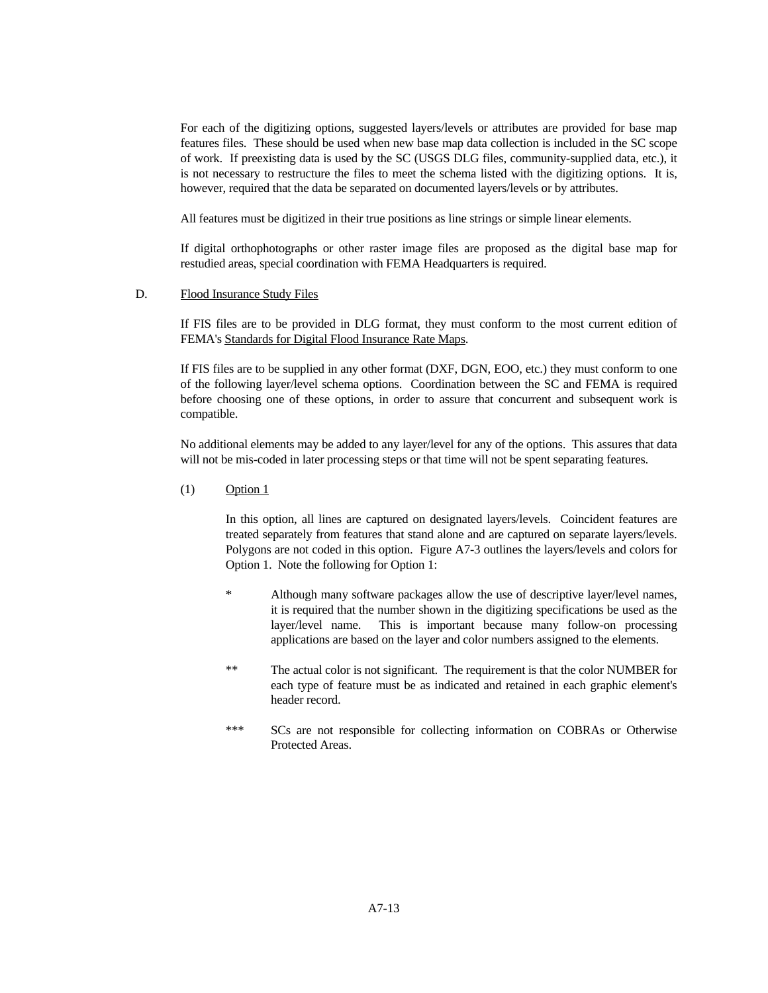For each of the digitizing options, suggested layers/levels or attributes are provided for base map features files. These should be used when new base map data collection is included in the SC scope of work. If preexisting data is used by the SC (USGS DLG files, community-supplied data, etc.), it is not necessary to restructure the files to meet the schema listed with the digitizing options. It is, however, required that the data be separated on documented layers/levels or by attributes.

All features must be digitized in their true positions as line strings or simple linear elements.

 If digital orthophotographs or other raster image files are proposed as the digital base map for restudied areas, special coordination with FEMA Headquarters is required.

### D. Flood Insurance Study Files

 If FIS files are to be provided in DLG format, they must conform to the most current edition of FEMA's Standards for Digital Flood Insurance Rate Maps.

 If FIS files are to be supplied in any other format (DXF, DGN, EOO, etc.) they must conform to one of the following layer/level schema options. Coordination between the SC and FEMA is required before choosing one of these options, in order to assure that concurrent and subsequent work is compatible.

 No additional elements may be added to any layer/level for any of the options. This assures that data will not be mis-coded in later processing steps or that time will not be spent separating features.

(1) Option 1

 In this option, all lines are captured on designated layers/levels. Coincident features are treated separately from features that stand alone and are captured on separate layers/levels. Polygons are not coded in this option. Figure A7-3 outlines the layers/levels and colors for Option 1. Note the following for Option 1:

- \* Although many software packages allow the use of descriptive layer/level names, it is required that the number shown in the digitizing specifications be used as the layer/level name. This is important because many follow-on processing applications are based on the layer and color numbers assigned to the elements.
- \*\* The actual color is not significant. The requirement is that the color NUMBER for each type of feature must be as indicated and retained in each graphic element's header record.
- \*\*\* SCs are not responsible for collecting information on COBRAs or Otherwise Protected Areas.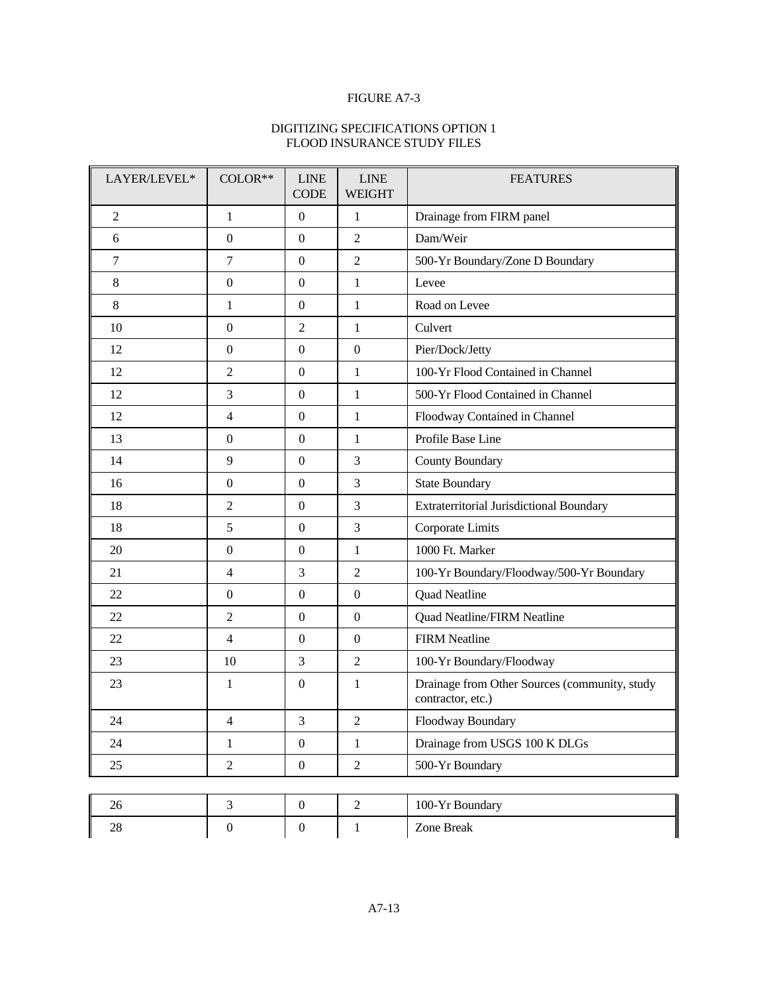# DIGITIZING SPECIFICATIONS OPTION 1 FLOOD INSURANCE STUDY FILES

| LAYER/LEVEL*   | COLOR**          | <b>LINE</b><br><b>CODE</b> | <b>LINE</b><br><b>WEIGHT</b> | <b>FEATURES</b>                                                    |
|----------------|------------------|----------------------------|------------------------------|--------------------------------------------------------------------|
| $\overline{2}$ | 1                | $\boldsymbol{0}$           | 1                            | Drainage from FIRM panel                                           |
| 6              | $\boldsymbol{0}$ | $\overline{0}$             | $\overline{2}$               | Dam/Weir                                                           |
| $\tau$         | 7                | $\boldsymbol{0}$           | $\overline{2}$               | 500-Yr Boundary/Zone D Boundary                                    |
| 8              | $\boldsymbol{0}$ | $\overline{0}$             | $\mathbf{1}$                 | Levee                                                              |
| $\,8\,$        | $\mathbf{1}$     | $\boldsymbol{0}$           | $\mathbf{1}$                 | Road on Levee                                                      |
| 10             | $\boldsymbol{0}$ | 2                          | 1                            | Culvert                                                            |
| 12             | $\boldsymbol{0}$ | $\overline{0}$             | $\boldsymbol{0}$             | Pier/Dock/Jetty                                                    |
| 12             | $\overline{2}$   | $\boldsymbol{0}$           | $\mathbf{1}$                 | 100-Yr Flood Contained in Channel                                  |
| 12             | 3                | $\boldsymbol{0}$           | $\mathbf{1}$                 | 500-Yr Flood Contained in Channel                                  |
| 12             | 4                | $\boldsymbol{0}$           | $\mathbf{1}$                 | Floodway Contained in Channel                                      |
| 13             | $\boldsymbol{0}$ | $\boldsymbol{0}$           | $\mathbf{1}$                 | Profile Base Line                                                  |
| 14             | 9                | $\boldsymbol{0}$           | 3                            | County Boundary                                                    |
| 16             | $\boldsymbol{0}$ | $\boldsymbol{0}$           | 3                            | <b>State Boundary</b>                                              |
| 18             | $\overline{2}$   | $\overline{0}$             | 3                            | <b>Extraterritorial Jurisdictional Boundary</b>                    |
| 18             | 5                | $\boldsymbol{0}$           | 3                            | Corporate Limits                                                   |
| 20             | $\boldsymbol{0}$ | $\overline{0}$             | $\mathbf{1}$                 | 1000 Ft. Marker                                                    |
| 21             | 4                | 3                          | $\overline{2}$               | 100-Yr Boundary/Floodway/500-Yr Boundary                           |
| 22             | $\boldsymbol{0}$ | $\boldsymbol{0}$           | $\boldsymbol{0}$             | <b>Quad Neatline</b>                                               |
| 22             | 2                | $\boldsymbol{0}$           | $\boldsymbol{0}$             | Quad Neatline/FIRM Neatline                                        |
| 22             | 4                | $\boldsymbol{0}$           | $\boldsymbol{0}$             | <b>FIRM Neatline</b>                                               |
| 23             | 10               | 3                          | $\overline{2}$               | 100-Yr Boundary/Floodway                                           |
| 23             | 1                | $\boldsymbol{0}$           | 1                            | Drainage from Other Sources (community, study<br>contractor, etc.) |
| 24             | 4                | 3                          | 2                            | Floodway Boundary                                                  |
| 24             | $\mathbf{1}$     | $\boldsymbol{0}$           | $\mathbf{1}$                 | Drainage from USGS 100 K DLGs                                      |
| 25             | $\sqrt{2}$       | $\boldsymbol{0}$           | $\overline{2}$               | 500-Yr Boundary                                                    |
|                |                  |                            |                              |                                                                    |
| 26             | 3                | $\boldsymbol{0}$           | $\sqrt{2}$                   | 100-Yr Boundary                                                    |
| $28\,$         | $\boldsymbol{0}$ | $\boldsymbol{0}$           | $\mathbf{1}$                 | Zone Break                                                         |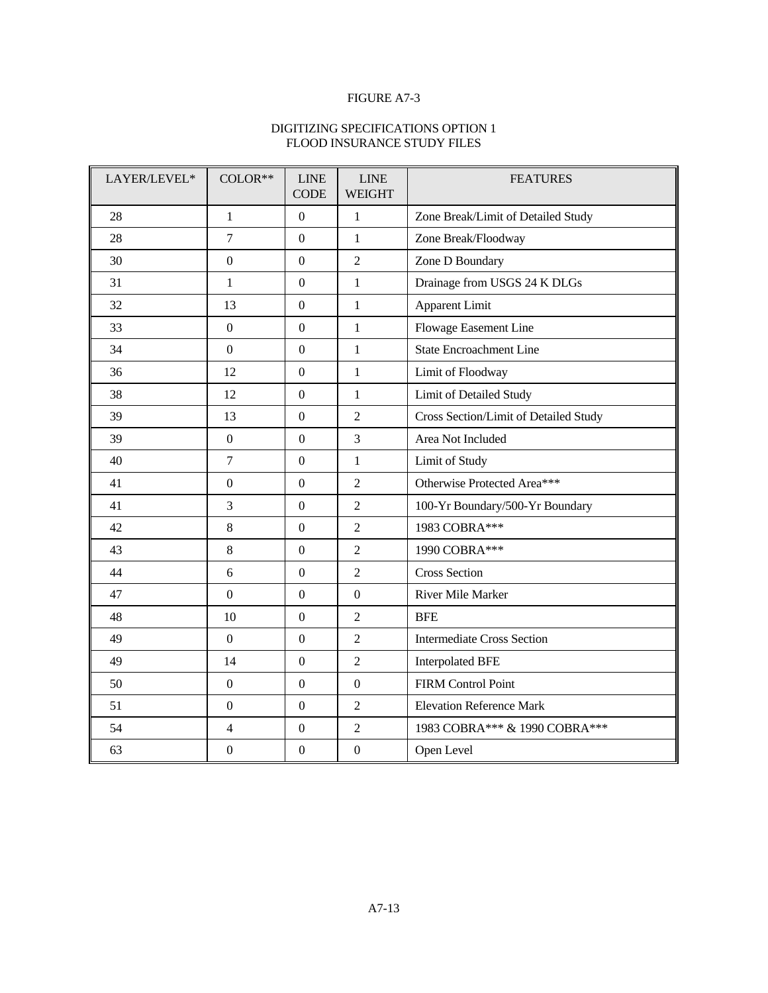# DIGITIZING SPECIFICATIONS OPTION 1 FLOOD INSURANCE STUDY FILES

| LAYER/LEVEL* | COLOR**          | <b>LINE</b><br><b>CODE</b> | <b>LINE</b><br><b>WEIGHT</b> | <b>FEATURES</b>                       |
|--------------|------------------|----------------------------|------------------------------|---------------------------------------|
| 28           | $\mathbf{1}$     | $\mathbf{0}$               | $\mathbf{1}$                 | Zone Break/Limit of Detailed Study    |
| 28           | $\overline{7}$   | $\overline{0}$             | $\mathbf{1}$                 | Zone Break/Floodway                   |
| 30           | $\boldsymbol{0}$ | $\boldsymbol{0}$           | $\overline{2}$               | Zone D Boundary                       |
| 31           | $\mathbf{1}$     | $\boldsymbol{0}$           | $\mathbf{1}$                 | Drainage from USGS 24 K DLGs          |
| 32           | 13               | $\boldsymbol{0}$           | 1                            | Apparent Limit                        |
| 33           | $\boldsymbol{0}$ | $\boldsymbol{0}$           | $\mathbf{1}$                 | Flowage Easement Line                 |
| 34           | $\boldsymbol{0}$ | $\boldsymbol{0}$           | $\mathbf{1}$                 | <b>State Encroachment Line</b>        |
| 36           | 12               | $\boldsymbol{0}$           | $\mathbf{1}$                 | Limit of Floodway                     |
| 38           | 12               | $\boldsymbol{0}$           | $\mathbf{1}$                 | Limit of Detailed Study               |
| 39           | 13               | $\boldsymbol{0}$           | $\overline{2}$               | Cross Section/Limit of Detailed Study |
| 39           | $\boldsymbol{0}$ | $\boldsymbol{0}$           | 3                            | Area Not Included                     |
| 40           | $\overline{7}$   | $\boldsymbol{0}$           | $\mathbf{1}$                 | Limit of Study                        |
| 41           | $\overline{0}$   | $\overline{0}$             | $\overline{2}$               | Otherwise Protected Area***           |
| 41           | 3                | $\boldsymbol{0}$           | $\overline{2}$               | 100-Yr Boundary/500-Yr Boundary       |
| 42           | $\,8\,$          | $\boldsymbol{0}$           | $\overline{2}$               | 1983 COBRA***                         |
| 43           | $\,8\,$          | $\mathbf{0}$               | $\overline{2}$               | 1990 COBRA***                         |
| 44           | 6                | $\boldsymbol{0}$           | $\overline{2}$               | <b>Cross Section</b>                  |
| 47           | $\overline{0}$   | $\boldsymbol{0}$           | $\boldsymbol{0}$             | <b>River Mile Marker</b>              |
| 48           | 10               | $\boldsymbol{0}$           | $\overline{2}$               | <b>BFE</b>                            |
| 49           | $\boldsymbol{0}$ | $\boldsymbol{0}$           | $\overline{2}$               | <b>Intermediate Cross Section</b>     |
| 49           | 14               | $\mathbf{0}$               | $\overline{2}$               | <b>Interpolated BFE</b>               |
| 50           | $\boldsymbol{0}$ | $\boldsymbol{0}$           | $\boldsymbol{0}$             | <b>FIRM Control Point</b>             |
| 51           | $\mathbf{0}$     | $\boldsymbol{0}$           | $\overline{2}$               | <b>Elevation Reference Mark</b>       |
| 54           | $\overline{4}$   | $\mathbf{0}$               | $\overline{2}$               | 1983 COBRA*** & 1990 COBRA***         |
| 63           | $\boldsymbol{0}$ | $\boldsymbol{0}$           | $\boldsymbol{0}$             | Open Level                            |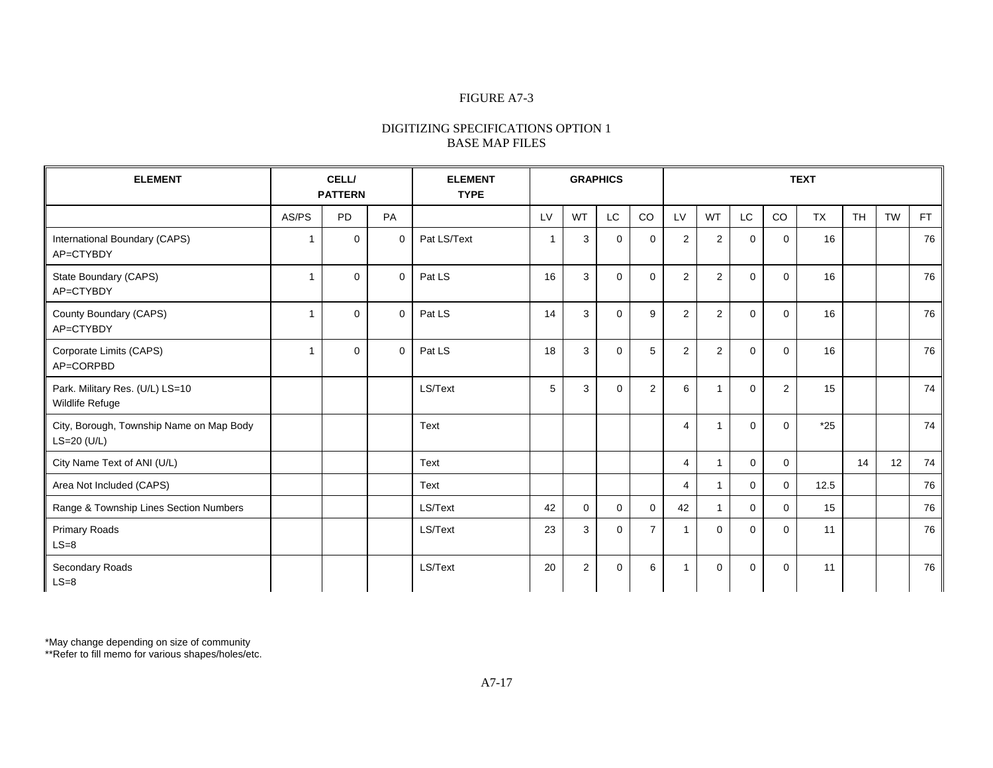| DIGITIZING SPECIFICATIONS OPTION 1 |
|------------------------------------|
| <b>BASE MAP FILES</b>              |

| <b>ELEMENT</b>                                            | <b>CELL/</b><br><b>PATTERN</b> |             |             | <b>ELEMENT</b><br><b>TYPE</b> |              | <b>GRAPHICS</b> |             |                | <b>TEXT</b>    |                |                |                |           |           |           |     |
|-----------------------------------------------------------|--------------------------------|-------------|-------------|-------------------------------|--------------|-----------------|-------------|----------------|----------------|----------------|----------------|----------------|-----------|-----------|-----------|-----|
|                                                           | AS/PS                          | <b>PD</b>   | PA          |                               | <b>LV</b>    | WT              | LC          | CO             | <b>LV</b>      | <b>WT</b>      | LC             | CO             | <b>TX</b> | <b>TH</b> | <b>TW</b> | FT. |
| International Boundary (CAPS)<br>AP=CTYBDY                | 1                              | $\Omega$    | $\Omega$    | Pat LS/Text                   | $\mathbf{1}$ | 3               | $\Omega$    | $\mathbf{0}$   | 2              | $\overline{2}$ | $\Omega$       | $\Omega$       | 16        |           |           | 76  |
| State Boundary (CAPS)<br>AP=CTYBDY                        | $\overline{1}$                 | $\mathbf 0$ | $\Omega$    | Pat LS                        | 16           | 3               | $\Omega$    | $\mathbf 0$    | 2              | $\overline{2}$ | $\Omega$       | $\Omega$       | 16        |           |           | 76  |
| County Boundary (CAPS)<br>AP=CTYBDY                       | $\overline{1}$                 | $\mathbf 0$ | $\mathbf 0$ | Pat LS                        | 14           | 3               | $\mathbf 0$ | 9              | 2              | $\overline{2}$ | $\Omega$       | $\Omega$       | 16        |           |           | 76  |
| Corporate Limits (CAPS)<br>AP=CORPBD                      | $\overline{1}$                 | $\mathbf 0$ | $\mathbf 0$ | Pat LS                        | 18           | 3               | $\mathbf 0$ | 5              | 2              | $\overline{2}$ | $\Omega$       | $\mathbf 0$    | 16        |           |           | 76  |
| Park. Military Res. (U/L) LS=10<br>Wildlife Refuge        |                                |             |             | LS/Text                       | 5            | 3               | $\Omega$    | $\overline{2}$ | 6              |                | $\Omega$       | $\overline{2}$ | 15        |           |           | 74  |
| City, Borough, Township Name on Map Body<br>$LS=20$ (U/L) |                                |             |             | Text                          |              |                 |             |                | 4              |                | $\Omega$       | $\Omega$       | $*25$     |           |           | 74  |
| City Name Text of ANI (U/L)                               |                                |             |             | Text                          |              |                 |             |                | $\overline{4}$ |                | $\Omega$       | $\Omega$       |           | 14        | 12        | 74  |
| Area Not Included (CAPS)                                  |                                |             |             | Text                          |              |                 |             |                | $\overline{4}$ |                | $\Omega$       | $\Omega$       | 12.5      |           |           | 76  |
| Range & Township Lines Section Numbers                    |                                |             |             | LS/Text                       | 42           | 0               | $\mathbf 0$ | $\mathbf 0$    | 42             |                | $\overline{0}$ | $\Omega$       | 15        |           |           | 76  |
| <b>Primary Roads</b><br>$LS=8$                            |                                |             |             | LS/Text                       | 23           | 3               | $\mathbf 0$ | $\overline{7}$ | -1             | 0              | $\mathbf 0$    | $\Omega$       | 11        |           |           | 76  |
| Secondary Roads<br>$\vert$ LS=8                           |                                |             |             | LS/Text                       | 20           | $\overline{2}$  | $\mathbf 0$ | 6              | $\overline{1}$ | $\mathbf 0$    | $\mathbf 0$    | $\mathbf 0$    | 11        |           |           | 76  |

\*May change depending on size of community

\*\*Refer to fill memo for various shapes/holes/etc.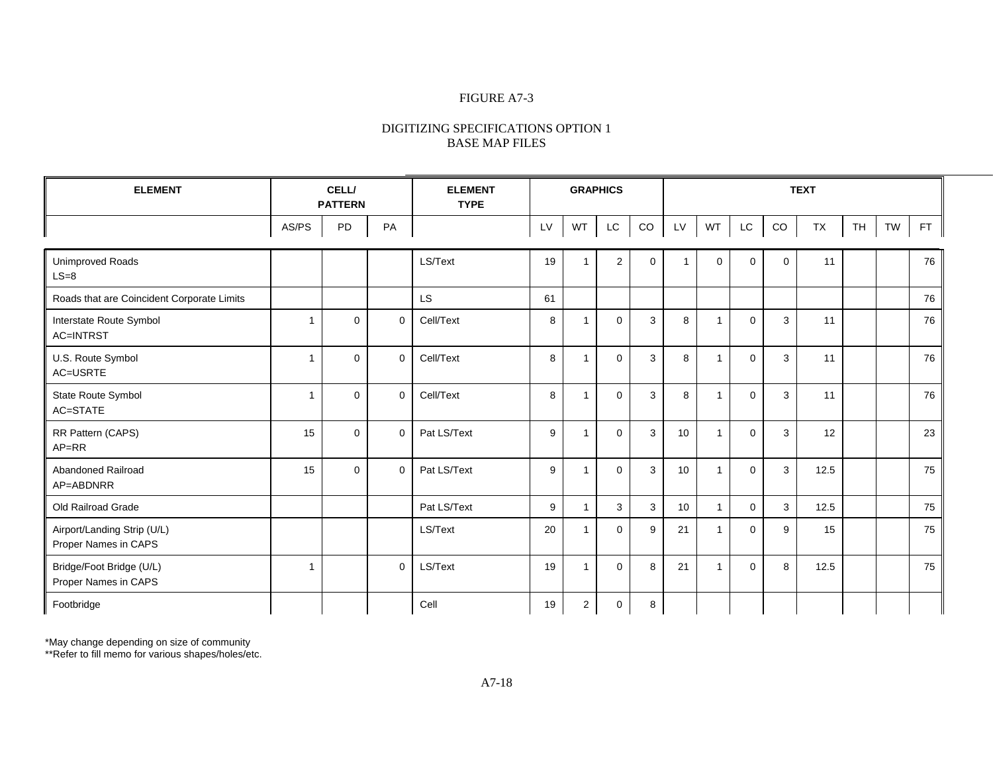| DIGITIZING SPECIFICATIONS OPTION 1 |
|------------------------------------|
| <b>BASE MAP FILES</b>              |

| <b>ELEMENT</b>                                      |              | CELL/<br><b>PATTERN</b> |             | <b>ELEMENT</b><br><b>TYPE</b> |    | <b>GRAPHICS</b> |                |              |              |              |             |              | <b>TEXT</b> |           |    |           |
|-----------------------------------------------------|--------------|-------------------------|-------------|-------------------------------|----|-----------------|----------------|--------------|--------------|--------------|-------------|--------------|-------------|-----------|----|-----------|
|                                                     | AS/PS        | <b>PD</b>               | PA          |                               | LV | WT              | LC             | CO           | LV           | WT           | LC          | CO           | <b>TX</b>   | <b>TH</b> | TW | <b>FT</b> |
| <b>Unimproved Roads</b><br>$LS=8$                   |              |                         |             | LS/Text                       | 19 |                 | $\overline{2}$ | $\mathbf 0$  | $\mathbf{1}$ | $\mathbf 0$  | $\mathbf 0$ | $\mathbf{0}$ | 11          |           |    | 76        |
| Roads that are Coincident Corporate Limits          |              |                         |             | <b>LS</b>                     | 61 |                 |                |              |              |              |             |              |             |           |    | 76        |
| Interstate Route Symbol<br>AC=INTRST                | $\mathbf{1}$ | $\Omega$                | $\Omega$    | Cell/Text                     | 8  |                 | $\Omega$       | 3            | 8            |              | $\Omega$    | 3            | 11          |           |    | 76        |
| U.S. Route Symbol<br>AC=USRTE                       | $\mathbf{1}$ | $\Omega$                | $\mathbf 0$ | Cell/Text                     | 8  |                 | $\Omega$       | 3            | 8            |              | $\mathbf 0$ | 3            | 11          |           |    | 76        |
| State Route Symbol<br>AC=STATE                      | $\mathbf{1}$ | $\mathbf{0}$            | $\mathbf 0$ | Cell/Text                     | 8  |                 | $\mathbf{0}$   | 3            | 8            |              | $\mathbf 0$ | 3            | 11          |           |    | 76        |
| RR Pattern (CAPS)<br>$AP = RR$                      | 15           | $\Omega$                | $\Omega$    | Pat LS/Text                   | 9  |                 | $\Omega$       | 3            | 10           | $\mathbf{1}$ | $\mathbf 0$ | 3            | 12          |           |    | 23        |
| Abandoned Railroad<br>AP=ABDNRR                     | 15           | $\Omega$                | $\mathbf 0$ | Pat LS/Text                   | 9  |                 | $\mathbf 0$    | 3            | 10           |              | $\mathbf 0$ | 3            | 12.5        |           |    | 75        |
| Old Railroad Grade                                  |              |                         |             | Pat LS/Text                   | 9  |                 | 3              | $\mathbf{3}$ | 10           |              | $\mathbf 0$ | 3            | 12.5        |           |    | 75        |
| Airport/Landing Strip (U/L)<br>Proper Names in CAPS |              |                         |             | LS/Text                       | 20 |                 | $\Omega$       | 9            | 21           |              | $\Omega$    | 9            | 15          |           |    | 75        |
| Bridge/Foot Bridge (U/L)<br>Proper Names in CAPS    | $\mathbf{1}$ |                         | $\mathbf 0$ | LS/Text                       | 19 |                 | $\Omega$       | 8            | 21           |              | $\mathbf 0$ | 8            | 12.5        |           |    | 75        |
| Footbridge                                          |              |                         |             | Cell                          | 19 | $\overline{2}$  | 0              | 8            |              |              |             |              |             |           |    |           |

\*May change depending on size of community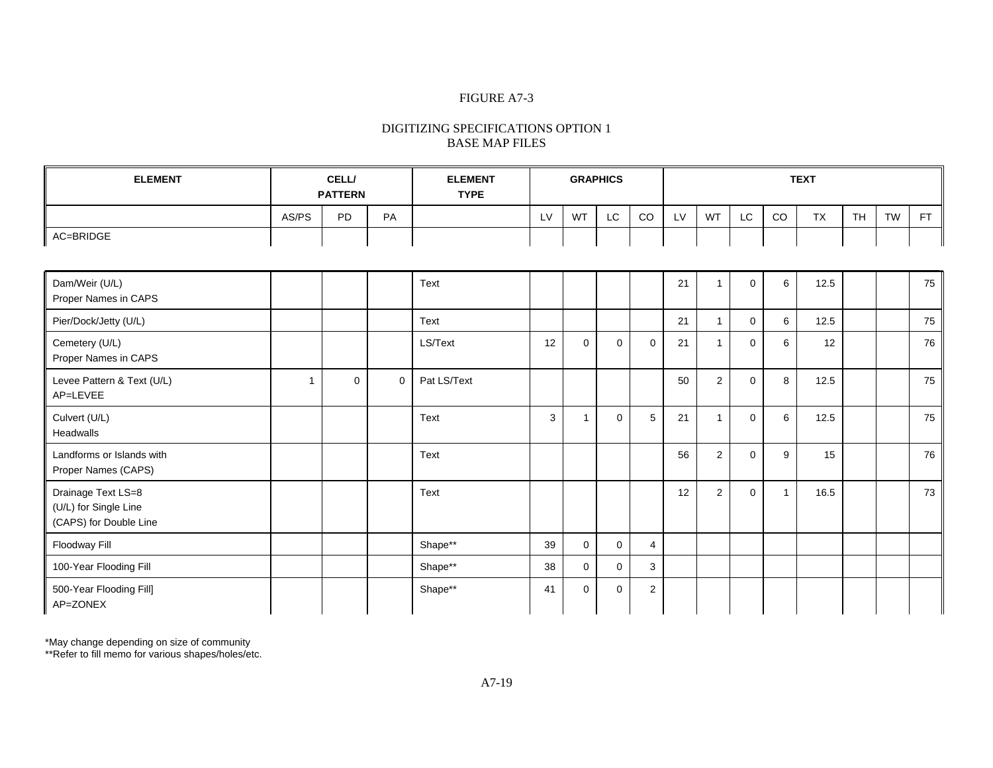## DIGITIZING SPECIFICATIONS OPTION 1 BASE MAP FILES

 $\overline{\phantom{0}}$ 

| <b>ELEMENT</b>                                                        |              | CELL/<br><b>PATTERN</b> |    | <b>ELEMENT</b><br><b>TYPE</b> |    |              | <b>GRAPHICS</b> |                |           |                      |                |    | <b>TEXT</b> |           |    |           |
|-----------------------------------------------------------------------|--------------|-------------------------|----|-------------------------------|----|--------------|-----------------|----------------|-----------|----------------------|----------------|----|-------------|-----------|----|-----------|
|                                                                       | AS/PS        | PD                      | PA |                               | LV | <b>WT</b>    | <b>LC</b>       | CO             | <b>LV</b> | <b>WT</b>            | <b>LC</b>      | CO | <b>TX</b>   | <b>TH</b> | TW | <b>FT</b> |
| AC=BRIDGE                                                             |              |                         |    |                               |    |              |                 |                |           |                      |                |    |             |           |    |           |
|                                                                       |              |                         |    |                               |    |              |                 |                |           |                      |                |    |             |           |    |           |
| Dam/Weir (U/L)<br>Proper Names in CAPS                                |              |                         |    | Text                          |    |              |                 |                | 21        | $\blacktriangleleft$ | $\Omega$       | 6  | 12.5        |           |    | 75        |
| Pier/Dock/Jetty (U/L)                                                 |              |                         |    | Text                          |    |              |                 |                | 21        | $\mathbf{1}$         | $\mathbf 0$    | 6  | 12.5        |           |    | 75        |
| Cemetery (U/L)<br>Proper Names in CAPS                                |              |                         |    | LS/Text                       | 12 | $\mathbf 0$  | $\mathbf 0$     | $\mathbf 0$    | 21        | $\mathbf{1}$         | $\mathbf 0$    | 6  | 12          |           |    | 76        |
| Levee Pattern & Text (U/L)<br>AP=LEVEE                                | $\mathbf{1}$ | $\mathbf 0$             | 0  | Pat LS/Text                   |    |              |                 |                | 50        | 2                    | $\mathbf 0$    | 8  | 12.5        |           |    | 75        |
| Culvert (U/L)<br>Headwalls                                            |              |                         |    | Text                          | 3  | $\mathbf{1}$ | $\mathbf 0$     | 5              | 21        | $\overline{1}$       | $\overline{0}$ | 6  | 12.5        |           |    | 75        |
| Landforms or Islands with<br>Proper Names (CAPS)                      |              |                         |    | Text                          |    |              |                 |                | 56        | 2                    | $\mathbf 0$    | 9  | 15          |           |    | 76        |
| Drainage Text LS=8<br>(U/L) for Single Line<br>(CAPS) for Double Line |              |                         |    | Text                          |    |              |                 |                | 12        | $\overline{2}$       | $\mathbf 0$    |    | 16.5        |           |    | 73        |
| Floodway Fill                                                         |              |                         |    | Shape**                       | 39 | $\mathbf{0}$ | $\Omega$        | $\overline{4}$ |           |                      |                |    |             |           |    |           |
| 100-Year Flooding Fill                                                |              |                         |    | Shape**                       | 38 | $\mathbf 0$  | $\mathbf 0$     | 3              |           |                      |                |    |             |           |    |           |
| 500-Year Flooding Fill]<br>AP=ZONEX                                   |              |                         |    | Shape**                       | 41 | $\Omega$     | $\mathbf 0$     | $\overline{2}$ |           |                      |                |    |             |           |    |           |

\*May change depending on size of community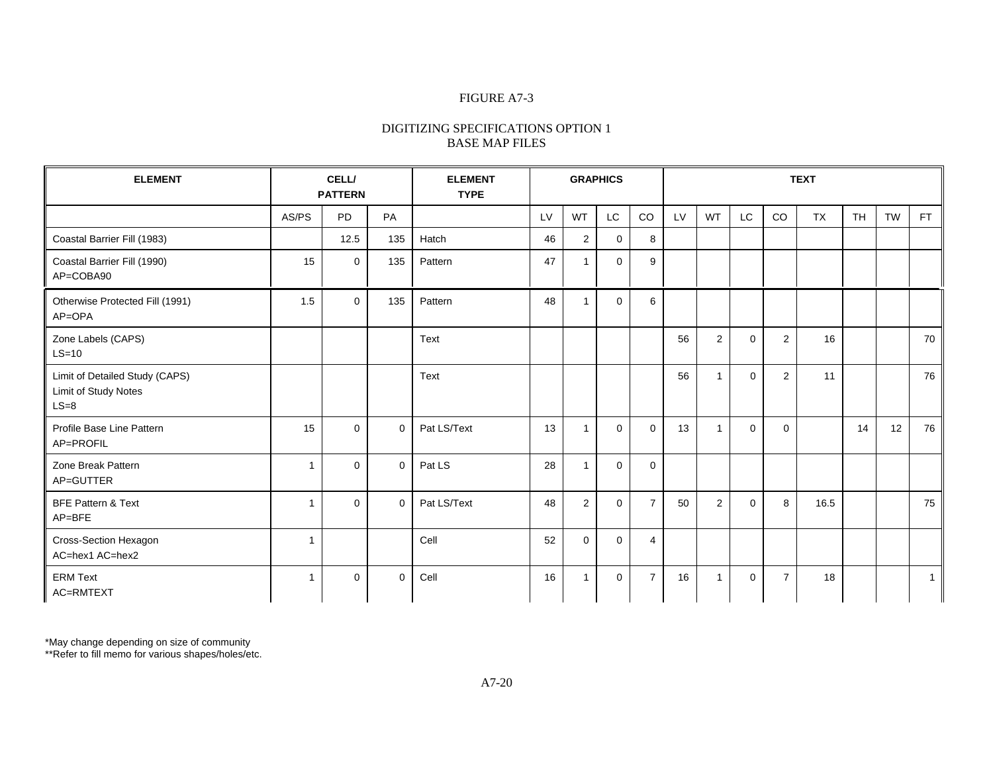| DIGITIZING SPECIFICATIONS OPTION 1 |
|------------------------------------|
| <b>BASE MAP FILES</b>              |

| <b>ELEMENT</b>                                                   |                | <b>CELL/</b><br><b>PATTERN</b> |          | <b>ELEMENT</b><br><b>TYPE</b> |           | <b>GRAPHICS</b> |             |                |           | <b>TEXT</b>    |             |                |      |           |           |              |
|------------------------------------------------------------------|----------------|--------------------------------|----------|-------------------------------|-----------|-----------------|-------------|----------------|-----------|----------------|-------------|----------------|------|-----------|-----------|--------------|
|                                                                  | AS/PS          | PD                             | PA       |                               | <b>LV</b> | <b>WT</b>       | LC          | CO             | <b>LV</b> | <b>WT</b>      | LC          | CO             | TX   | <b>TH</b> | <b>TW</b> | FT.          |
| Coastal Barrier Fill (1983)                                      |                | 12.5                           | 135      | Hatch                         | 46        | $\overline{2}$  | $\mathbf 0$ | 8              |           |                |             |                |      |           |           |              |
| Coastal Barrier Fill (1990)<br>AP=COBA90                         | 15             | $\mathbf 0$                    | 135      | Pattern                       | 47        | 1               | $\mathbf 0$ | 9              |           |                |             |                |      |           |           |              |
| Otherwise Protected Fill (1991)<br>AP=OPA                        | 1.5            | $\Omega$                       | 135      | Pattern                       | 48        | 1               | $\Omega$    | 6              |           |                |             |                |      |           |           |              |
| Zone Labels (CAPS)<br>$LS=10$                                    |                |                                |          | Text                          |           |                 |             |                | 56        | $\overline{2}$ | $\Omega$    | 2              | 16   |           |           | 70           |
| Limit of Detailed Study (CAPS)<br>Limit of Study Notes<br>$LS=8$ |                |                                |          | Text                          |           |                 |             |                | 56        | $\mathbf{1}$   | $\Omega$    | 2              | 11   |           |           | 76           |
| Profile Base Line Pattern<br>AP=PROFIL                           | 15             | $\Omega$                       | $\Omega$ | Pat LS/Text                   | 13        | $\mathbf{1}$    | $\Omega$    | $\mathbf 0$    | 13        | $\mathbf{1}$   | $\Omega$    | $\Omega$       |      | 14        | 12        | 76           |
| Zone Break Pattern<br>AP=GUTTER                                  | $\mathbf{1}$   | $\Omega$                       | $\Omega$ | Pat LS                        | 28        | 1               | $\Omega$    | $\Omega$       |           |                |             |                |      |           |           |              |
| <b>BFE Pattern &amp; Text</b><br>AP=BFE                          | $\overline{1}$ | $\mathbf 0$                    | $\Omega$ | Pat LS/Text                   | 48        | $\overline{2}$  | $\mathbf 0$ | $\overline{7}$ | 50        | $\overline{2}$ | $\mathbf 0$ | 8              | 16.5 |           |           | 75           |
| Cross-Section Hexagon<br>AC=hex1 AC=hex2                         | $\mathbf{1}$   |                                |          | Cell                          | 52        | $\Omega$        | $\Omega$    | 4              |           |                |             |                |      |           |           |              |
| <b>ERM Text</b><br>AC=RMTEXT                                     | 1              | $\Omega$                       | $\Omega$ | Cell                          | 16        | 1               | $\Omega$    | $\overline{7}$ | 16        | $\mathbf{1}$   | $\Omega$    | $\overline{7}$ | 18   |           |           | $\mathbf{1}$ |

\*May change depending on size of community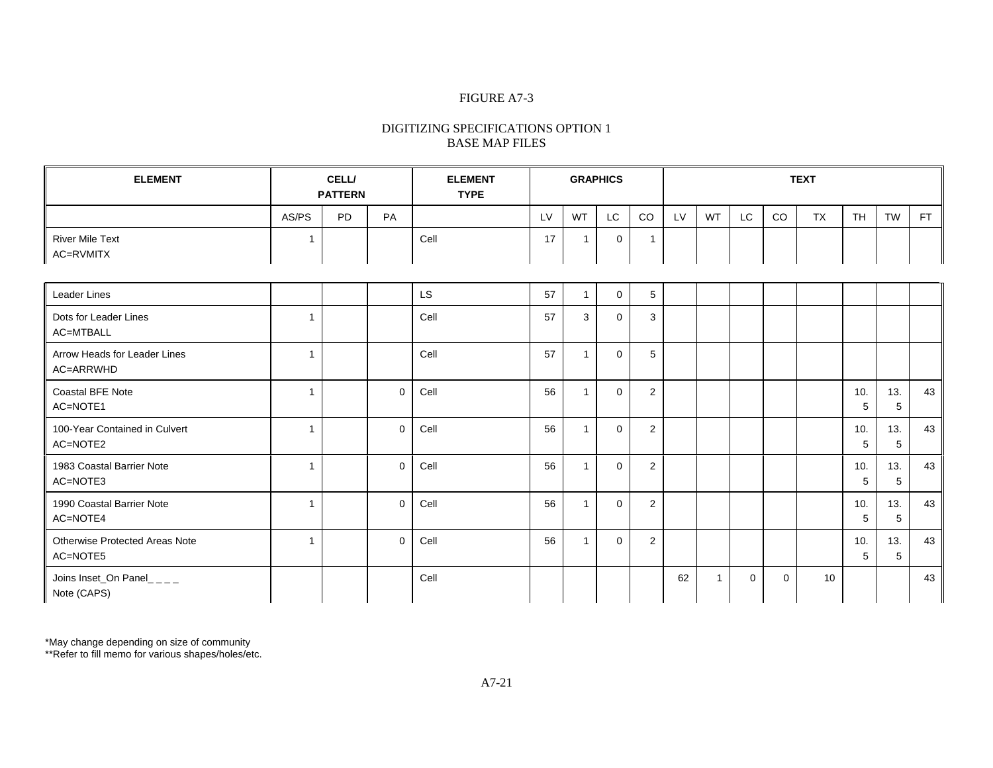### DIGITIZING SPECIFICATIONS OPTION 1 BASE MAP FILES

| <b>ELEMENT</b>                             |                | <b>CELL/</b><br><b>PATTERN</b> |                | <b>ELEMENT</b><br><b>TYPE</b> |           | <b>GRAPHICS</b> |                |              |           |             |          |          | <b>TEXT</b> |           |           |                 |
|--------------------------------------------|----------------|--------------------------------|----------------|-------------------------------|-----------|-----------------|----------------|--------------|-----------|-------------|----------|----------|-------------|-----------|-----------|-----------------|
|                                            | AS/PS          | <b>PD</b>                      | PA             |                               | <b>LV</b> | <b>WT</b>       | LC             | CO           | <b>LV</b> | <b>WT</b>   | LC       | CO       | <b>TX</b>   | <b>TH</b> | <b>TW</b> | <b>FT</b>       |
| <b>River Mile Text</b><br>AC=RVMITX        | 1              |                                |                | Cell                          | 17        | 1.              | $\mathbf{0}$   | $\mathbf{1}$ |           |             |          |          |             |           |           |                 |
| Leader Lines                               |                |                                |                | <b>LS</b>                     | 57        | -1              | $\overline{0}$ | 5            |           |             |          |          |             |           |           |                 |
| Dots for Leader Lines<br>AC=MTBALL         | $\mathbf{1}$   |                                |                | Cell                          | 57        | 3               | $\Omega$       | 3            |           |             |          |          |             |           |           |                 |
| Arrow Heads for Leader Lines<br>AC=ARRWHD  | -1             |                                |                | Cell                          | 57        |                 | $\Omega$       | 5            |           |             |          |          |             |           |           |                 |
| <b>Coastal BFE Note</b><br>AC=NOTE1        | 1              |                                | $\Omega$       | Cell                          | 56        | 1               | $\Omega$       | 2            |           |             |          |          |             | 10.<br>5  | 13.<br>5  | 43              |
| 100-Year Contained in Culvert<br>AC=NOTE2  | $\mathbf{1}$   |                                | $\Omega$       | Cell                          | 56        | 1               | 0              | 2            |           |             |          |          |             | 10.<br>5  | 13.<br>5  | 43              |
| 1983 Coastal Barrier Note<br>AC=NOTE3      | 1              |                                | $\Omega$       | Cell                          | 56        |                 | $\Omega$       | 2            |           |             |          |          |             | 10.<br>5  | 13.<br>5  | 43              |
| 1990 Coastal Barrier Note<br>AC=NOTE4      | $\overline{1}$ |                                | $\overline{0}$ | Cell                          | 56        | 1               | $\mathbf{0}$   | 2            |           |             |          |          |             | 10.<br>5  | 13.<br>5  | 43 <sup>1</sup> |
| Otherwise Protected Areas Note<br>AC=NOTE5 | $\overline{1}$ |                                | $\Omega$       | Cell                          | 56        | 1               | $\Omega$       | 2            |           |             |          |          |             | 10.<br>5  | 13.<br>5  | 43 <sup>1</sup> |
| Joins Inset_On Panel____<br>Note (CAPS)    |                |                                |                | Cell                          |           |                 |                |              | 62        | $\mathbf 1$ | $\Omega$ | $\Omega$ | 10          |           |           | 43              |

\*May change depending on size of community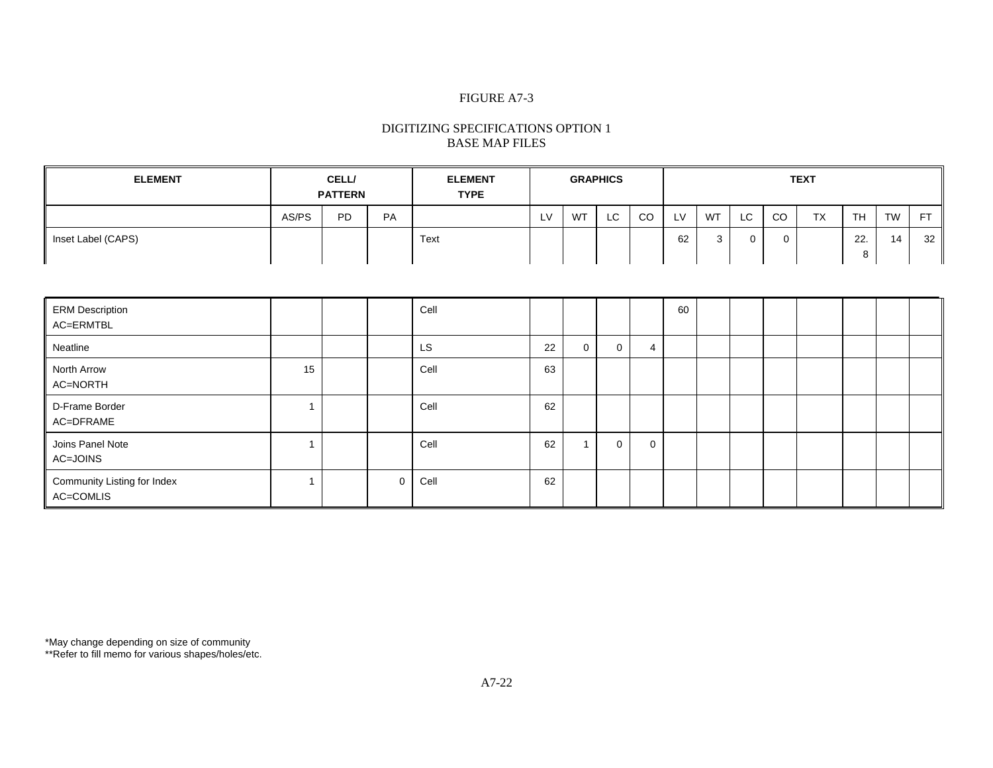## DIGITIZING SPECIFICATIONS OPTION 1 BASE MAP FILES

| <b>ELEMENT</b>     |       | <b>CELL/</b><br><b>PATTERN</b> |    | <b>ELEMENT</b><br><b>TYPE</b> |    | <b>GRAPHICS</b> |    |    |                       |    |    |    | <b>TEXT</b> |           |           |           |
|--------------------|-------|--------------------------------|----|-------------------------------|----|-----------------|----|----|-----------------------|----|----|----|-------------|-----------|-----------|-----------|
|                    | AS/PS | <b>PD</b>                      | PA |                               | LV | <b>WT</b>       | LC | CO | $\overline{1}$<br>- 1 | WT | LC | CO | <b>TX</b>   | <b>TH</b> | <b>TW</b> | <b>ET</b> |
| Inset Label (CAPS) |       |                                |    | Text                          |    |                 |    |    | 62                    | 3  |    | 0  |             | 22.<br>8  | 14        | 32        |

| <b>ERM Description</b><br>AC=ERMTBL      |    |              | Cell      |    |   |             |             | 60 |  |  |  |  |
|------------------------------------------|----|--------------|-----------|----|---|-------------|-------------|----|--|--|--|--|
| Neatline                                 |    |              | <b>LS</b> | 22 | 0 | $\mathbf 0$ | 4           |    |  |  |  |  |
| North Arrow<br>AC=NORTH                  | 15 |              | Cell      | 63 |   |             |             |    |  |  |  |  |
| D-Frame Border<br>AC=DFRAME              |    |              | Cell      | 62 |   |             |             |    |  |  |  |  |
| Joins Panel Note<br>AC=JOINS             |    |              | Cell      | 62 |   | $\Omega$    | $\mathbf 0$ |    |  |  |  |  |
| Community Listing for Index<br>AC=COMLIS |    | $\mathbf{0}$ | Cell      | 62 |   |             |             |    |  |  |  |  |

\*May change depending on size of community \*\*Refer to fill memo for various shapes/holes/etc.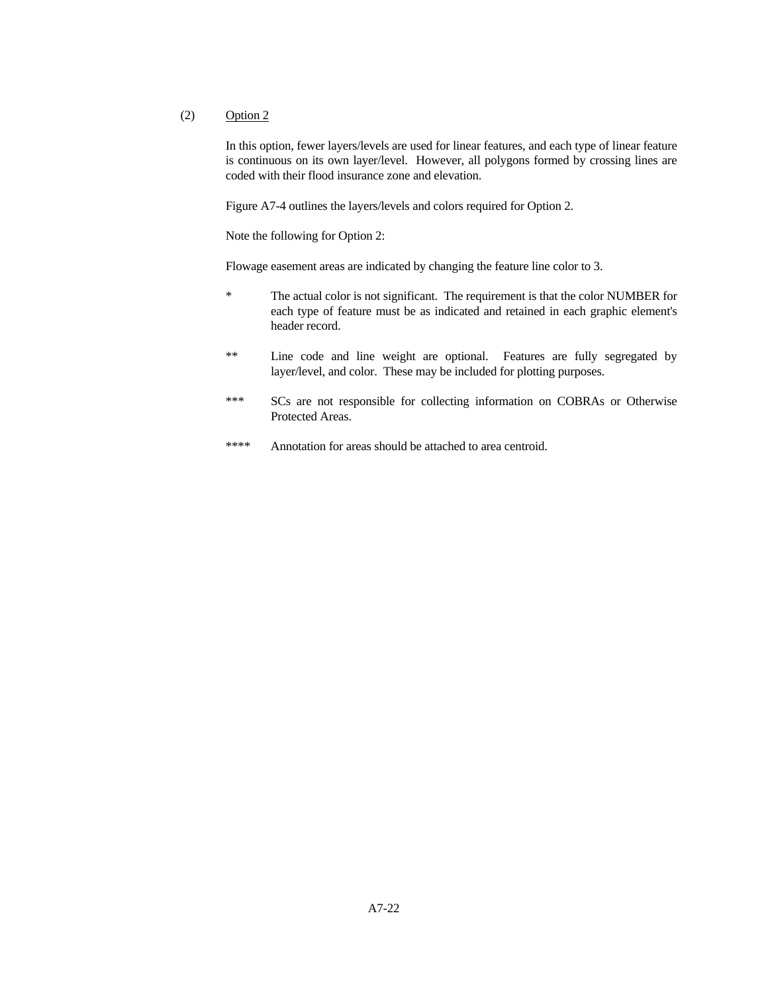### (2) Option 2

 In this option, fewer layers/levels are used for linear features, and each type of linear feature is continuous on its own layer/level. However, all polygons formed by crossing lines are coded with their flood insurance zone and elevation.

Figure A7-4 outlines the layers/levels and colors required for Option 2.

Note the following for Option 2:

Flowage easement areas are indicated by changing the feature line color to 3.

- \* The actual color is not significant. The requirement is that the color NUMBER for each type of feature must be as indicated and retained in each graphic element's header record.
- \*\* Line code and line weight are optional. Features are fully segregated by layer/level, and color. These may be included for plotting purposes.
- \*\*\* SCs are not responsible for collecting information on COBRAs or Otherwise Protected Areas.
- \*\*\*\* Annotation for areas should be attached to area centroid.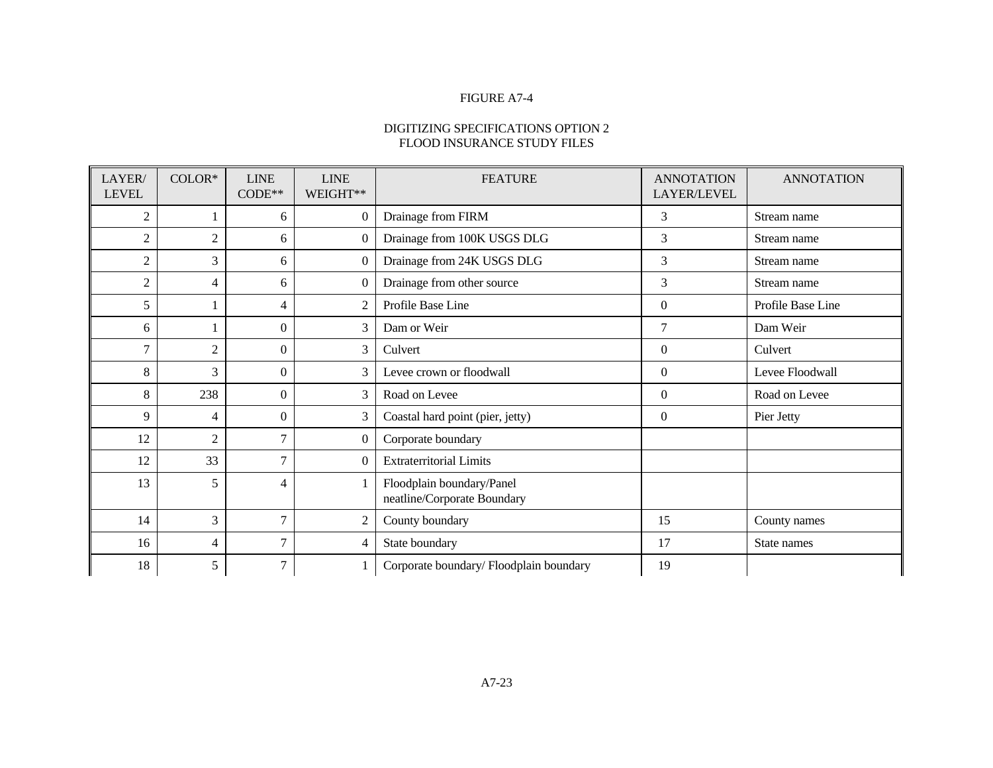| LAYER/<br><b>LEVEL</b> | $COLOR*$       | <b>LINE</b><br>$CODE**$ | <b>LINE</b><br>WEIGHT** | <b>FEATURE</b>                                           | <b>ANNOTATION</b><br>LAYER/LEVEL | <b>ANNOTATION</b> |
|------------------------|----------------|-------------------------|-------------------------|----------------------------------------------------------|----------------------------------|-------------------|
| 2                      |                | 6                       | $\Omega$                | Drainage from FIRM                                       | 3                                | Stream name       |
| 2                      | $\overline{2}$ | 6                       | $\theta$                | Drainage from 100K USGS DLG                              | 3                                | Stream name       |
| $\overline{2}$         | 3              | 6                       | $\theta$                | Drainage from 24K USGS DLG                               | 3                                | Stream name       |
| $\overline{2}$         | $\overline{4}$ | 6                       | $\mathbf{0}$            | Drainage from other source                               | 3                                | Stream name       |
| 5                      |                | 4                       | 2                       | Profile Base Line                                        | $\overline{0}$                   | Profile Base Line |
| 6                      |                | $\overline{0}$          | 3                       | Dam or Weir                                              | $\overline{7}$                   | Dam Weir          |
| 7                      | $\overline{2}$ | $\overline{0}$          | 3                       | Culvert                                                  | $\overline{0}$                   | Culvert           |
| 8                      | 3              | $\overline{0}$          | 3                       | Levee crown or floodwall                                 | $\overline{0}$                   | Levee Floodwall   |
| 8                      | 238            | $\overline{0}$          | 3                       | Road on Levee                                            | $\overline{0}$                   | Road on Levee     |
| 9                      | 4              | $\overline{0}$          | 3                       | Coastal hard point (pier, jetty)                         | $\overline{0}$                   | Pier Jetty        |
| 12                     | $\overline{2}$ | $\tau$                  | $\overline{0}$          | Corporate boundary                                       |                                  |                   |
| 12                     | 33             | $\tau$                  | $\Omega$                | <b>Extraterritorial Limits</b>                           |                                  |                   |
| 13                     | 5              | 4                       |                         | Floodplain boundary/Panel<br>neatline/Corporate Boundary |                                  |                   |
| 14                     | 3              | $\tau$                  | 2                       | County boundary                                          | 15                               | County names      |
| 16                     | 4              | 7                       | $\overline{4}$          | State boundary                                           | 17                               | State names       |
| 18                     | 5              | 7                       |                         | Corporate boundary/ Floodplain boundary                  | 19                               |                   |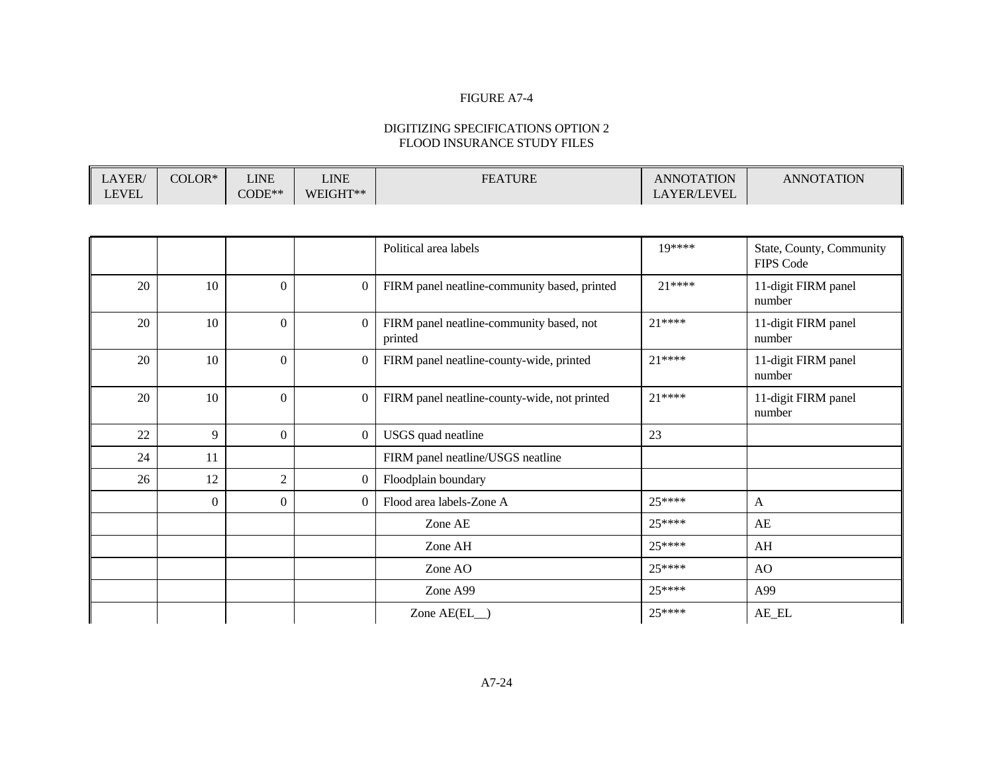| <b>LAYER</b> | COLOR* | LINE     | LINE     | <b>FEATURE</b> | <b>ANNOTATION</b>  | <b>ANNOTATION</b> |
|--------------|--------|----------|----------|----------------|--------------------|-------------------|
| <b>LEVEL</b> |        | $CODE**$ | WEIGHT** |                | <b>LAYER/LEVEL</b> |                   |

|    |          |                  |                  | Political area labels                               | 19****  | State, County, Community<br>FIPS Code |
|----|----------|------------------|------------------|-----------------------------------------------------|---------|---------------------------------------|
| 20 | 10       | $\theta$         | $\overline{0}$   | FIRM panel neatline-community based, printed        | 21 **** | 11-digit FIRM panel<br>number         |
| 20 | 10       | $\Omega$         | $\Omega$         | FIRM panel neatline-community based, not<br>printed | $21***$ | 11-digit FIRM panel<br>number         |
| 20 | 10       | $\boldsymbol{0}$ | $\theta$         | FIRM panel neatline-county-wide, printed            | $21***$ | 11-digit FIRM panel<br>number         |
| 20 | 10       | $\Omega$         | $\boldsymbol{0}$ | FIRM panel neatline-county-wide, not printed        | $21***$ | 11-digit FIRM panel<br>number         |
| 22 | 9        | $\theta$         | $\overline{0}$   | USGS quad neatline                                  | 23      |                                       |
| 24 | 11       |                  |                  | FIRM panel neatline/USGS neatline                   |         |                                       |
| 26 | 12       | $\overline{2}$   | $\Omega$         | Floodplain boundary                                 |         |                                       |
|    | $\Omega$ | $\Omega$         | $\Omega$         | Flood area labels-Zone A                            | $25***$ | A                                     |
|    |          |                  |                  | Zone AE                                             | $25***$ | AE                                    |
|    |          |                  |                  | Zone AH                                             | $25***$ | AH                                    |
|    |          |                  |                  | Zone AO                                             | $25***$ | AO                                    |
|    |          |                  |                  | Zone A99                                            | $25***$ | A99                                   |
|    |          |                  |                  | Zone $AE(EL$ <sup><math>\Box</math></sup>           | 25****  | AE_EL                                 |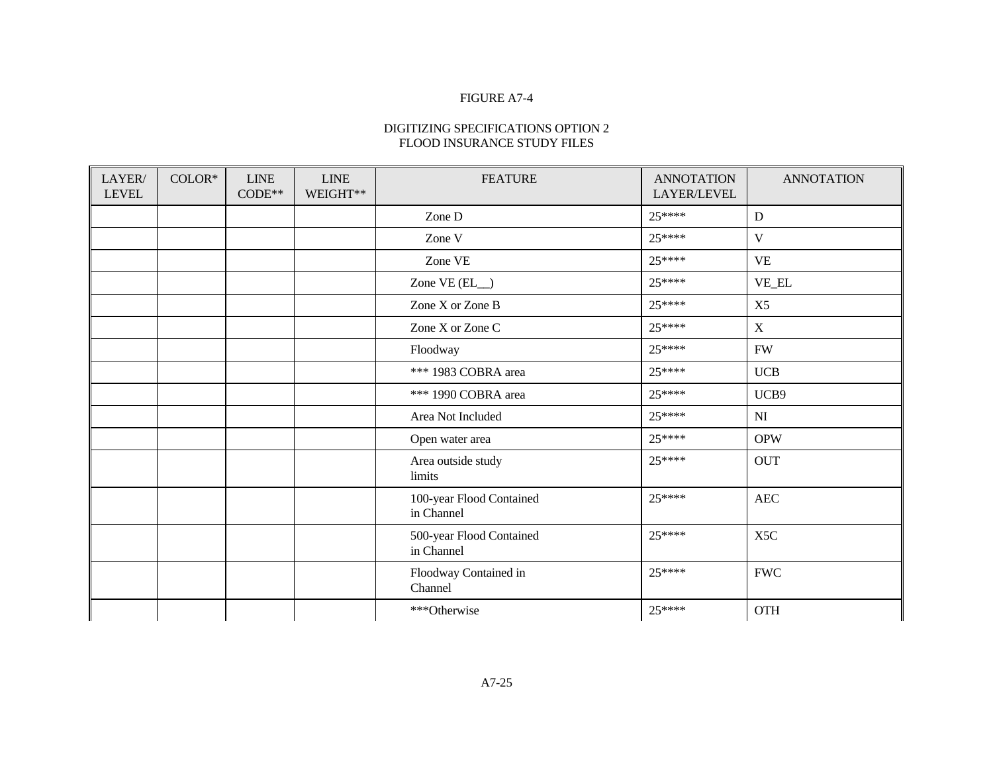| LAYER/<br><b>LEVEL</b> | COLOR* | <b>LINE</b><br>CODE** | <b>LINE</b><br>WEIGHT** | <b>FEATURE</b>                         | <b>ANNOTATION</b><br>LAYER/LEVEL | <b>ANNOTATION</b> |
|------------------------|--------|-----------------------|-------------------------|----------------------------------------|----------------------------------|-------------------|
|                        |        |                       |                         | Zone D                                 | 25****                           | ${\bf D}$         |
|                        |        |                       |                         | Zone V                                 | 25****                           | $\mathbf V$       |
|                        |        |                       |                         | Zone VE                                | 25****                           | <b>VE</b>         |
|                        |        |                       |                         | Zone VE (EL_)                          | 25****                           | ${\sf VE\_EL}$    |
|                        |        |                       |                         | Zone X or Zone B                       | 25****                           | X5                |
|                        |        |                       |                         | Zone X or Zone C                       | 25****                           | $\mathbf X$       |
|                        |        |                       |                         | Floodway                               | 25****                           | <b>FW</b>         |
|                        |        |                       |                         | *** 1983 COBRA area                    | 25****                           | <b>UCB</b>        |
|                        |        |                       |                         | *** 1990 COBRA area                    | 25****                           | UCB9              |
|                        |        |                       |                         | Area Not Included                      | 25****                           | NI                |
|                        |        |                       |                         | Open water area                        | 25****                           | <b>OPW</b>        |
|                        |        |                       |                         | Area outside study<br>limits           | 25****                           | <b>OUT</b>        |
|                        |        |                       |                         | 100-year Flood Contained<br>in Channel | 25****                           | <b>AEC</b>        |
|                        |        |                       |                         | 500-year Flood Contained<br>in Channel | $25***$                          | X5C               |
|                        |        |                       |                         | Floodway Contained in<br>Channel       | 25****                           | <b>FWC</b>        |
|                        |        |                       |                         | ***Otherwise                           | 25****                           | <b>OTH</b>        |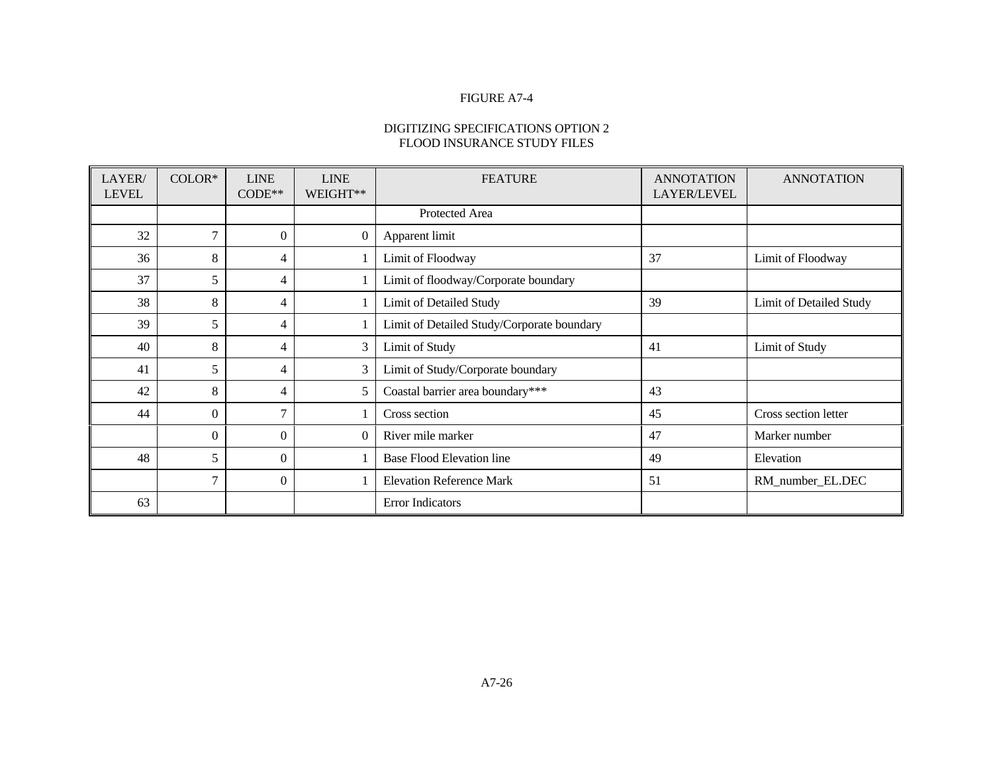| LAYER/<br><b>LEVEL</b> | COLOR*   | <b>LINE</b><br>CODE** | <b>LINE</b><br>WEIGHT** | <b>FEATURE</b>                             | <b>ANNOTATION</b><br>LAYER/LEVEL | <b>ANNOTATION</b>       |
|------------------------|----------|-----------------------|-------------------------|--------------------------------------------|----------------------------------|-------------------------|
|                        |          |                       |                         | Protected Area                             |                                  |                         |
| 32                     | $\tau$   | $\theta$              | $\theta$                | Apparent limit                             |                                  |                         |
| 36                     | 8        | 4                     |                         | Limit of Floodway                          | 37                               | Limit of Floodway       |
| 37                     | 5        | 4                     |                         | Limit of floodway/Corporate boundary       |                                  |                         |
| 38                     | 8        | 4                     |                         | Limit of Detailed Study                    | 39                               | Limit of Detailed Study |
| 39                     | 5        | 4                     |                         | Limit of Detailed Study/Corporate boundary |                                  |                         |
| 40                     | 8        | 4                     | 3                       | Limit of Study                             | 41                               | Limit of Study          |
| 41                     | 5        | 4                     | 3                       | Limit of Study/Corporate boundary          |                                  |                         |
| 42                     | 8        | 4                     | 5                       | Coastal barrier area boundary***           | 43                               |                         |
| 44                     | $\Omega$ | $\mathbf{r}$          |                         | Cross section                              | 45                               | Cross section letter    |
|                        | $\Omega$ | $\Omega$              | $\Omega$                | River mile marker                          | 47                               | Marker number           |
| 48                     | 5        | $\Omega$              |                         | Base Flood Elevation line                  | 49                               | Elevation               |
|                        | $\tau$   | $\Omega$              |                         | <b>Elevation Reference Mark</b>            | 51                               | RM_number_EL.DEC        |
| 63                     |          |                       |                         | Error Indicators                           |                                  |                         |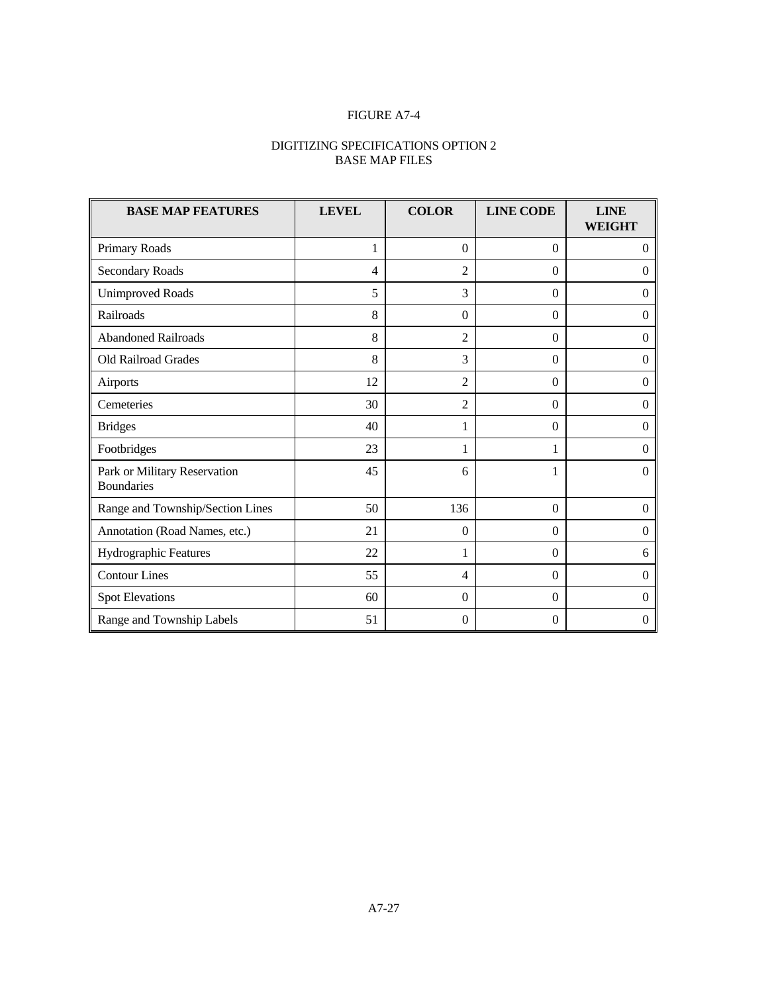# DIGITIZING SPECIFICATIONS OPTION 2 BASE MAP FILES

| <b>BASE MAP FEATURES</b>                          | <b>LEVEL</b> | <b>COLOR</b>   | <b>LINE CODE</b> | <b>LINE</b><br><b>WEIGHT</b> |
|---------------------------------------------------|--------------|----------------|------------------|------------------------------|
| Primary Roads                                     | 1            | $\theta$       | $\Omega$         | $\Omega$                     |
| Secondary Roads                                   | 4            | $\overline{2}$ | $\theta$         | $\Omega$                     |
| <b>Unimproved Roads</b>                           | 5            | 3              | $\theta$         | $\Omega$                     |
| Railroads                                         | 8            | $\theta$       | $\theta$         | $\Omega$                     |
| <b>Abandoned Railroads</b>                        | 8            | $\overline{2}$ | $\overline{0}$   | $\theta$                     |
| <b>Old Railroad Grades</b>                        | 8            | 3              | $\overline{0}$   | $\mathbf{0}$                 |
| Airports                                          | 12           | $\overline{2}$ | $\boldsymbol{0}$ | $\mathbf{0}$                 |
| Cemeteries                                        | 30           | $\overline{2}$ | $\theta$         | $\mathbf{0}$                 |
| <b>Bridges</b>                                    | 40           | 1              | $\theta$         | $\Omega$                     |
| Footbridges                                       | 23           | 1              |                  | $\Omega$                     |
| Park or Military Reservation<br><b>Boundaries</b> | 45           | 6              | 1                | $\Omega$                     |
| Range and Township/Section Lines                  | 50           | 136            | $\Omega$         | $\Omega$                     |
| Annotation (Road Names, etc.)                     | 21           | $\theta$       | $\Omega$         | $\Omega$                     |
| Hydrographic Features                             | 22           | 1              | $\theta$         | 6                            |
| <b>Contour Lines</b>                              | 55           | 4              | $\Omega$         | $\Omega$                     |
| <b>Spot Elevations</b>                            | 60           | $\theta$       | $\Omega$         | $\Omega$                     |
| Range and Township Labels                         | 51           | $\theta$       | $\theta$         | $\Omega$                     |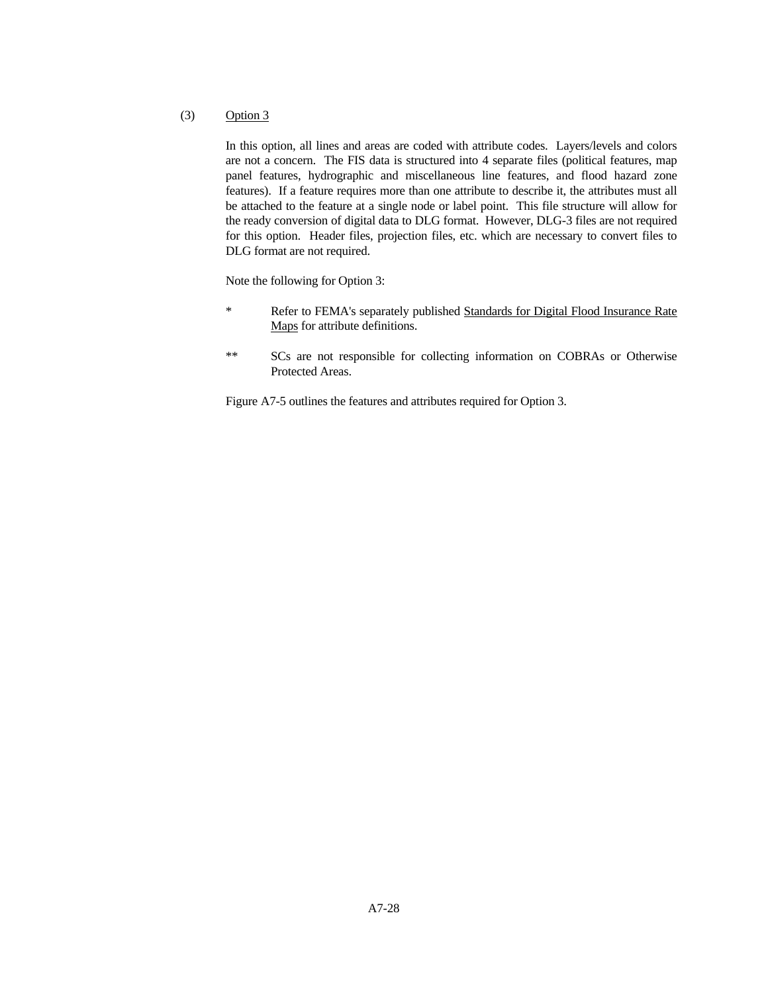### (3) Option 3

 In this option, all lines and areas are coded with attribute codes. Layers/levels and colors are not a concern. The FIS data is structured into 4 separate files (political features, map panel features, hydrographic and miscellaneous line features, and flood hazard zone features). If a feature requires more than one attribute to describe it, the attributes must all be attached to the feature at a single node or label point. This file structure will allow for the ready conversion of digital data to DLG format. However, DLG-3 files are not required for this option. Header files, projection files, etc. which are necessary to convert files to DLG format are not required.

Note the following for Option 3:

- \* Refer to FEMA's separately published Standards for Digital Flood Insurance Rate Maps for attribute definitions.
- \*\* SCs are not responsible for collecting information on COBRAs or Otherwise Protected Areas.

Figure A7-5 outlines the features and attributes required for Option 3.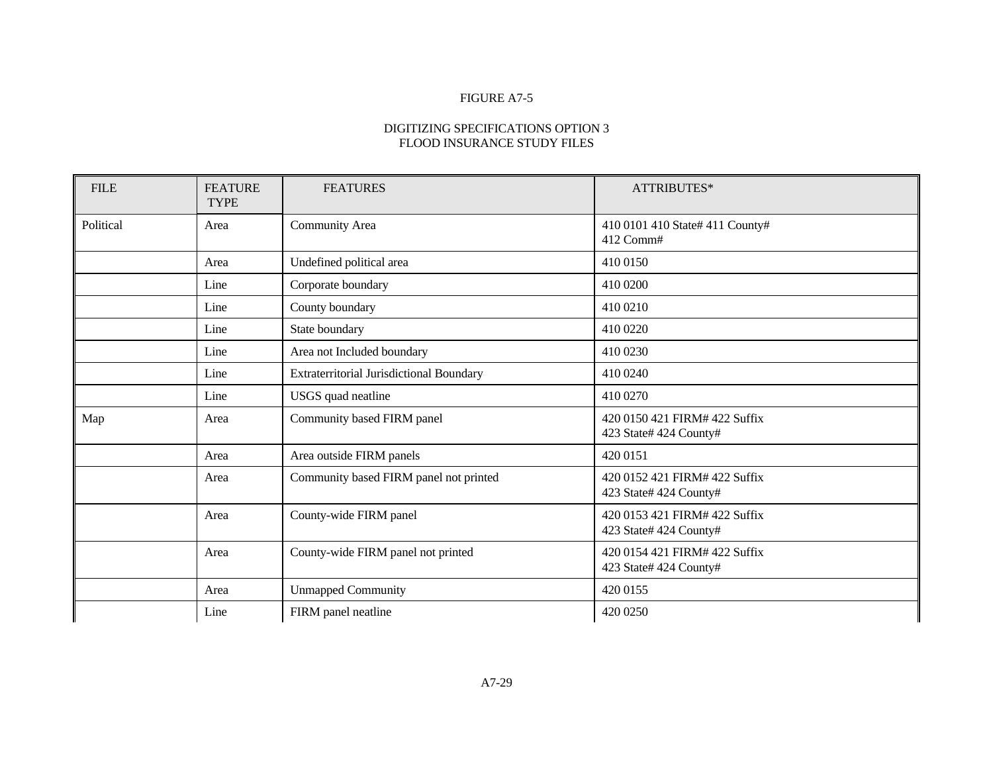| <b>FILE</b> | <b>FEATURE</b><br><b>TYPE</b> | <b>FEATURES</b>                                 | ATTRIBUTES*                                             |
|-------------|-------------------------------|-------------------------------------------------|---------------------------------------------------------|
| Political   | Area                          | Community Area                                  | 410 0101 410 State# 411 County#<br>412 Comm#            |
|             | Area                          | Undefined political area                        | 410 0150                                                |
|             | Line                          | Corporate boundary                              | 410 0200                                                |
|             | Line                          | County boundary                                 | 410 0210                                                |
|             | Line                          | State boundary                                  | 410 0220                                                |
|             | Line                          | Area not Included boundary                      | 410 0230                                                |
|             | Line                          | <b>Extraterritorial Jurisdictional Boundary</b> | 410 0240                                                |
|             | Line                          | USGS quad neatline                              | 410 0270                                                |
| Map         | Area                          | Community based FIRM panel                      | 420 0150 421 FIRM# 422 Suffix<br>423 State# 424 County# |
|             | Area                          | Area outside FIRM panels                        | 420 0151                                                |
|             | Area                          | Community based FIRM panel not printed          | 420 0152 421 FIRM# 422 Suffix<br>423 State# 424 County# |
|             | Area                          | County-wide FIRM panel                          | 420 0153 421 FIRM# 422 Suffix<br>423 State# 424 County# |
|             | Area                          | County-wide FIRM panel not printed              | 420 0154 421 FIRM# 422 Suffix<br>423 State# 424 County# |
|             | Area                          | <b>Unmapped Community</b>                       | 420 0155                                                |
|             | Line                          | FIRM panel neatline                             | 420 0250                                                |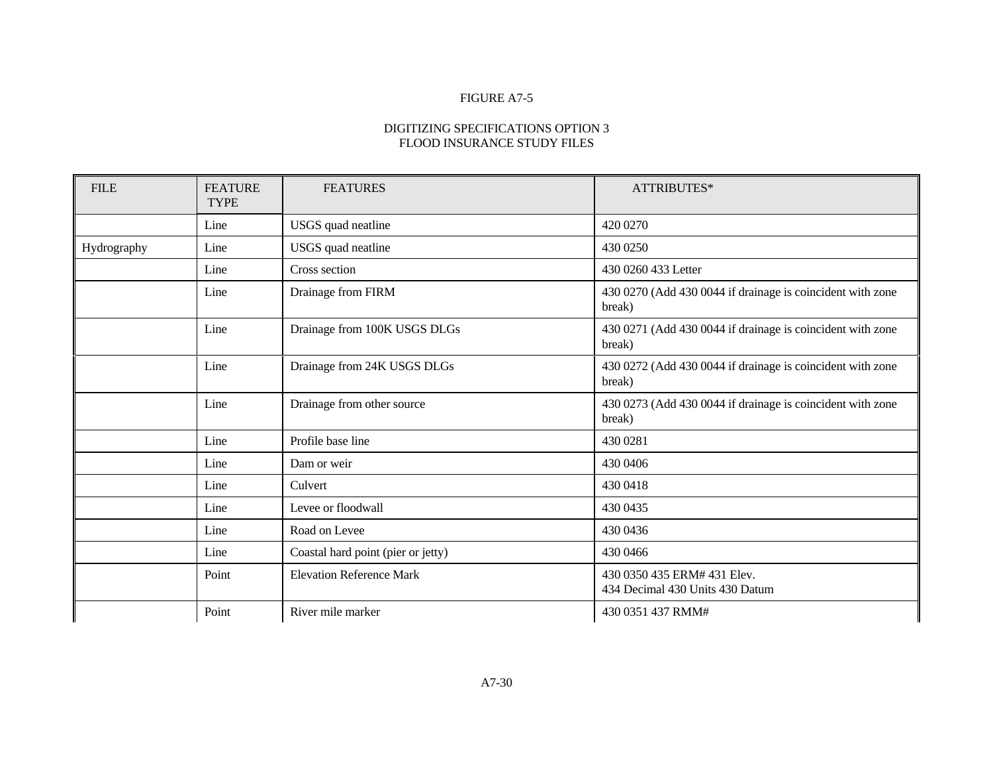| <b>FILE</b> | <b>FEATURE</b><br><b>TYPE</b> | <b>FEATURES</b>                    | ATTRIBUTES*                                                          |
|-------------|-------------------------------|------------------------------------|----------------------------------------------------------------------|
|             | Line                          | USGS quad neatline                 | 420 0270                                                             |
| Hydrography | Line                          | USGS quad neatline                 | 430 0250                                                             |
|             | Line                          | Cross section                      | 430 0260 433 Letter                                                  |
|             | Line                          | Drainage from FIRM                 | 430 0270 (Add 430 0044 if drainage is coincident with zone<br>break) |
|             | Line                          | Drainage from 100K USGS DLGs       | 430 0271 (Add 430 0044 if drainage is coincident with zone<br>break) |
|             | Line                          | Drainage from 24K USGS DLGs        | 430 0272 (Add 430 0044 if drainage is coincident with zone<br>break) |
|             | Line                          | Drainage from other source         | 430 0273 (Add 430 0044 if drainage is coincident with zone<br>break) |
|             | Line                          | Profile base line                  | 430 0281                                                             |
|             | Line                          | Dam or weir                        | 430 0406                                                             |
|             | Line                          | Culvert                            | 430 0418                                                             |
|             | Line                          | Levee or floodwall                 | 430 0435                                                             |
|             | Line                          | Road on Levee                      | 430 0436                                                             |
|             | Line                          | Coastal hard point (pier or jetty) | 430 0466                                                             |
|             | Point                         | <b>Elevation Reference Mark</b>    | 430 0350 435 ERM# 431 Elev.<br>434 Decimal 430 Units 430 Datum       |
|             | Point                         | River mile marker                  | 430 0351 437 RMM#                                                    |
|             |                               |                                    |                                                                      |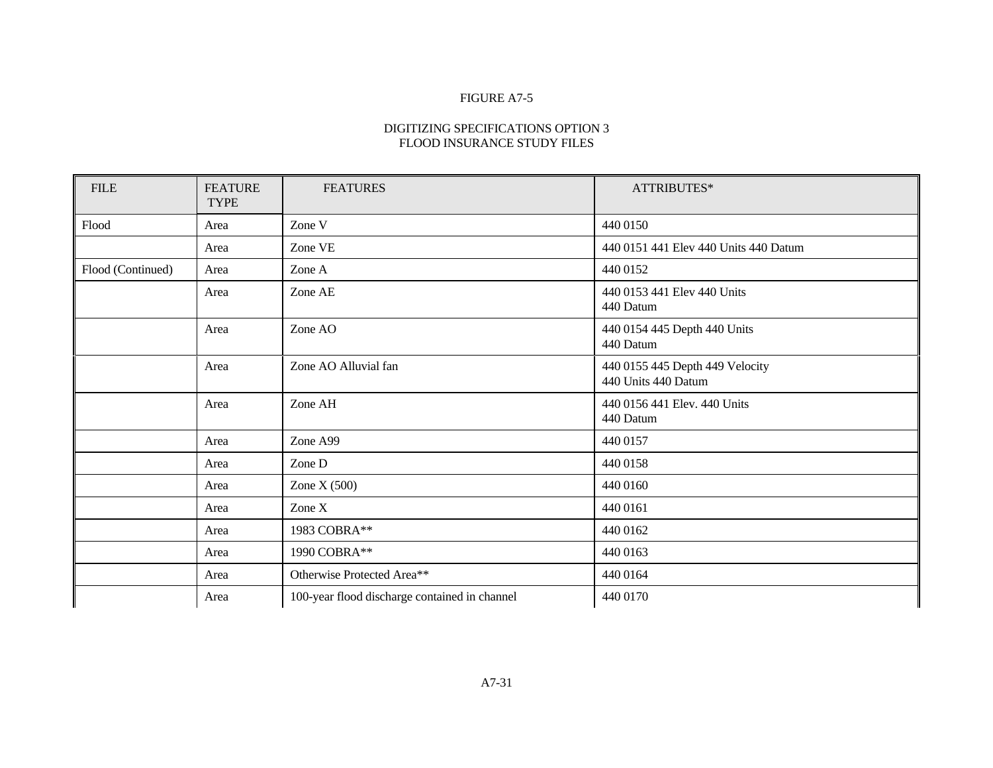| ${\sf FILE}$      | <b>FEATURE</b> | <b>FEATURES</b>                               | ATTRIBUTES*                           |
|-------------------|----------------|-----------------------------------------------|---------------------------------------|
|                   | <b>TYPE</b>    |                                               |                                       |
| Flood             | Area           | Zone V                                        | 440 0150                              |
|                   | Area           | Zone VE                                       | 440 0151 441 Elev 440 Units 440 Datum |
| Flood (Continued) | Area           | Zone A                                        | 440 0152                              |
|                   | Area           | Zone AE                                       | 440 0153 441 Elev 440 Units           |
|                   |                |                                               | 440 Datum                             |
|                   | Area           | Zone AO                                       | 440 0154 445 Depth 440 Units          |
|                   |                |                                               | 440 Datum                             |
|                   | Area           | Zone AO Alluvial fan                          | 440 0155 445 Depth 449 Velocity       |
|                   |                |                                               | 440 Units 440 Datum                   |
|                   | Area           | Zone AH                                       | 440 0156 441 Elev. 440 Units          |
|                   |                |                                               | 440 Datum                             |
|                   | Area           | Zone A99                                      | 440 0157                              |
|                   | Area           | Zone D                                        | 440 0158                              |
|                   | Area           | Zone $X(500)$                                 | 440 0160                              |
|                   | Area           | Zone X                                        | 440 0161                              |
|                   | Area           | 1983 COBRA**                                  | 440 0162                              |
|                   | Area           | 1990 COBRA**                                  | 440 0163                              |
|                   | Area           | Otherwise Protected Area**                    | 440 0164                              |
|                   | Area           | 100-year flood discharge contained in channel | 440 0170                              |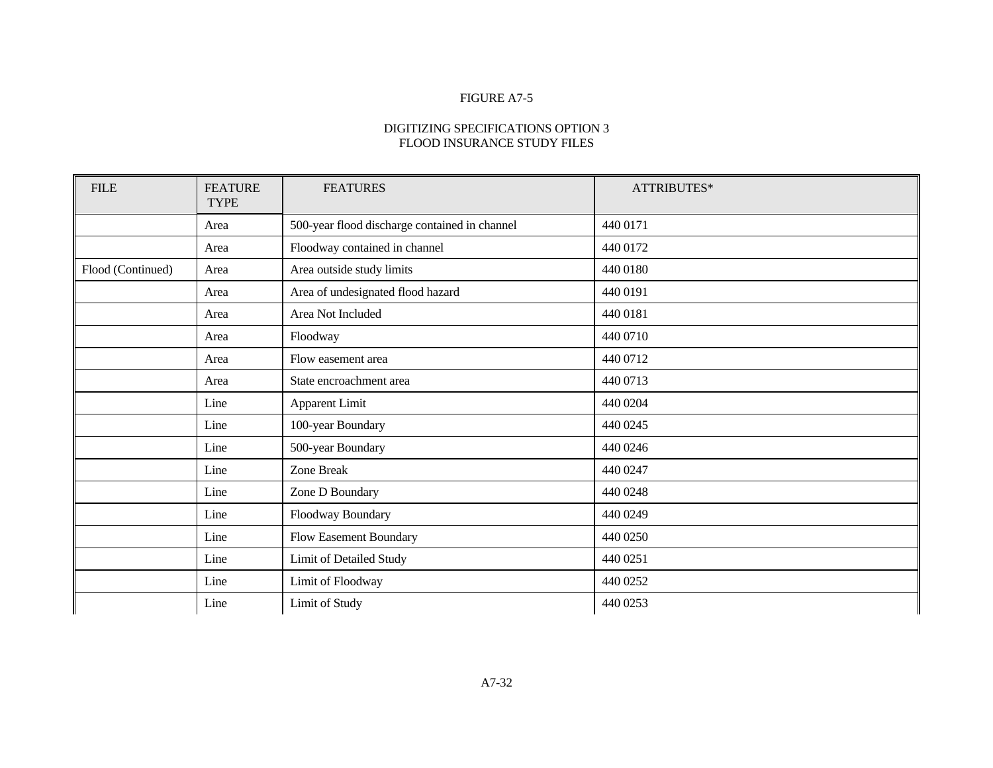| <b>FILE</b>       | <b>FEATURE</b><br><b>TYPE</b> | <b>FEATURES</b>                               | ATTRIBUTES* |
|-------------------|-------------------------------|-----------------------------------------------|-------------|
|                   | Area                          | 500-year flood discharge contained in channel | 440 0171    |
|                   | Area                          | Floodway contained in channel                 | 440 0172    |
| Flood (Continued) | Area                          | Area outside study limits                     | 440 0180    |
|                   | Area                          | Area of undesignated flood hazard             | 440 0191    |
|                   | Area                          | Area Not Included                             | 440 0181    |
|                   | Area                          | Floodway                                      | 440 0710    |
|                   | Area                          | Flow easement area                            | 440 0712    |
|                   | Area                          | State encroachment area                       | 440 0713    |
|                   | Line                          | Apparent Limit                                | 440 0204    |
|                   | Line                          | 100-year Boundary                             | 440 0245    |
|                   | Line                          | 500-year Boundary                             | 440 0246    |
|                   | Line                          | Zone Break                                    | 440 0247    |
|                   | Line                          | Zone D Boundary                               | 440 0248    |
|                   | Line                          | Floodway Boundary                             | 440 0249    |
|                   | Line                          | Flow Easement Boundary                        | 440 0250    |
|                   | Line                          | Limit of Detailed Study                       | 440 0251    |
|                   | Line                          | Limit of Floodway                             | 440 0252    |
|                   | Line                          | Limit of Study                                | 440 0253    |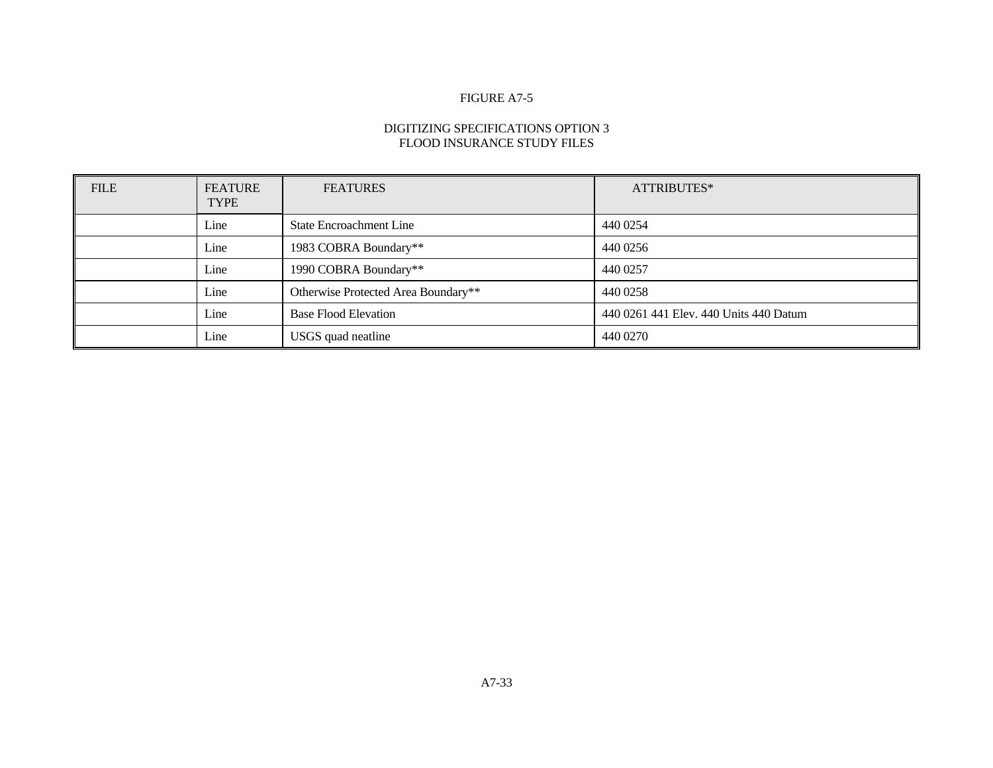| <b>FILE</b> | <b>FEATURE</b><br><b>TYPE</b> | <b>FEATURES</b>                     | ATTRIBUTES*                            |
|-------------|-------------------------------|-------------------------------------|----------------------------------------|
|             | Line                          | <b>State Encroachment Line</b>      | 440 0254                               |
|             | Line                          | 1983 COBRA Boundary**               | 440 0256                               |
|             | Line                          | 1990 COBRA Boundary**               | 440 0257                               |
|             | Line                          | Otherwise Protected Area Boundary** | 440 0258                               |
|             | Line                          | <b>Base Flood Elevation</b>         | 440 0261 441 Elev. 440 Units 440 Datum |
|             | Line                          | USGS quad neatline                  | 440 0270                               |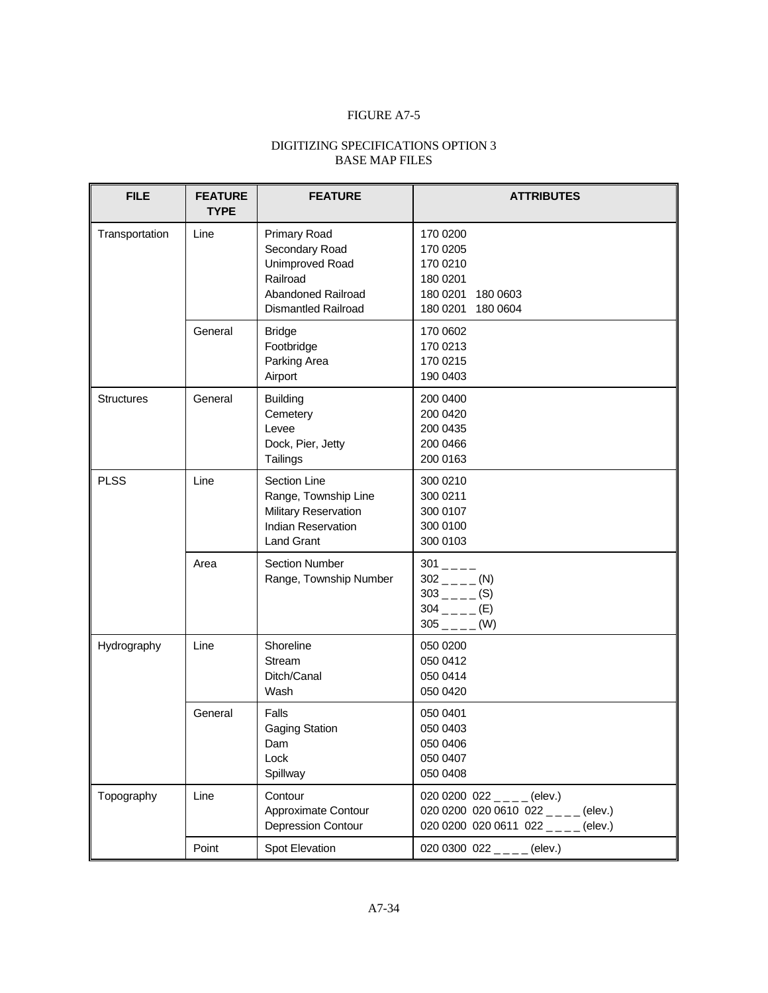# DIGITIZING SPECIFICATIONS OPTION 3 BASE MAP FILES

| <b>FILE</b>       | <b>FEATURE</b><br><b>TYPE</b> | <b>FEATURE</b>                                                                                                    | <b>ATTRIBUTES</b>                                                                                                 |
|-------------------|-------------------------------|-------------------------------------------------------------------------------------------------------------------|-------------------------------------------------------------------------------------------------------------------|
| Transportation    | Line                          | Primary Road<br>Secondary Road<br>Unimproved Road<br>Railroad<br>Abandoned Railroad<br><b>Dismantled Railroad</b> | 170 0200<br>170 0205<br>170 0210<br>180 0201<br>180 0201 180 0603<br>180 0201 180 0604                            |
|                   | General                       | <b>Bridge</b><br>Footbridge<br>Parking Area<br>Airport                                                            | 170 0602<br>170 0213<br>170 0215<br>190 0403                                                                      |
| <b>Structures</b> | General                       | <b>Building</b><br>Cemetery<br>Levee<br>Dock, Pier, Jetty<br>Tailings                                             | 200 0400<br>200 0420<br>200 0435<br>200 0466<br>200 0163                                                          |
| <b>PLSS</b>       | Line                          | Section Line<br>Range, Township Line<br>Military Reservation<br>Indian Reservation<br><b>Land Grant</b>           | 300 0210<br>300 0211<br>300 0107<br>300 0100<br>300 0103                                                          |
|                   | Area                          | <b>Section Number</b><br>Range, Township Number                                                                   | $301$ <sub>---</sub><br>$302$ _ _ _ _ (N)<br>$303$ <sub>---</sub> $(S)$<br>$304$ _ _ _ _ (E)<br>$305$ _ _ _ _ (W) |
| Hydrography       | Line                          | Shoreline<br>Stream<br>Ditch/Canal<br>Wash                                                                        | 050 0200<br>050 0412<br>050 0414<br>050 0420                                                                      |
|                   | General                       | Falls<br><b>Gaging Station</b><br>Dam<br>Lock<br>Spillway                                                         | 050 0401<br>050 0403<br>050 0406<br>050 0407<br>050 0408                                                          |
| Topography        | Line                          | Contour<br>Approximate Contour<br>Depression Contour                                                              | 020 0200 022 _ _ _ (elev.)<br>020 0200 020 0610 022 ___ (elev.)<br>020 0200 020 0611 022 _ _ _ _ (elev.)          |
|                   | Point                         | Spot Elevation                                                                                                    | 020 0300 022 ____ (elev.)                                                                                         |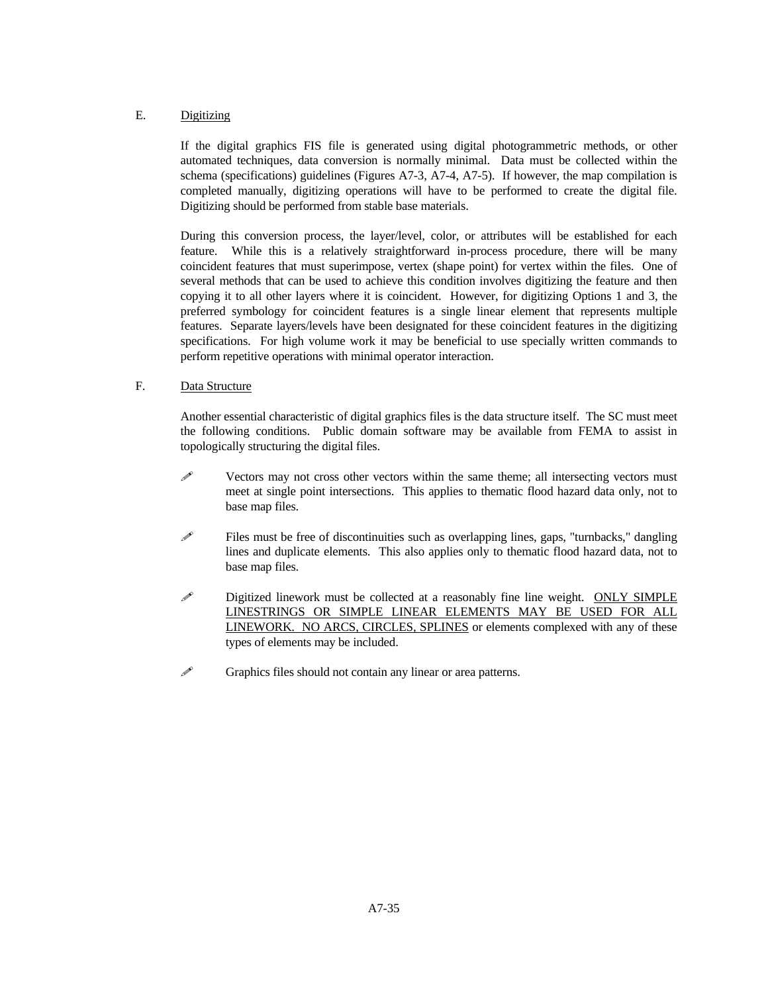## E. Digitizing

 If the digital graphics FIS file is generated using digital photogrammetric methods, or other automated techniques, data conversion is normally minimal. Data must be collected within the schema (specifications) guidelines (Figures A7-3, A7-4, A7-5). If however, the map compilation is completed manually, digitizing operations will have to be performed to create the digital file. Digitizing should be performed from stable base materials.

 During this conversion process, the layer/level, color, or attributes will be established for each feature. While this is a relatively straightforward in-process procedure, there will be many coincident features that must superimpose, vertex (shape point) for vertex within the files. One of several methods that can be used to achieve this condition involves digitizing the feature and then copying it to all other layers where it is coincident. However, for digitizing Options 1 and 3, the preferred symbology for coincident features is a single linear element that represents multiple features. Separate layers/levels have been designated for these coincident features in the digitizing specifications. For high volume work it may be beneficial to use specially written commands to perform repetitive operations with minimal operator interaction.

## F. Data Structure

 Another essential characteristic of digital graphics files is the data structure itself. The SC must meet the following conditions. Public domain software may be available from FEMA to assist in topologically structuring the digital files.

- Vectors may not cross other vectors within the same theme; all intersecting vectors must meet at single point intersections. This applies to thematic flood hazard data only, not to base map files.
- $\mathscr S$  Files must be free of discontinuities such as overlapping lines, gaps, "turnbacks," dangling lines and duplicate elements. This also applies only to thematic flood hazard data, not to base map files.
- Digitized linework must be collected at a reasonably fine line weight. ONLY SIMPLE LINESTRINGS OR SIMPLE LINEAR ELEMENTS MAY BE USED FOR ALL LINEWORK. NO ARCS, CIRCLES, SPLINES or elements complexed with any of these types of elements may be included.
- Graphics files should not contain any linear or area patterns.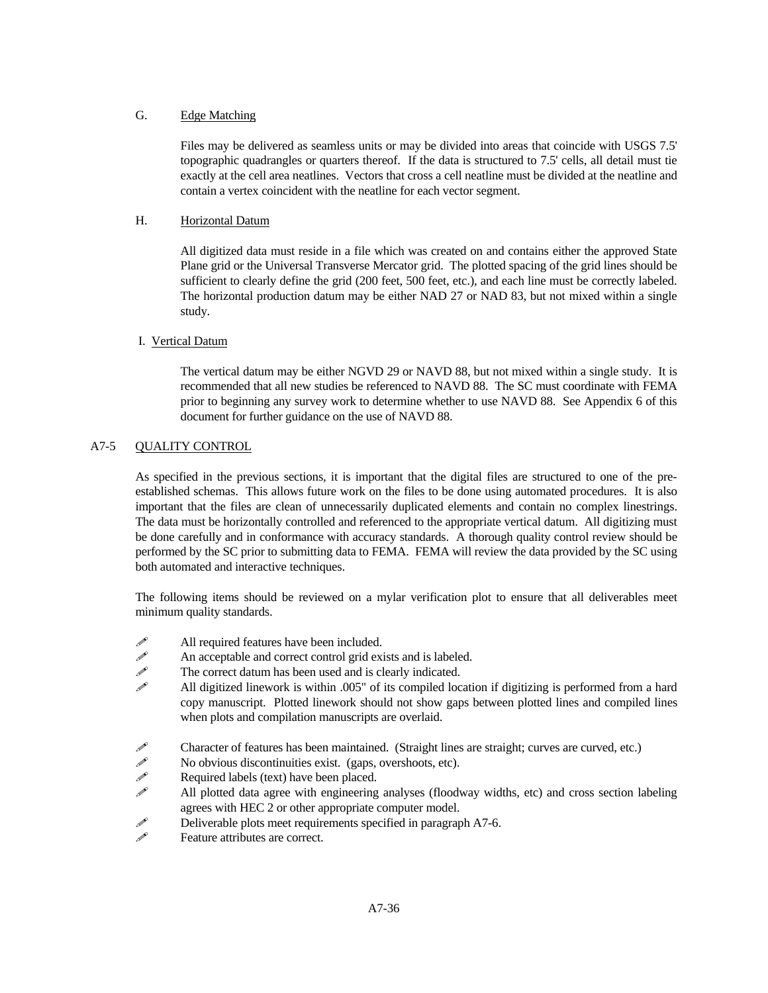## G. Edge Matching

 Files may be delivered as seamless units or may be divided into areas that coincide with USGS 7.5' topographic quadrangles or quarters thereof. If the data is structured to 7.5' cells, all detail must tie exactly at the cell area neatlines. Vectors that cross a cell neatline must be divided at the neatline and contain a vertex coincident with the neatline for each vector segment.

# H. Horizontal Datum

 All digitized data must reside in a file which was created on and contains either the approved State Plane grid or the Universal Transverse Mercator grid. The plotted spacing of the grid lines should be sufficient to clearly define the grid (200 feet, 500 feet, etc.), and each line must be correctly labeled. The horizontal production datum may be either NAD 27 or NAD 83, but not mixed within a single study.

## I. Vertical Datum

 The vertical datum may be either NGVD 29 or NAVD 88, but not mixed within a single study. It is recommended that all new studies be referenced to NAVD 88. The SC must coordinate with FEMA prior to beginning any survey work to determine whether to use NAVD 88. See Appendix 6 of this document for further guidance on the use of NAVD 88.

## A7-5 QUALITY CONTROL

 As specified in the previous sections, it is important that the digital files are structured to one of the preestablished schemas. This allows future work on the files to be done using automated procedures. It is also important that the files are clean of unnecessarily duplicated elements and contain no complex linestrings. The data must be horizontally controlled and referenced to the appropriate vertical datum. All digitizing must be done carefully and in conformance with accuracy standards. A thorough quality control review should be performed by the SC prior to submitting data to FEMA. FEMA will review the data provided by the SC using both automated and interactive techniques.

 The following items should be reviewed on a mylar verification plot to ensure that all deliverables meet minimum quality standards.

- All required features have been included.
- An acceptable and correct control grid exists and is labeled.
- $\mathscr{P}$  The correct datum has been used and is clearly indicated.
- All digitized linework is within .005" of its compiled location if digitizing is performed from a hard copy manuscript. Plotted linework should not show gaps between plotted lines and compiled lines when plots and compilation manuscripts are overlaid.
- Character of features has been maintained. (Straight lines are straight; curves are curved, etc.)
- No obvious discontinuities exist. (gaps, overshoots, etc).
- Required labels (text) have been placed.
- All plotted data agree with engineering analyses (floodway widths, etc) and cross section labeling agrees with HEC 2 or other appropriate computer model.
- Deliverable plots meet requirements specified in paragraph A7-6.
- Feature attributes are correct.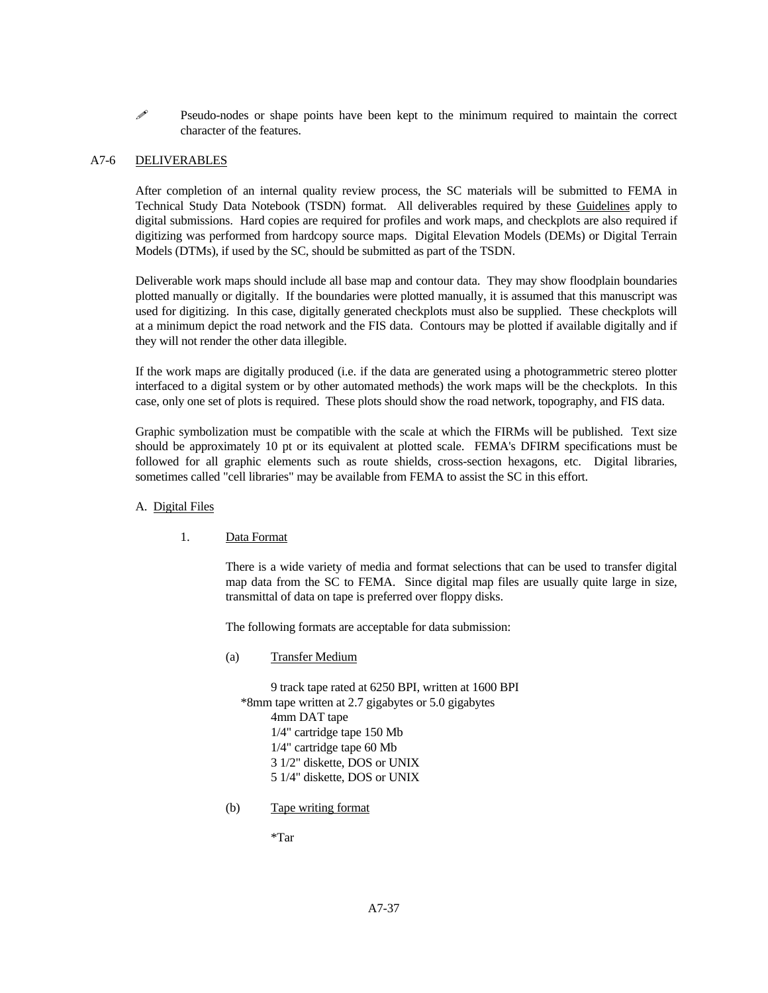Pseudo-nodes or shape points have been kept to the minimum required to maintain the correct character of the features.

### A7-6 DELIVERABLES

 After completion of an internal quality review process, the SC materials will be submitted to FEMA in Technical Study Data Notebook (TSDN) format. All deliverables required by these Guidelines apply to digital submissions. Hard copies are required for profiles and work maps, and checkplots are also required if digitizing was performed from hardcopy source maps. Digital Elevation Models (DEMs) or Digital Terrain Models (DTMs), if used by the SC, should be submitted as part of the TSDN.

 Deliverable work maps should include all base map and contour data. They may show floodplain boundaries plotted manually or digitally. If the boundaries were plotted manually, it is assumed that this manuscript was used for digitizing. In this case, digitally generated checkplots must also be supplied. These checkplots will at a minimum depict the road network and the FIS data. Contours may be plotted if available digitally and if they will not render the other data illegible.

 If the work maps are digitally produced (i.e. if the data are generated using a photogrammetric stereo plotter interfaced to a digital system or by other automated methods) the work maps will be the checkplots. In this case, only one set of plots is required. These plots should show the road network, topography, and FIS data.

 Graphic symbolization must be compatible with the scale at which the FIRMs will be published. Text size should be approximately 10 pt or its equivalent at plotted scale. FEMA's DFIRM specifications must be followed for all graphic elements such as route shields, cross-section hexagons, etc. Digital libraries, sometimes called "cell libraries" may be available from FEMA to assist the SC in this effort.

### A. Digital Files

#### 1. Data Format

 There is a wide variety of media and format selections that can be used to transfer digital map data from the SC to FEMA. Since digital map files are usually quite large in size, transmittal of data on tape is preferred over floppy disks.

The following formats are acceptable for data submission:

(a) Transfer Medium

 9 track tape rated at 6250 BPI, written at 1600 BPI \*8mm tape written at 2.7 gigabytes or 5.0 gigabytes 4mm DAT tape 1/4" cartridge tape 150 Mb 1/4" cartridge tape 60 Mb 3 1/2" diskette, DOS or UNIX 5 1/4" diskette, DOS or UNIX

(b) Tape writing format

\*Tar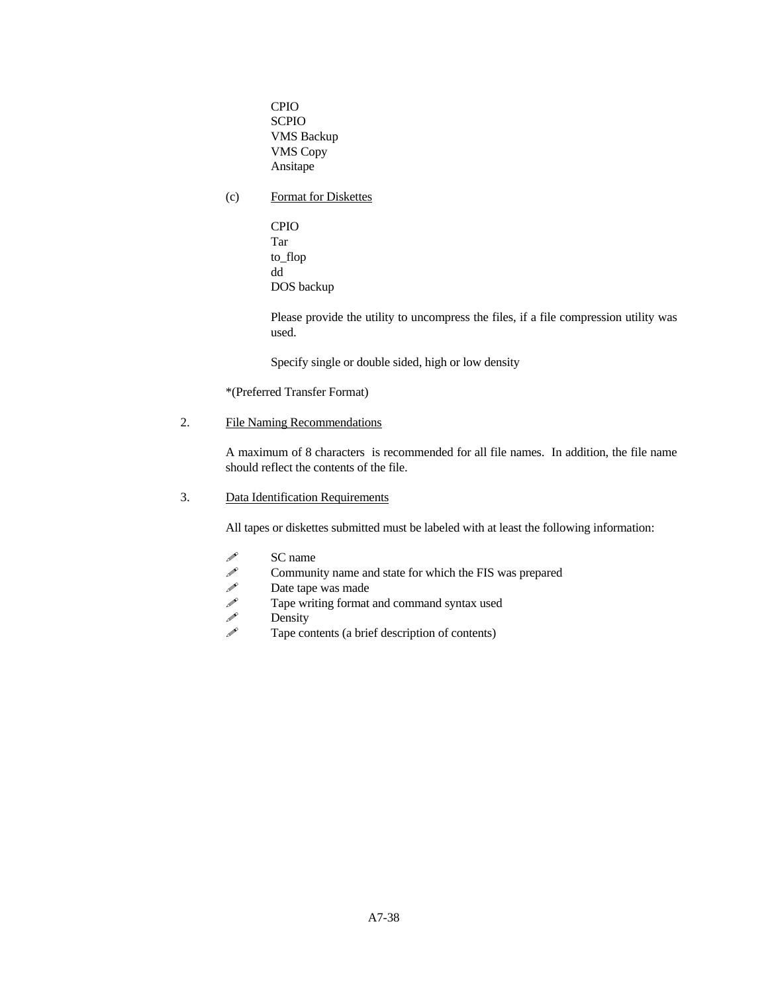CPIO SCPIO VMS Backup VMS Copy Ansitape

- (c) Format for Diskettes
- CPIO **Tar**  to\_flop dd DOS backup

 Please provide the utility to uncompress the files, if a file compression utility was used.

Specify single or double sided, high or low density

\*(Preferred Transfer Format)

## 2. File Naming Recommendations

 A maximum of 8 characters is recommended for all file names. In addition, the file name should reflect the contents of the file.

## 3. Data Identification Requirements

All tapes or diskettes submitted must be labeled with at least the following information:

- SC name<br>
SC name<br>
Communi
- $\mathscr{P}$  Community name and state for which the FIS was prepared<br>Date tape was made
- $\mathscr{P}$  Date tape was made<br>Tape writing format
- Tape writing format and command syntax used
- $\mathscr{P}$  Density
- $\mathscr{P}$  Tape contents (a brief description of contents)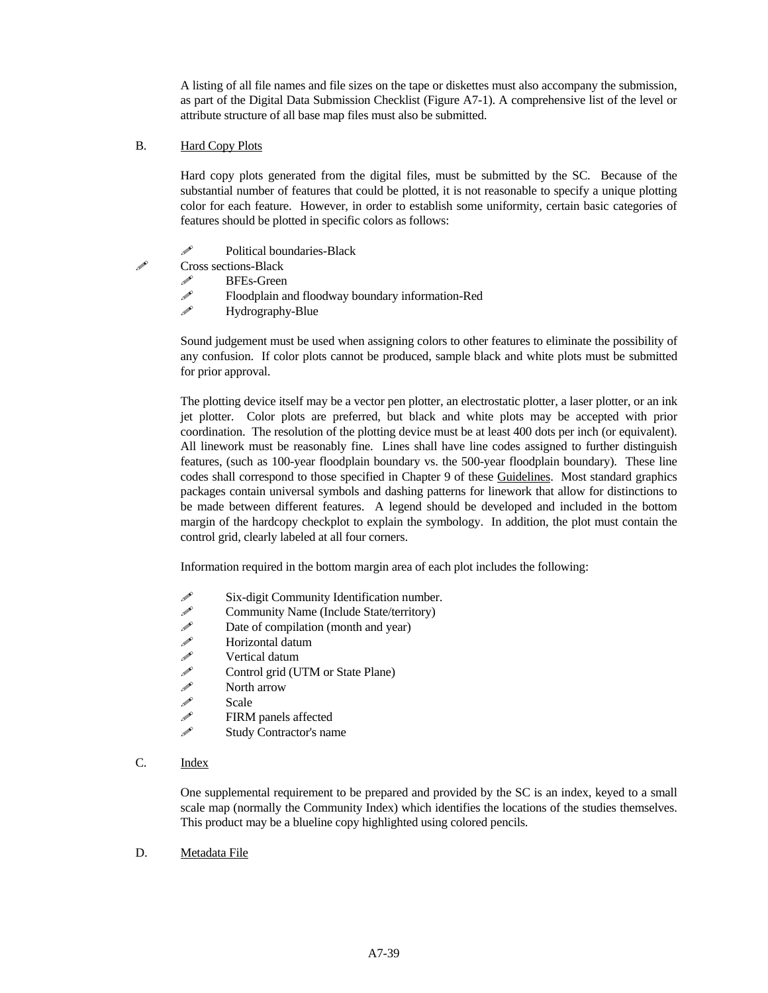A listing of all file names and file sizes on the tape or diskettes must also accompany the submission, as part of the Digital Data Submission Checklist (Figure A7-1). A comprehensive list of the level or attribute structure of all base map files must also be submitted.

### B. Hard Copy Plots

 Hard copy plots generated from the digital files, must be submitted by the SC. Because of the substantial number of features that could be plotted, it is not reasonable to specify a unique plotting color for each feature. However, in order to establish some uniformity, certain basic categories of features should be plotted in specific colors as follows:

- $\mathscr{P}$  Political boundaries-Black
- Cross sections-Black
	- **BFEs-Green**
	- Floodplain and floodway boundary information-Red<br>Floodway boundary information-Red
	- Hydrography-Blue

 Sound judgement must be used when assigning colors to other features to eliminate the possibility of any confusion. If color plots cannot be produced, sample black and white plots must be submitted for prior approval.

 The plotting device itself may be a vector pen plotter, an electrostatic plotter, a laser plotter, or an ink jet plotter. Color plots are preferred, but black and white plots may be accepted with prior coordination. The resolution of the plotting device must be at least 400 dots per inch (or equivalent). All linework must be reasonably fine. Lines shall have line codes assigned to further distinguish features, (such as 100-year floodplain boundary vs. the 500-year floodplain boundary). These line codes shall correspond to those specified in Chapter 9 of these Guidelines. Most standard graphics packages contain universal symbols and dashing patterns for linework that allow for distinctions to be made between different features. A legend should be developed and included in the bottom margin of the hardcopy checkplot to explain the symbology. In addition, the plot must contain the control grid, clearly labeled at all four corners.

Information required in the bottom margin area of each plot includes the following:

- Six-digit Community Identification number.
- $\mathscr{P}$  Community Name (Include State/territory)
- $\mathscr{P}$  Date of compilation (month and year)<br>Morizontal datum
- A<br>Music Horizontal datum<br>Vertical datum
- 
- $\mathscr{P}$  Vertical datum<br>Control grid (U  $\mathscr{P}$  Control grid (UTM or State Plane)<br> $\mathscr{P}$  North arrow
- North arrow
- $\mathscr{S}$  Scale
- *S* FIRM panels affected
- $\mathscr{P}$  Study Contractor's name
- C. Index

 One supplemental requirement to be prepared and provided by the SC is an index, keyed to a small scale map (normally the Community Index) which identifies the locations of the studies themselves. This product may be a blueline copy highlighted using colored pencils.

D. Metadata File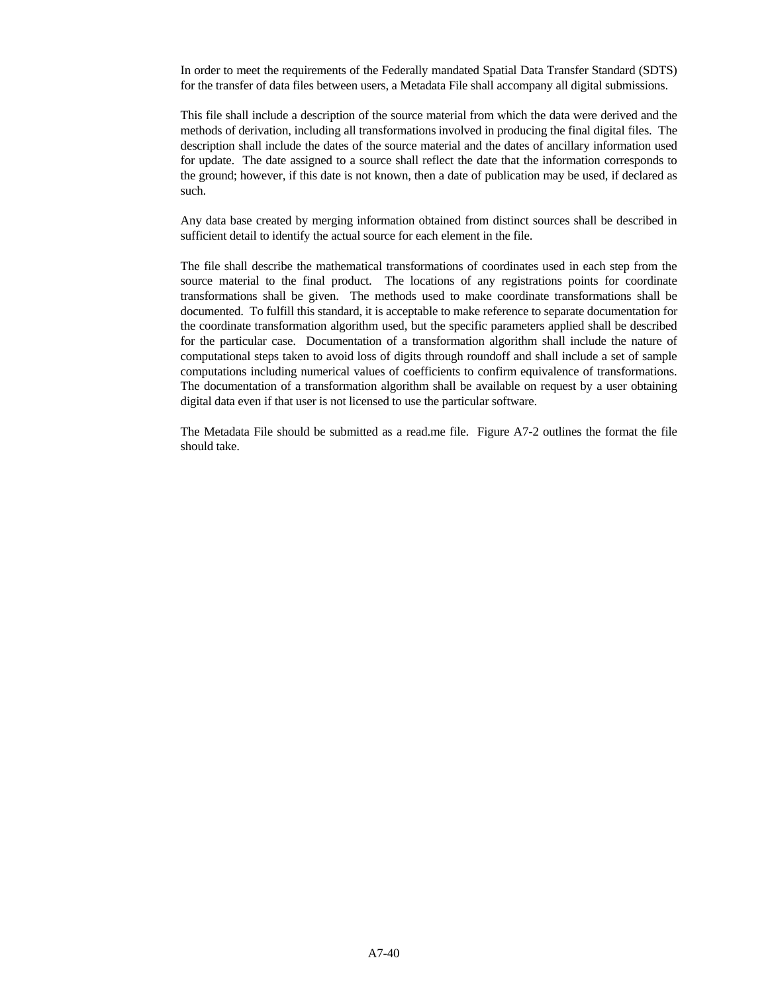In order to meet the requirements of the Federally mandated Spatial Data Transfer Standard (SDTS) for the transfer of data files between users, a Metadata File shall accompany all digital submissions.

 This file shall include a description of the source material from which the data were derived and the methods of derivation, including all transformations involved in producing the final digital files. The description shall include the dates of the source material and the dates of ancillary information used for update. The date assigned to a source shall reflect the date that the information corresponds to the ground; however, if this date is not known, then a date of publication may be used, if declared as such.

 Any data base created by merging information obtained from distinct sources shall be described in sufficient detail to identify the actual source for each element in the file.

 The file shall describe the mathematical transformations of coordinates used in each step from the source material to the final product. The locations of any registrations points for coordinate transformations shall be given. The methods used to make coordinate transformations shall be documented. To fulfill this standard, it is acceptable to make reference to separate documentation for the coordinate transformation algorithm used, but the specific parameters applied shall be described for the particular case. Documentation of a transformation algorithm shall include the nature of computational steps taken to avoid loss of digits through roundoff and shall include a set of sample computations including numerical values of coefficients to confirm equivalence of transformations. The documentation of a transformation algorithm shall be available on request by a user obtaining digital data even if that user is not licensed to use the particular software.

 The Metadata File should be submitted as a read.me file. Figure A7-2 outlines the format the file should take.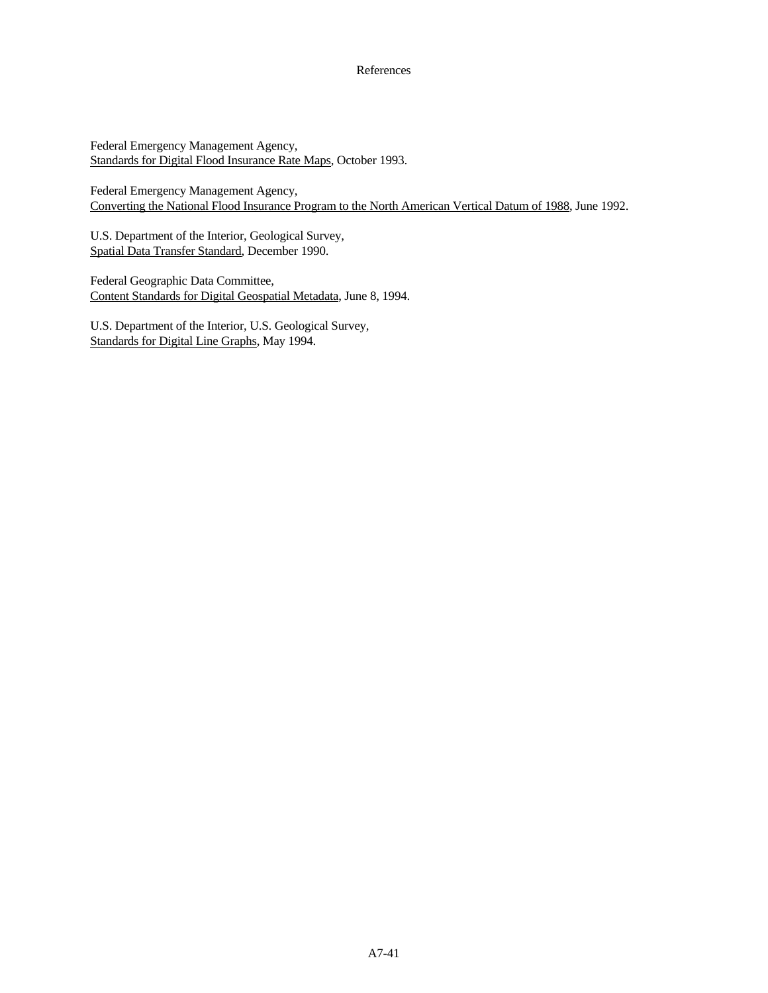### References

Federal Emergency Management Agency, Standards for Digital Flood Insurance Rate Maps, October 1993.

Federal Emergency Management Agency, Converting the National Flood Insurance Program to the North American Vertical Datum of 1988, June 1992.

U.S. Department of the Interior, Geological Survey, Spatial Data Transfer Standard, December 1990.

Federal Geographic Data Committee, Content Standards for Digital Geospatial Metadata, June 8, 1994.

U.S. Department of the Interior, U.S. Geological Survey, Standards for Digital Line Graphs, May 1994.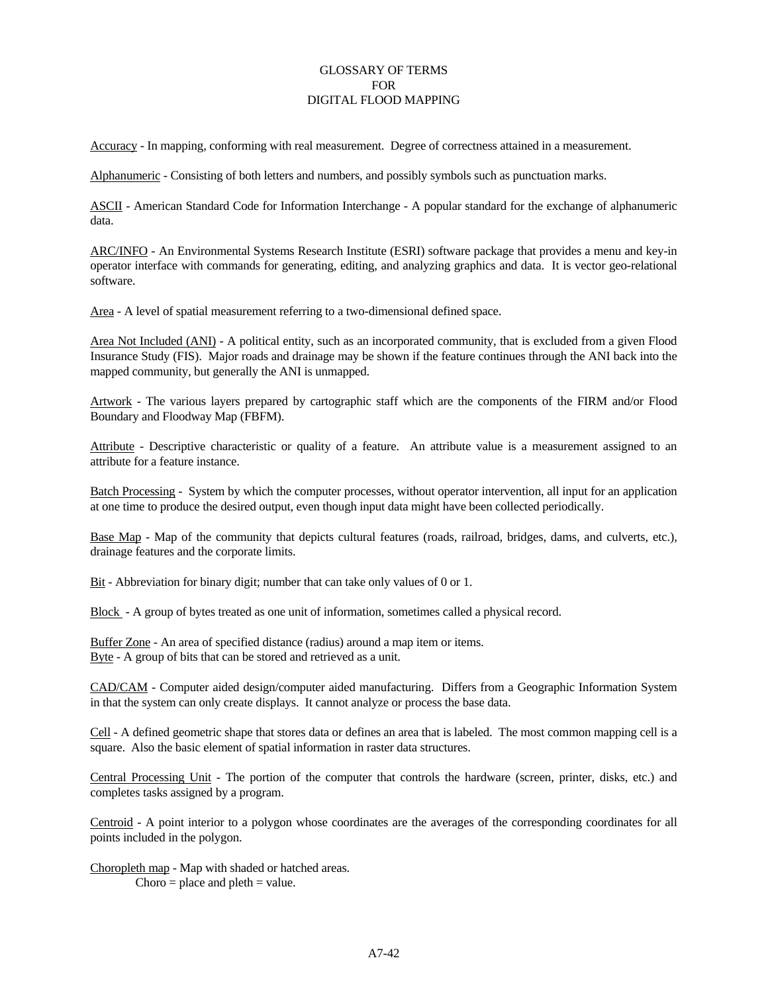## GLOSSARY OF TERMS FOR DIGITAL FLOOD MAPPING

Accuracy - In mapping, conforming with real measurement. Degree of correctness attained in a measurement.

Alphanumeric - Consisting of both letters and numbers, and possibly symbols such as punctuation marks.

ASCII - American Standard Code for Information Interchange - A popular standard for the exchange of alphanumeric data.

ARC/INFO - An Environmental Systems Research Institute (ESRI) software package that provides a menu and key-in operator interface with commands for generating, editing, and analyzing graphics and data. It is vector geo-relational software.

Area - A level of spatial measurement referring to a two-dimensional defined space.

Area Not Included (ANI) - A political entity, such as an incorporated community, that is excluded from a given Flood Insurance Study (FIS). Major roads and drainage may be shown if the feature continues through the ANI back into the mapped community, but generally the ANI is unmapped.

Artwork - The various layers prepared by cartographic staff which are the components of the FIRM and/or Flood Boundary and Floodway Map (FBFM).

Attribute - Descriptive characteristic or quality of a feature. An attribute value is a measurement assigned to an attribute for a feature instance.

Batch Processing - System by which the computer processes, without operator intervention, all input for an application at one time to produce the desired output, even though input data might have been collected periodically.

Base Map - Map of the community that depicts cultural features (roads, railroad, bridges, dams, and culverts, etc.), drainage features and the corporate limits.

Bit - Abbreviation for binary digit; number that can take only values of 0 or 1.

Block - A group of bytes treated as one unit of information, sometimes called a physical record.

Buffer Zone - An area of specified distance (radius) around a map item or items. Byte - A group of bits that can be stored and retrieved as a unit.

CAD/CAM - Computer aided design/computer aided manufacturing. Differs from a Geographic Information System in that the system can only create displays. It cannot analyze or process the base data.

Cell - A defined geometric shape that stores data or defines an area that is labeled. The most common mapping cell is a square. Also the basic element of spatial information in raster data structures.

Central Processing Unit - The portion of the computer that controls the hardware (screen, printer, disks, etc.) and completes tasks assigned by a program.

Centroid - A point interior to a polygon whose coordinates are the averages of the corresponding coordinates for all points included in the polygon.

Choropleth map - Map with shaded or hatched areas.  $Choro = place$  and  $pleth = value$ .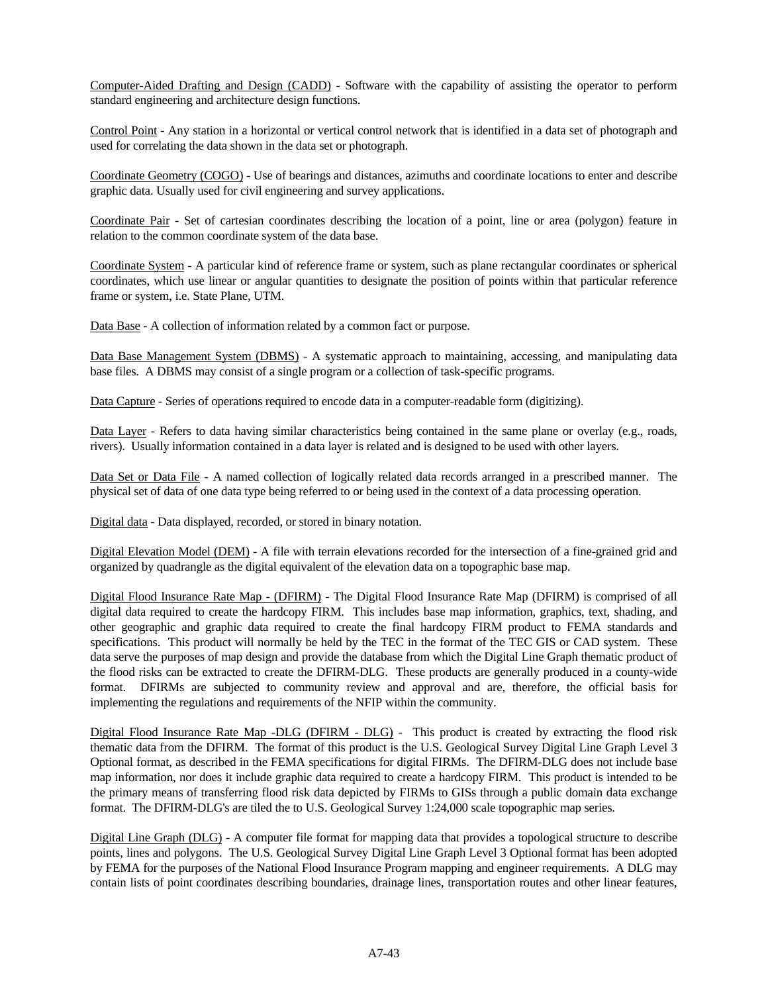Computer-Aided Drafting and Design (CADD) - Software with the capability of assisting the operator to perform standard engineering and architecture design functions.

Control Point - Any station in a horizontal or vertical control network that is identified in a data set of photograph and used for correlating the data shown in the data set or photograph.

Coordinate Geometry (COGO) - Use of bearings and distances, azimuths and coordinate locations to enter and describe graphic data. Usually used for civil engineering and survey applications.

Coordinate Pair - Set of cartesian coordinates describing the location of a point, line or area (polygon) feature in relation to the common coordinate system of the data base.

Coordinate System - A particular kind of reference frame or system, such as plane rectangular coordinates or spherical coordinates, which use linear or angular quantities to designate the position of points within that particular reference frame or system, i.e. State Plane, UTM.

Data Base - A collection of information related by a common fact or purpose.

Data Base Management System (DBMS) - A systematic approach to maintaining, accessing, and manipulating data base files. A DBMS may consist of a single program or a collection of task-specific programs.

Data Capture - Series of operations required to encode data in a computer-readable form (digitizing).

Data Layer - Refers to data having similar characteristics being contained in the same plane or overlay (e.g., roads, rivers). Usually information contained in a data layer is related and is designed to be used with other layers.

Data Set or Data File - A named collection of logically related data records arranged in a prescribed manner. The physical set of data of one data type being referred to or being used in the context of a data processing operation.

Digital data - Data displayed, recorded, or stored in binary notation.

Digital Elevation Model (DEM) - A file with terrain elevations recorded for the intersection of a fine-grained grid and organized by quadrangle as the digital equivalent of the elevation data on a topographic base map.

Digital Flood Insurance Rate Map - (DFIRM) - The Digital Flood Insurance Rate Map (DFIRM) is comprised of all digital data required to create the hardcopy FIRM. This includes base map information, graphics, text, shading, and other geographic and graphic data required to create the final hardcopy FIRM product to FEMA standards and specifications. This product will normally be held by the TEC in the format of the TEC GIS or CAD system. These data serve the purposes of map design and provide the database from which the Digital Line Graph thematic product of the flood risks can be extracted to create the DFIRM-DLG. These products are generally produced in a county-wide format. DFIRMs are subjected to community review and approval and are, therefore, the official basis for implementing the regulations and requirements of the NFIP within the community.

Digital Flood Insurance Rate Map -DLG (DFIRM - DLG) - This product is created by extracting the flood risk thematic data from the DFIRM. The format of this product is the U.S. Geological Survey Digital Line Graph Level 3 Optional format, as described in the FEMA specifications for digital FIRMs. The DFIRM-DLG does not include base map information, nor does it include graphic data required to create a hardcopy FIRM. This product is intended to be the primary means of transferring flood risk data depicted by FIRMs to GISs through a public domain data exchange format. The DFIRM-DLG's are tiled the to U.S. Geological Survey 1:24,000 scale topographic map series.

Digital Line Graph (DLG) - A computer file format for mapping data that provides a topological structure to describe points, lines and polygons. The U.S. Geological Survey Digital Line Graph Level 3 Optional format has been adopted by FEMA for the purposes of the National Flood Insurance Program mapping and engineer requirements. A DLG may contain lists of point coordinates describing boundaries, drainage lines, transportation routes and other linear features,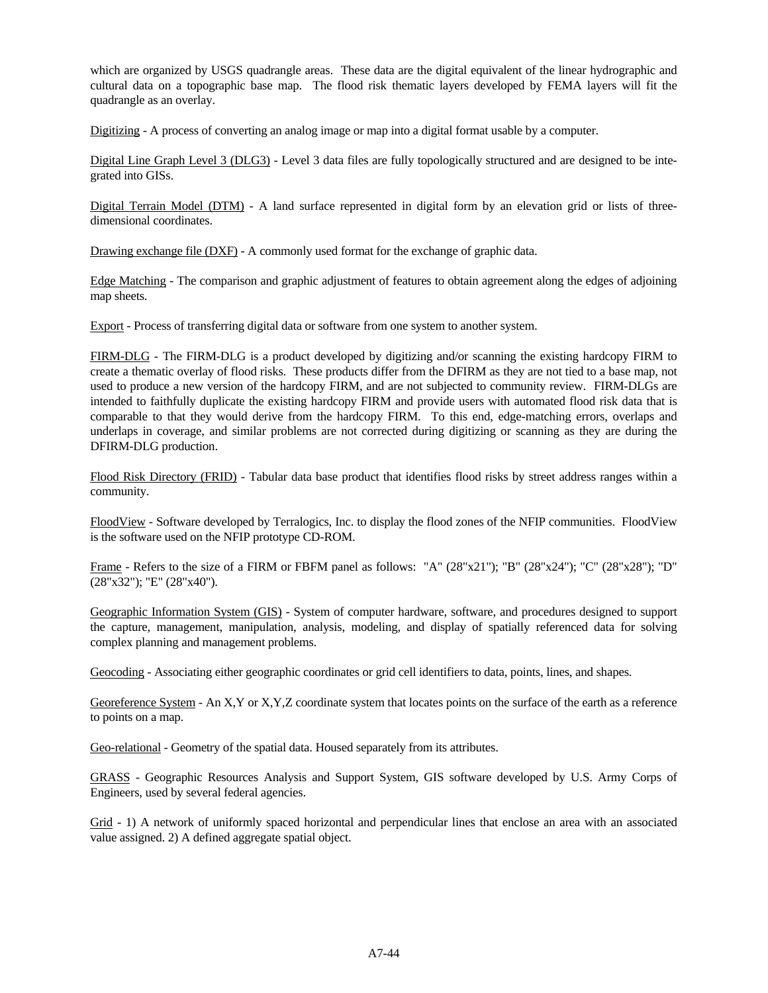which are organized by USGS quadrangle areas. These data are the digital equivalent of the linear hydrographic and cultural data on a topographic base map. The flood risk thematic layers developed by FEMA layers will fit the quadrangle as an overlay.

Digitizing - A process of converting an analog image or map into a digital format usable by a computer.

Digital Line Graph Level 3 (DLG3) - Level 3 data files are fully topologically structured and are designed to be integrated into GISs.

Digital Terrain Model (DTM) - A land surface represented in digital form by an elevation grid or lists of threedimensional coordinates.

Drawing exchange file (DXF) - A commonly used format for the exchange of graphic data.

Edge Matching - The comparison and graphic adjustment of features to obtain agreement along the edges of adjoining map sheets.

Export - Process of transferring digital data or software from one system to another system.

FIRM-DLG - The FIRM-DLG is a product developed by digitizing and/or scanning the existing hardcopy FIRM to create a thematic overlay of flood risks. These products differ from the DFIRM as they are not tied to a base map, not used to produce a new version of the hardcopy FIRM, and are not subjected to community review. FIRM-DLGs are intended to faithfully duplicate the existing hardcopy FIRM and provide users with automated flood risk data that is comparable to that they would derive from the hardcopy FIRM. To this end, edge-matching errors, overlaps and underlaps in coverage, and similar problems are not corrected during digitizing or scanning as they are during the DFIRM-DLG production.

Flood Risk Directory (FRID) - Tabular data base product that identifies flood risks by street address ranges within a community.

FloodView - Software developed by Terralogics, Inc. to display the flood zones of the NFIP communities. FloodView is the software used on the NFIP prototype CD-ROM.

Frame - Refers to the size of a FIRM or FBFM panel as follows: "A" (28"x21"); "B" (28"x24"); "C" (28"x28"); "D" (28"x32"); "E" (28"x40").

Geographic Information System (GIS) - System of computer hardware, software, and procedures designed to support the capture, management, manipulation, analysis, modeling, and display of spatially referenced data for solving complex planning and management problems.

Geocoding - Associating either geographic coordinates or grid cell identifiers to data, points, lines, and shapes.

Georeference System - An X,Y or X,Y,Z coordinate system that locates points on the surface of the earth as a reference to points on a map.

Geo-relational - Geometry of the spatial data. Housed separately from its attributes.

GRASS - Geographic Resources Analysis and Support System, GIS software developed by U.S. Army Corps of Engineers, used by several federal agencies.

Grid - 1) A network of uniformly spaced horizontal and perpendicular lines that enclose an area with an associated value assigned. 2) A defined aggregate spatial object.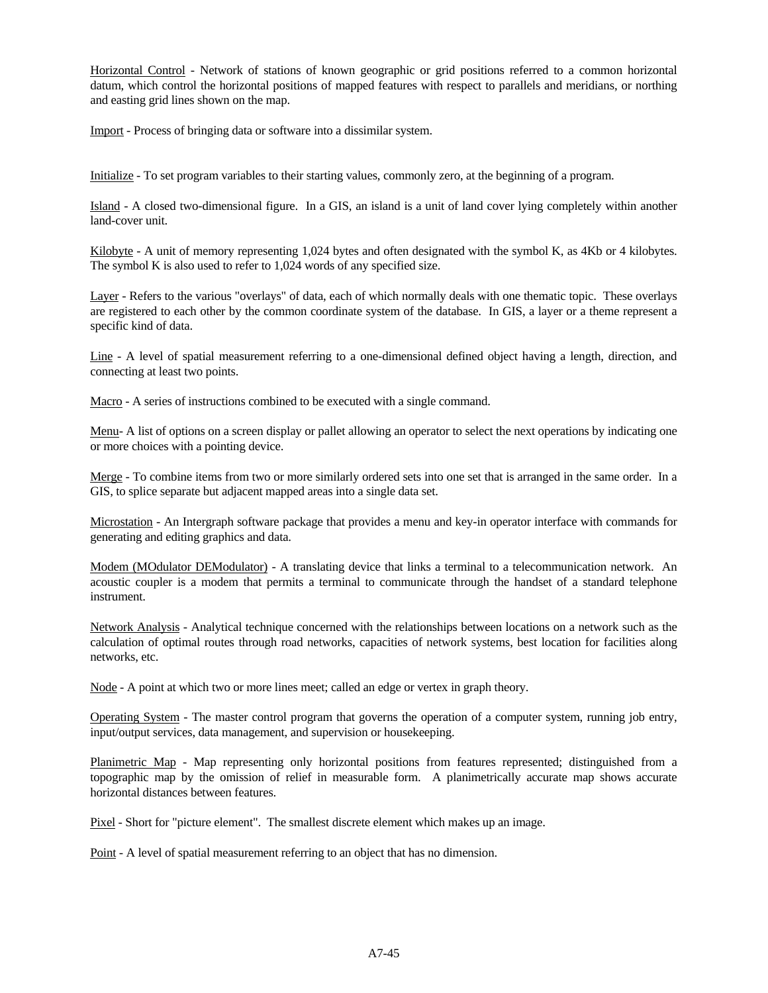Horizontal Control - Network of stations of known geographic or grid positions referred to a common horizontal datum, which control the horizontal positions of mapped features with respect to parallels and meridians, or northing and easting grid lines shown on the map.

Import - Process of bringing data or software into a dissimilar system.

Initialize - To set program variables to their starting values, commonly zero, at the beginning of a program.

Island - A closed two-dimensional figure. In a GIS, an island is a unit of land cover lying completely within another land-cover unit.

Kilobyte - A unit of memory representing 1,024 bytes and often designated with the symbol K, as 4Kb or 4 kilobytes. The symbol K is also used to refer to 1,024 words of any specified size.

Layer - Refers to the various "overlays" of data, each of which normally deals with one thematic topic. These overlays are registered to each other by the common coordinate system of the database. In GIS, a layer or a theme represent a specific kind of data.

Line - A level of spatial measurement referring to a one-dimensional defined object having a length, direction, and connecting at least two points.

Macro - A series of instructions combined to be executed with a single command.

Menu- A list of options on a screen display or pallet allowing an operator to select the next operations by indicating one or more choices with a pointing device.

Merge - To combine items from two or more similarly ordered sets into one set that is arranged in the same order. In a GIS, to splice separate but adjacent mapped areas into a single data set.

Microstation - An Intergraph software package that provides a menu and key-in operator interface with commands for generating and editing graphics and data.

Modem (MOdulator DEModulator) - A translating device that links a terminal to a telecommunication network. An acoustic coupler is a modem that permits a terminal to communicate through the handset of a standard telephone instrument.

Network Analysis - Analytical technique concerned with the relationships between locations on a network such as the calculation of optimal routes through road networks, capacities of network systems, best location for facilities along networks, etc.

Node - A point at which two or more lines meet; called an edge or vertex in graph theory.

Operating System - The master control program that governs the operation of a computer system, running job entry, input/output services, data management, and supervision or housekeeping.

Planimetric Map - Map representing only horizontal positions from features represented; distinguished from a topographic map by the omission of relief in measurable form. A planimetrically accurate map shows accurate horizontal distances between features.

Pixel - Short for "picture element". The smallest discrete element which makes up an image.

Point - A level of spatial measurement referring to an object that has no dimension.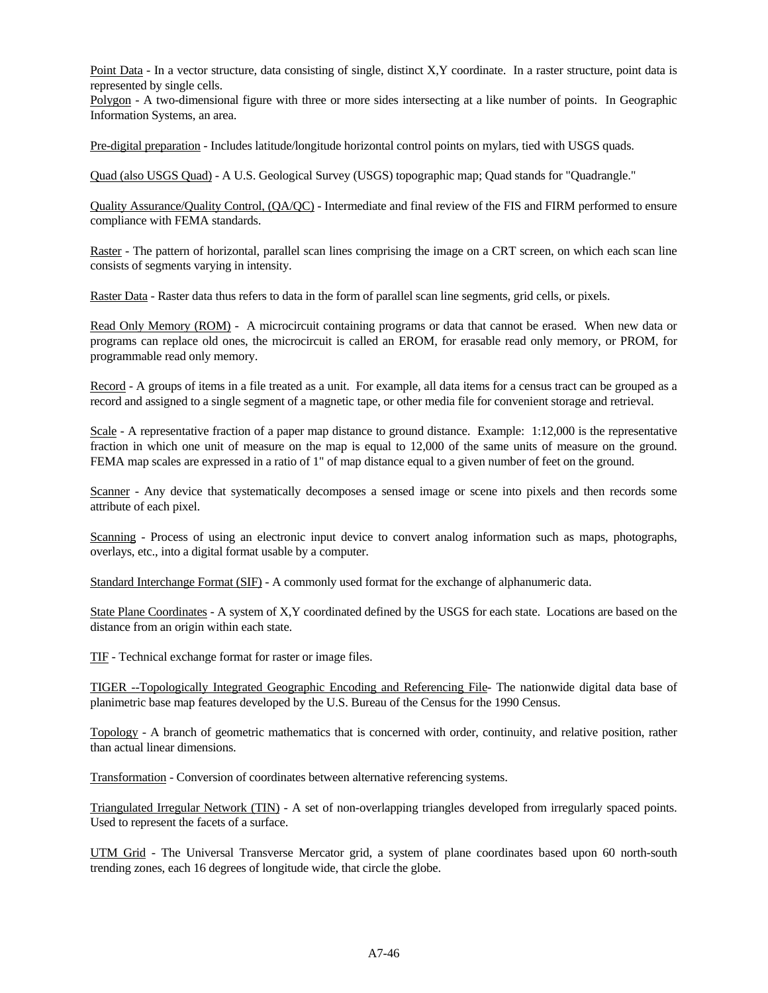Point Data - In a vector structure, data consisting of single, distinct X,Y coordinate. In a raster structure, point data is represented by single cells.

Polygon - A two-dimensional figure with three or more sides intersecting at a like number of points. In Geographic Information Systems, an area.

Pre-digital preparation - Includes latitude/longitude horizontal control points on mylars, tied with USGS quads.

Quad (also USGS Quad) - A U.S. Geological Survey (USGS) topographic map; Quad stands for "Quadrangle."

Quality Assurance/Quality Control, (QA/QC) - Intermediate and final review of the FIS and FIRM performed to ensure compliance with FEMA standards.

Raster - The pattern of horizontal, parallel scan lines comprising the image on a CRT screen, on which each scan line consists of segments varying in intensity.

Raster Data - Raster data thus refers to data in the form of parallel scan line segments, grid cells, or pixels.

Read Only Memory (ROM) - A microcircuit containing programs or data that cannot be erased. When new data or programs can replace old ones, the microcircuit is called an EROM, for erasable read only memory, or PROM, for programmable read only memory.

Record - A groups of items in a file treated as a unit. For example, all data items for a census tract can be grouped as a record and assigned to a single segment of a magnetic tape, or other media file for convenient storage and retrieval.

Scale - A representative fraction of a paper map distance to ground distance. Example: 1:12,000 is the representative fraction in which one unit of measure on the map is equal to 12,000 of the same units of measure on the ground. FEMA map scales are expressed in a ratio of 1" of map distance equal to a given number of feet on the ground.

Scanner - Any device that systematically decomposes a sensed image or scene into pixels and then records some attribute of each pixel.

Scanning - Process of using an electronic input device to convert analog information such as maps, photographs, overlays, etc., into a digital format usable by a computer.

Standard Interchange Format (SIF) - A commonly used format for the exchange of alphanumeric data.

State Plane Coordinates - A system of X,Y coordinated defined by the USGS for each state. Locations are based on the distance from an origin within each state.

TIF - Technical exchange format for raster or image files.

TIGER --Topologically Integrated Geographic Encoding and Referencing File- The nationwide digital data base of planimetric base map features developed by the U.S. Bureau of the Census for the 1990 Census.

Topology - A branch of geometric mathematics that is concerned with order, continuity, and relative position, rather than actual linear dimensions.

Transformation - Conversion of coordinates between alternative referencing systems.

Triangulated Irregular Network (TIN) - A set of non-overlapping triangles developed from irregularly spaced points. Used to represent the facets of a surface.

UTM Grid - The Universal Transverse Mercator grid, a system of plane coordinates based upon 60 north-south trending zones, each 16 degrees of longitude wide, that circle the globe.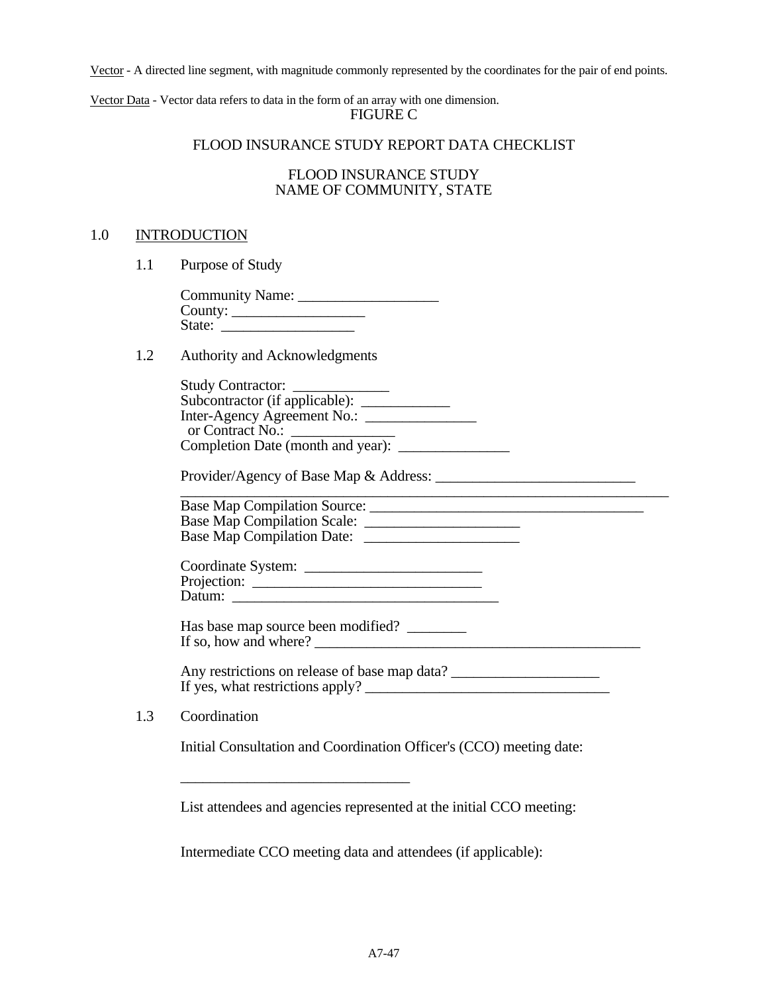Vector - A directed line segment, with magnitude commonly represented by the coordinates for the pair of end points.

Vector Data - Vector data refers to data in the form of an array with one dimension. FIGURE C

# FLOOD INSURANCE STUDY REPORT DATA CHECKLIST

# FLOOD INSURANCE STUDY NAME OF COMMUNITY, STATE

# 1.0 INTRODUCTION

1.1 Purpose of Study

| Community Name: _______ |  |
|-------------------------|--|
| County: $\_\_$          |  |
| State:                  |  |

# 1.2 Authority and Acknowledgments

| Study Contractor: ______          |  |
|-----------------------------------|--|
|                                   |  |
| Inter-Agency Agreement No.:       |  |
| or Contract No.:                  |  |
| Completion Date (month and year): |  |

 Provider/Agency of Base Map & Address: \_\_\_\_\_\_\_\_\_\_\_\_\_\_\_\_\_\_\_\_\_\_\_\_\_\_\_  $\frac{1}{2}$  ,  $\frac{1}{2}$  ,  $\frac{1}{2}$  ,  $\frac{1}{2}$  ,  $\frac{1}{2}$  ,  $\frac{1}{2}$  ,  $\frac{1}{2}$  ,  $\frac{1}{2}$  ,  $\frac{1}{2}$  ,  $\frac{1}{2}$  ,  $\frac{1}{2}$  ,  $\frac{1}{2}$  ,  $\frac{1}{2}$  ,  $\frac{1}{2}$  ,  $\frac{1}{2}$  ,  $\frac{1}{2}$  ,  $\frac{1}{2}$  ,  $\frac{1}{2}$  ,  $\frac{1$ 

| Base Map Compilation Source:       |  |
|------------------------------------|--|
| <b>Base Map Compilation Scale:</b> |  |
| <b>Base Map Compilation Date:</b>  |  |

| Coordinate System: |  |
|--------------------|--|
| Projection:        |  |
| Datum:             |  |

 Has base map source been modified? \_\_\_\_\_\_\_\_ If so, how and where?  $\frac{1}{\sqrt{1-\frac{1}{2}}}\left\{ \frac{1}{2}, \frac{1}{2}, \frac{1}{2}, \frac{1}{2}, \frac{1}{2}, \frac{1}{2}, \frac{1}{2}, \frac{1}{2}, \frac{1}{2}, \frac{1}{2}, \frac{1}{2}, \frac{1}{2}, \frac{1}{2}, \frac{1}{2}, \frac{1}{2}, \frac{1}{2}, \frac{1}{2}, \frac{1}{2}, \frac{1}{2}, \frac{1}{2}, \frac{1}{2}, \frac{1}{2}, \frac{1}{2}, \frac{1}{2}, \frac{1}{2}, \frac{$ 

Any restrictions on release of base map data? \_\_\_\_\_\_\_\_\_\_\_\_\_\_\_\_\_\_\_\_ If yes, what restrictions apply? \_\_\_\_\_\_\_\_\_\_\_\_\_\_\_\_\_\_\_\_\_\_\_\_\_\_\_\_\_\_\_\_\_

## 1.3 Coordination

 $\frac{1}{\sqrt{2}}$  ,  $\frac{1}{\sqrt{2}}$  ,  $\frac{1}{\sqrt{2}}$  ,  $\frac{1}{\sqrt{2}}$  ,  $\frac{1}{\sqrt{2}}$  ,  $\frac{1}{\sqrt{2}}$  ,  $\frac{1}{\sqrt{2}}$  ,  $\frac{1}{\sqrt{2}}$  ,  $\frac{1}{\sqrt{2}}$  ,  $\frac{1}{\sqrt{2}}$  ,  $\frac{1}{\sqrt{2}}$  ,  $\frac{1}{\sqrt{2}}$  ,  $\frac{1}{\sqrt{2}}$  ,  $\frac{1}{\sqrt{2}}$  ,  $\frac{1}{\sqrt{2}}$ 

Initial Consultation and Coordination Officer's (CCO) meeting date:

List attendees and agencies represented at the initial CCO meeting:

Intermediate CCO meeting data and attendees (if applicable):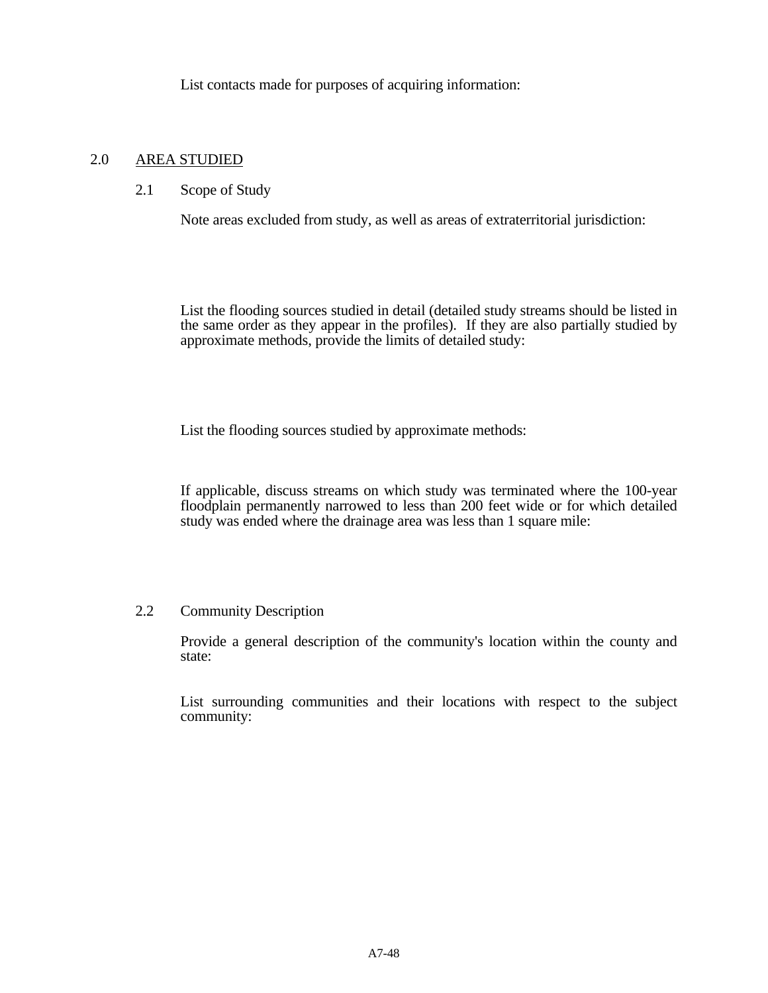List contacts made for purposes of acquiring information:

# 2.0 AREA STUDIED

2.1 Scope of Study

Note areas excluded from study, as well as areas of extraterritorial jurisdiction:

 List the flooding sources studied in detail (detailed study streams should be listed in the same order as they appear in the profiles). If they are also partially studied by approximate methods, provide the limits of detailed study:

List the flooding sources studied by approximate methods:

 If applicable, discuss streams on which study was terminated where the 100-year floodplain permanently narrowed to less than 200 feet wide or for which detailed study was ended where the drainage area was less than 1 square mile:

# 2.2 Community Description

 Provide a general description of the community's location within the county and state:

 List surrounding communities and their locations with respect to the subject community: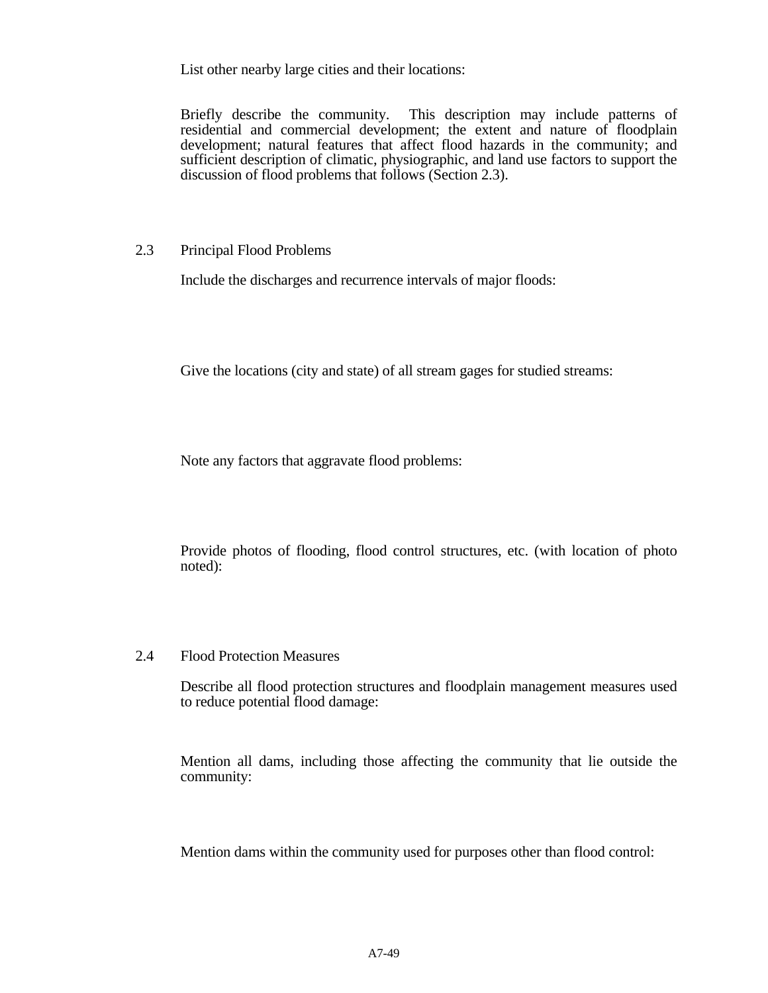List other nearby large cities and their locations:

 Briefly describe the community. This description may include patterns of residential and commercial development; the extent and nature of floodplain development; natural features that affect flood hazards in the community; and sufficient description of climatic, physiographic, and land use factors to support the discussion of flood problems that follows (Section 2.3).

2.3 Principal Flood Problems

Include the discharges and recurrence intervals of major floods:

Give the locations (city and state) of all stream gages for studied streams:

Note any factors that aggravate flood problems:

 Provide photos of flooding, flood control structures, etc. (with location of photo noted):

# 2.4 Flood Protection Measures

 Describe all flood protection structures and floodplain management measures used to reduce potential flood damage:

 Mention all dams, including those affecting the community that lie outside the community:

Mention dams within the community used for purposes other than flood control: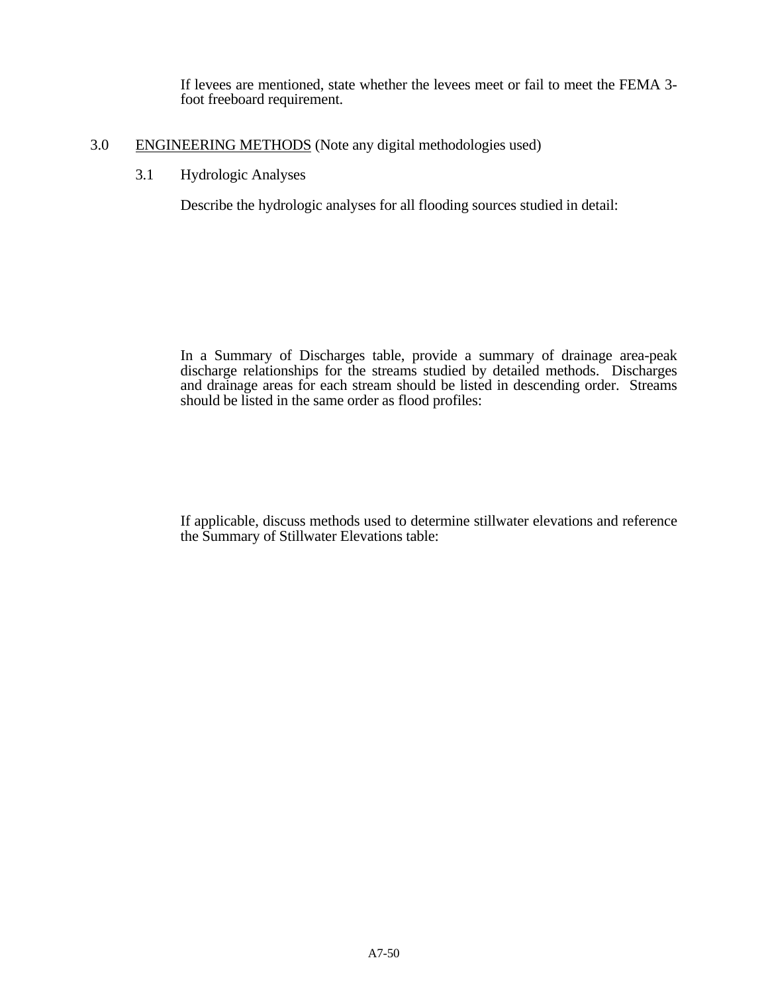If levees are mentioned, state whether the levees meet or fail to meet the FEMA 3 foot freeboard requirement.

# 3.0 ENGINEERING METHODS (Note any digital methodologies used)

3.1 Hydrologic Analyses

Describe the hydrologic analyses for all flooding sources studied in detail:

 In a Summary of Discharges table, provide a summary of drainage area-peak discharge relationships for the streams studied by detailed methods. Discharges and drainage areas for each stream should be listed in descending order. Streams should be listed in the same order as flood profiles:

 If applicable, discuss methods used to determine stillwater elevations and reference the Summary of Stillwater Elevations table: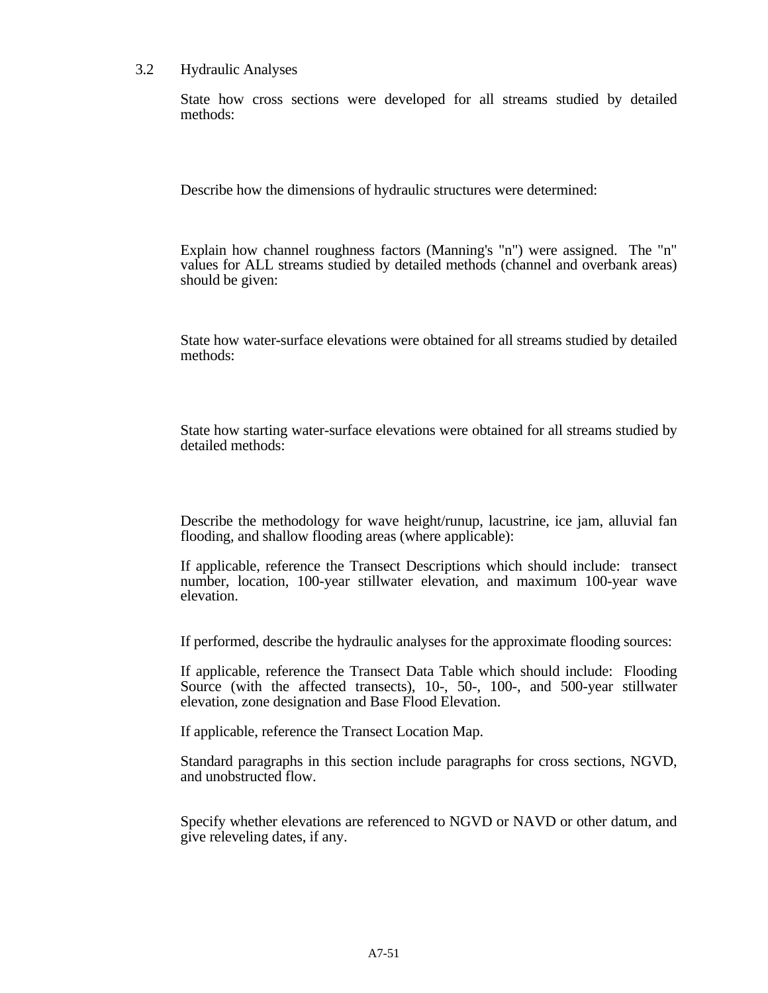# 3.2 Hydraulic Analyses

 State how cross sections were developed for all streams studied by detailed methods:

Describe how the dimensions of hydraulic structures were determined:

 Explain how channel roughness factors (Manning's "n") were assigned. The "n" values for ALL streams studied by detailed methods (channel and overbank areas) should be given:

 State how water-surface elevations were obtained for all streams studied by detailed methods:

 State how starting water-surface elevations were obtained for all streams studied by detailed methods:

 Describe the methodology for wave height/runup, lacustrine, ice jam, alluvial fan flooding, and shallow flooding areas (where applicable):

 If applicable, reference the Transect Descriptions which should include: transect number, location, 100-year stillwater elevation, and maximum 100-year wave elevation.

If performed, describe the hydraulic analyses for the approximate flooding sources:

 If applicable, reference the Transect Data Table which should include: Flooding Source (with the affected transects), 10-, 50-, 100-, and 500-year stillwater elevation, zone designation and Base Flood Elevation.

If applicable, reference the Transect Location Map.

 Standard paragraphs in this section include paragraphs for cross sections, NGVD, and unobstructed flow.

 Specify whether elevations are referenced to NGVD or NAVD or other datum, and give releveling dates, if any.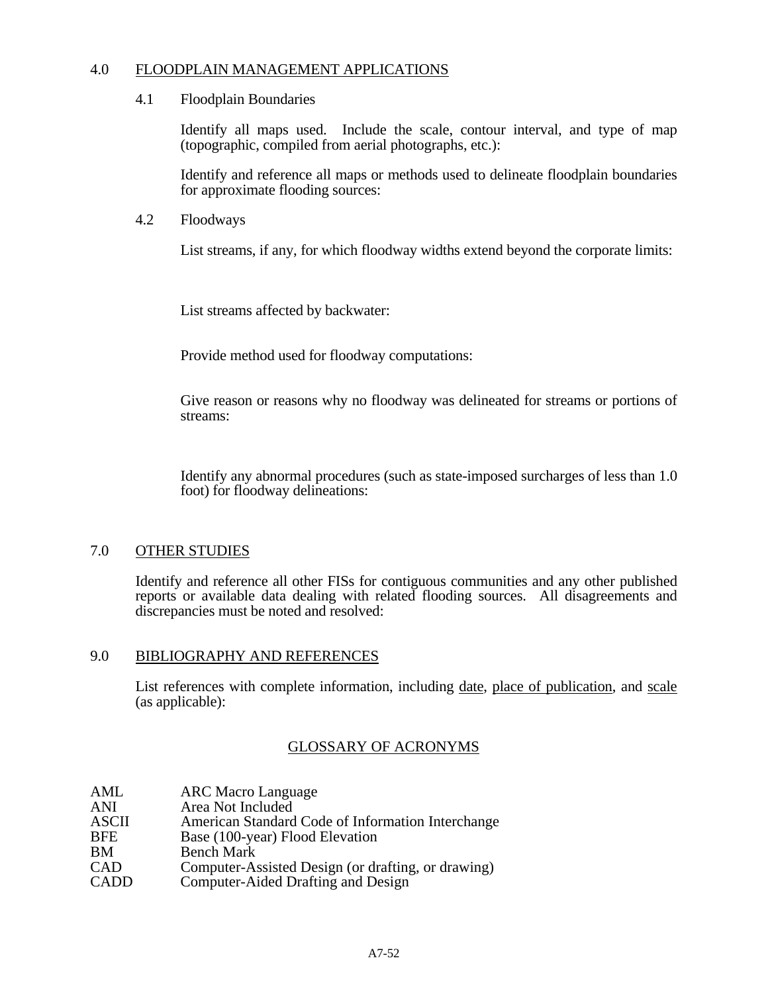# 4.0 FLOODPLAIN MANAGEMENT APPLICATIONS

4.1 Floodplain Boundaries

 Identify all maps used. Include the scale, contour interval, and type of map (topographic, compiled from aerial photographs, etc.):

 Identify and reference all maps or methods used to delineate floodplain boundaries for approximate flooding sources:

4.2 Floodways

List streams, if any, for which floodway widths extend beyond the corporate limits:

List streams affected by backwater:

Provide method used for floodway computations:

 Give reason or reasons why no floodway was delineated for streams or portions of streams:

 Identify any abnormal procedures (such as state-imposed surcharges of less than 1.0 foot) for floodway delineations:

# 7.0 OTHER STUDIES

 Identify and reference all other FISs for contiguous communities and any other published reports or available data dealing with related flooding sources. All disagreements and discrepancies must be noted and resolved:

# 9.0 BIBLIOGRAPHY AND REFERENCES

 List references with complete information, including date, place of publication, and scale (as applicable):

# GLOSSARY OF ACRONYMS

| <b>ARC</b> Macro Language                          |
|----------------------------------------------------|
| Area Not Included                                  |
| American Standard Code of Information Interchange  |
| Base (100-year) Flood Elevation                    |
| <b>Bench Mark</b>                                  |
| Computer-Assisted Design (or drafting, or drawing) |
| Computer-Aided Drafting and Design                 |
|                                                    |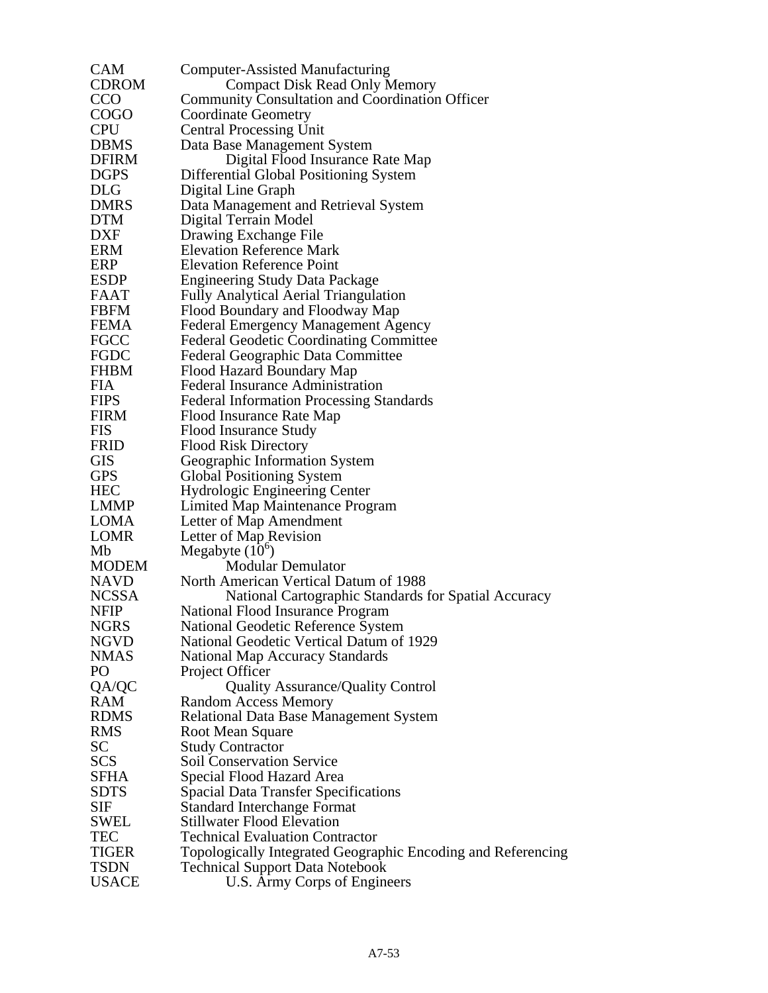| <b>CAM</b>   | <b>Computer-Assisted Manufacturing</b>                       |
|--------------|--------------------------------------------------------------|
| <b>CDROM</b> | <b>Compact Disk Read Only Memory</b>                         |
| <b>CCO</b>   | <b>Community Consultation and Coordination Officer</b>       |
| <b>COGO</b>  | <b>Coordinate Geometry</b>                                   |
| <b>CPU</b>   | <b>Central Processing Unit</b>                               |
| <b>DBMS</b>  | Data Base Management System                                  |
| <b>DFIRM</b> | Digital Flood Insurance Rate Map                             |
| <b>DGPS</b>  | Differential Global Positioning System                       |
| <b>DLG</b>   | Digital Line Graph                                           |
| <b>DMRS</b>  | Data Management and Retrieval System                         |
| <b>DTM</b>   | Digital Terrain Model                                        |
| DXF          | Drawing Exchange File                                        |
| <b>ERM</b>   | <b>Elevation Reference Mark</b>                              |
| <b>ERP</b>   | <b>Elevation Reference Point</b>                             |
|              |                                                              |
| <b>ESDP</b>  | <b>Engineering Study Data Package</b>                        |
| <b>FAAT</b>  | <b>Fully Analytical Aerial Triangulation</b>                 |
| <b>FBFM</b>  | Flood Boundary and Floodway Map                              |
| <b>FEMA</b>  | <b>Federal Emergency Management Agency</b>                   |
| <b>FGCC</b>  | <b>Federal Geodetic Coordinating Committee</b>               |
| FGDC         | Federal Geographic Data Committee                            |
| <b>FHBM</b>  | Flood Hazard Boundary Map                                    |
| <b>FIA</b>   | <b>Federal Insurance Administration</b>                      |
| <b>FIPS</b>  | <b>Federal Information Processing Standards</b>              |
| <b>FIRM</b>  | Flood Insurance Rate Map                                     |
| FIS          | Flood Insurance Study                                        |
| <b>FRID</b>  | <b>Flood Risk Directory</b>                                  |
| <b>GIS</b>   | Geographic Information System                                |
| <b>GPS</b>   | Global Positioning System                                    |
| <b>HEC</b>   | Hydrologic Engineering Center                                |
| <b>LMMP</b>  | Limited Map Maintenance Program                              |
| LOMA         | Letter of Map Amendment                                      |
| <b>LOMR</b>  | Letter of Map Revision                                       |
| Mb           | Megabyte $(10^{\circ})$                                      |
| <b>MODEM</b> | <b>Modular Demulator</b>                                     |
| <b>NAVD</b>  | North American Vertical Datum of 1988                        |
| <b>NCSSA</b> | National Cartographic Standards for Spatial Accuracy         |
| <b>NFIP</b>  | National Flood Insurance Program                             |
| <b>NGRS</b>  | National Geodetic Reference System                           |
| <b>NGVD</b>  | National Geodetic Vertical Datum of 1929                     |
| <b>NMAS</b>  | <b>National Map Accuracy Standards</b>                       |
| PO           | Project Officer                                              |
| QA/QC        | <b>Quality Assurance/Quality Control</b>                     |
| <b>RAM</b>   | <b>Random Access Memory</b>                                  |
| <b>RDMS</b>  | Relational Data Base Management System                       |
| <b>RMS</b>   | Root Mean Square                                             |
| SC           | <b>Study Contractor</b>                                      |
| <b>SCS</b>   | <b>Soil Conservation Service</b>                             |
| <b>SFHA</b>  | Special Flood Hazard Area                                    |
| <b>SDTS</b>  | <b>Spacial Data Transfer Specifications</b>                  |
| SIF          | <b>Standard Interchange Format</b>                           |
| SWEL         | <b>Stillwater Flood Elevation</b>                            |
| TEC          | <b>Technical Evaluation Contractor</b>                       |
| <b>TIGER</b> | Topologically Integrated Geographic Encoding and Referencing |
| <b>TSDN</b>  | <b>Technical Support Data Notebook</b>                       |
| <b>USACE</b> | U.S. Army Corps of Engineers                                 |